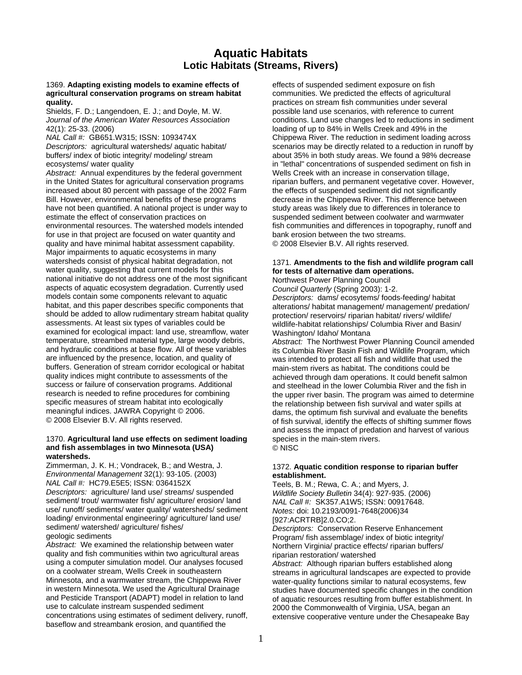## **Aquatic Habitats Lotic Habitats (Streams, Rivers)**

## 1369. **Adapting existing models to examine effects of** effects of suspended sediment exposure on fish<br>agricultural conservation programs on stream habitat communities. We predicted the effects of agricultural agricultural conservation programs on stream habitat **quality. practices on stream fish communities under several properties on stream fish communities under several**

Shields, F. D.; Langendoen, E. J.; and Doyle, M. W. possible land use scenarios, with reference to current

*Abstract:* Annual expenditures by the federal government Wells Creek with an increase in conservation tillage, in the United States for agricultural conservation programs riparian buffers, and permanent vegetative cover. However, increased about 80 percent with passage of the 2002 Farm the effects of suspended sediment did not significantly Bill. However, environmental benefits of these programs decrease in the Chippewa River. This difference between have not been quantified. A national project is under way to study areas was likely due to differences in tolerance to estimate the effect of conservation practices on suspended sediment between coolwater and warmwater<br>
environmental resources. The watershed models intended fish communities and differences in topography, runoff are for use in that project are focused on water quantity and bank erosion between the two streams.<br>
quality and have minimal habitat assessment capability.  $\circ$  2008 Elsevier B.V. All rights reserved. quality and have minimal habitat assessment capability. Major impairments to aquatic ecosystems in many watersheds consist of physical habitat degradation, not 1371. Amendments to the fish and wildlife program call water quality, suggesting that current models for this **for tests of alternative dam operations.** national initiative do not address one of the most significant Northwest Power Planning Council aspects of aquatic ecosystem degradation. Currently used *Council Quarterly* (Spring 2003): 1-2. models contain some components relevant to aquatic *Descriptors:* dams/ ecosytems/ foods-feeding/ habitat<br>habitat, and this paper describes specific components that alterations/ habitat management/ management/ predati should be added to allow rudimentary stream habitat quality assessments. At least six types of variables could be examined for ecological impact: land use, streamflow, water Washington/ Idaho/ Montana<br>temperature, streambed material type, large woody debris, *Abstract:* The Northwest Pow temperature, streambed material type, large woody debris, *Abstract:* The Northwest Power Planning Council amended and hydraulic conditions at base flow. All of these variables its Columbia River Basin Fish and Wildlife Program, which<br>are influenced by the presence, location, and quality of sure was intended to protect all fish and wil are influenced by the presence, location, and quality of was intended to protect all fish and wildlife that used the<br>buffers. Generation of stream corridor ecological or habitat main-stem rivers as habitat. The conditions buffers. Generation of stream corridor ecological or habitat main-stem rivers as habitat. The conditions could be<br>quality indices might contribute to assessments of the section achieved through dam operations. It could ben quality indices might contribute to assessments of the achieved through dam operations. It could benefit salmon<br>success or failure of conservation programs. Additional and steelhead in the lower Columbia River and the fish success or failure of conservation programs. Additional and steelhead in the lower Columbia River and the fish in<br>
research is needed to refine procedures for combining the upper river basin. The program was aimed to deter research is needed to refine procedures for combining the upper river basin. The program was aimed to determine<br>specific measures of stream habitat into ecologically the relationship between fish survival and water spills specific measures of stream habitat into ecologically entime the relationship between fish survival and water spills at<br>the optimum fish survival and evaluate the benefit meaningful indices. JAWRA Copyright © 2006.<br>
© 2008 Elsevier B.V. All rights reserved.<br>
of fish survival identify the effects of shifting summer flows

## 1370. **Agricultural land use effects on sediment loading** species in the main-stem rivers. **and fish assemblages in two Minnesota (USA)** © NISC **watersheds.**

Zimmerman, J. K. H.; Vondracek, B.; and Westra, J. 1372. **Aquatic condition response to riparian buffer**  *Environmental Management* 32(1): 93-105. (2003) **establishment.**  *Descriptors:* agriculture/ land use/ streams/ suspended *Wildlife Society Bulletin* 34(4): 927-935. (2006) sediment/ trout/ warmwater fish/ agriculture/ erosion/ land *NAL Call #:* SK357.A1W5; ISSN: 00917648.<br>use/ runoff/ sediments/ water quality/ watersheds/ sediment *Notes:* doi: 10.2193/0091-7648(2006)34 use/ runoff/ sediments/ water quality/ watersheds/ sediment loading/ environmental engineering/ agriculture/ land use/ [927:ACRTRB]2.0.CO;2.<br>sediment/ watershed/ agriculture/ fishes/ [2015] Descriptors: Conservation sediment/ watershed/ agriculture/ fishes/ *Descriptors:* Conservation Reserve Enhancement<br> **Program/** fish assemblage/ index of biotic integrity/

Abstract: We examined the relationship between water Northern Virginia/ practice effects/ riparian buffers/ quality and fish communities within two agricultural areas riparian restoration/ watershed<br>using a computer simulation model. Our analyses focused *Abstract:* Although riparian but using a computer simulation model. Our analyses focused *Abstract:* Although riparian buffers established along on a coolwater stream, Wells Creek in southeastern streams in agricultural landscapes are expected to provide<br>Minnesota, and a warmwater stream, the Chippewa River streams in agricultural landscapes are expected to provi Minnesota, and a warmwater stream, the Chippewa River water-quality functions similar to natural ecosystems, few<br>in western Minnesota. We used the Agricultural Drainage studies have documented specific changes in the condi in western Minnesota. We used the Agricultural Drainage studies have documented specific changes in the condition<br>and Pesticide Transport (ADAPT) model in relation to land of aguatic resources resulting from buffer establi and Pesticide Transport (ADAPT) model in relation to land of aquatic resources resulting from buffer establishment. In<br>2000 the Commonwealth of Virginia USA began an use to calculate instream suspended sediment 2000 the Commonwealth of Virginia, USA, began an<br>concentrations using estimates of sediment delivery, runoff, extensive cooperative venture under the Chesapeak baseflow and streambank erosion, and quantified the

*Journal of the American Water Resources Association* conditions. Land use changes led to reductions in sediment 42(1): 25-33. (2006)<br>
MAL Call #: GB651.W315; ISSN: 1093474X<br>
Chippewa River. The reduction in sediment loading Chippewa River. The reduction in sediment loading across *Descriptors:* agricultural watersheds/ aquatic habitat/ scenarios may be directly related to a reduction in runoff by buffers/ index of biotic integrity/ modeling/ stream about 35% in both study areas. We found a 98% decrease ecosystems/ water quality in the interval of the intervals of suspended sediment on fish in fish communities and differences in topography, runoff and

alterations/ habitat management/ management/ predation/<br>protection/ reservoirs/ riparian habitat/ rivers/ wildlife/ wildlife-habitat relationships/ Columbia River and Basin/

of fish survival, identify the effects of shifting summer flows and assess the impact of predation and harvest of various

*Teels, B. M.; Rewa, C. A.; and Myers, J.* 

Program/ fish assemblage/ index of biotic integrity/

extensive cooperative venture under the Chesapeake Bay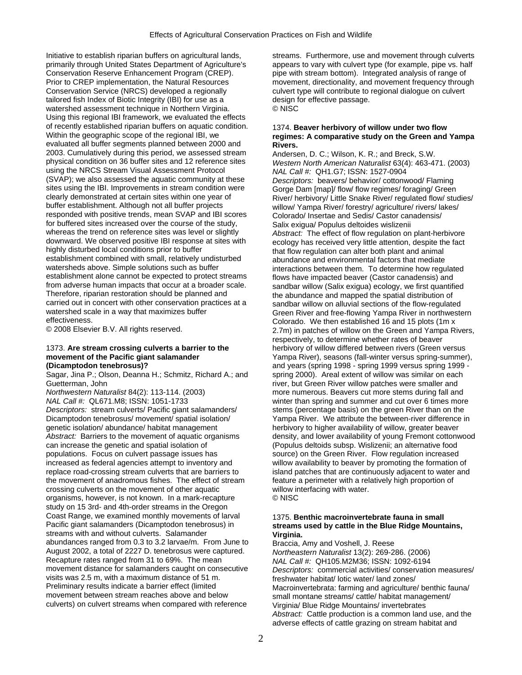Initiative to establish riparian buffers on agricultural lands, streams. Furthermore, use and movement through culverts primarily through United States Department of Agriculture's appears to vary with culvert type (for example, pipe vs. half Conservation Reserve Enhancement Program (CREP). pipe with stream bottom). Integrated analysis of range of Prior to CREP implementation, the Natural Resources movement, directionality, and movement frequency through Conservation Service (NRCS) developed a regionally culvert type will contribute to regional dialogue on culvert tailored fish Index of Biotic Integrity (IBI) for use as a design for effective passage. watershed assessment technique in Northern Virginia. © NISC Using this regional IBI framework, we evaluated the effects of recently established riparian buffers on aquatic condition. of recently established riparian buffers on aquatic condition. 1374. **Beaver herbivory of willow under two flow**  evaluated all buffer segments planned between 2000 and **Rivers.**  2003. Cumulatively during this period, we assessed stream Andersen, D. C.; Wilson, K. R.; and Breck, S.W.<br>
physical condition on 36 buffer sites and 12 reference sites Western North American Naturalist 63(4): 463-47 using the NRCS Stream Visual Assessment Protocol *NAL Call #:* QH1.G7; ISSN: 1527-0904 (SVAP); we also assessed the aquatic community at these *Descriptors:* beavers/ behavior/ cottonwood/ Flaming sites using the IBI. Improvements in stream condition were Gorge Dam [map]/ flow/ flow regimes/ foraging/ Green<br>Clearly demonstrated at certain sites within one year of River/ herbivory/ Little Snake River/ regulated flow/ clearly demonstrated at certain sites within one year of River/ herbivory/ Little Snake River/ regulated flow/ studies/<br>buffer establishment. Although not all buffer projects willow/ Yampa River/ forestry/ agriculture/ riv responded with positive trends, mean SVAP and IBI scores Colorado/ Insertae and Sedis/ Castor canadensis/ for buffered sites increased over the course of the study,<br>whereas the trend on reference sites was level or slightly<br>Abstract: The effect of flow requistion on whereas the trend on reference sites was level or slightly *Abstract:* The effect of flow regulation on plant-herbivore downward. We observed positive IBI response at sites with **and any property only and property** despite downward. We observed positive IBI response at sites with ecology has received very little attention, despite the fact<br>highly disturbed local conditions prior to buffer the fact that flow requilation can alter both plant a establishment combined with small, relatively undisturbed abundance and environmental factors that mediate<br>watersheds above. Simple solutions such as buffer interactions between them. To determine how requ watersheds above. Simple solutions such as buffer interactions between them. To determine how regulated<br>establishment alone cannot be expected to protect streams flows have impacted beaver (Castor canadensis) and establishment alone cannot be expected to protect streams flows have impacted beaver (Castor canadensis) and<br>from adverse human impacts that occur at a broader scale.<br>sandbar willow (Salix exiqua) ecology we first quantifi from adverse human impacts that occur at a broader scale. Sandbar willow (Salix exigua) ecology, we first quantified<br>Therefore, riparian restoration should be planned and the abundance and mapped the spatial distribution o Therefore, riparian restoration should be planned and the abundance and mapped the spatial distribution of carried out in concert with other conservation practices at a sandbar willow on alluvial sections of the flow-requi carried out in concert with other conservation practices at a sandbar willow on alluvial sections of the flow-regulated<br>
Green River and free-flowing Yampa River in northweste watershed scale in a way that maximizes buffer Green Green River and free-flowing Yampa River in northwestern<br>Golorado We then established 16 and 15 plots (1m x

Sagar, Jina P.; Olson, Deanna H.; Schmitz, Richard A.; and Guetterman, John **Report Communist Communist Communist Communist Communist Communist Communist Communist Communist Communist Communist Communist Communist Communist Communist Communist Communist Communist Communist Communi** 

*Northwestern Naturalist* 84(2): 113-114. (2003) more numerous. Beavers cut more stems during fall and *NAL Call #:* QL671.M8; ISSN: 1051-1733 winter than spring and summer and cut over 6 times more *Descriptors:* stream culverts/ Pacific giant salamanders/ stems (percentage basis) on the green River than on the Dicamptodon tenebrosus/ movement/ spatial isolation/ Yampa River. We attribute the between-river difference in genetic isolation/ abundance/ habitat management herbivory to higher availability of willow, greater beaver can increase the genetic and spatial isolation of (Populus deltoids subsp. Wislizenii; an alternative food populations. Focus on culvert passage issues has source) on the Green River. Flow regulation increased increased as federal agencies attempt to inventory and willow availability to beaver by promoting the formation of replace road-crossing stream culverts that are barriers to island patches that are continuously adjacent to water and the movement of anadromous fishes. The effect of stream feature a perimeter with a relatively high proportion of crossing culverts on the movement of other aquatic willow interfacing with water. organisms, however, is not known. In a mark-recapture © NISC study on 15 3rd- and 4th-order streams in the Oregon Coast Range, we examined monthly movements of larval 1375. **Benthic macroinvertebrate fauna in small**<br>
Pacific giant salamanders (Dicamptodon tenebrosus) in **the streams used by cattle in the Blue Ridge Mount** streams with and without culverts. Salamander **Virginia.** abundances ranged from 0.3 to 3.2 larvae/m. From June to Braccia, Amy and Voshell, J. Reese August 2002, a total of 2227 D. tenebrosus were captured. *Northeastern Naturalist* 13(2): 269-286. (2006) Recapture rates ranged from 31 to 69%. The mean *NAL Call #:* QH105.M2M36; ISSN: 1092-6194<br>movement distance for salamanders caught on consecutive *Descriptors: commercial activities/ conservation* visits was 2.5 m, with a maximum distance of 51 m.<br>
Preliminary results indicate a barrier effect (limited Macroinvertebrata: farming and agriculture Preliminary results indicate a barrier effect (limited Macroinvertebrata: farming and agriculture/ benthic fauna/<br>Macroinvertebrata: movement between stream reaches above and below small montane streams/ cattle/ babitat ma culverts) on culvert streams when compared with reference Virginia/ Blue Ridge Mountains/ invertebrates

movement, directionality, and movement frequency through

# regimes: A comparative study on the Green and Yampa

physical condition on 36 buffer sites and 12 reference sites *Western North American Naturalist* 63(4): 463-471. (2003) willow/ Yampa River/ forestry/ agriculture/ rivers/ lakes/ that flow regulation can alter both plant and animal effectiveness.<br>© 2008 Elsevier B.V. All rights reserved. The Colorado. We then established 16 and 15 plots (1m x 2.7m) in patches of willow on the Green and Yampa Rivers, respectively, to determine whether rates of beaver 1373. **Are stream crossing culverts a barrier to the** herbivory of willow differed between rivers (Green versus **movement of the Pacific giant salamander The Vampa River, seasons (fall-winter versus spring-summer), (Dicamptodon tenebrosus)?**<br>4 and years (spring 1998 - spring 1999 versus spring 1999 and years (spring 1998 - spring 1999 versus spring 1999 - spring 1999 - spring 2000). Areal extent of willow was similar on each *Abstract:* Barriers to the movement of aquatic organisms density, and lower availability of young Fremont cottonwood

# streams used by cattle in the Blue Ridge Mountains,

Descriptors: commercial activities/ conservation measures/ small montane streams/ cattle/ habitat management/ *Abstract:* Cattle production is a common land use, and the adverse effects of cattle grazing on stream habitat and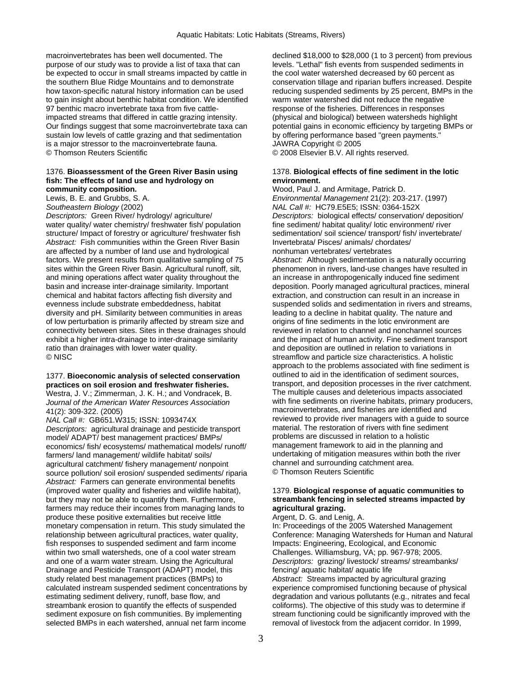purpose of our study was to provide a list of taxa that can levels. "Lethal" fish events from suspended sediments in be expected to occur in small streams impacted by cattle in the cool water watershed decreased by 60 percent as the southern Blue Ridge Mountains and to demonstrate conservation tillage and riparian buffers increased. Despite how taxon-specific natural history information can be used reducing suspended sediments by 25 percent, BMPs in the to gain insight about benthic habitat condition. We identified warm water watershed did not reduce the negative 97 benthic macro invertebrate taxa from five cattle- response of the fisheries. Differences in responses impacted streams that differed in cattle grazing intensity. (physical and biological) between watersheds highlight Our findings suggest that some macroinvertebrate taxa can potential gains in economic efficiency by targeting BMPs or sustain low levels of cattle grazing and that sedimentation by offering performance based "green payments." is a major stressor to the macroinvertebrate fauna. JAWRA Copyright © 2005 © Thomson Reuters Scientific © 2008 Elsevier B.V. All rights reserved.

## **fish: The effects of land use and hydrology on environment. community composition.** Wood, Paul J. and Armitage, Patrick D.

water quality/ water chemistry/ freshwater fish/ population fine sediment/ habitat quality/ lotic environment/ river structure/ Impact of forestry or agriculture/ freshwater fish sedimentation/ soil science/ transport/ fish/ invertebrate/ Abstract: Fish communities within the Green River Basin Invertebrata/ Pisces/ animals/ chordates/ are affected by a number of land use and hydrological nonhuman vertebrates/ vertebrates factors. We present results from qualitative sampling of 75 *Abstract:* Although sedimentation is a naturally occurring sites within the Green River Basin. Agricultural runoff, silt, phenomenon in rivers, land-use changes have resulted in and mining operations affect water quality throughout the an increase in anthropogenically induced fine sediment basin and increase inter-drainage similarity. Important deposition. Poorly managed agricultural practices, mineral chemical and habitat factors affecting fish diversity and extraction, and construction can result in an increase in<br>
evenness include substrate embeddedness, habitat suspended solids and sedimentation in rivers and streat diversity and pH. Similarity between communities in areas of low perturbation is primarily affected by stream size and origins of fine sediments in the lotic environment are connectivity between sites. Sites in these drainages should reviewed in relation to channel and nonchannel sources exhibit a higher intra-drainage to inter-drainage similarity and the impact of human activity. Fine sediment transport ratio than drainages with lower water quality.  $\qquad \qquad \qquad$  and deposition are outlined in relation to variations in © NISC streamflow and particle size characteristics. A holistic

Westra, J. V.; Zimmerman, J. K. H.; and Vondracek, B. 41(2): 309-322. (2005) macroinvertebrates, and fisheries are identified and

*Descriptors:* agricultural drainage and pesticide transport material. The restoration of rivers with fine sediment<br>model/ ADAPT/ best management practices/ BMPs/ problems are discussed in relation to a holistic model/ ADAPT/ best management practices/ BMPs/ problems are discussed in relation to a holistic<br>economics/ fish/ ecosystems/ mathematical models/ runoff/ management framework to aid in the planning and economics/ fish/ ecosystems/ mathematical models/ runoff/ management framework to aid in the planning and<br>farmers/ land management/ wildlife habitat/ soils/ says undertaking of mitigation measures within both the river farmers/ land management/ wildlife habitat/ soils/ undertaking of mitigation measures within<br>
agricultural catchment/ fishery management/ nonpoint channel and surrounding catchment area. agricultural catchment/ fishery management/ nonpoint channel and surrounding catch<br>source pollution/ soil erosion/ suspended sediments/ riparia © Thomson Reuters Scientific source pollution/ soil erosion/ suspended sediments/ riparia *Abstract:* Farmers can generate environmental benefits (improved water quality and fisheries and wildlife habitat), 1379. **Biological response of aquatic communities to**  but they may not be able to quantify them. Furthermore, **streambank fencing in selected streams impacted by**  farmers may reduce their incomes from managing lands to **agricultural grazing.** produce these positive externalities but receive little Argent, D. G. and Lenig, A. monetary compensation in return. This study simulated the In: Proceedings of the 2005 Watershed Management relationship between agricultural practices, water quality, Conference: Managing Watersheds for Human and Natural fish responses to suspended sediment and farm income **Impacts: Engineering, Ecological, and Economic** within two small watersheds, one of a cool water stream Challenges. Williamsburg, VA; pp. 967-978; 2005. and one of a warm water stream. Using the Agricultural *Descriptors:* grazing/ livestock/ streams/ streambanks/ Drainage and Pesticide Transport (ADAPT) model, this fencing/ aquatic habitat/ aquatic life study related best management practices (BMPs) to *Abstract:* Streams impacted by agricultural grazing calculated instream suspended sediment concentrations by experience compromised functioning because of physical estimating sediment delivery, runoff, base flow, and degradation and various pollutants (e.g., nitrates and fecal streambank erosion to quantify the effects of suspended coliforms). The objective of this study was to determine if sediment exposure on fish communities. By implementing stream functioning could be significantly improved with the selected BMPs in each watershed, annual net farm income removal of livestock from the adjacent corridor. In 1999,

macroinvertebrates has been well documented. The declined \$18,000 to \$28,000 (1 to 3 percent) from previous

## 1376. **Bioassessment of the Green River Basin using** 1378. **Biological effects of fine sediment in the lotic**

Lewis, B. E. and Grubbs, S. A. *Environmental Management* 21(2): 203-217. (1997) *Southeastern Biology* (2002) *NAL Call #:* HC79.E5E5; ISSN: 0364-152X *Descriptors:* biological effects/ conservation/ deposition/ suspended solids and sedimentation in rivers and streams, leading to a decline in habitat quality. The nature and approach to the problems associated with fine sediment is 1377. **Bioeconomic analysis of selected conservation** outlined to aid in the identification of sediment sources, **practices on soil erosion and freshwater fisheries.** Transport, and deposition processes in the river catchment.<br>Westra J. V.: Zimmerman, J. K. H.: and Vondracek, B. The multiple causes and deleterious impacts associated *Journal of the American Water Resources Association* with fine sediments on riverine habitats, primary producers, *NAL Call #:* GB651.W315; ISSN: 1093474X reviewed to provide river managers with a guide to source<br>Descriptors: agricultural drainage and pesticide transport material. The restoration of rivers with fine sediment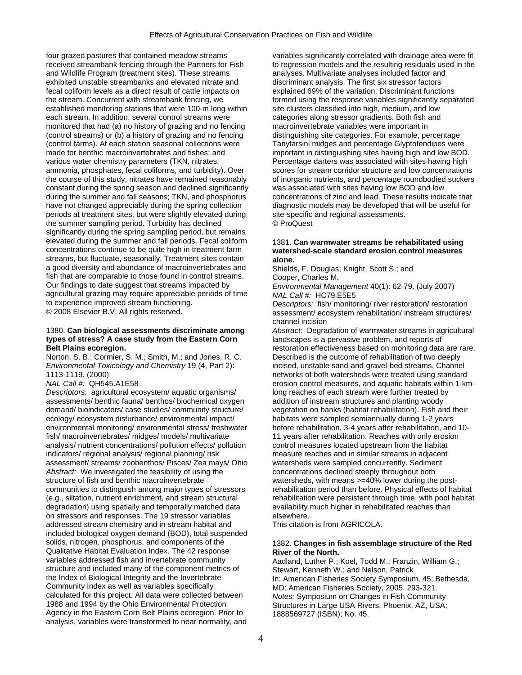four grazed pastures that contained meadow streams variables significantly correlated with drainage area were fit received streambank fencing through the Partners for Fish to regression models and the resulting residuals used in the and Wildlife Program (treatment sites). These streams analyses. Multivariate analyses included factor and exhibited unstable streambanks and elevated nitrate and discriminant analysis. The first six stressor factors exhibited unstable streambanks and elevated nitrate and fecal coliform levels as a direct result of cattle impacts on explained 69% of the variation. Discriminant functions the stream. Concurrent with streambank fencing, we formed using the response variables significantly separated established monitoring stations that were 100-m long within site clusters classified into high, medium, and low<br>each stream. In addition, several control streams were categories along stressor gradients. Both fish and each stream. In addition, several control streams were categories along stressor gradients. Both fish and in monitored that had (a) no history of grazing and no fencing macroinvertebrate variables were important in monitored that had (a) no history of grazing and no fencing (control streams) or (b) a history of grazing and no fencing distinguishing site categories. For example, percentage (control farms). At each station seasonal collections were Tanytarsini midges and percentage Glyptotendipes were made for benthic macroinvertebrates and fishes; and important in distinguishing sites having high and low BOD. various water chemistry parameters (TKN, nitrates, Percentage darters was associated with sites having high ammonia, phosphates, fecal coliforms, and turbidity). Over scores for stream corridor structure and low concentrations the course of this study, nitrates have remained reasonably of inorganic nutrients, and percentage roundbodied suckers constant during the spring season and declined significantly was associated with sites having low BOD and low<br>
during the summer and fall seasons; TKN, and phosphorus concentrations of zinc and lead. These results indicate during the summer and fall seasons; TKN, and phosphorus concentrations of zinc and lead. These results indicate that have not changed appreciably during the spring collection diagnostic models may be developed that will be have not changed appreciably during the spring collection periods at treatment sites, but were slightly elevated during site-specific and regional assessments. the summer sampling period. Turbidity has declined © ProQuest significantly during the spring sampling period, but remains elevated during the summer and fall periods. Fecal coliform 1381. **Can warmwater streams be rehabilitated using**  streams, but fluctuate, seasonally. Treatment sites contain **alone.**  a good diversity and abundance of macroinvertebrates and Shields, F. Douglas; Knight, Scott S.; and fish that are comparable to those found in control streams. Cooper, Charles M.<br>Our findings to date suggest that streams impacted by Environmental Manu agricultural grazing may require appreciable periods of time *NAL Call #:* HC79.E5E5<br>to experience improved stream functioning. *Descriptors: fish/ monito* 

**types of stress? A case study from the Eastern Corn** landscapes is a pervasive problem, and reports of

Norton, S. B.; Cormier, S. M.; Smith, M.; and Jones, R. C. Described is the outcome of rehabilitation of two deeply *Environmental Toxicology and Chemistry* 19 (4, Part 2): incised, unstable sand-and-gravel-bed streams. Channel

*Descriptors:* agricultural ecosystem/ aquatic organisms/ long reaches of each stream were further treated by assessments/ benthic fauna/ benthos/ biochemical oxygen addition of instream structures and planting woody demand/ bioindicators/ case studies/ community structure/ vegetation on banks (habitat rehabilitation). Fish and their ecology/ ecosystem disturbance/ environmental impact/ habitats were sampled semiannually during 1-2 years environmental monitoring/ environmental stress/ freshwater before rehabilitation, 3-4 years after rehabilitation, and 10 fish/ macroinvertebrates/ midges/ models/ multivariate 11 years after rehabilitation. Reaches with only erosion analysis/ nutrient concentrations/ pollution effects/ pollution control measures located upstream from the habitat indicators/ regional analysis/ regional planning/ risk measure reaches and in similar streams in adjacent assessment/ streams/ zoobenthos/ Pisces/ Zea mays/ Ohio watersheds were sampled concurrently. Sediment *Abstract:* We investigated the feasibility of using the concentrations declined steeply throughout both structure of fish and benthic macroinvertebrate watersheds, with means >=40% lower during the postcommunities to distinguish among major types of stressors rehabilitation period than before. Physical effects of habitat (e.g., siltation, nutrient enrichment, and stream structural rehabilitation were persistent through time, with pool habitat degradation) using spatially and temporally matched data availability much higher in rehabilitated reaches than on stressors and responses. The 19 stressor variables elsewhere.<br>
addressed stream chemistry and in-stream habitat and This citation is from AGRICOLA. addressed stream chemistry and in-stream habitat and included biological oxygen demand (BOD), total suspended solids, nitrogen, phosphorus, and components of the 1382. **Changes in fish assemblage structure of the Red**  Qualitative Habitat Evaluation Index. The 42 response **River of the North.**<br>
variables addressed fish and invertebrate community **Andland.** Luther P.: structure and included many of the component metrics of Stewart, Kenneth W.; and Nelson, Patrick<br>
the Index of Biological Integrity and the Invertebrate In: American Fisheries Society Symposium the Index of Biological Integrity and the Invertebrate In: American Fisheries Society Symposium, 45; Bethesda,<br>Community Index as well as variables specifically Integrational MD: American Fisheries Society, 2005, 293-321, calculated for this project. All data were collected between *Notes:* Symposium on Changes in Fish Community Agency in the Eastern Corn Belt Plains ecoregion. Prior to 1888569727 (ISBN); No. 45. analysis, variables were transformed to near normality, and

# watershed-scale standard erosion control measures

Environmental Management 40(1): 62-79. (July 2007)

to experience improved stream functioning.<br>
© 2008 Elsevier B.V. All rights reserved. The manner of the stress assessment/ ecosystem rehabilitation/ instream structures assessment/ ecosystem rehabilitation/ instream structures/ channel incision

1380. **Can biological assessments discriminate among** *Abstract:* Degradation of warmwater streams in agricultural **Belt Plains ecoregion. respectively** restoration effectiveness based on monitoring data are rare. 1113-1119. (2000) networks of both watersheds were treated using standard *NAL Call #:* QH545.A1E58 erosion control measures, and aquatic habitats within 1-km-

Aadland, Luther P.; Koel, Todd M.; Franzin, William G.; MD: American Fisheries Society, 2005. 293-321. Structures in Large USA Rivers, Phoenix, AZ, USA;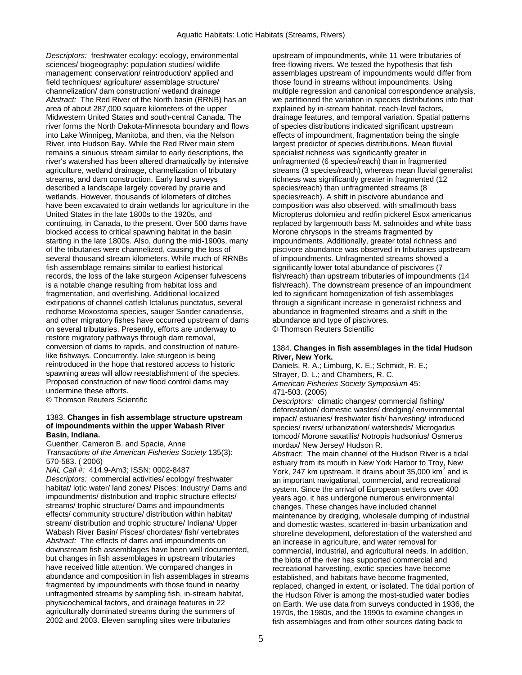*Descriptors:* freshwater ecology: ecology, environmental upstream of impoundments, while 11 were tributaries of sciences/ biogeography: population studies/ wildlife free-flowing rivers. We tested the hypothesis that fish management: conservation/ reintroduction/ applied and assemblages upstream of impoundments would differ from field techniques/ agriculture/ assemblage structure/ those found in streams without impoundments. Using channelization/ dam construction/ wetland drainage multiple regression and canonical correspondence analysis, *Abstract:* The Red River of the North basin (RRNB) has an we partitioned the variation in species distributions into that area of about 287,000 square kilometers of the upper explained by in-stream habitat, reach-level factors,<br>Midwestern United States and south-central Canada. The drainage features, and temporal variation. Spatial por river forms the North Dakota-Minnesota boundary and flows into Lake Winnipeg, Manitoba, and then, via the Nelson effects of impoundment, fragmentation being the single River, into Hudson Bay. While the Red River main stem largest predictor of species distributions. Mean fluvial remains a sinuous stream similar to early descriptions, the specialist richness was significantly greater in river's watershed has been altered dramatically by intensive unfragmented (6 species/reach) than in fragmented agriculture, wetland drainage, channelization of tributary streams (3 species/reach), whereas mean fluvial generalist streams, and dam construction. Early land surveys richness was significantly greater in fragmented (12 described a landscape largely covered by prairie and species/reach) than unfragmented streams (8 wetlands. However, thousands of kilometers of ditches species/reach). A shift in piscivore abundance and<br>have been excavated to drain wetlands for agriculture in the composition was also observed, with smallmouth bass have been excavated to drain wetlands for agriculture in the United States in the late 1800s to the 1920s, and Micropterus dolomieu and redfin pickerel Esox americanus continuing, in Canada, to the present. Over 500 dams have replaced by largemouth bass M. salmoides and white bass blocked access to critical spawning habitat in the basin Morone chrysops in the streams fragmented by starting in the late 1800s. Also, during the mid-1900s, many impoundments. Additionally, greater total richness and of the tributaries were channelized, causing the loss of piscivore abundance was observed in tributaries upstream several thousand stream kilometers. While much of RRNBs of impoundments. Unfragmented streams showed a fish assemblage remains similar to earliest historical significantly lower total abundance of piscivores (7 records, the loss of the lake sturgeon Acipenser fulvescens fish/reach) than upstream tributaries of impoundments (14 is a notable change resulting from habitat loss and fish/reach). The downstream presence of an impoundment fragmentation, and overfishing. Additional localized led to significant homogenization of fish assemblages extirpations of channel catfish Ictalurus punctatus, several through a significant increase in generalist richness and redhorse Moxostoma species, sauger Sander canadensis, abundance in fragmented streams and a shift in the and other migratory fishes have occurred upstream of dams abundance and type of piscivores. on several tributaries. Presently, efforts are underway to © Thomson Reuters Scientific restore migratory pathways through dam removal, conversion of dams to rapids, and construction of naturelike fishways. Concurrently, lake sturgeon is being **River, New York.**<br> **River, New York. Right** restored access to historic **Rightan Concels R** A : Lim spawning areas will allow reestablishment of the species.<br>Proposed construction of new flood control dams may undermine these efforts.<br>
© Thomson Reuters Scientific and the contract of the contract of the Chescriptors: clim

## 1383. **Changes in fish assemblage structure upstream** impact/ estuaries/ freshwater fish/ harvesting/ introduced **of impoundments within the upper Wabash River** species/ rivers/ urbanization/ watersheds/ Microgadus<br> **Basin, Indiana.** Microgadus tomood/ Morone saxatilis/ Notronis hudsonius/ Osmeru

Guenther, Cameron B. and Spacie, Anne mordax/ New Jersey/ Hudson R.

*Descriptors:* commercial activities/ ecology/ freshwater an important navigational, commercial, and recreational habitat/ lotic water/ land zones/ Pisces: Industry/ Dams and system. Since the arrival of European settlers over 400<br>impoundments/ distribution and trophic structure effects/<br>years and it has undergone numerous environment impoundments/ distribution and trophic structure effects/ years ago, it has undergone numerous environmental<br>streams/ trophic structure/ Dams and impoundments<br>changes. These changes have included channel streams/ trophic structure/ Dams and impoundments changes. These changes have included channel<br>effects/ community structure/ distribution within habitat/ maintenance by dredging, wholesale dumping of effects/ community structure/ distribution within habitat/ maintenance by dredging, wholesale dumping of industrial<br>stream/ distribution and trophic structure/ Indiana/ Upper and domestic wastes, scattered in-basin urbaniz stream/ distribution and trophic structure/ Indiana/ Upper and domestic wastes, scattered in-basin urbanization and<br>Wabash River Basin/ Pisces/ chordates/ fish/ vertebrates shoreline development deforestation of the waters Wabash River Basin/ Pisces/ chordates/ fish/ vertebrates shoreline development, deforestation of the watershed and<br>Abstract: The effects of dams and impoundments on some an increase in agriculture, and water removal for Abstract: The effects of dams and impoundments on an increase in agriculture, and water removal for<br>downstream fish assemblages have been well documented, and commercial, industrial, and agricultural needs. In but changes in fish assemblages in upstream tributaries the biota of the river has supported commercial and have received little attention. We compared changes in recreational harvesting, exotic species have become abundance and composition in fish assemblages in streams abundance and composition in fish assemblages in streams established, and habitats have become fragmented,<br>fragmented by impoundments with those found in nearby entity replaced changed in extent or isolated. The tidal fragmented by impoundments with those found in nearby replaced, changed in extent, or isolated. The tidal portion of unfragmented streams by sampling fish, in-stream habitat, the Hudson River is among the most-studied wate unfragmented streams by sampling fish, in-stream habitat, the Hudson River is among the most-studied water bodies<br>physicochemical factors, and drainage features in 22 on Farth. We use data from surveys conducted in 1936, t physicochemical factors, and drainage features in 22 on Earth. We use data from surveys conducted in 1936, the<br>agriculturally dominated streams during the summers of 1970s, the 1980s, and the 1990s to examine changes in agriculturally dominated streams during the summers of 1970s, the 1980s, and the 1990s to examine changes in a<br>1970s and 2003. Eleven sampling sites were tributaries the fish assemblages and from other sources dating back

drainage features, and temporal variation. Spatial patterns of species distributions indicated significant upstream

## 1384. Changes in fish assemblages in the tidal Hudson

Daniels, R. A.; Limburg, K. E.; Schmidt, R. E.; Strayer, D. L.; and Chambers, R. C. **American Fisheries Society Symposium 45:** 

Descriptors: climatic changes/ commercial fishing/ deforestation/ domestic wastes/ dredging/ environmental **Basin, Indiana.** tomcod/ Morone saxatilis/ Notropis hudsonius/ Osmerus

*Transactions of the American Fisheries Society* 135(3): *Abstract:* The main channel of the Hudson River is a tidal 570-583. ( 2006) estuary from its mouth in New York Harbor to Troy, New NAL Call #: 414.9-Am3; ISSN: 0002-8487 York, 247 km upstream. It drains about 35,000 km<sup>2</sup> and is commercial, industrial, and agricultural needs. In addition, fish assemblages and from other sources dating back to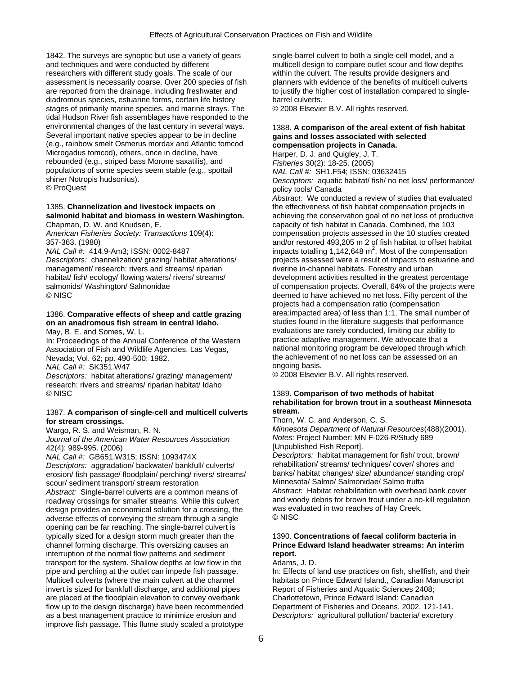1842. The surveys are synoptic but use a variety of gears single-barrel culvert to both a single-cell model, and a and techniques and were conducted by different multicell design to compare outlet scour and flow depths researchers with different study goals. The scale of our within the culvert. The results provide designers and<br>assessment is necessarily coarse. Over 200 species of fish planners with evidence of the benefits of multicell assessment is necessarily coarse. Over 200 species of fish are reported from the drainage, including freshwater and to justify the higher cost of installation compared to singlediadromous species, estuarine forms, certain life history barrel culverts. stages of primarily marine species, and marine strays. The  $\degree$  2008 Elsevier B.V. All rights reserved. tidal Hudson River fish assemblages have responded to the environmental changes of the last century in several ways. Several important native species appear to be in decline **gains and losses associated with selected** (e.g., rainbow smelt Osmerus mordax and Atlantic tomcod (e.g., rainbow smelt Osmerus mordax and Atlantic tomcod **compensation projects in Car**<br>Microgadus tomcod), others, once in decline, have **France Compensation projects in Car** Microgadus tomcod), others, once in decline, have rebounded (e.g., striped bass Morone saxatilis), and *Fisheries* 30(2): 18-25. (2005) populations of some species seem stable (e.g., spottail *NAL Call #:* SH1.F54; ISSN: 03632415<br> *NAL Call #:* SH1.F54; ISSN: 03632415<br> *Descriptors: aquatic habitat/ fish/ no ne* 

## 1385. **Channelization and livestock impacts on** the effectiveness of fish habitat compensation projects in

*NAL Call #: 414.9-Am3; ISSN: 0002-8487* management/ research: rivers and streams/ riparian riverine in-channel habitats. Forestry and urban

## 1386. **Comparative effects of sheep and cattle grazing** area:impacted area) of less than 1:1. The small number o<br>**on an anadromous fish stream in central Idaho.** Studies found in the literature suggests that performance on an anadromous fish stream in central Idaho.

Association of Fish and Wildlife Agencies. Las Vegas,

*NAL Call #:* SK351.W47<br>*Descriptors:* habitat alterations/ grazing/ management/ <sup>©</sup> 2008 Elsevier B.V. All rights reserved. *Descriptors:* habitat alterations/ grazing/ management/ research: rivers and streams/ riparian habitat/ Idaho © NISC 1389. **Comparison of two methods of habitat** 

## 1387. A comparison of single-cell and multicell culverts stream.<br> **for stream crossings.** Thorn, V **for stream crossings. Thorn, W. C. and Anderson, C. S. Wargo, R. S.** Manuscription C. S. Wargo, R. S. and Weisman, R. N.

*Journal of the American Water Resources Association* 42(4): 989-995. (2006) [Unpublished Fish Report].

*Descriptors:* aggradation/ backwater/ bankfull/ culverts/ rehabilitation/ streams/ techniques/ cover/ shores and erosion/ fish passage/ floodplain/ perching/ rivers/ streams/ banks/ habitat changes/ size/ abundance/ sta<br>scour/ sediment transport/ stream restoration Minnesota/ Salmo/ Salmonidae/ Salmo trutta scour/ sediment transport/ stream restoration Minnesota/ Salmo/ Salmonidae/ Salmo trutta<br>Abstract: Single-barrel culverts are a common means of Abstract: Habitat rehabilitation with overhead bank cover *Abstract:* Single-barrel culverts are a common means of *Abstract:* Habitat rehabilitation with overhead bank cover roadway crossings for smaller streams. While this culvert and woody debris for brown trout under a no-<br>design provides an economical solution for a crossing the was evaluated in two reaches of Hay Creek. design provides an economical solution for a crossing, the was evaluated in the stream through a single  $\bullet$  NISC adverse effects of conveying the stream through a single opening can be far reaching. The single-barrel culvert is typically sized for a design storm much greater than the 1390. **Concentrations of faecal coliform bacteria in**<br> **Prince Edward Island headwater streams: An interim**<br> **Prince Edward Island headwater streams: An interim** channel forming discharge. This oversizing causes an interruption of the normal flow patterns and sediment **report.**  transport for the system. Shallow depths at low flow in the Adams, J. D. pipe and perching at the outlet can impede fish passage. In: Effects of land use practices on fish, shellfish, and their Multicell culverts (where the main culvert at the channel habitats on Prince Edward Island., Canadian Manuscript invert is sized for bankfull discharge, and additional pipes Report of Fisheries and Aquatic Sciences 2408; are placed at the floodplain elevation to convey overbank Charlottetown, Prince Edward Island: Canadian flow up to the design discharge) have been recommended Department of Fisheries and Oceans, 2002. 121-141. as a best management practice to minimize erosion and *Descriptors:* agricultural pollution/ bacteria/ excretory improve fish passage. This flume study scaled a prototype

# 1388. A comparison of the areal extent of fish habitat

shiner Notropis hudsonius). *Descriptors:* aquatic habitat/ fish/ no net loss/ performance/ policy tools/ Canada

*Abstract:* We conducted a review of studies that evaluated **salmonid habitat and biomass in western Washington.** achieving the conservation goal of no net loss of productive Chapman, D. W. and Knudsen, E. capacity of fish habitat in Canada. Combined, the 103 *American Fisheries Society: Transactions* 109(4): compensation projects assessed in the 10 studies created 357-363. (1980) and/or restored 493,205 m 2 of fish habitat to offset habitat impacts totalling  $1,142,648$  m<sup>2</sup>. Most of the compensation *Descriptors:* channelization/ grazing/ habitat alterations/ projects assessed were a result of impacts to estuarine and habitat/ fish/ ecology/ flowing waters/ rivers/ streams/ development activities resulted in the greatest percentage<br>salmonids/ Washington/ Salmonidae of compensation projects. Overall, 64% of the projects were salmonids/ Washington/ Salmonidae of compensation projects. Overall, 64% of the projects were<br>
© NISC<br>
© NISC deemed to have achieved no net loss. Fifty percent of the projects had a compensation ratio (compensation<br>area:impacted area) of less than 1:1. The small number of May, B. E. and Somes, W. L.<br>In: Proceedings of the Annual Conference of the Western practice adaptive management. We advocate that a In: Proceedings of the Annual Conference of the Western expansive adaptive management. We advocate that a<br>Association of Fish and Wildlife Agencies, Las Vegas. That in a mational monitoring program be developed through whi Nevada; Vol. 62; pp. 490-500; 1982.<br>
NAL Call #: SK351.W47<br>
ongoing basis.<br>
ongoing basis.

# **rehabilitation for brown trout in a southeast Minnesota**

*Minnesota Department of Natural Resources*(488)(2001).<br>Notes: Project Number: MN F-026-R/Study 689

*NAL Call #:* GB651.W315; ISSN: 1093474X *Descriptors:* habitat management for fish/ trout, brown/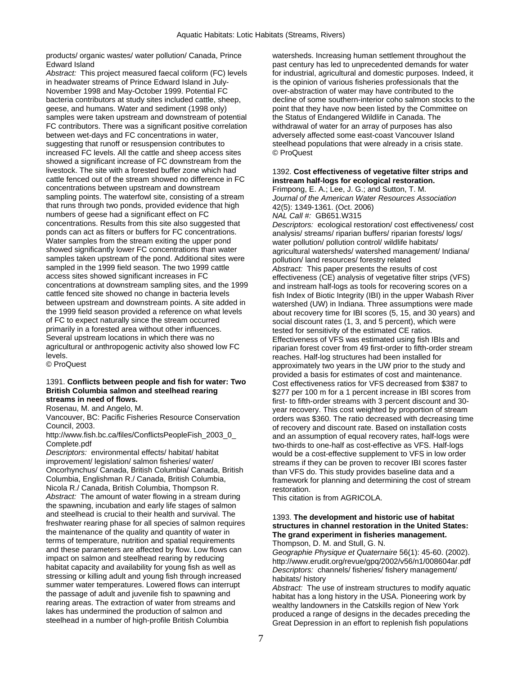products/ organic wastes/ water pollution/ Canada, Prince watersheds. Increasing human settlement throughout the Edward Island past century has led to unprecedented demands for water

Abstract: This project measured faecal coliform (FC) levels for industrial, agricultural and domestic purposes. Indeed, it in headwater streams of Prince Edward Island in July- is the opinion of various fisheries professionals that the November 1998 and May-October 1999. Potential FC over-abstraction of water may have contributed to the geese, and humans. Water and sediment (1998 only) point that they have now been listed by the Committee on samples were taken upstream and downstream of potential the Status of Endangered Wildlife in Canada. The FC contributors. There was a significant positive correlation withdrawal of water for an array of purposes has also between wet-days and FC concentrations in water, and the subversely affected some east-coast Vancouver Island suggesting that runoff or resuspension contributes to steelhead populations that were already in a crisis state. increased FC levels. All the cattle and sheep access sites © ProQuest showed a significant increase of FC downstream from the livestock. The site with a forested buffer zone which had 1392. **Cost effectiveness of vegetative filter strips and**  cattle fenced out of the stream showed no difference in FC **instream half-logs for ecological restoration.**  concentrations between upstream and downstream Frimpong, E. A.; Lee, J. G.; and Sutton, T. M. sampling points. The waterfowl site, consisting of a stream *Journal of the American Water Resources Association* that runs through two ponds, provided evidence that high 42(5): 1349-1361. (Oct. 2006) numbers of geese had a significant effect on FC *NAL Call #: GB651.W315*<br>concentrations. Results from this site also suggested that *Descriptors: ecological res* concentrations. Results from this site also suggested that *Descriptors:* ecological restoration/ cost effectiveness/ cost ponds can act as filters or buffers for FC concentrations.<br>Water samples from the stream exiting the upper pond<br>water pollution/ pollution/ pollution control/ wildlife habitats/ Water samples from the stream exiting the upper pond water pollution/ pollution control/ wildlife habitats/<br>showed significantly lower FC concentrations than water agricultural watersheds/ watershed management/ samples taken upstream of the pond. Additional sites were pollution/ land resources/ forestry related sampled in the 1999 field season. The two 1999 cattle *Abstract:* This paper presents the results of cost access sites showed significant increases in FC effectiveness (CF) analysis of vegetative filter stri access sites showed significant increases in FC effectiveness (CE) analysis of vegetative filter strips (VFS)<br>concentrations at downstream sampling sites, and the 1999 and instream half-logs as tools for recovering scores concentrations at downstream sampling sites, and the 1999 and instream half-logs as tools for recovering scores on a<br>cattle fenced site showed no change in bacteria levels fish Index of Biotic Integrity (IBI) in the upper cattle fenced site showed no change in bacteria levels fish Index of Biotic Integrity (IBI) in the upper Wabash River<br>between upstream and downstream points. A site added in watershed (UW) in Indiana. Three assumptions wer between upstream and downstream points. A site added in watershed (UW) in Indiana. Three assumptions were made<br>the 1999 field season provided a reference on what levels about recovery time for IBI scores (5, 15, and 30 yea primarily in a forested area without other influences.<br>Several upstream locations in which there was no<br>Fffectiveness of VFS was estimated using fish Several upstream locations in which there was no<br>Betectiveness of VFS was estimated using fish IBIs and agricultural or antiopy end agricultural or anthropogenic activity also showed low FC agricultural or anthropogenic activity also showed low FC riparian forest cover from 49 first-order to fifth-order stream<br>reaches Half-log structures had been installed for

## 1391. **Conflicts between people and fish for water: Two** Cost effectiveness ratios for VFS decreased from \$387 to **British Columbia salmon and steelhead rearing <b>\$277** per 100 m for a 1 percent increase in IBI scores from **streams** with 3 percent discount and 30-<br>**first- to fifth-order streams** with 3 percent discount and 30-

*Descriptors:* environmental effects/ habitat/ habitat would be a cost-effective supplement to VFS in low order<br>improvement/ legislation/ salmon fisheries/ water/<br>streams if they can be proven to recover IBI scores faster improvement/ legislation/ salmon fisheries/ water/ streams if they can be proven to recover IBI scores faster<br>Oncorhynchus/ Canada, British Columbia/ Canada, British streams if they can be provides baseline data and a Oncorhynchus/ Canada, British Columbia/ Canada, British than VFS do. This study provides baseline data and a<br>Columbia, Englishman R./ Canada, British Columbia, than the framework for planning and determining the cost of st Nicola R./ Canada, British Columbia, Thompson R. restoration. Abstract: The amount of water flowing in a stream during This citation is from AGRICOLA. the spawning, incubation and early life stages of salmon and steelhead is crucial to their health and survival. The 1393. The development and historic use of habitat<br>
freshwater rearing phase for all species of salmon requires structures in channel restoration in the United Stat the maintenance of the quality and quantity of water in<br>
terms of temperature, nutrition and spatial requirements<br>
and these parameters are affected by flow. Low flows can<br>
impact on salmon and steelhead earing by reducing

bacteria contributors at study sites included cattle, sheep, decline of some southern-interior coho salmon stocks to the

agricultural watersheds/ watershed management/ Indiana/ the 1999 field season provided a reference on what levels about recovery time for IBI scores (5, 15, and 30 years) and<br>of FC to expect naturally since the stream occurred social discount rates (1, 3, and 5 percent), which social discount rates (1, 3, and 5 percent), which were levels.<br>Community of the structures had been installed for the structures had been installed for the structures of the<br>Community two years in the LIW prior to the structure of the LIW prior to the structure of the structur approximately two years in the UW prior to the study and provided a basis for estimates of cost and maintenance. **streams in need of flows.** first- to fifth-order streams with 3 percent discount and 30 year recovery. This cost weighted by proportion of stream Vancouver, BC: Pacific Fisheries Resource Conservation orders was \$360. The ratio decreased with decreasing time<br>Council, 2003. Council 2003. Council, 2003.<br>http://www.fish.bc.ca/files/ConflictsPeopleFish\_2003\_0\_ of recovery and discount rate. Based on installation costs http://www.fish.bc.ca/files/ConflictsPeopleFish\_2003\_0\_ and an assumption of equal recovery rates, half-logs were Complete.pdf<br>Descriptors: environmental effects/ habitat/ habitat<br>Mould be a cost-effective supplement to VES in low order framework for planning and determining the cost of stream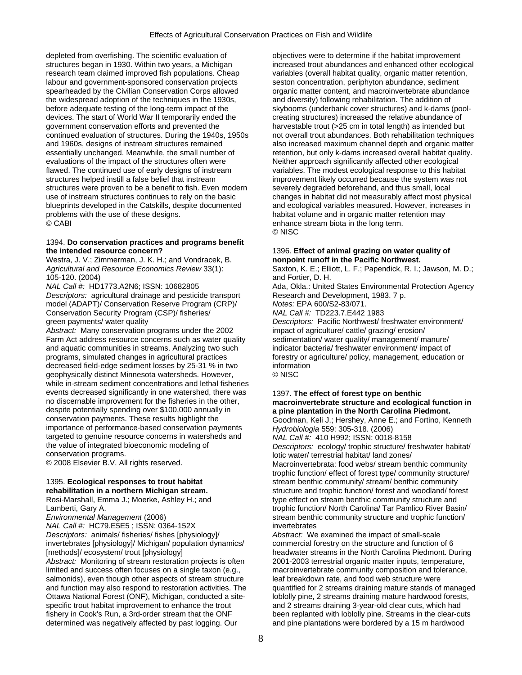depleted from overfishing. The scientific evaluation of objectives were to determine if the habitat improvement structures began in 1930. Within two years, a Michigan increased trout abundances and enhanced other ecological research team claimed improved fish populations. Cheap variables (overall habitat quality, organic matter retention, labour and government-sponsored conservation projects seston concentration, periphyton abundance, sediment spearheaded by the Civilian Conservation Corps allowed organic matter content, and macroinvertebrate abundance the widespread adoption of the techniques in the 1930s, and diversity) following rehabilitation. The addition of before adequate testing of the long-term impact of the skybooms (underbank cover structures) and k-dams (pool-<br>devices. The start of World War II temporarily ended the creating structures) increased the relative abundance devices. The start of World War II temporarily ended the government conservation efforts and prevented the continued evaluation of structures. During the 1940s, 1950s not overall trout abundances. Both rehabilitation techniques and 1960s, designs of instream structures remained also increased maximum channel depth and organic matter essentially unchanged. Meanwhile, the small number of retention, but only k-dams increased overall habitat quality. evaluations of the impact of the structures often were Neither approach significantly affected other ecological flawed. The continued use of early designs of instream variables. The modest ecological response to this habitat structures helped instill a false belief that instream improvement likely occurred because the system was not structures were proven to be a benefit to fish. Even modern severely degraded beforehand, and thus small, local use of instream structures continues to rely on the basic changes in habitat did not measurably affect most physical<br>blueprints developed in the Catskills, despite documented and ecological variables measured. However, inc problems with the use of these designs. habitat volume and in organic matter retention may © CABI enhance stream biota in the long term.

## 1394. **Do conservation practices and programs benefit the intended resource concern?** 1396. **Effect of animal grazing on water quality of**

Westra, J. V.; Zimmerman, J. K. H.; and Vondracek, B. **nonpoint runoff in the Pacific Northwest.** 105-120. (2004) and Fortier, D. H.

*Descriptors:* agricultural drainage and pesticide transport Research and Development, 1983. 7 p. model (ADAPT)/ Conservation Reserve Program (CRP)/  $N$  *Notes:* EPA 600/S2-83/071. model (ADAPT)/ Conservation Reserve Program (CRP)/ Conservation Security Program (CSP)/ fisheries/ *NAL Call #:* TD223.7.E442 1983 green payments/ water quality *Descriptors:* Pacific Northwest/ freshwater environment/

*Abstract:* Many conservation programs under the 2002 impact of agriculture/ cattle/ grazing/ erosion/ Farm Act address resource concerns such as water quality sedimentation/ water quality/ management/ manure/ and aquatic communities in streams. Analyzing two such indicator bacteria/ freshwater environment/ impact of programs, simulated changes in agricultural practices forestry or agriculture/ policy, management, education or decreased field-edge sediment losses by 25-31 % in two information<br>geophysically distinct Minnesota watersheds. However. 
© NISC geophysically distinct Minnesota watersheds. However, while in-stream sediment concentrations and lethal fisheries events decreased significantly in one watershed, there was 1397. **The effect of forest type on benthic**  no discernable improvement for the fisheries in the other,<br>despite potentially spending over \$100,000 annually in **a pine plantation in the North Carolina Piedmont.**<br>conservation payments. These results highlight the **Cons** importance of performance-based conservation payments *Hydrobiologia* 559: 305-318. (2006) targeted to genuine resource concerns in watersheds and *NAL Call #:* 410 H992; ISSN: 0018-8158<br>the value of integrated bioeconomic modeling of *Descriptors: ecology* frophic structure/ free the value of integrated bioeconomic modeling of *Descriptors:* ecology/ trophic structure/ freshwater habitat/ conservation programs.<br>
© 2008 Elsevier B.V. All rights reserved. 
<br>
Macroinvertebrata: food webs/ stream be

*NAL Call #:* HC79.E5E5 ; ISSN: 0364-152X invertebrates *Descriptors:* animals/ fisheries/ fishes [physiology]/ *Abstract:* We examined the impact of small-scale invertebrates [physiology]/ Michigan/ population dynamics/ commercial forestry on the structure and function of 6 [methods]/ ecosystem/ trout [physiology] headwater streams in the North Carolina Piedmont. During *Abstract:* Monitoring of stream restoration projects is often 2001-2003 terrestrial organic matter inputs, temperature, limited and success often focuses on a single taxon (e.g., macroinvertebrate community composition and tolerance, salmonids), even though other aspects of stream structure leaf breakdown rate, and food web structure were Ottawa National Forest (ONF), Michigan, conducted a site- loblolly pine, 2 streams draining mature hardwood forests, specific trout habitat improvement to enhance the trout and 2 streams draining 3-year-old clear cuts, which had fishery in Cook's Run, a 3rd-order stream that the ONF been replanted with loblolly pine. Streams in the clear-cuts determined was negatively affected by past logging. Our and pine plantations were bordered by a 15 m hardwood

harvestable trout (>25 cm in total length) as intended but and ecological variables measured. However, increases in © NISC

*Agricultural and Resource Economics Review* 33(1): Saxton, K. E.; Elliott, L. F.; Papendick, R. I.; Jawson, M. D.;

*NAL Call #:* HD1773.A2N6; ISSN: 10682805 Ada, Okla.: United States Environmental Protection Agency

Goodman, Keli J.; Hershey, Anne E.; and Fortino, Kenneth

Macroinvertebrata: food webs/ stream benthic community trophic function/ effect of forest type/ community structure/ 1395. **Ecological responses to trout habitat** stream benthic community/ stream/ benthic community **rehabilitation in a northern Michigan stream.** Structure and trophic function/ forest and woodland/ forest and woodland/ forest Rosi-Marshall, Emma J.; Moerke, Ashley H.; and type effect on stream benthic community structure and Lamberti, Gary A. trophic function/ North Carolina/ Tar Pamlico River Basin/ *Environmental Management* (2006) stream benthic community structure and trophic function/

and function may also respond to restoration activities. The quantified for 2 streams draining mature stands of managed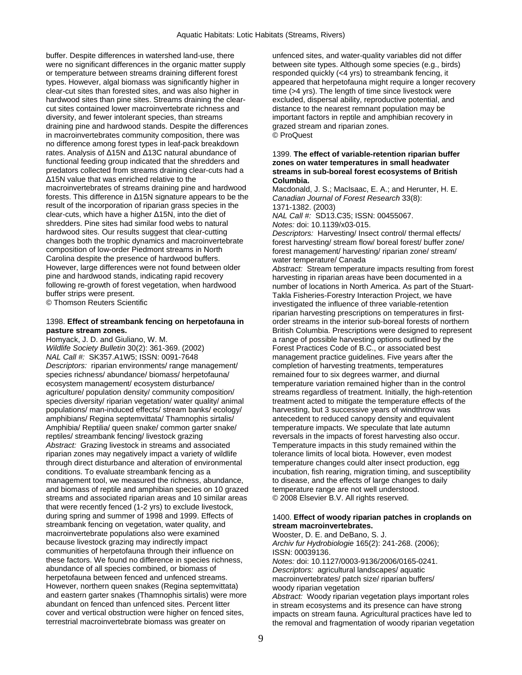were no significant differences in the organic matter supply between site types. Although some species (e.g., birds) or temperature between streams draining different forest responded quickly (<4 yrs) to streambank fencing, it types. However, algal biomass was significantly higher in appeared that herpetofauna might require a longer recovery clear-cut sites than forested sites, and was also higher in time  $(>4 \text{ yrs})$ . The length of time since livestock were hardwood sites than pine sites. Streams draining the clear-<br>excluded, dispersal ability, reproductive potential, and cut sites contained lower macroinvertebrate richness and distance to the nearest remnant population may be diversity, and fewer intolerant species, than streams important factors in reptile and amphibian recovery in draining pine and hardwood stands. Despite the differences grazed stream and riparian zones. draining pine and hardwood stands. Despite the differences in macroinvertebrates community composition, there was © ProQuest no difference among forest types in leaf-pack breakdown rates. Analysis of Δ15N and Δ13C natural abundance of 1399. **The effect of variable-retention riparian buffer** *functional feeding group indicated that the shredders and* **zones on water temperatures in small headwater** functional feeding group indicated that the shredders and **zones on water temperatures in small headwater**  Δ15N value that was enriched relative to the **Columbia.**  macroinvertebrates of streams draining pine and hardwood Macdonald, J. S.; MacIsaac, E. A.; and Herunter, H. E. forests. This difference in Δ15N signature appears to be the *Canadian Journal of Forest Research* 33(8): result of the incorporation of riparian grass species in the 1371-1382. (2003)<br>clear-cuts, which have a higher  $\Delta$ 15N, into the diet of NAL Call #: SD13.C35; ISSN: 00455067. clear-cuts, which have a higher Δ15N, into the diet of shredders. Pine sites had similar food webs to natural *Notes:* doi: 10.1139/x03-015.<br> *Notes:* doi: 10.1139/x03-015.<br> *Nescriptors:* Harvesting/ Inse hardwood sites. Our results suggest that clear-cutting *Descriptors:* Harvesting/ Insect control/ thermal effects/<br>
changes both the trophic dynamics and macroinvertebrate forest harvesting/ stream flow/ boreal forest/ buf changes both the trophic dynamics and macroinvertebrate forest harvesting/ stream flow/ boreal forest/ buffer zone/<br>composition of low-order Piedmont streams in North forest management/ harvesting/ riparian zone/ stream/ Carolina despite the presence of hardwood buffers.<br>
However, large differences were not found between older *Abstract:* Stream temperature However, large differences were not found between older *Abstract:* Stream temperature impacts resulting from forest pine and hardwood stands, indicating rapid recovery harvesting in riparian areas have been documented in a<br>
following re-growth of forest vegetation, when hardwood hard harder of locations in North America. As part of the following re-growth of forest vegetation, when hardwood number of locations in North America. As part of the Stuart-<br>Duffer strips were present. buffer strips were present.<br>© Thomson Reuters Scientific **the example of the interaction Project, we have** the influence of three variable-retention

Homyack, J. D. and Giuliano, W. M. **All a range of possible harvesting options outlined by the** *Wildlife Society Bulletin* 30(2): 361-369. (2002) Forest Practices Code of B.C., or associated best *NAL Call #:* SK357.A1W5; ISSN: 0091-7648 management practice guidelines. Five years after the *Descriptors:* riparian environments/ range management/ completion of harvesting treatments, temperatures species richness/ abundance/ biomass/ herpetofauna/ remained four to six degrees warmer, and diurnal ecosystem management/ ecosystem disturbance/ temperature variation remained higher than in the control agriculture/ population density/ community composition/ streams regardless of treatment. Initially, the high-retention species diversity/ riparian vegetation/ water quality/ animal treatment acted to mitigate the temperature effects of the populations/ man-induced effects/ stream banks/ ecology/ harvesting, but 3 successive years of windthrow was amphibians/ Regina septemvittata/ Thamnophis sirtalis/ antecedent to reduced canopy density and equivalent Amphibia/ Reptilia/ queen snake/ common garter snake/ temperature impacts. We speculate that late autumn reptiles/ streambank fencing/ livestock grazing reversals in the impacts of forest harvesting also occur. Abstract: Grazing livestock in streams and associated Temperature impacts in this study remained within the riparian zones may negatively impact a variety of wildlife tolerance limits of local biota. However, even modest through direct disturbance and alteration of environmental temperature changes could alter insect production, egg conditions. To evaluate streambank fencing as a incubation, fish rearing, migration timing, and susceptibility management tool, we measured the richness, abundance, to disease, and the effects of large changes to daily and biomass of reptile and amphibian species on 10 grazed temperature range are not well understood. and biomass of reptile and amphibian species on 10 grazed streams and associated riparian areas and 10 similar areas  $\qquad \circ$  2008 Elsevier B.V. All rights reserved. that were recently fenced (1-2 yrs) to exclude livestock, during spring and summer of 1998 and 1999. Effects of 1400. **Effect of woody riparian patches in croplands on** streambank fencing on vegetation, water quality, and **stream macroinvertebrates.**  macroinvertebrate populations also were examined<br>because livestock grazing may indirectly impact and the examined Archiv fur Hydrobiologie 165(2): 2 communities of herpetofauna through their influence on ISSN: 00039136. these factors. We found no difference in species richness, *Notes:* doi: 10.1127/0003-9136/2006/0165-0241. abundance of all species combined, or biomass of *Descriptors:* agricultural landscapes/ aquatic herpetofauna between fenced and unfenced streams. macroinvertebrates/ patch size/ riparian buffers/ However, northern queen snakes (Regina septemvittata) woody riparian vegetation<br>and eastern garter snakes (Thamnophis sirtalis) were more *Abstract:* Woody riparian and eastern garter snakes (Thamnophis sirtalis) were more *Abstract:* Woody riparian vegetation plays important roles abundant on fenced than unfenced sites. Percent litter in stream ecosystems and its presence can have strong<br>cover and vertical obstruction were higher on fenced sites, impacts on stream fauna. Agricultural practices have cover and vertical obstruction were higher on fenced sites, impacts on stream fauna. Agricultural practices have led to<br>terrestrial macroinvertebrate biomass was greater on the removal and fragmentation of woody riparian v

because livestock grazing may indirectly impact *Archiv fur Hydrobiologie* 165(2): 241-268. (2006);

the removal and fragmentation of woody riparian vegetation

buffer. Despite differences in watershed land-use, there unfenced sites, and water-quality variables did not differ

# streams in sub-boreal forest ecosystems of British

forest management/ harvesting/ riparian zone/ stream/

investigated the influence of three variable-retention riparian harvesting prescriptions on temperatures in first-1398. **Effect of streambank fencing on herpetofauna in** order streams in the interior sub-boreal forests of northern **pasture stream zones. British Columbia. Prescriptions were designed to represent**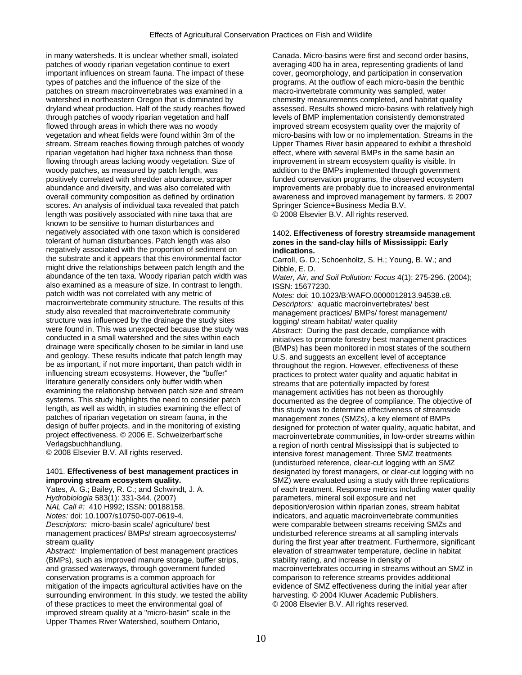in many watersheds. It is unclear whether small, isolated Canada. Micro-basins were first and second order basins, patches of woody riparian vegetation continue to exert averaging 400 ha in area, representing gradients of land important influences on stream fauna. The impact of these cover, geomorphology, and participation in conservation types of patches and the influence of the size of the  $\frac{1}{2}$  cover, geomorphology, and participation in c patches on stream macroinvertebrates was examined in a macro-invertebrate community was sampled, water watershed in northeastern Oregon that is dominated by chemistry measurements completed, and habitat quality dryland wheat production. Half of the study reaches flowed assessed. Results showed micro-basins with relatively high<br>through patches of woody riparian vegetation and half levels of BMP implementation consistently demonstr through patches of woody riparian vegetation and half levels of BMP implementation consistently demonstrated<br>flowed through areas in which there was no woody improved stream ecosystem quality over the majority of vegetation and wheat fields were found within 3m of the micro-basins with low or no implementation. Streams in the stream. Stream reaches flowing through patches of woody Upper Thames River basin appeared to exhibit a threshold riparian vegetation had higher taxa richness than those effect, where with several BMPs in the same basin an flowing through areas lacking woody vegetation. Size of improvement in stream ecosystem quality is visible. In woody patches, as measured by patch length, was addition to the BMPs implemented through government positively correlated with shredder abundance, scraper funded conservation programs, the observed ecosystem abundance and diversity, and was also correlated with improvements are probably due to increased environmental<br>overall community composition as defined by ordination awareness and improved management by farmers. © 2007 scores. An analysis of individual taxa revealed that patch length was positively associated with nine taxa that are © 2008 Elsevier B.V. All rights reserved. known to be sensitive to human disturbances and negatively associated with one taxon which is considered 1402. **Effectiveness of forestry streamside management**<br>
tolerant of human disturbances. Patch length was also **reading the sand-clay hills of Mississinni: Farly** negatively associated with the proportion of sediment on **indications.**<br>
the substrate and it appears that this environmental factor Carroll G. D. might drive the relationships between patch length and the Dibble, E. D.<br>abundance of the ten taxa. Woody riparian patch width was Water. Air. all also examined as a measure of size. In contrast to length, ISSN: 15677230.<br>
patch width was not correlated with any metric of *Notes:* doi: 10.10 macroinvertebrate community structure. The results of this *Descriptors:* aquatic macroinvertebrates/ best study also revealed that macroinvertebrate community management practices/ BMPs/ forest management structure was influenced by the drainage the study sites logging/ stream habitat/ water quality were found in. This was unexpected because the study was *Abstract:* During the past decade, compliance with conducted in a small watershed and the sites within each initiatives to promote forestry best management pra conducted in a small watershed and the sites within each initiatives to promote forestry best management practices<br>drainage were specifically chosen to be similar in land use (RMPs) has been monitored in most states of the drainage were specifically chosen to be similar in land use (BMPs) has been monitored in most states of the southern<br>and geology. These results indicate that patch length may (I.S. and suggests an excellent level of accept and geology. These results indicate that patch length may U.S. and suggests an excellent level of acceptance<br>be as important, if not more important, than patch width in the providiout the region. However, effectiveness of be as important, if not more important, than patch width in throughout the region. However, effectiveness of these<br>influencing stream ecosystems. However, the "buffer" really practices to protect water quality and aquatic literature generally considers only buffer width when streams that are potentially impacted by forest examining the relationship between patch size and stream<br>examining the relationship between patch size and stream stream examining the relationship between patch size and stream examinagement activities has not been as thoroughly<br>systems. This study highlights the need to consider patch documented as the degree of compliance. The obje systems. This study highlights the need to consider patch documented as the degree of compliance. The objective of<br>length, as well as width, in studies examining the effect of this study was to determine effectiveness of s length, as well as width, in studies examining the effect of this study was to determine effectiveness of streamside<br>patches of riparian vegetation on stream fauna, in the management zones (SMZs), a key element of BMPs patches of riparian vegetation on stream fauna, in the management zones (SMZs), a key element of BMPs<br>design of buffer projects, and in the monitoring of existing designed for protection of water quality, aquatic habit design of buffer projects, and in the monitoring of existing designed for protection of water quality, aquatic habitat, and<br>project effectiveness. © 2006 E. Schweizerbart'sche macroinvertebrate communities, in low-order st project effectiveness. © 2006 E. Schweizerbart'sche macroinvertebrate communities, in low-order streams within<br>Verlagsbuchhandlung.

*Hydrobiologia* 583(1): 331-344. (2007) parameters, mineral soil exposure and net management practices/ BMPs/ stream agroecosystems/

*Abstract:* Implementation of best management practices elevation of streamwater temperature, decline in habitat (BMPs), such as improved manure storage, buffer strips, stability rating, and increase in density of conservation programs is a common approach for comparison to reference streams provides additional mitigation of the impacts agricultural activities have on the evidence of SMZ effectiveness during the initial year after surrounding environment. In this study, we tested the ability harvesting. © 2004 Kluwer Academic Publishers.<br>
of these practices to meet the environmental goal of © 2008 Elsevier B.V. All rights reserved. of these practices to meet the environmental goal of improved stream quality at a "micro-basin" scale in the Upper Thames River Watershed, southern Ontario,

programs. At the outflow of each micro-basin the benthic improved stream ecosystem quality over the majority of awareness and improved management by farmers. © 2007<br>Springer Science+Business Media B.V.

# zones in the sand-clay hills of Mississippi: Early

Carroll, G. D.; Schoenholtz, S. H.; Young, B. W.; and

Water, Air, and Soil Pollution: Focus 4(1): 275-296. (2004);

patch width was not correlated with any metric of *Notes:* doi: 10.1023/B:WAFO.0000012813.94538.c8. management practices/ BMPs/ forest management/ practices to protect water quality and aquatic habitat in Verlagsbuchhandlung. a region of north central Mississippi that is subjected to intensive forest management. Three SMZ treatments (undisturbed reference, clear-cut logging with an SMZ 1401. **Effectiveness of best management practices in** designated by forest managers, or clear-cut logging with no **improving stream ecosystem quality.** SMZ) were evaluated using a study with three replications Yates, A. G.; Bailey, R. C.; and Schwindt, J. A. of each treatment. Response metrics including water quality deposition/erosion within riparian zones, stream habitat *Notes:* doi: 10.1007/s10750-007-0619-4. indicators, and aquatic macroinvertebrate communities *Descriptors:* micro-basin scale/ agriculture/ best were comparable between streams receiving SMZs and stream quality during the first year after treatment. Furthermore, significant and grassed waterways, through government funded macroinvertebrates occurring in streams without an SMZ in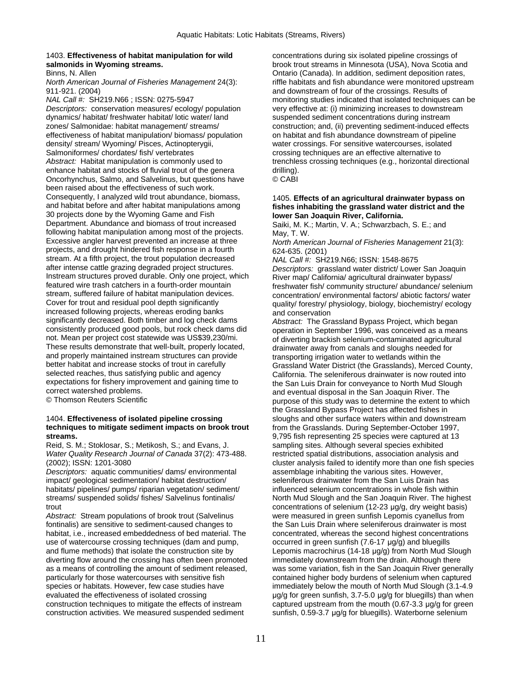## 1403. **Effectiveness of habitat manipulation for wild** concentrations during six isolated pipeline crossings of

911-921. (2004) and downstream of four of the crossings. Results of

*Descriptors:* conservation measures/ ecology/ population very effective at: (i) minimizing increases to downstream dynamics/ habitat/ freshwater habitat/ lotic water/ land suspended sediment concentrations during instream<br>zones/ Salmonidae: habitat management/ streams/ sonstruction: and, (ii) preventing sediment-induced ef effectiveness of habitat manipulation/ biomass/ population on habitat and fish abundance downstream of pipeline density/ stream/ Wyoming/ Pisces, Actinopterygii, water crossings. For sensitive watercourses, isolated Salmoniformes/ chordates/ fish/ vertebrates crossing techniques are an effective alternative to *Abstract:* Habitat manipulation is commonly used to trenchless crossing techniques (e.g., horizontal directional enhance habitat and stocks of fluvial trout of the genera drilling). Oncorhynchus, Salmo, and Salvelinus, but questions have © CABI been raised about the effectiveness of such work. Consequently, I analyzed wild trout abundance, biomass, 1405. **Effects of an agricultural drainwater bypass on and habitat before and after habitat manipulations among ishes inhabiting the grassland water district and** 30 projects done by the Wyoming Game and Fish **lower San Joaquin River, California.**<br>
Department, Abundance and biomass of trout increased **Saiki M. K. Martin V. A. Schwarzhac** following habitat manipulation among most of the projects. May, T. W.<br>Excessive angler harvest prevented an increase at three Morth Ame projects, and drought hindered fish response in a fourth 624-635. (2001) stream. At a fifth project, the trout population decreased *NAL Call #:* SH219.N66; ISSN: 1548-8675<br>after intense cattle grazing degraded project structures. *Descriptors:* grassland water district/ Lower after intense cattle grazing degraded project structures. *Descriptors:* grassland water district/ Lower San Joaquin Instream structures proved durable. Only one project, which River map/ California/ agricultural drainwater bypass/<br>
featured wire trash catchers in a fourth-order mountain freshwater fish/ community structure/ abundance/ s featured wire trash catchers in a fourth-order mountain freshwater fish/ community structure/ abundance/ selenium<br>stream, suffered failure of habitat manipulation devices.<br>concentration/ environmental factors/ abiotic fact stream, suffered failure of habitat manipulation devices.<br>Cover for trout and residual pool depth significantly environmental factors/ abiotic factors/ water<br>guality/ forestry/ physiology, biology, biochemistry/ ecology increased following projects, whereas eroding banks and conservation<br>significantly decreased. Both timber and log check dams *Abstract:* The Gra significantly decreased. Both timber and log check dams *Abstract:* The Grassland Bypass Project, which began consistently produced good pools, but rock check dams did operation in September 1996, was conceived as a means<br>not. Mean per project cost statewide was US\$39,230/mi. of diverting brackish selenium-contaminated agricultura These results demonstrate that well-built, properly located, drainwater away from canals and sloughs needed for<br>and properly maintained instream structures can provide transporting irrigation water to wetlands within the and properly maintained instream structures can provide extransporting irrigation water to wetlands within the<br>better habitat and increase stocks of trout in carefully extraordinary crassland Water District (the Grasslands better habitat and increase stocks of trout in carefully Grassland Water District (the Grasslands), Merced County,<br>Selected reaches, thus satisfying public and agency California. The seleniferous drainwater is now routed i selected reaches, thus satisfying public and agency<br>expectations for fishery improvement and gaining time to the San Luis Drain for conveyance to North Mud Slough expectations for fishery improvement and gaining time to the San Luis Drain for conveyance to North Mud Slough<br>correct watershed problems.

## 1404. **Effectiveness of isolated pipeline crossing** sloughs and other surface waters within and downstream **techniques to mitigate sediment impacts on brook trout** from the Grasslands. During September-October 1997, **streams.** 9,795 fish representing 25 species were captured at 13

Reid, S. M.; Stoklosar, S.; Metikosh, S.; and Evans, J. sampling sites. Although several species exhibited *Water Quality Research Journal of Canada* 37(2): 473-488. restricted spatial distributions, association analysis and

*Descriptors:* aquatic communities/ dams/ environmental assemblage inhabiting the various sites. However, impact/ geological sedimentation/ habitat destruction/ seleniferous drainwater from the San Luis Drain has habitats/ pipelines/ pumps/ riparian vegetation/ sediment/ influenced selenium concentrations in whole fish within

*Abstract:* Stream populations of brook trout (Salvelinus were measured in green sunfish Lepomis cyanellus from fontinalis) are sensitive to sediment-caused changes to the San Luis Drain where seleniferous drainwater is most<br>habitat, i.e., increased embeddedness of bed material. The concentrated, whereas the second highest concentra habitat, i.e., increased embeddedness of bed material. The use of watercourse crossing techniques (dam and pump, occurred in green sunfish (7.6-17 µg/g) and bluegills and flume methods) that isolate the construction site by Lepomis macrochirus (14-18 μg/g) from North Mud Slough diverting flow around the crossing has often been promoted immediately downstream from the drain. Although there as a means of controlling the amount of sediment released, was some variation, fish in the San Joaquin River generally particularly for those watercourses with sensitive fish contained higher body burdens of selenium when captured species or habitats. However, few case studies have immediately below the mouth of North Mud Slough (3.1-4.9) evaluated the effectiveness of isolated crossing μg/g for green sunfish, 3.7-5.0 μg/g for bluegills) than when<br>construction techniques to mitigate the effects of instream captured upstream from the mouth (0.67-3.3 μg/g fo construction activities. We measured suspended sediment sunfish, 0.59-3.7 μg/g for bluegills). Waterborne selenium

**salmonids in Wyoming streams.** brook trout streams in Minnesota (USA), Nova Scotia and Binns, N. Allen **Canada).** In addition, sediment deposition rates,  $\blacksquare$ *North American Journal of Fisheries Management* 24(3): riffle habitats and fish abundance were monitored upstream *NAL Call #:* SH219.N66 ; ISSN: 0275-5947 monitoring studies indicated that isolated techniques can be construction; and, (ii) preventing sediment-induced effects

# fishes inhabiting the grassland water district and the

Saiki, M. K.; Martin, V. A.; Schwarzbach, S. E.; and

**North American Journal of Fisheries Management 21(3):** 

quality/ forestry/ physiology, biology, biochemistry/ ecology

correct watershed problems.<br>
© Thomson Reuters Scientific and the San Joaquin River. The Correct waters in the San Joaquin River. The Corr purpose of this study was to determine the extent to which the Grassland Bypass Project has affected fishes in (2002); ISSN: 1201-3080 cluster analysis failed to identify more than one fish species streams/ suspended solids/ fishes/ Salvelinus fontinalis/ North Mud Slough and the San Joaquin River. The highest trout concentrations of selenium (12-23 μg/g, dry weight basis) captured upstream from the mouth (0.67-3.3  $\mu$ g/g for green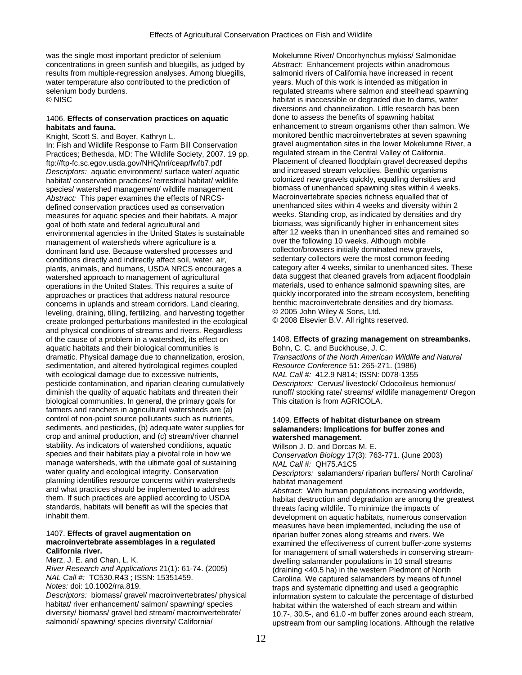was the single most important predictor of selenium Mokelumne River/ Oncorhynchus mykiss/ Salmonidae concentrations in green sunfish and bluegills, as judged by *Abstract:* Enhancement projects within anadromous results from multiple-regression analyses. Among bluegills, salmonid rivers of California have increased in recent water temperature also contributed to the prediction of years. Much of this work is intended as mitigation in selenium body burdens. The selenium body burdens. The stream is a metallic stream where salmon and steelhead spawning

In: Fish and Wildlife Response to Farm Bill Conservation gravel augmentation sites in the lower Mokelumne I<br>Practices: Bethesda MD: The Wildlife Society 2007 19 pp regulated stream in the Central Valley of California. Practices; Bethesda, MD: The Wildlife Society, 2007. 19 pp. regulated stream in the Central Valley of California.<br>The://ftp-fc.sc.egov.usda.gov/NHO/nri/ceap/fwfb7.pdf Placement of cleaned floodplain gravel decreased depths ftp://ftp-fc.sc.egov.usda.gov/NHQ/nri/ceap/fwfb7.pdf Placement of cleaned floodplain gravel decreased d<br>Descriptors: aquatic environment/ surface water/ aquatic and increased stream velocities. Benthic organisms *Descriptors:* aquatic environment/ surface water/ aquatic and increased stream velocities. Benthic organisms habitat/ conservation practices/ terrestrial habitat/ wildlife colonized new gravels quickly, equalling densities and<br>species/ watershed management/ wildlife management biomass of unenhanced spawning sites within 4 weeks. species/ watershed management/ wildlife management biomass of unenhanced spawning sites within 4 wee<br>Abstract: This paper examines the effects of NRCS-<br>Macroinvertebrate species richness equalled that of Abstract: This paper examines the effects of NRCS-<br>
defined conservation practices used as conservation<br>
unenhanced sites within 4 weeks and diversity within 2 defined conservation practices used as conservation unenhanced sites within 4 weeks and diversity within 2<br>measures for aquatic species and their habitats. A major weeks. Standing crop, as indicated by densities and dry measures for aquatic species and their habitats. A major goal of both state and federal agricultural and biomass, was significantly higher in enhancement sites<br>
environmental agencies in the United States is sustainable after 12 weeks than in unenhanced sites and remained so environmental agencies in the United States is sustainable after 12 weeks than in unenhanced sites and<br>management of watersheds where agriculture is a remain over the following 10 weeks. Although mobile management of watersheds where agriculture is a over the following 10 weeks. Although mobile<br>dominant land use. Because watershed processes and online collector/browsers initially dominated new gravels, dominant land use. Because watershed processes and collector/browsers initially dominated new gravels,<br>conditions directly and indirectly affect soil, water, air. Sedentary collectors were the most common feeding conditions directly and indirectly affect soil, water, air, sedentary collectors were the most common feeding<br>plants, animals, and humans, USDA NRCS encourages a category after 4 weeks, similar to unenhanced sites. These plants, animals, and humans, USDA NRCS encourages a watershed approach to management of agricultural data suggest that cleaned gravels from adjacent floodplain<br>
operations in the United States. This requires a suite of materials, used to enhance salmonid spawning sites, are operations in the United States. This requires a suite of materials, used to enhance salmonid spawning sites, are<br>approaches or practices that address natural resource quickly incorporated into the stream ecosystem, benefi approaches or practices that address natural resource quickly incorporated into the stream ecosystem, benefiti<br>concerns in uplands and stream corridors. Land clearing. benthic macroinvertebrate densities and dry biomass. concerns in uplands and stream corridors. Land clearing, benthic macroinvertebrate densities and stream corridors. Land clearing,  $\degree$  2005 John Wiley & Sons, Ltd. leveling, draining, tilling, fertilizing, and harvesting together © 2005 John Wiley & Sons, Ltd. create prolonged perturbations manifested in the ecological and physical conditions of streams and rivers. Regardless of the cause of a problem in a watershed, its effect on 1408. **Effects of grazing management on streambanks.**  aquatic habitats and their biological communities is Bohn, C. C. and Buckhouse, J. C. dramatic. Physical damage due to channelization, erosion, *Transactions of the North American Wildlife and Natural*  sedimentation, and altered hydrological regimes coupled with ecological damage due to excessive nutrients, *NAL Call #:* 412.9 N814; ISSN: 0078-1355 pesticide contamination, and riparian clearing cumulatively *Descriptors:* Cervus/ livestock/ Odocoileus hemionus/ diminish the quality of aquatic habitats and threaten their runoff/ stocking rate/ streams/ wildlife management/ Oregon biological communities. In general, the primary goals for This citation is from AGRICOLA. farmers and ranchers in agricultural watersheds are (a) control of non-point source pollutants such as nutrients, 1409. **Effects of habitat disturbance on stream**  sediments, and pesticides, (b) adequate water supplies for **salamanders: Implications for buffer zones and**  crop and animal production, and (c) stream/river channel **watershed management.**  stability. As indicators of watershed conditions, aquatic Willson J. D. and Dorcas M. E. species and their habitats play a pivotal role in how we *Conservation Biology* 17(3): 763-771. (June 2003) manage watersheds, with the ultimate goal of sustaining *NAL Call #:* QH75.A1C5<br>water quality and ecological integrity. Conservation *Descriptors: salamander* planning identifies resource concerns within watersheds habitat management<br>and what practices should be implemented to address *Abstract:* With huma and what practices should be implemented to address *Abstract:* With human populations increasing worldwide, them. If such practices are applied according to USDA habitat destruction and degradation are among the greate standards, habitats will benefit as will the species that threats facing wildlife. To minimize the impacts of<br>threats facing wildlife. To minimize the impacts of

*Descriptors:* biomass/ gravel/ macroinvertebrates/ physical information system to calculate the percentage of disturbed habitat/ river enhancement/ salmon/ spawning/ species habitat within the watershed of each stream and habitat/ river enhancement/ salmon/ spawning/ species habitat within the watershed of each stream and within diversity/ biomass/ gravel bed stream/ macroinvertebrate/ 10.7-, 30.5-, and 61.0 -m buffer zones around each stre

© NISC habitat is inaccessible or degraded due to dams, water diversions and channelization. Little research has been 1406. **Effects of conservation practices on aquatic** done to assess the benefits of spawning habitat **habitats and fauna.** enhancement to stream organisms other than salmon. We Knight, Scott S. and Boyer, Kathryn L. monitored benthic macroinvertebrates at seven spawning<br>In: Fish and Wildlife Response to Farm Bill Conservation gravel augmentation sites in the lower Mokelumne River, a

Descriptors: salamanders/ riparian buffers/ North Carolina/ habitat destruction and degradation are among the greatest development on aquatic habitats, numerous conservation measures have been implemented, including the use of 1407. **Effects of gravel augmentation on** riparian buffer zones along streams and rivers. We **macroinvertebrate assemblages in a regulated** examined the effectiveness of current buffer-zone systems<br>California river, conserving stream-<br>for management of small watersheds in conserving stream-**California river.**<br>
Merz, J. E. and Chan, L. K. **Frankling streament of small watersheds in conserving stream-**<br>
dwelling salamander populations in 10 small streams Merz, J. E. and Chan, L. K.<br>River Research and Applications 21(1): 61-74. (2005) directions and a direct and a direct direct direct direct *River Research and Applications* 21(1): 61-74. (2005) (draining <40.5 ha) in the western Piedmont of North *NAL Call #:* TC530.R43 ; ISSN: 15351459. Carolina. We captured salamanders by means of funnel *Notes:* doi: 10.1002/rra.819. traps and systematic dipnetting and used a geographic

diversity/ biomass/ gravel bed stream/ macroinvertebrate/ 10.7-, 30.5-, and 61.0 -m buffer zones around each stream,<br>salmonid/ spawning/ species diversity/ California/ 10.7-, 30.5-, and 61.0 -m buffer zones around each str upstream from our sampling locations. Although the relative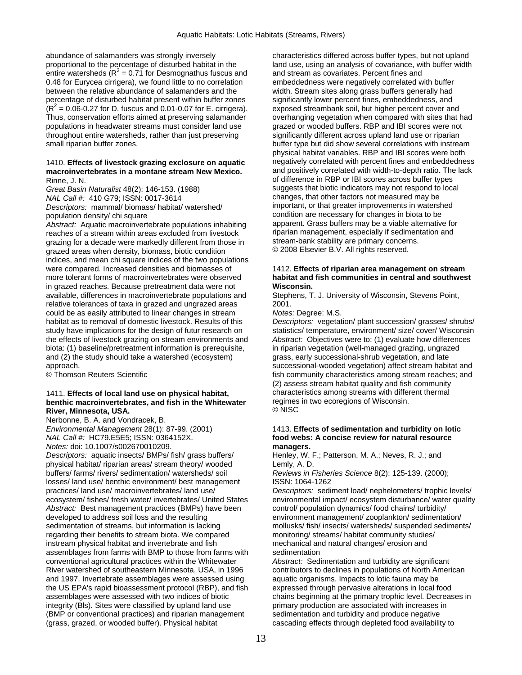abundance of salamanders was strongly inversely characteristics differed across buffer types, but not upland proportional to the percentage of disturbed habitat in the land use, using an analysis of covariance, with buffer width entire watersheds ( $R^2$  = 0.71 for Desmognathus fuscus and 0.48 for Eurycea cirrigera), we found little to no correlation embeddedness were negatively correlated with buffer between the relative abundance of salamanders and the width. Stream sites along grass buffers generally had percentage of disturbed habitat present within buffer zones significantly lower percent fines, embeddedness, and  $(R^2 = 0.06$ -0.27 for D. fuscus and 0.01-0.07 for E. cirrigera). exposed streambank soil, but higher percent cover and Thus, conservation efforts aimed at preserving salamander overhanging vegetation when compared with sites that had<br>populations in headwater streams must consider land use grazed or wooded buffers. RBP and IBI scores were n populations in headwater streams must consider land use throughout entire watersheds, rather than just preserving significantly different across upland land use or riparian small riparian buffer zones. buffer type but did show several correlations with instream

## macroinvertebrates in a montane stream New Mexico. Rinne, J. N. of difference in RBP or IBI scores across buffer types

*NAL Call #:* 410 G79; ISSN: 0017-3614 **changes**, that other factors not measured may be

*Abstract:* Aquatic macroinvertebrate populations inhabiting apparent. Grass buffers may be a viable alternative for reaches of a stream within areas excluded from livestock riparian management, especially if sedimen<br>The stream-bank stability are primary concerns. grazing for a decade were markedly different from those in stream-bank stability are primary concern<br>grazed areas when density, biomass, biotic condition  $\degree$  2008 Elsevier B.V. All rights reserved. grazed areas when density, biomass, biotic condition indices, and mean chi square indices of the two populations were compared. Increased densities and biomasses of 1412. **Effects of riparian area management on stream** more tolerant forms of macroinvertebrates were observed **habitat and fish communities in central and southwest**  in grazed reaches. Because pretreatment data were not **Wisconsin.**  available, differences in macroinvertebrate populations and Stephens, T. J. University of Wisconsin, Stevens Point, relative tolerances of taxa in grazed and ungrazed areas 2001.<br>
2001. Could be as easily attributed to linear changes in stream Motes: Degree: M.S. could be as easily attributed to linear changes in stream the effects of livestock grazing on stream environments and *Abstract:* Objectives were to: (1) evaluate how differences biota: (1) baseline/pretreatment information is prerequisite, in riparian vegetation (well-managed grazing, ungrazed and (2) the study should take a watershed (ecosystem) grass, early successional-shrub vegetation, and late

## 1411. **Effects of local land use on physical habitat,** entity characteristics among streams with different thermal benthic macroinvertebrates, and fish in the Whitewater regimes in two ecoregions of Wisconsin. **benthic macroinvertebrates, and fish in the Whitewater regimes River** Minnesota **JISC River, Minnesota, USA.**

Nerbonne, B. A. and Vondracek, B.

*Notes:* doi: 10.1007/s002670010209. **managers.**  *Descriptors:* aquatic insects/ BMPs/ fish/ grass buffers/ physical habitat/ riparian areas/ stream theory/ wooded Lemly, A. D. buffers/ farms/ rivers/ sedimentation/ watersheds/ soil *Reviews in Fisheries Science* 8(2): 125-139. (2000); losses/ land use/ benthic environment/ best management ISSN: 1064-1262<br>practices/ land use/ macroinvertebrates/ land use/ Descriptors: sedi ecosystem/ fishes/ fresh water/ invertebrates/ United States environmental impact/ ecosystem disturbance/ water quality Abstract: Best management practices (BMPs) have been control/ population dynamics/ food chains/ turbidity/ developed to address soil loss and the resulting environment management/ zooplankton/ sedimentation/ sedimentation of streams, but information is lacking mollusks/ fish/ insects/ watersheds/ suspended sediments/ regarding their benefits to stream biota. We compared monitoring/ streams/ habitat community studies/<br>instream physical habitat and invertebrate and fish mechanical and natural changes/ erosion and instream physical habitat and invertebrate and fish assemblages from farms with BMP to those from farms with sedimentation conventional agricultural practices within the Whitewater *Abstract:* Sedimentation and turbidity are significant River watershed of southeastern Minnesota, USA, in 1996 contributors to declines in populations of North American and 1997. Invertebrate assemblages were assessed using aquatic organisms. Impacts to lotic fauna may be the US EPA's rapid bioassessment protocol (RBP), and fish expressed through pervasive alterations in local food assemblages were assessed with two indices of biotic chains beginning at the primary trophic level. Decreases in integrity (Bls). Sites were classified by upland land use primary production are associated with increases in (BMP or conventional practices) and riparian management sedimentation and turbidity and produce negative (grass, grazed, or wooded buffer). Physical habitat cascading effects through depleted food availability to

and stream as covariates. Percent fines and physical habitat variables. RBP and IBI scores were both 1410. **Effects of livestock grazing exclosure on aquatic** negatively correlated with percent fines and embeddedness *Great Basin Naturalist* 48(2): 146-153. (1988) suggests that biotic indicators may not respond to local *Descriptors:* mammal/ biomass/ habitat/ watershed/ important, or that greater improvements in watershed population density/ chi square<br>Abstract: Aquatic macroinvertebrate populations inhabiting apparent. Grass buffers may be a viable alternative for

habitat as to removal of domestic livestock. Results of this *Descriptors:* vegetation/ plant succession/ grasses/ shrubs/ study have implications for the design of futur research on statistics/ temperature, environment/ size/ cover/ Wisconsin approach.<br>
Successional-wooded vegetation) affect stream habitat and<br> **C** Thomson Reuters Scientific **and** tish community characteristics among stream reaches: and fish community characteristics among stream reaches; and (2) assess stream habitat quality and fish community

## *Environmental Management* 28(1): 87-99. (2001) 1413. **Effects of sedimentation and turbidity on lotic**  food webs: A concise review for natural resource

Descriptors: sediment load/ nephelometers/ trophic levels/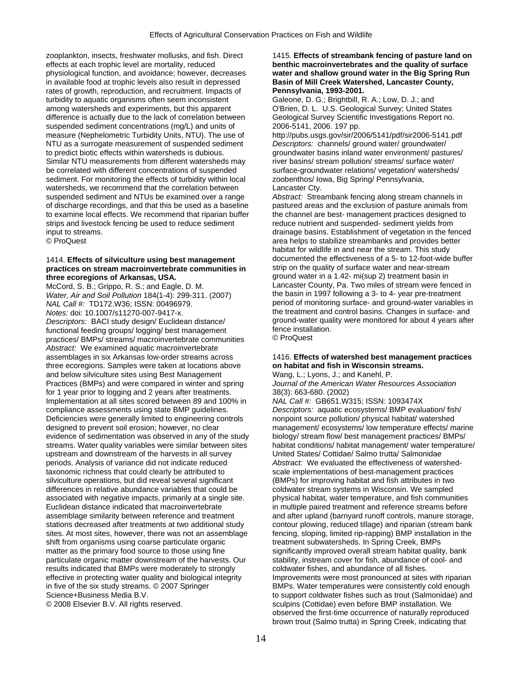zooplankton, insects, freshwater mollusks, and fish. Direct 1415. **Effects of streambank fencing of pasture land on**  effects at each trophic level are mortality, reduced **benthic macroinvertebrates and the quality of surface**  physiological function, and avoidance; however, decreases **water and shallow ground water in the Big Spring Run**  in available food at trophic levels also result in depressed rates of growth, reproduction, and recruitment. Impacts of **Pennsylvania, 1993-2001.**  turbidity to aquatic organisms often seem inconsistent Galeone, D. G.; Brightbill, R. A.; Low, D. J.; and among watersheds and experiments, but this apparent O'Brien, D. L. U.S. Geological Survey; United States difference is actually due to the lack of correlation between Geological Survey Scientific Investigations Report no. difference is actually due to the lack of correlation between Geological Survey Scientif suspended sediment concentrations (mg/L) and units of 2006-5141, 2006. 197 pp. suspended sediment concentrations (mg/L) and units of measure (Nephelometric Turbidity Units, NTU). The use of http://pubs.usgs.gov/sir/2006/5141/pdf/sir2006-5141.pdf NTU as a surrogate measurement of suspended sediment *Descriptors:* channels/ ground water/ groundwater/ to predict biotic effects within watersheds is dubious. groundwater basins inland water environment/ pastures/ Similar NTU measurements from different watersheds may river basins/ stream pollution/ streams/ surface water/ be correlated with different concentrations of suspended surface-groundwater relations/ vegetation/ watersheds/ sediment. For monitoring the effects of turbidity within local zoobenthos/ Iowa, Big Spring/ Pennsylvania, watersheds, we recommend that the correlation between Lancaster Cty. suspended sediment and NTUs be examined over a range *Abstract:* Streambank fencing along stream channels in<br>of discharge recordings, and that this be used as a baseline pastured areas and the exclusion of pasture animals of discharge recordings, and that this be used as a baseline to examine local effects. We recommend that riparian buffer the channel are best- management practices designed to strips and livestock fencing be used to reduce sediment reduce nutrient and suspended- sediment yields from input to streams. drainage basins. Establishment of vegetation in the fenced

## practices on stream macroinvertebrate communities in **three ecoregions of Arkansas, USA. ground water in a 1.42- mi(sup 2) treatment basin in**

*Water, Air and Soil Pollution* 184(1-4): 299-311. (2007)<br>NAL Call #: TD172.W36: ISSN: 00496979.

functional feeding groups/ logging/ best management fence install<br>hractices/ RMPs/ streams/ macroinvertebrate communities (see ProQuest practices/ BMPs/ streams/ macroinvertebrate communities *Abstract:* We examined aquatic macroinvertebrate assemblages in six Arkansas low-order streams across 1416. **Effects of watershed best management practices**  three ecoregions. Samples were taken at locations above **on habitat and fish in Wisconsin streams.**<br>and below silviculture sites using Best Management Wang, L.; Lyons, J.; and Kanehl, P. and below silviculture sites using Best Management Practices (BMPs) and were compared in winter and spring *Journal of the American Water Resources Association* for 1 year prior to logging and 2 years after treatments. 38(3): 663-680. (2002) Implementation at all sites scored between 89 and 100% in *NAL Call #:* GB651.W315; ISSN: 1093474X compliance assessments using state BMP guidelines. *Descriptors:* aquatic ecosystems/ BMP evaluation/ fish/ Deficiencies were generally limited to engineering controls nonpoint source pollution/ physical habitat/ watershed evidence of sedimentation was observed in any of the study biology/ stream flow/ best management practices/ BMPs/ upstream and downstream of the harvests in all survey United States/ Cottidae/ Salmo trutta/ Salmonidae periods. Analysis of variance did not indicate reduced *Abstract:* We evaluated the effectiveness of watershedtaxonomic richness that could clearly be attributed to scale implementations of best-management practices silviculture operations, but did reveal several significant (BMPs) for improving habitat and fish attributes in two differences in relative abundance variables that could be coldwater stream systems in Wisconsin. We sampled associated with negative impacts, primarily at a single site. physical habitat, water temperature, and fish communities Euclidean distance indicated that macroinvertebrate in multiple paired treatment and reference streams before stations decreased after treatments at two additional study contour plowing, reduced tillage) and riparian (stream bank sites. At most sites, however, there was not an assemblage fencing, sloping, limited rip-rapping) BMP installation in the shift from organisms using coarse particulate organic treatment subwatersheds. In Spring Creek, BMPs matter as the primary food source to those using fine significantly improved overall stream habitat quality, bank particulate organic matter downstream of the harvests. Our stability, instream cover for fish, abundance of cool- and results indicated that BMPs were moderately to strongly coldwater fishes, and abundance of all fishes. effective in protecting water quality and biological integrity **Improvements were most pronounced at sites with riparian** in five of the six study streams. © 2007 Springer BMPs. Water temperatures were consistently cold enough<br>Science+Business Media B.V. Science+Business Media B.V.

© ProQuest area helps to stabilize streambanks and provides better habitat for wildlife in and near the stream. This study 1414. **Effects of silviculture using best management** documented the effectiveness of a 5- to 12-foot-wide buffer McCord, S. B.; Grippo, R. S.; and Eagle, D. M. Lancaster County, Pa. Two miles of stream were fenced in<br>Water, Air and Soil Pollution 184(1-4): 299-311. (2007) the basin in 1997 following a 3- to 4- year pre-treatment period of monitoring surface- and ground-water variables in *Notes:* doi: 10.1007/s11270-007-9417-x. the treatment and control basins. Changes in surface- and *Descriptors:* BACI study design/ Euclidean distance/ ground-water quality were monitored for about 4 years after

designed to prevent soil erosion; however, no clear management/ ecosystems/ low temperature effects/ marine streams. Water quality variables were similar between sites habitat conditions/ habitat management/ water temperature/ assemblage similarity between reference and treatment and after upland (barnyard runoff controls, manure storage, Science+Business Media B.V. to support coldwater fishes such as trout (Salmonidae) and<br>
© 2008 Elsevier B.V. All rights reserved. The substitution of the sculpins (Cottidae) even before BMP installation. We sculpins (Cottidae) even before BMP installation. We observed the first-time occurrence of naturally reproduced brown trout (Salmo trutta) in Spring Creek, indicating that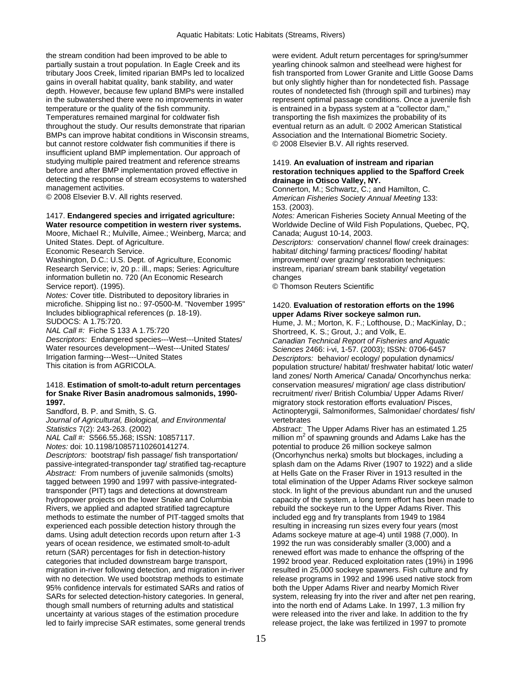the stream condition had been improved to be able to were evident. Adult return percentages for spring/summer partially sustain a trout population. In Eagle Creek and its yearling chinook salmon and steelhead were highest for tributary Joos Creek, limited riparian BMPs led to localized fish transported from Lower Granite and Little Goose Dams gains in overall habitat quality, bank stability, and water but only slightly higher than for nondetected fish. Passage depth. However, because few upland BMPs were installed routes of nondetected fish (through spill and turbines) may in the subwatershed there were no improvements in water represent optimal passage conditions. Once a juvenile fish temperature or the quality of the fish community. is entrained in a bypass system at a "collector dam," Temperatures remained marginal for coldwater fish transporting the fish maximizes the probability of its<br>throughout the study. Our results demonstrate that riparian eventual return as an adult. © 2002 American Statistical throughout the study. Our results demonstrate that riparian BMPs can improve habitat conditions in Wisconsin streams, Association and the International Biometric Society. but cannot restore coldwater fish communities if there is  $\degree$  2008 Elsevier B.V. All rights reserved. insufficient upland BMP implementation. Our approach of studying multiple paired treatment and reference streams 1419. An evaluation of instream and riparian<br>before and after BMP implementation proved effective in **restoration techniques applied to the Spaffor** detecting the response of stream ecosystems to watershed **drainage in Otisco Valley, NY.**<br>management activities. C: an **Connection M.: Schwartz. C:** an

## 1417. **Endangered species and irrigated agriculture:** *Notes:* American Fisheries Society Annual Meeting of the

Moore, Michael R.; Mulville, Aimee.; Weinberg, Marca; and Canada; August 10-14, 2003. United States. Dept. of Agriculture. *Descriptors:* conservation/ channel flow/ creek drainages:

Washington, D.C.: U.S. Dept. of Agriculture, Economic improvement/ over grazing/ restoration techniques: Research Service; iv, 20 p.: ill., maps; Series: Agriculture instream, riparian/ stream bank stability/ vegetation information bulletin no. 720 (An Economic Research changes Service report). (1995). © Thomson Reuters Scientific

*Notes:* Cover title. Distributed to depository libraries in microfiche. Shipping list no.: 97-0500-M. "November 1995" 1420. **Evaluation of restoration efforts on the 1996**<br>
Includes bibliographical references (p. 18-19). **Internation and any proper Adams River sockeve salmon run.** Includes bibliographical references (p. 18-19). **upper Adams River sockeye salmon run.** 

*NAL Call #:* Fiche S 133 A 1.75:720<br>Descriptors: Endangered species---West---United States/ Canadian Technical Report of Fisheries *Descriptors:* Endangered species---West---United States/ *Canadian Technical Report of Fisheries and Aquatic*  Water resources development---West---United States/ *Sciences* 2466: i-vi, 1-57. (2003); ISSN: 0706-6457<br>Irrigation farming---West---United States *Descriptors:* behavior/ ecology/ population dynamic Irrigation farming---West---United States *Descriptors:* behavior/ ecology/ population dynamics/

## **for Snake River Basin anadromous salmonids, 1990-** recruitment/ river/ British Columbia/ Upper Adams River/ **1997. https://willenger.com/intervaluation/ Pisces, and the evaluation efforts evaluation/ Pisces,**

*Journal of Agricultural, Biological, and Environmental* vertebrates

*NAL Call #: S566.55.J68; ISSN: 10857117.* 

*Descriptors: bootstrap/ fish passage/ fish transportation/* passive-integrated-transponder tag/ stratified tag-recapture splash dam on the Adams River (1907 to 1922) and a slide *Abstract:* From numbers of juvenile salmonids (smolts) at Hells Gate on the Fraser River in 1913 resulted in the tagged between 1990 and 1997 with passive-integrated- total elimination of the Upper Adams River sockeye salmon transponder (PIT) tags and detections at downstream stock. In light of the previous abundant run and the unused hydropower projects on the lower Snake and Columbia capacity of the system, a long term effort has been made to Rivers, we applied and adapted stratified tagrecapture rebuild the sockeye run to the Upper Adams River. This methods to estimate the number of PIT-tagged smolts that included egg and fry transplants from 1949 to 1984 experienced each possible detection history through the resulting in increasing run sizes every four years (most dams. Using adult detection records upon return after 1-3 Adams sockeye mature at age-4) until 1988 (7,000). In years of ocean residence, we estimated smolt-to-adult 1992 the run was considerably smaller (3,000) and a return (SAR) percentages for fish in detection-history renewed effort was made to enhance the offspring of the categories that included downstream barge transport, 1992 brood year. Reduced exploitation rates (19%) in 1996 migration in-river following detection, and migration in-river resulted in 25,000 sockeye spawners. Fish culture and fry with no detection. We used bootstrap methods to estimate release programs in 1992 and 1996 used native stock from 95% confidence intervals for estimated SARs and ratios of both the Upper Adams River and nearby Momich River SARs for selected detection-history categories. In general, system, releasing fry into the river and after net pen rearing, though small numbers of returning adults and statistical into the north end of Adams Lake. In 1997, 1.3 million fry uncertainty at various stages of the estimation procedure were released into the river and lake. In addition to the fry led to fairly imprecise SAR estimates, some general trends release project, the lake was fertilized in 1997 to promote

# restoration techniques applied to the Spafford Creek

management activities.<br>
© 2008 Elsevier B.V. All rights reserved. The Connerton, M.; Schwartz, C.; and Hamilton, C. © 2008 Elsevier B.V. All rights reserved. *American Fisheries Society Annual Meeting* 133: 153. (2003).

**Water resource competition in western river systems.** Worldwide Decline of Wild Fish Populations, Quebec, PQ,

Economic Research Service. https://www.mateural.com/individual/ ditching/ farming practices/ flooding/ habitat

SUDOCS: A 1.75:720.<br>
MAL Call #: Fiche S 133 A 1.75:720 **Exercise A Superfield A** S. Grout, L. and Volk F

population structure/ habitat/ freshwater habitat/ lotic water/ land zones/ North America/ Canada/ Oncorhynchus nerka: 1418. **Estimation of smolt-to-adult return percentages** conservation measures/ migration/ age class distribution/ Sandford, B. P. and Smith, S. G. **Actinopterygii, Salmoniformes, Salmonidae**/ chordates/ fish/

*Statistics* 7(2): 243-263. (2002) *Abstract:* The Upper Adams River has an estimated 1.25 million  $m^2$  of spawning grounds and Adams Lake has the *Notes:* doi: 10.1198/10857110260141274.<br> *Descriptors:* bootstrap/ fish passage/ fish transportation/ (Oncorhynchus nerka) smolts but blockages, including a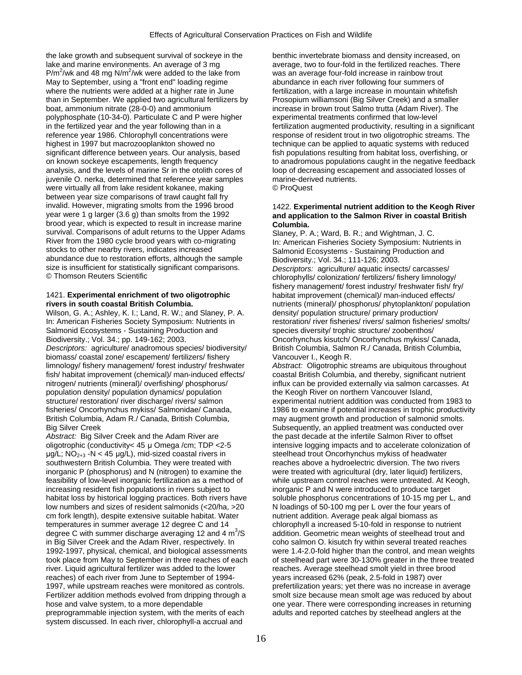the lake growth and subsequent survival of sockeye in the benthic invertebrate biomass and density increased, on lake and marine environments. An average of 3 mg average, two to four-fold in the fertilized reaches. There P/m<sup>2</sup>/wk and 48 mg N/m<sup>2</sup> May to September, using a "front end" loading regime abundance in each river following four summers of where the nutrients were added at a higher rate in June fertilization, with a large increase in mountain whitefish than in September. We applied two agricultural fertilizers by Prosopium williamsoni (Big Silver Creek) and a smaller boat, ammonium nitrate (28-0-0) and ammonium increase in brown trout Salmo trutta (Adam River). The polyphosphate (10-34-0). Particulate C and P were higher experimental treatments confirmed that low-level in the fertilized year and the year following than in a fertilization augmented productivity, resulting in a significant reference year 1986. Chlorophyll concentrations were response of resident trout in two oligotrophic streams. The highest in 1997 but macrozooplankton showed no the technique can be applied to aquatic systems with reduced significant difference between years. Our analysis, based fish populations resulting from habitat loss, overfishing, or analysis, and the levels of marine Sr in the otolith cores of loop of decreasing escapement and associated losses of juvenile O. nerka, determined that reference year samples marine-derived nutrients.<br>were virtually all from lake resident kokanee, making (examples of ProQuest were virtually all from lake resident kokanee, making between year size comparisons of trawl caught fall fry<br>invalid. However, migrating smolts from the 1996 brood invalid. However, migrating smolts from the 1996 brood 1422. **Experimental nutrient addition to the Keogh River**  brood year, which is expected to result in increase marine **Columbia.**<br>
survival. Comparisons of adult returns to the Upper Adams Slaney, P survival. Comparisons of adult returns to the Upper Adams Slaney, P. A.; Ward, B. R.; and Wightman, J. C.<br>River from the 1980 cycle brood vears with co-migrating subsectional process Fisheries Society Symposium: Nut River from the 1980 cycle brood years with co-migrating In: American Fisheries Society Symposium: Nutrients in<br>In: American Fisheries Society Symposium: Nutrients in Salmonid Salmonid Frosystems - Sustaining Production and abundance due to restoration efforts, although the sample Biodiversity.; Vol. 34.; 111-126; 2003. size is insufficient for statistically significant comparisons. *Descriptors:* agriculture/ aquatic insects/ carcasses/

## 1421. **Experimental enrichment of two oligotrophic** habitat improvement (chemical)/ man-induced effects/

Wilson, G. A.; Ashley, K. I.; Land, R. W.; and Slaney, P. A. density/ population structure/ primary production/ In: American Fisheries Society Symposium: Nutrients in restoration/ river fisheries/ rivers/ salmon fisheries/ smolts/ Salmonid Ecosystems - Sustaining Production and species diversity/ trophic structure/ zoobenthos/ Biodiversity.; Vol. 34.; pp. 149-162; 2003. Canada, Discordination on Concorhynchus kisutch/ Oncorhynchus mykiss/ Canada, *Descriptors:* agriculture/ anadromous species/ biodiversity/ British Columbia, Salmon R./ Canada, British Columbia, biomass/ coastal zone/ escapement/ fertilizers/ fishery Vancouver I., Keogh R. limnology/ fishery management/ forest industry/ freshwater *Abstract:* Oligotrophic streams are ubiquitous throughout fish/ habitat improvement (chemical)/ man-induced effects/ coastal British Columbia, and thereby, significant nutrient<br>nitrogen/ nutrients (mineral)/ overfishing/ phosphorus/ influx can be provided externally via salmon ca nitrogen/ nutrients (mineral)/ overfishing/ phosphorus/ population density/ population dynamics/ population the Keogh River on northern Vancouver Island, structure/ restoration/ river discharge/ rivers/ salmon experimental nutrient addition was conducted from 1983 to British Columbia, Adam R./ Canada, British Columbia, may augment growth and production of salmonid smolts. Big Silver Creek Subsequently, an applied treatment was conducted over

Abstract: Big Silver Creek and the Adam River are the past decade at the infertile Salmon River to offset oligotrophic (conductivity< 45 μ Omega /cm; TDP <2-5 intensive logging impacts and to accelerate colonization of  $\mu$ g/L; NO<sub>2+3</sub> -N < 45 μg/L), mid-sized coastal rivers in steelhead trout Oncorhynchus mykiss of headwater southwestern British Columbia. They were treated with reaches above a hydroelectric diversion. The two riv inorganic P (phosphorus) and N (nitrogen) to examine the were treated with agricultural (dry, later liquid) fertilizers, feasibility of low-level inorganic fertilization as a method of while upstream control reaches were untreated. At Keogh, increasing resident fish populations in rivers subject to inorganic P and N were introduced to produce target habitat loss by historical logging practices. Both rivers have soluble phosphorus concentrations of 10-15 mg per L, and low numbers and sizes of resident salmonids (<20/ha, >20 N loadings of 50-100 mg per L over the four years of cm fork length), despite extensive suitable habitat. Water entity in untrient addition. Average peak algal biomass as<br>
temperatures in summer average 12 degree C and 14 chlorophyll a increased 5-10-fold in response to nutr temperatures in summer average 12 degree C and 14 degree C with summer discharge averaging 12 and 4  $m^3/S$ in Big Silver Creek and the Adam River, respectively. In coho salmon O. kisutch fry within several treated reaches river. Liquid agricultural fertilizer was added to the lower reaches. Average steelhead smolt yield in three brood reaches) of each river from June to September of 1994- years increased 62% (peak, 2.5-fold in 1987) over 1997, while upstream reaches were monitored as controls. prefertilization years; yet there was no increase in average Fertilizer addition methods evolved from dripping through a smolt size because mean smolt age was reduced by about hose and valve system, to a more dependable **on the system one year.** There were corresponding increases in returning preprogrammable injection system, with the merits of each adults and reported catches by steelhead anglers at the system discussed. In each river, chlorophyll-a accrual and

was an average four-fold increase in rainbow trout on known sockeye escapements, length frequency to anadromous populations caught in the negative feedback

# and application to the Salmon River in coastal British

Salmonid Ecosystems - Sustaining Production and

chlorophylls/ colonization/ fertilizers/ fishery limnology/ fishery management/ forest industry/ freshwater fish/ fry/ **rivers in south coastal British Columbia.** Nutrients (mineral)/ phosphorus/ phytoplankton/ population

fisheries/ Oncorhynchus mykiss/ Salmonidae/ Canada, 1986 to examine if potential increases in trophic productivity reaches above a hydroelectric diversion. The two rivers addition. Geometric mean weights of steelhead trout and 1992-1997, physical, chemical, and biological assessments were 1.4-2.0-fold higher than the control, and mean weights took place from May to September in three reaches of each of steelhead part were 30-130% greater in the three treated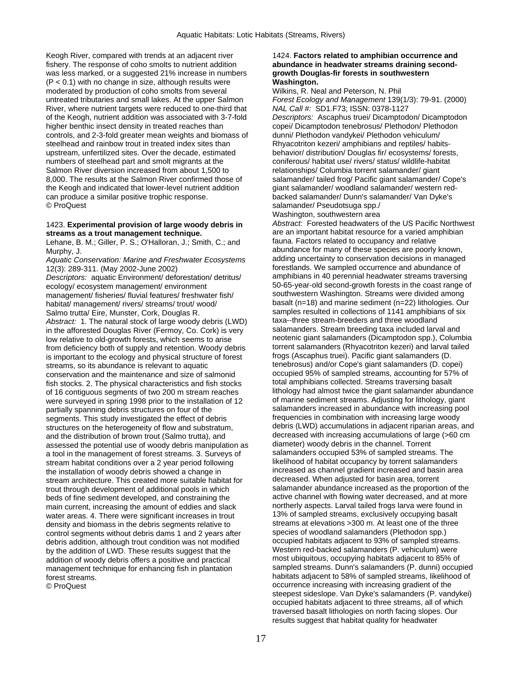Keogh River, compared with trends at an adjacent river 1424. **Factors related to amphibian occurrence and** fishery. The response of coho smolts to nutrient addition **abundance in headwater streams draining second**was less marked, or a suggested 21% increase in numbers **growth Douglas-fir forests in southwestern**  (P < 0.1) with no change in size, although results were **Washington.**  moderated by production of coho smolts from several Wilkins, R. Neal and Peterson, N. Phil untreated tributaries and small lakes. At the upper Salmon *Forest Ecology and Management* 139(1/3): 79-91. (2000) River, where nutrient targets were reduced to one-third that of the Keogh, nutrient addition was associated with 3-7-fold *Descriptors:* Ascaphus truei/ Dicamptodon/ Dicamptodon higher benthic insect density in treated reaches than controls, and 2-3-fold greater mean weights and biomass of dunni/ Plethodon vandykei/ Plethodon vehiculum/ steelhead and rainbow trout in treated index sites than Rhyacotriton kezeri/ amphibians and reptiles/ habitsupstream, unfertilized sites. Over the decade, estimated behavior/ distribution/ Douglas fir/ ecosystems/ forests, numbers of steelhead part and smolt migrants at the coniferous/ habitat use/ rivers/ status/ wildlife-habitat Salmon River diversion increased from about 1,500 to relationships/ Columbia torrent salamander/ giant 8,000. The results at the Salmon River confirmed those of salamander/ tailed frog/ Pacific giant salamander/ Cope's the Keogh and indicated that lower-level nutrient addition giant salamander/ woodland salamander/ western redcan produce a similar positive trophic response. backed salamander/ Dunn's salamander/ Van Dyke's

Lehane, B. M.; Giller, P. S.; O'Halloran, J.; Smith, C.; and

*Aquatic Conservation: Marine and Freshwater Ecosystems* 12(3): 289-311. (May 2002-June 2002)<br>
Descriptors: aquatic Environment/ deforestation/ detritus/ amphibians in 40 perennial headwater streams traversing *Descriptors:* aquatic Environment/ deforestation/ detritus/ ecology/ ecosystem management/ environment<br>management/ fisheries/ fluvial features/ freshwater fish/ southwestern Washington. Streams were divided among management/ fisheries/ fluvial features/ freshwater fish/ habitat/ management/ rivers/ streams/ trout/ wood/ basalt (n=18) and marine sediment (n=22) lithologies. Our Salmo trutta/ Eire, Munster, Cork, Douglas R. samples resulted in collections of 1141 amphibians of six<br>Abstract: 1. The natural stock of large woody debris (LWD) taxa--three stream-breeders and three woodland *Abstract:* 1. The natural stock of large woody debris (LWD) taxa--three stream-breeders and three woodland in the afforested Douglas River (Fermoy, Co. Cork) is very from deficiency both of supply and retention. Woody debris torrent salamanders (Rhyacotriton kezeri) and larval tailed<br>is important to the ecology and physical structure of forest frogs (Ascaphus truei). Pacific giant sala is important to the ecology and physical structure of forest streams, so its abundance is relevant to aquatic tenebrosus) and/or Cope's giant salamanders (D. copei)<br>
conservation and the maintenance and size of salmonid occupied 95% of sampled streams, accounting for 57% of conservation and the maintenance and size of salmonid occupied 95% of sampled streams, accounting for 57 conservation of 57 conservation and the maintenance and size of salmonid conservation of samplibians collected. Strea of 16 contiguous segments of two 200 m stream reaches lithology had almost twice the giant salamander abundanc<br>were surveyed in spring 1998 prior to the installation of 12 of marine sediment streams. Adjusting for litholog were surveyed in spring 1998 prior to the installation of 12 partially spanning debris structures on four of the salamanders increased in abundance with increasing pool segments. This study investigated the effect of debris frequencies in combination with increasing large woody and the distribution of brown trout (Salmo trutta), and decreased with increasing accumulations of large (>60 cm<br>assessed the potential use of woody debris manipulation as diameter) woody debris in the channel. Torrent assessed the potential use of woody debris manipulation as diameter) woody debris in the channel. Torrent<br>a tool in the management of forest streams 3. Surveys of salamanders occupied 53% of sampled streams. The a tool in the management of forest streams. 3. Surveys of salamanders occupied 53% of sampled streams. The and<br>stream habitat conditions over a 2 year period following likelihood of habitat occupancy by torrent salamanders stream habitat conditions over a 2 year period following likelihood of habitat occupancy by torrent salamanders<br>the installation of woody debris showed a change in lincreased as channel gradient increased and basin area the installation of woody debris showed a change in increased as channel gradient increased and basin area, torrent<br>stream architecture. This created more suitable habitat for decreased. When adjusted for basin area, torre stream architecture. This created more suitable habitat for trout through development of additional pools in which salamander abundance increased as the proportion of the beds of fine sediment developed, and constraining the active channel with flowing water decreased, and at more<br>main current increasing the amount of eddies and slack northerly aspects. Larval tailed frogs larva were found main current, increasing the amount of eddies and slack northerly aspects. Larval tailed frogs larva were found in<br>water areas, 4. There were significant increases in trout 13% of sampled streams, exclusively occupying bas water areas. 4. There were significant increases in trout 13% of sampled streams, exclusively occupying basalt<br>density and biomass in the debris segments relative to streams at elevations >300 m. At least one of the three density and biomass in the debris segments relative to streams at elevations >300 m. At least one of the three<br>control segments without debris dams 1 and 2 years after species of woodland salamanders (Plethodon spp.) control segments without debris dams 1 and 2 years after species of woodland salamanders (Plethodon spp.)<br>debris addition, although trout condition was not modified occupied habitats adjacent to 93% of sampled streams debris addition, although trout condition was not modified occupied habitats adjacent to 93% of sampled streams.<br>by the addition of LWD. These results suggest that the Western red-backed salamanders (P. vehiculum) were by the addition of LWD. These results suggest that the management technique for enhancing fish in plantation

salamander/ Pseudotsuga spp./

Washington, southwestern area 1423. **Experimental provision of large woody debris in** *Abstract:* Forested headwaters of the US Pacific Northwest **streams as a trout management technique. are an important habitat resource for a varied am**<br>Lebane, B. M.: Giller, P. S.: O'Halloran, L.: Smith, C.: and fauna. Factors related to occupancy and relative

Murphy, J.<br>Aguatic Conservation: Marine and Freshwater Fcosystems adding uncertainty to conservation decisions in managed low relative to old-growth forests, which seems to arise neotenic giant salamanders (Dicamptodon spp.), Columbia fish stocks. 2. The physical characteristics and fish stocks total amphibians collected. Streams traversing basalt<br>of 16 contiguous segments of two 200 m stream reaches lithology had almost twice the giant salamander abund structures on the heterogeneity of flow and substratum, debris (LWD) accumulations in adjacent riparian areas, and addition of woody debris offers a positive and practical most ubiquitous, occupying habitats adjacent to 85% of<br>management technique for enhancing fish in plantation sampled streams. Dunn's salamanders (P. dunni) occupied forest streams.<br> **Example 3** Forest streams, likelihood of streams, likelihood of occurrence increasing with increasing gradient of the occurrence increasing with increasing gradient of the steepest sideslope. Van Dyke's salamanders (P. vandykei) occupied habitats adjacent to three streams, all of which traversed basalt lithologies on north facing slopes. Our results suggest that habitat quality for headwater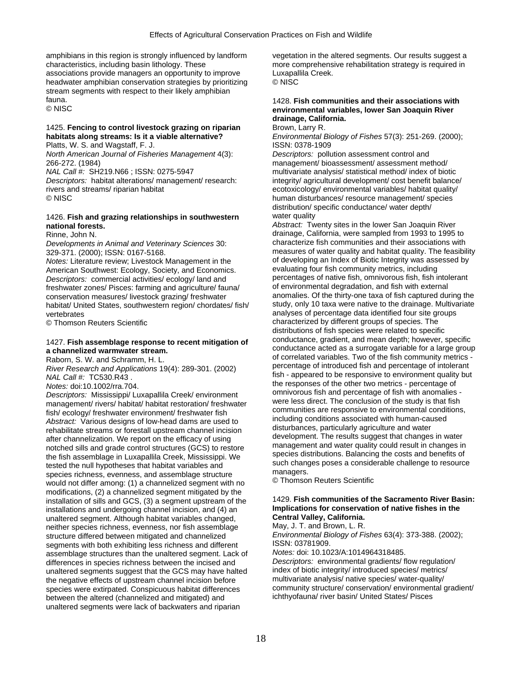amphibians in this region is strongly influenced by landform vegetation in the altered segments. Our results suggest a characteristics, including basin lithology. These more comprehensive rehabilitation strategy is required in associations provide managers an opportunity to improve Luxapallila Creek. headwater amphibian conservation strategies by prioritizing stream segments with respect to their likely amphibian

## 1425. **Fencing to control livestock grazing on riparian** Brown, Larry R. **habitats along streams: Is it a viable alternative?** *Environmental Biology of Fishes* 57(3): 251-269. (2000);

*North American Journal of Fisheries Management* 4(3):

*Descriptors:* habitat alterations/ management/ research: rivers and streams/ riparian habitat example and streams/ riparian habitat equality/

## 1426. **Fish and grazing relationships in southwestern** water quality

*Developments in Animal and Veterinary Sciences* 30:<br>329-371. (2000): ISSN: 0167-5168.

*Notes:* Literature review; Livestock Management in the of developing an Index of Biotic Integrity was ass<br>American Southwest: Ecology, Society, and Economics. evaluating four fish community metrics, including American Southwest: Ecology, Society, and Economics. *Descriptors:* commercial activities/ ecology/ land and percentages of native fish, omnivorous fish, fish intolerant habitat/ United States, southwestern region/ chordates/ fish/

omnivorous fish and percentage of fish with anomalies - *Descriptors:* Mississippi/ Luxapallila Creek/ environment management/ rivers/ habitat/ habitat restoration/ freshwater were less direct. The conclusion of the study is that fish<br>fish/ ecology/ freshwater environment/ freshwater fish communities are responsive to environmental con Fish/ecology/freshwater environment/freshwater fish<br>
Abstract: Various designs of low-head dams are used to<br>
rehabilitate streams or forestall upstream channel incision<br>
after channelization. We report on the efficacy of u tested the null hypotheses that habitat variables and<br>species richness, evenness, and assemblage structure managers.<br>would not differ among: (1) a channelized segment with no <br>
© Thomson Reuters Scientific modifications, (2) a channelized segment mitigated by the installation of sills and GCS, (3) a segment upstream of the 1429. **Fish communities of the Sacramento River Basin:**  installations and undergoing channel incision, and (4) an **Implications for conservation**<br>
unaltered segment, Although habitat variables changed<br> **Central Valley, California.** unaltered segment. Although habitat variables changed, **Central Valley, California.**  neither species richness, evenness, nor fish assemblage structure differed between mitigated and channelized segments with both exhibiting less richness and different ISSN: 03781909.<br>assemblage structures than the unaltered segment. Lack of Notes: doi: 10.1023/A:1014964318485. assemblage structures than the unaltered segment. Lack of *Notes:* doi: 10.1023/A:1014964318485. differences in species richness between the incised and *Descriptors:* environmental gradients/ flow regulational tend inclusion and *Descriptors:* environmental gradients/ flow regulation-<br>index of biotic integrity/ intro unaltered segments suggest that the GCS may have halted index of biotic integrity/ introduced species/ metrics/<br>the negative effects of unstream channel incision before multivariate analysis/ native species/ water-quality/ the negative effects of upstream channel incision before multivariate analysis/ native species/ water-quality/<br>species were extirpated. Conspicuous babitat differences community structure/ conservation/ environmental gradi species were extirpated. Conspicuous habitat differences community structure/ conservation/ environmental gradi<br>hetween the altered (channelized and mitigated) and sichthyofauna/ river basin/ United States/ Pisces between the altered (channelized and mitigated) and unaltered segments were lack of backwaters and riparian

## fauna. 1428. **Fish communities and their associations with**  © NISC **environmental variables, lower San Joaquin River drainage, California.**

Platts, W. S. and Wagstaff, F. J. Inc. in the agencies of the MSSN: 0378-1909<br>
North American Journal of Fisheries Management 4(3): Descriptors: pollution assessment control and

/266-272. (1984)<br>
266-272. (1984) management/ bioassessment/ assessment method/<br>
266-272. (1984) multivariate analysis/ statistical method/ index of bio multivariate analysis/ statistical method/ index of biotic<br>integrity/ agricultural development/ cost benefit balance/ © NISC human disturbances/ resource management/ species distribution/ specific conductance/ water depth/

**national forests.** *Abstract:* **Twenty sites in the lower San Joaquin River<br>Rinne, John N. <b>***Abstract:* Twenty sites in the lower San Joaquin River drainage, California, were sampled from 1993 to 1995 to characterize fish communities and their associations with measures of water quality and habitat quality. The feasibility of developing an Index of Biotic Integrity was assessed by freshwater zones/ Pisces: farming and agriculture/ fauna/ of environmental degradation, and fish with external<br>
conservation measures/ livestock grazing/ freshwater anomalies. Of the thirty-one taxa of fish captured during conservation measures/ livestock grazing/ freshwater anomalies. Of the thirty-one taxa of fish captured during the<br>habitat/ United States, southwestern region/ chordates/ fish/ study, only 10 taxa were native to the draina vertebrates analyses of percentage data identified four site groups<br>
© Thomson Reuters Scientific **analyses** of percentage data identified four site groups characterized by different groups of species. The distributions of fish species were related to specific conductance, gradient, and mean depth; however, specific 1427. **Fish assemblage response to recent mitigation of** conductance acted as a surrogate variable for a large group **a channelized warmwater stream.**  Raborn, S. W. and Schramm, H. L.<br>
River Research and Applications 19(4): 289-301. (2002)<br>
NAL Call #: TC530.R43.<br>
Notes: doi:10.1002/rra.704.<br>
Notes: doi:10.1002/rra.704. the responses of the other two metrics - percentage of omnivorous fish and percentage of fish with anomalies -

Environmental Biology of Fishes 63(4): 373-388. (2002);<br>ISSN: 03781909.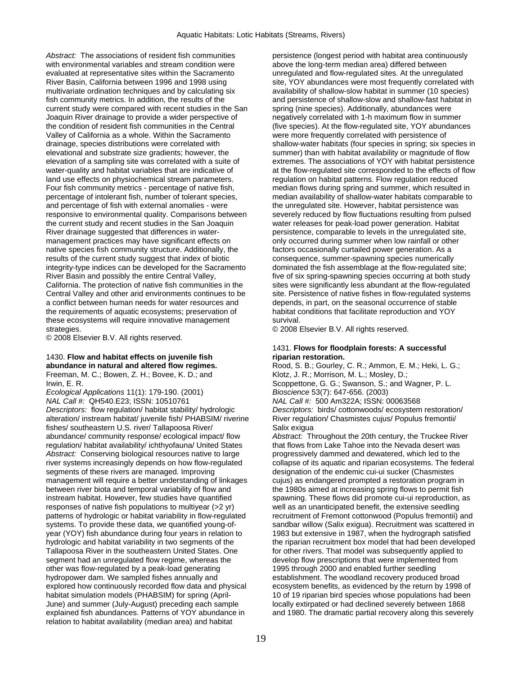Abstract: The associations of resident fish communities persistence (longest period with habitat area continuously with environmental variables and stream condition were above the long-term median area) differed between evaluated at representative sites within the Sacramento unregulated and flow-regulated sites. At the unregulated River Basin, California between 1996 and 1998 using site, YOY abundances were most frequently correlated with multivariate ordination techniques and by calculating six availability of shallow-slow habitat in summer (10 species) fish community metrics. In addition, the results of the and persistence of shallow-slow and shallow-fast habitat in current study were compared with recent studies in the San spring (nine species). Additionally, abundances were<br>Joaquin River drainage to provide a wider perspective of negatively correlated with 1-h maximum flow in summer Joaquin River drainage to provide a wider perspective of the condition of resident fish communities in the Central (five species). At the flow-regulated site, YOY abundances Valley of California as a whole. Within the Sacramento were more frequently correlated with persistence of drainage, species distributions were correlated with shallow-water habitats (four species in spring; six species in elevational and substrate size gradients; however, the summer) than with habitat availability or magnitude of flow elevation of a sampling site was correlated with a suite of extremes. The associations of YOY with habitat persistence water-quality and habitat variables that are indicative of at the flow-regulated site corresponded to the effects of flow land use effects on physiochemical stream parameters. The quilation on habitat patterns. Flow regulation reduced Four fish community metrics - percentage of native fish, median flows during spring and summer, which resulted in percentage of intolerant fish, number of tolerant species, median availability of shallow-water habitats comparable to and percentage of fish with external anomalies - were the unregulated site. However, habitat persistence was responsive to environmental quality. Comparisons between severely reduced by flow fluctuations resulting from pulsed the current study and recent studies in the San Joaquin water releases for peak-load power generation. Habitat River drainage suggested that differences in water- persistence, comparable to levels in the unregulated site, management practices may have significant effects on only occurred during summer when low rainfall or other native species fish community structure. Additionally, the factors occasionally curtailed power generation. As a results of the current study suggest that index of biotic consequence, summer-spawning species numerically integrity-type indices can be developed for the Sacramento dominated the fish assemblage at the flow-regulated site; River Basin and possibly the entire Central Valley, five of six spring-spawning species occurring at both study California. The protection of native fish communities in the sites were significantly less abundant at the flow-regulated Central Valley and other arid environments continues to be site. Persistence of native fishes in flow-regulated systems a conflict between human needs for water resources and depends, in part, on the seasonal occurrence of stable the requirements of aquatic ecosystems; preservation of habitat conditions that facilitate reproduction and YOY these ecosystems will require innovative management survival.<br>strategies.  $\textcircled{\small 2008}$ 

© 2008 Elsevier B.V. All rights reserved.

## 1430. **Flow and habitat effects on juvenile fish riparian restoration.**

Freeman, M. C.; Bowen, Z. H.; Bovee, K. D.; and

*Ecological Applications* 11(1): 179-190. (2001) *Bioscience* 53(7): 647-656. (2003) *NAL Call #:* QH540.E23; ISSN: 10510761 *NAL Call #:* 500 Am322A; ISSN: 00063568 *Descriptors:* flow regulation/ habitat stability/ hydrologic *Descriptors:* birds/ cottonwoods/ ecosystem restoration/ alteration/ instream habitat/ juvenile fish/ PHABSIM/ riverine River regulation/ Chasmistes cujus/ Populus fremontii/ fishes/ southeastern U.S. river/ Tallapoosa River/ Salix exigua abundance/ community response/ ecological impact/ flow *Abstract:* Throughout the 20th century, the Truckee River regulation/ habitat availability/ ichthyofauna/ United States that flows from Lake Tahoe into the Nevada desert was Abstract: Conserving biological resources native to large progressively dammed and dewatered, which led to the river systems increasingly depends on how flow-regulated collapse of its aquatic and riparian ecosystems. The federal segments of these rivers are managed. Improving designation of the endemic cui-ui sucker (Chasmistes management will require a better understanding of linkages cujus) as endangered prompted a restoration program in between river biota and temporal variability of flow and the 1980s aimed at increasing spring flows to permit fish instream habitat. However, few studies have quantified spawning. These flows did promote cui-ui reproduction, as responses of native fish populations to multiyear (>2 yr) well as an unanticipated benefit, the extensive seedling patterns of hydrologic or habitat variability in flow-regulated recruitment of Fremont cottonwood (Populus fremontii) and systems. To provide these data, we quantified young-of-<br>
year (YOY) fish abundance during four years in relation to 1983 but extensive in 1987, when the hydrograph satisfied hydrologic and habitat variability in two segments of the the riparian recruitment box model that had been developed Tallapoosa River in the southeastern United States. One for other rivers. That model was subsequently applied to segment had an unregulated flow regime, whereas the develop flow prescriptions that were implemented from other was flow-regulated by a peak-load generating 1995 through 2000 and enabled further seedling hydropower dam. We sampled fishes annually and establishment. The woodland recovery produced broad explored how continuously recorded flow data and physical ecosystem benefits, as evidenced by the return by 1998 of habitat simulation models (PHABSIM) for spring (April- 10 of 19 riparian bird species whose populations had been June) and summer (July-August) preceding each sample locally extirpated or had declined severely between 1868 explained fish abundances. Patterns of YOY abundance in and 1980. The dramatic partial recovery along this severely relation to habitat availability (median area) and habitat

 $©$  2008 Elsevier B.V. All rights reserved.

## 1431. **Flows for floodplain forests: A successful**

**abundance in natural and altered flow regimes.** Rood, S. B.; Gourley, C. R.; Ammon, E. M.; Heki, L. G.; Freeman, M. C.; Bowen, Z. H.; Bovee, K. D.; and Klotz, J. R.; Morrison, M. L.; Mosley, D.; Irwin, E. R. Scoppettone, G. G.; Swanson, S.; and Wagner, P. L. Scoppettone, G. G.; Swanson, S.; and Wagner, P. L.

1983 but extensive in 1987, when the hydrograph satisfied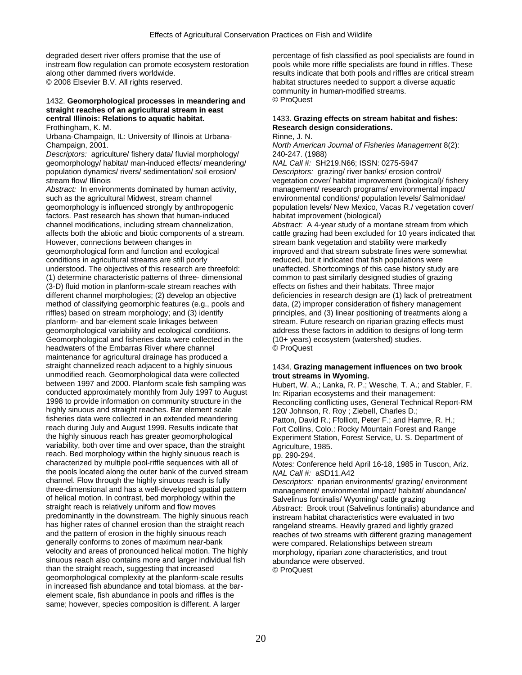degraded desert river offers promise that the use of percentage of fish classified as pool specialists are found in instream flow regulation can promote ecosystem restoration pools while more riffle specialists are found in riffles. These

## 1432. **Geomorphological processes in meandering and** © ProQuest **straight reaches of an agricultural stream in east central Illinois: Relations to aquatic habitat.** 1433. **Grazing effects on stream habitat and fishes:**

Urbana-Champaign, IL: University of Illinois at Urbana- Rinne, J. N.

*Descriptors:* agriculture/ fishery data/ fluvial morphology/ geomorphology/ habitat/ man-induced effects/ meandering/ *NAL Call #:* SH219.N66; ISSN: 0275-5947 population dynamics/ rivers/ sedimentation/ soil erosion/ *Descriptors:* grazing/ river banks/ erosion control/ stream flow/ Illinois vegetation cover/ habitat improvement (biological)/ fishery

*Abstract:* In environments dominated by human activity, management/ research programs/ environmental impact/ such as the agricultural Midwest, stream channel environmental conditions/ population levels/ Salmonidae/ geomorphology is influenced strongly by anthropogenic population levels/ New Mexico, Vacas R./ vegetation cover/ factors. Past research has shown that human-induced habitat improvement (biological) channel modifications, including stream channelization, *Abstract:* A 4-year study of a montane stream from which However, connections between changes in stream bank vegetation and stability were markedly<br>geomorphological form and function and ecological inproved and that stream substrate fines were some conditions in agricultural streams are still poorly reduced, but it indicated that fish populations were<br>understood. The objectives of this research are threefold: unaffected. Shortcomings of this case history study are understood. The objectives of this research are threefold: (1) determine characteristic patterns of three- dimensional common to past similarly designed studies of grazing<br>(3-D) fluid motion in planform-scale stream reaches with effects on fishes and their habitats. Three major (3-D) fluid motion in planform-scale stream reaches with different channel morphologies; (2) develop an objective deficiencies in research design are (1) lack of pretreatment<br>method of classifying geomorphic features (e.g., pools and data, (2) improper consideration of fishery m method of classifying geomorphic features (e.g., pools and riffles) based on stream morphology; and (3) identify planform- and bar-element scale linkages between stream. Future research on riparian grazing effects must geomorphological variability and ecological conditions. address these factors in addition to designs of long-term Geomorphological and fisheries data were collected in the  $(10+)$  years) ecosystem (watershed) studies. headwaters of the Embarras River where channel © ProQuest maintenance for agricultural drainage has produced a straight channelized reach adjacent to a highly sinuous unmodified reach. Geomorphological data were collected **trout streams in Wyoming.**  conducted approximately monthly from July 1997 to August In: Riparian ecosystems and their management:<br>1998 to provide information on community structure in the Reconciling conflicting uses. General Technical I highly sinuous and straight reaches. Bar element scale 120/ Johnson, R. Roy ; Ziebell, Charles D.;<br>
fisheries data were collected in an extended meandering Patton, David R : Ffolliott, Peter F : and Har reach during July and August 1999. Results indicate that Fort Collins, Colo.: Rocky Mountain Forest and Range<br>
Fxperiment Station. Forest Service, U.S. Department variability, both over time and over space, than the straight  $\frac{1985}{90}$  Agriculture, 1985.<br>reach. Bed morphology within the highly sinuous reach is  $\frac{1985}{90}$ . 290-294. reach. Bed morphology within the highly sinuous reach is characterized by multiple pool-riffle sequences with all of the pools located along the outer bank of the curved stream *channel. Flow through the highly sinuous reach is fully* channel. Flow through the highly sinuous reach is fully *Descriptors:* riparian environments/ grazing/ environment of helical motion. In contrast, bed morphology within the Salvelinus fontinalis/ Wyoming/ cattle grazing<br>straight reach is relatively uniform and flow moves Abstract: Brook trout (Salvelinus fontinalis) at predominantly in the downstream. The highly sinuous reach instream habitat characteristics were evaluated in two<br>has higher rates of channel erosion than the straight reach inconegand streams. Heavily grazed and lightly gr has higher rates of channel erosion than the straight reach rangeland streams. Heavily grazed and lightly grazed<br>and the pattern of erosion in the highly sinuous reach reaches of two streams with different grazing manage and the pattern of erosion in the highly sinuous reach reaches of two streams with different grazing management<br>
aenerally conforms to zones of maximum near-bank<br>
were compared Relationships between stream velocity and areas of pronounced helical motion. The highly morphology, riparian zone characteristics, and trout sinuous reach also contains more and larger individual fish abundance were observed. than the straight reach, suggesting that increased  $\odot$  ProQuest geomorphological complexity at the planform-scale results in increased fish abundance and total biomass. at the barelement scale, fish abundance in pools and riffles is the same; however, species composition is different. A larger

along other dammed rivers worldwide.<br>
© 2008 Elsevier B.V. All rights reserved. The results indicate that both pools and riffles are critical stream<br>
habitat structures needed to support a diverse aquatic habitat structures needed to support a diverse aquatic community in human-modified streams.

## Frothingham, K. M. **Research design considerations.**

## Champaign, 2001. *North American Journal of Fisheries Management* 8(2):

affects both the abiotic and biotic components of a stream. cattle grazing had been excluded for 10 years indicated that improved and that stream substrate fines were somewhat principles, and (3) linear positioning of treatments along a

## 1434. Grazing management influences on two brook

Hubert, W. A.; Lanka, R. P.; Wesche, T. A.; and Stabler, F. Reconciling conflicting uses, General Technical Report-RM Patton, David R.; Ffolliott, Peter F.; and Hamre, R. H.; Experiment Station, Forest Service, U. S. Department of

.<br>*Notes:* Conference held April 16-18, 1985 in Tuscon, Ariz.<br>*NAL Call #:* aSD11.A42

mana a ement/environmental impact/habitat/abundance/ straight reach is relatively uniform and flow moves *Abstract:* Brook trout (Salvelinus fontinalis) abundance and predominantly in the downstream. The highly sinuous reach instream habitat characteristics were evaluated in were compared. Relationships between stream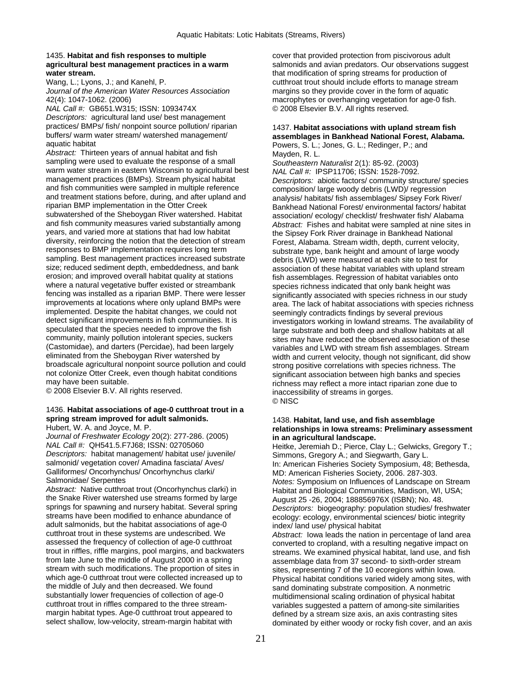## 1435. **Habitat and fish responses to multiple** cover that provided protection from piscivorous adult **water stream. that modification of spring streams for production of**

*Journal of the American Water Resources Association* margins so they provide cover in the form of aquatic

*NAL Call #: GB651.W315; ISSN: 1093474X Descriptors:* agricultural land use/ best management practices/ BMPs/ fish/ nonpoint source pollution/ riparian 1437. **Habitat associations with upland stream fish buffers/ warm water stream/ watershed management/ assemblages in Bankhead National Forest. Alabam.** buffers/ warm water stream/ watershed management/ **assemblages in Bankhead National Forest, Alabama.** 

Abstract: Thirteen years of annual habitat and fish Mayden, R. L. sampling were used to evaluate the response of a small *Southeastern Naturalist* 2(1): 85-92. (2003) warm water stream in eastern Wisconsin to agricultural best *NAL Call #:* IPSP11706; ISSN: 1528-7092.<br>management practices (BMPs). Stream physical habitat *Descriptors: abiotic factors/ community stru* and fish communities were sampled in multiple reference composition/ large woody debris (LWD)/ regression and treatment stations before, during, and after upland and analysis/ habitats/ fish assemblages/ Sipsey Fork River/<br>Figurian BMP implementation in the Otter Creek Bankhead National Forest/ environmental factors/ habita riparian BMP implementation in the Otter Creek Bankhead National Forest/ environmental factors/ habitat<br>subwatershed of the Sheboygan River watershed. Habitat association/ ecology/ checklist/ freshwater fish/ Alabama subwatershed of the Sheboygan River watershed. Habitat association/ ecology/ checklist/ freshwater fish/ Alabama<br>Abstract: Fishes and habitat were sampled at nine sites and fish community measures varied substantially among *Abstract:* Fishes and habitat were sampled at nine sites in years, and varied more at stations that had low habitat entity of the Sipsey Fork River drainage in Bankhead National<br>diversity, reinforcing the notion that the detection of stream Forest, Alabama, Stream width, depth, cur diversity, reinforcing the notion that the detection of stream Forest, Alabama. Stream width, depth, current velocity,<br>Forestion of the proposes to BMP implementation requires long term substrate type, bank height and amou sampling. Best management practices increased substrate debris (LWD) were measured at each site to test for site<br>size; reduced sediment depth, embeddedness, and bank association of these habitat variables with upland str size; reduced sediment depth, embeddedness, and bank association of these habitat variables with upland stream<br>An assemblance are habitat quality at stations and stations assemblages. Regression of habitat variables onto erosion; and improved overall habitat quality at stations fish assemblages. Regression of habitat variables onto<br>where a natural vegetative buffer existed or streambank species richness indicated that only bank height was where a natural vegetative buffer existed or streambank species richness indicated that only bank height was<br>fencing was installed as a riparian BMP. There were lesser significantly associated with species richness in our fencing was installed as a riparian BMP. There were lesser significantly associated with species richness in our study<br>improvements at locations where only upland BMPs were a rea. The lack of habitat associations with spec implemented. Despite the habitat changes, we could not seemingly contradicts findings by several previous detect significant improvements in fish communities. It is investigators working in lowland streams. The avail detect significant improvements in fish communities. It is investigators working in lowland streams. The availability of speculated that the species needed to improve the fish sare substrate and both deep and shallow habit speculated that the species needed to improve the fish large substrate and both deep and shallow habitats at all<br>community, mainly pollution intolerant species, suckers stress may have reduced the observed association of t community, mainly pollution intolerant species, suckers sites may have reduced the observed association of these<br>Castomidae), and darters (Percidae), had been largely sariables and LWD with stream fish assemblages. Stream (Castomidae), and darters (Percidae), had been largely variables and LWD with stream fish assemblages. Stream<br>eliminated from the Sheboygan River watershed by with and current velocity, though not significant, did show eliminated from the Sheboygan River watershed by width and current velocity, though not significant, did show<br>broadscale agricultural nonpoint source pollution and could<br>strong positive correlations with species richness. broadscale agricultural nonpoint source pollution and could<br>not colonize Otter Creek, even though habitat conditions<br>significant association between high banks and species not colonize Otter Creek, even though habitat conditions significant association between high banks and species<br>may have been suitable. significant association between high banks and species richness may reflect a more int

© 2008 Elsevier B.V. All rights reserved. inaccessibility of streams in gorges.

## 1436. **Habitat associations of age-0 cutthroat trout in a**

*Journal of Freshwater Ecology* 20(2): 277-286. (2005) **in an agricultural landscape.**  *Descriptors:* habitat management/ habitat use/ juvenile/ salmonid/ vegetation cover/ Amadina fasciata/ Aves/ Galliformes/ Oncorhynchus/ Oncorhynchus clarki/ MD: American Fisheries Society, 2006. 287-303.<br>Salmonidae/ Serpentes by an american Fisherican Fisheries Society, 2006. 287-303.

the Snake River watershed use streams formed by large August 25 -26, 2004; 188856976X (ISBN); No. 48. adult salmonids, but the habitat associations of age-0 index<sup>/</sup> land use/ physical habitat<br>cutthroat trout in these systems are undescribed. We a habitated abstract: lowe leads the nation in assessed the frequency of collection of age-0 cutthroat converted to cropland, with a resulting negative impact on<br>trout in riffles, riffle margins, pool margins, and backwaters streams. We examined physical habitat, land from late June to the middle of August 2000 in a spring and assemblage data from 37 second- to sixth-order stream<br>stream with such modifications. The proportion of sites in sites, representing 7 of the 10 ecoregions within stream with such modifications. The proportion of sites in sites, representing 7 of the 10 ecoregions within Iowa.<br>which age-0 cutthroat trout were collected increased up to Physical habitat conditions varied widely among the middle of July and then decreased. We found<br>substantially lower frequencies of collection of age-0<br>multidimensional scaling ordination of physical habita cutthroat trout in riffles compared to the three stream-<br>margin habitat types. Age-0 cutthroat trout appeared to<br>defined by a stream size axis. an axis contrasting sites margin habitat types. Age-0 cutthroat trout appeared to defined by a stream size axis, an axis contrasting sites<br>Select shallow, low-velocity, stream-margin habitat with dominated by either woody or rocky fish cover, and a

**agricultural best management practices in a warm salmonids and avian predators. Our observations suggest** Wang, L.; Lyons, J.; and Kanehl, P. etc. Comments of the cutthroat trout should include efforts to manage stream 42(4): 1047-1062. (2006)<br>
MAL Call #: GB651.W315; ISSN: 1093474X (2008 Elsevier B.V. All rights reserved.

Powers, S. L.; Jones, G. L.; Redinger, P.; and

Descriptors: abiotic factors/ community structure/ species substrate type, bank height and amount of large woody area. The lack of habitat associations with species richness richness may reflect a more intact riparian zone due to © NISC

## **spring stream improved for adult salmonids.** 1438. **Habitat, land use, and fish assemblage**  relationships in Iowa streams: Preliminary assessment

*Heitke, Jeremiah D.; Pierce, Clay L.; Gelwicks, Gregory T.; Simmons, Gregory A.; and Siegwarth, Gary L.* salmonid/ vegetation cover/ Amadina fasciata/ Aves/ In: American Fisheries Society Symposium, 48; Bethesda, Galliformes/ Oncorhynchus/ Oncorhynchus clarki/ In: American Fisheries Society 2006, 287-303.

Notes: Symposium on Influences of Landscape on Stream *Abstract:* Native cutthroat trout (Oncorhynchus clarki) in Habitat and Biological Communities, Madison, WI, USA; springs for spawning and nursery habitat. Several spring *Descriptors:* biogeography: population studies/ freshwater ecology: ecology, environmental sciences/ biotic integrity

cutthroat trout in these systems are undescribed. We *Abstract:* Iowa leads the nation in percentage of land area trout in riffles, riffle margins, pool margins, and backwaters streams. We examined physical habitat, land use, and fish<br>from late June to the middle of August 2000 in a spring sessemblage data from 37 second- to sixth-ord which age-0 cutthroat trout were collected increased up to Physical habitat conditions varied widely among sites, with the middle of July and then decreased. We found multidimensional scaling ordination of physical habitat dominated by either woody or rocky fish cover, and an axis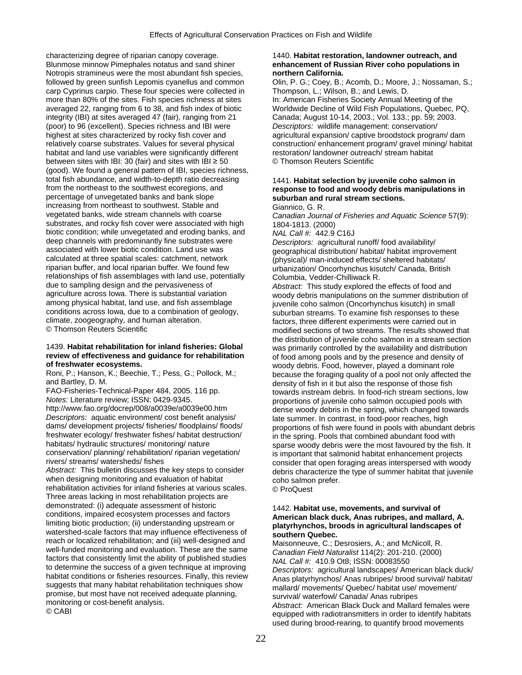characterizing degree of riparian canopy coverage. 1440. **Habitat restoration, landowner outreach, and**  Blunmose minnow Pimephales notatus and sand shiner **enhancement of Russian River coho populations in**  Notropis stramineus were the most abundant fish species, **northern California.**<br>
followed by green sunfish Lepomis cyanellus and common Olin, P. G.; Coey, B.; carp Cyprinus carpio. These four species were collected in Thompson, L.; Wilson, B.; and Lewis, D. more than 80% of the sites. Fish species richness at sites In: American Fisheries Society Annual Meeting of the averaged 22, ranging from 6 to 38, and fish index of biotic Worldwide Decline of Wild Fish Populations, Quebec, PQ, integrity (IBI) at sites averaged 47 (fair), ranging from 21 Canada; August 10-14, 2003.; Vol. 133.; pp. 5 integrity (IBI) at sites averaged 47 (fair), ranging from 21 Canada; August 10-14, 2003.; Vol. 133.; pp. 59; 2<br>(poor) to 96 (excellent). Species richness and IBI were Descriptors: wildlife management: conservation/ (poor) to 96 (excellent). Species richness and IBI were highest at sites characterized by rocky fish cover and agricultural expansion/ captive broodstock program/ dam relatively coarse substrates. Values for several physical construction/ enhancement program/ gravel mining/ habitat habitat and land use variables were significantly different restoration/ landowner outreach/ stream habitat between sites with IBI: 30 (fair) and sites with IBI ≥ 50 © Thomson Reuters Scientific (good). We found a general pattern of IBI, species richness, total fish abundance, and width-to-depth ratio decreasing 1441. **Habitat selection by juvenile coho salmon in**<br> **Example 1600 from the northeast to the southwest ecoregions, and response to food and woody debris manipula** percentage of unvegetated banks and bank slope **suburban and rural stream sections.**  increasing from northeast to southwest. Stable and Giannico, G. R.<br>vegetated banks, wide stream channels with coarse Canadian Journ substrates, and rocky fish cover were associated with high 1804-1813. (2000) biotic condition; while unvegetated and eroding banks, and *NAL Call #:*  $\frac{1}{442.9}$  C16J deep channels with predominantly fine substrates were *Descriptors: agricultural* deep channels with predominantly fine substrates were *Descriptors:* agricultural runoff/ food availability/<br>associated with lower biotic condition. Land use was a representing distribution/ habitat/ habitat improve associated with lower biotic condition. Land use was geographical distribution/ habitat/ habitat improvement<br>calculated at three spatial scales: catchment, network (ohysical)/ man-induced effects/ sheltered habitats/ riparian buffer, and local riparian buffer. We found few urbanization/ Oncorhynchus kisutch/ Canada, British relationships of fish assemblages with land use, potentially Columbia, Vedder-Chilliwack R.<br>due to sampling design and the pervasiveness of *Abstract:* This study explored the due to sampling design and the pervasiveness of *Abstract:* This study explored the effects of food and agriculture across lowa. There is substantial variation *Abstract:* This study explored the effects of food and agricu agriculture across Iowa. There is substantial variation woody debris manipulations on the summer distribution of<br>among physical habitat, land use, and fish assemblage in the survenile coho salmon (Oncorhynchus kisutch) in conditions across Iowa, due to a combination of geology,<br>
suburban streams. To examine fish responses to these<br>
factors three different experiments were carried out in climate, zoogeography, and human alteration.<br>
© Thomson Reuters Scientific experiments were carried out in the results showed to the modified sections of two streams. The results showed to

## 1439. **Habitat rehabilitation for inland fisheries: Global** was primarily controlled by the availability and distribution **review of effectiveness and guidance for rehabilitation** of food among pools and by the presence and density of **of**<br>**of freshwater ecosystems.** Note that the mondy debris. Food, however, played a dominant role

*Notes:* Literature review; ISSN: 0429-9345. proportions of juvenile coho salmon occupied pools with *Descriptors:* aquatic environment/ cost benefit analysis/ late summer. In contrast, in food-poor reaches, high dams/ development projects/ fisheries/ floodplains/ floods/ proportions of fish were found in pools with abund freshwater ecology/ freshwater fishes/ habitat destruction/ in the spring. Pools that combined abundant food with habitats/ hydraulic structures/ monitoring/ nature sparse woody debris were the most favoured by the fis conservation/ planning/ rehabilitation/ riparian vegetation/ is important that salmonid habitat enhancement projects

when designing monitoring and evaluation of habitat coho salmon prefer.<br>
rehabilitation activities for inland fisheries at various scales.  $\circledcirc$  ProQuest rehabilitation activities for inland fisheries at various scales. Three areas lacking in most rehabilitation projects are demonstrated: (i) adequate assessment of historic<br>
conditions, impaired ecosystem processes and factors<br>
limiting biotic production; (ii) understanding upstream or<br>
watershed-scale factors that may influence effectiveness reach or localized rehabilitation; and (iii) well-designed and<br>well-funded monitoring and evaluation. These are the same<br>factors that consistently limit the ability of published studies<br>to determine the success of a given suggests that many habitat renabilitation techniques show<br>promise, but most have not received adequate planning,<br>monitoring or cost-benefit analysis.<br>
CABI<br>
CABI<br>
CABI

Olin, P. G.; Coey, B.; Acomb, D.; Moore, J.; Nossaman, S.;

# response to food and woody debris manipulations in

Canadian Journal of Fisheries and Aquatic Science 57(9):

(physical)/ man-induced effects/ sheltered habitats/

juvenile coho salmon (Oncorhynchus kisutch) in small modified sections of two streams. The results showed that the distribution of juvenile coho salmon in a stream section **of freshwater ecosystems.**<br>
Roni, P.; Hanson, K.; Beechie, T.; Pess, G.; Pollock, M.; because the foraging quality of a pool not only affected Roni, P.; Hanson, K.; Beechie, T.; Pess, G.; Pollock, M.; because the foraging quality of a pool not only affected the and Bartley. D. M.<br>density of fish in it but also the response of those fish and Bartley, D. M.<br>FAO-Fisheries-Technical-Paper 484, 2005. 116 pp. density of fish in it but also the response of those fish row FAO-Fisheries-Technical-Paper 484, 2005. 116 pp. towards instream debris. In food-rich stream sections, low<br>Notes: Literature review: ISSN: 0429-9345. Notes: proportions of iuvenile coho salmon occupied pools with dense woody debris in the spring, which changed towards proportions of fish were found in pools with abundant debris habitats/ hydraulic structures/ monitoring/ nature sparse woody debris were the most favoured by the fish. It<br>conservation/ planning/ rehabilitation/ riparian vegetation/ some or series in that salmonid habitat enhancement rivers/ streams/ watersheds/ fishes consider that open foraging areas interspersed with woody<br>Abstract: This bulletin discusses the key steps to consider debris characterize the type of summer habitat that juvenile debris characterize the type of summer habitat that juvenile

equipped with radiotransmitters in order to identify habitats used during brood-rearing, to quantify brood movements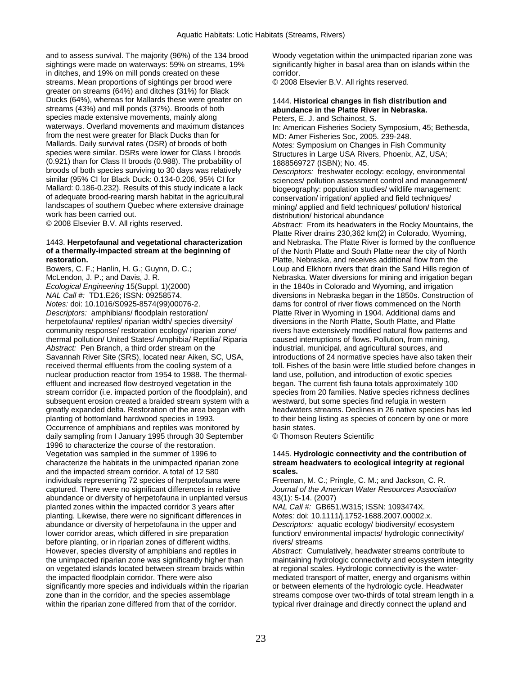and to assess survival. The majority (96%) of the 134 brood Woody vegetation within the unimpacted riparian zone was sightings were made on waterways: 59% on streams, 19% significantly higher in basal area than on islands within the in ditches, and 19% on mill ponds created on these corridor.<br>
streams. Mean proportions of sightings per brood were © 2008 Elsevier B.V. All rights reserved. streams. Mean proportions of sightings per brood were greater on streams (64%) and ditches (31%) for Black Ducks (64%), whereas for Mallards these were greater on 1444. **Historical changes in fish distribution and**  streams (43%) and mill ponds (37%). Broods of both **abundance in the Platte River in Nebraska.**  species made extensive movements, mainly along Peters, E. J. and Schainost, S.<br>waterways. Overland movements and maximum distances In: American Fisheries Society from the nest were greater for Black Ducks than for MD: Amer Fisheries Soc, 2005. 239-248.<br>Mallards. Daily survival rates (DSR) of broods of both Mortes: Symposium on Changes in Fish C Mallards. Daily survival rates (DSR) of broods of both *Notes:* Symposium on Changes in Fish Community (0.921) than for Class II broods (0.988). The probability of  $1888569727$  (ISBN); No. 45.<br>broods of both species surviving to 30 days was relatively  $\overline{Descritors}$ : freshwater ecol broods of both species surviving to 30 days was relatively *Descriptors:* freshwater ecology: ecology, environmental Mallard: 0.186-0.232). Results of this study indicate a lack biogeography: population studies/ wildlife management: of adequate brood-rearing marsh habitat in the agricultural conservation/ irrigation/ applied and field techniques/<br>landscapes of southern Quebec where extensive drainage mining/ applied and field techniques/ pollution/ hi landscapes of southern Quebec where extensive drainage mining/ applied and field techniques/ pollution/ historical work has been carried out.<br>
© 2008 Elsevier B.V. All rights reserved. The match of the abstract: From its headwaters in

# **of a thermally-impacted stream at the beginning of** of the North Platte and South Platte near the city of North

McLendon, J. P.; and Davis, J. R. Nebraska. Water diversions for mining and irrigation began<br>
Ecological Engineering 15(Suppl. 1)(2000) The Santistic and Diversions in the 1840s in Colorado and Wyoming, and irrigation *Ecological Engineering* 15(Suppl. 1)(2000) in the 1840s in Colorado and Wyoming, and irrigation<br>
NAL Call #: TD1.E26; ISSN: 09258574. **in the 1850s** diversions in Nebraska began in the 1850s. Construct *NAL Call #:* TD1.E26; ISSN: 09258574. diversions in Nebraska began in the 1850s. Construction of Notes: doi: 10.1016/S0925-8574(99)00076-2. *Descriptors:* amphibians/ floodplain restoration/ Platte River in Wyoming in 1904. Additional dams and herpetofauna/ reptiles/ riparian width/ species diversity/ diversions in the North Platte, South Platte, and Platte community response/ restoration ecology/ riparian zone/ rivers have extensively modified natural flow patterns and thermal pollution/ United States/ Amphibia/ Reptilia/ Riparia caused interruptions of flows. Pollution, from mining, *Abstract:* Pen Branch, a third order stream on the industrial, municipal, and agricultural sources, and Savannah River Site (SRS), located near Aiken, SC, USA, introductions of 24 normative species have also taken their<br>
received thermal effluents from the cooling system of a toll. Fishes of the basin were little studied bef nuclear production reactor from 1954 to 1988. The thermal-<br>effluent and increased flow destroyed vegetation in the stream corridor (i.e. impacted portion of the floodplain), and species from 20 families. Native species richness declines subsequent erosion created a braided stream system with a westward, but some species find refugia in western greatly expanded delta. Restoration of the area began with headwaters streams. Declines in 26 native species has led planting of bottomland hardwood species in 1993. The to their being listing as species of concern by one or more Occurrence of amphibians and reptiles was monitored by basin states. daily sampling from I January 1995 through 30 September © Thomson Reuters Scientific 1996 to characterize the course of the restoration. Vegetation was sampled in the summer of 1996 to 1445. **Hydrologic connectivity and the contribution of**  characterize the habitats in the unimpacted riparian zone **stream headwaters to ecological integrity at regional**  and the impacted stream corridor. A total of 12 580 **scales.**  individuals representing 72 species of herpetofauna were Freeman, M. C.; Pringle, C. M.; and Jackson, C. R. captured. There were no significant differences in relative *Journal of the American Water Resources Association* abundance or diversity of herpetofauna in unplanted versus 43(1): 5-14. (2007)<br>planted zones within the impacted corridor 3 years after MAL Call #: GB651.W315: ISSN: 1093474X. planted zones within the impacted corridor 3 years after *NAL Call #: GB651.W315; ISSN: 1093474X.*<br>planting. Likewise, there were no significant differences in *Notes: doi: 10.1111/j.1752-1688.2007.00002.x.* planting. Likewise, there were no significant differences in abundance or diversity of herpetofauna in the upper and abundance or diversity of herpetofauna in the upper and *Descriptors:* aquatic ecology/ biodiversity/ ecosystem<br>
lower corridor areas, which differed in sire preparation **function** (environmental impacts/ hydrologic connec before planting, or in riparian zones of different widths. The rivers/ streams However, species diversity of amphibians and reptiles in *Abstract:* Cumulatively, headwater streams contribute to the unimpacted riparian zone was significantly higher than maintaining hydrologic connectivity and ecosystem integrity on vegetated islands located between stream braids within at regional scales. Hydrologic connectivity is the waterthe impacted floodplain corridor. There were also mediated transport of matter, energy and organisms within significantly more species and individuals within the riparian or between elements of the hydrologic cycle. Headwater zone than in the corridor, and the species assemblage streams compose over two-thirds of total stream le zone than in the corridor, and the species assemblage streams compose over two-thirds of total stream length in a<br>within the riparian zone differed from that of the corridor. <br>ypical river drainage and directly connect the

In: American Fisheries Society Symposium, 45; Bethesda, Structures in Large USA Rivers, Phoenix, AZ, USA; sciences/ pollution assessment control and management/

Abstract: From its headwaters in the Rocky Mountains, the Platte River drains 230,362 km(2) in Colorado, Wyoming, 1443. **Herpetofaunal and vegetational characterization** and Nebraska. The Platte River is formed by the confluence **restoration.**<br> **Platte, Nebraska, and receives additional flow from the Bowers, C. F.; Hanlin, H. G.; Guynn, D. C.; <br>
Loup and Elkhorn rivers that drain the Sand Hills regior** Loup and Elkhorn rivers that drain the Sand Hills region of dams for control of river flows commenced on the North toll. Fishes of the basin were little studied before changes in land use, pollution, and introduction of exotic species began. The current fish fauna totals approximately 100

function/ environmental impacts/ hydrologic connectivity/

typical river drainage and directly connect the upland and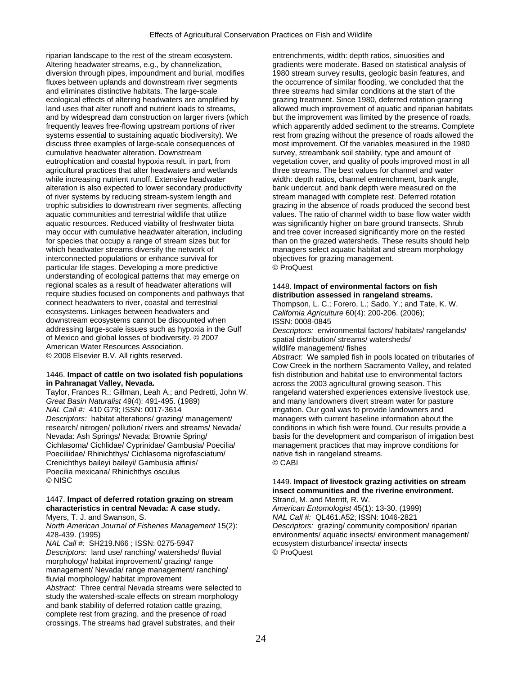riparian landscape to the rest of the stream ecosystem. entrenchments, width: depth ratios, sinuosities and Altering headwater streams, e.g., by channelization, gradients were moderate. Based on statistical analysis of diversion through pipes, impoundment and burial, modifies 1980 stream survey results, geologic basin features, and<br>fluxes between uplands and downstream river segments the occurrence of similar flooding, we concluded that and eliminates distinctive habitats. The large-scale three streams had similar conditions at the start of the ecological effects of altering headwaters are amplified by grazing treatment. Since 1980, deferred rotation grazing<br>
land uses that alter runoff and nutrient loads to streams, allowed much improvement of aquatic and ripari and by widespread dam construction on larger rivers (which but the improvement was limited by the presence of roads,<br>
frequently leaves free-flowing upstream portions of river which apparently added sediment to the streams frequently leaves free-flowing upstream portions of river systems essential to sustaining aquatic biodiversity). We rest from grazing without the presence of roads allowed the discuss three examples of large-scale consequences of most improvement. Of the variables measured in the 1980 cumulative headwater alteration. Downstream survey, streambank soil stability, type and amount of eutrophication and coastal hypoxia result, in part, from vegetation cover, and quality of pools improved most in all agricultural practices that alter headwaters and wetlands three streams. The best values for channel and water while increasing nutrient runoff. Extensive headwater width: depth ratios, channel entrenchment, bank angle, alteration is also expected to lower secondary productivity bank undercut, and bank depth were measured on the<br>of river systems by reducing stream-system length and stream managed with complete rest. Deferred rotation of river systems by reducing stream-system length and<br>trophic subsidies to downstream river segments, affecting aquatic communities and terrestrial wildlife that utilize values. The ratio of channel width to base flow water width aquatic resources. Reduced viability of freshwater biota was significantly higher on bare ground transects. Shrub may occur with cumulative headwater alteration, including and tree cover increased significantly more on the rested for species that occupy a range of stream sizes but for than on the grazed watersheds. These results should help which headwater streams diversify the network of managers select aquatic habitat and stream morphology interconnected populations or enhance survival for objectives for grazing management. particular life stages. Developing a more predictive © ProQuest understanding of ecological patterns that may emerge on regional scales as a result of headwater alterations will 1448. **Impact of environmental factors on fish require studies focused on components and pathways that distribution assessed in rangeland streams.** require studies focused on components and pathways that connect headwaters to river, coastal and terrestrial ecosystems. Linkages between headwaters and *California Agriculture* 60(4): 200-206. (2006); downstream ecosystems cannot be discounted when ISSN: 0008-0845<br>addressing large-scale issues such as hypoxia in the Gulf Descriptors: enviaddressing large-scale issues such as hypoxia in the Gulf *Descriptors:* environmental factors/ habitats/ rangelands/ American Water Resources Association.<br>
© 2008 Elsevier B.V. All rights reserved. 
Wildlife management/ fishes<br>
Abstract: We sampled fish i

## 1446. **Impact of cattle on two isolated fish populations in Pahranagat Valley, Nevada. across the 2003 agricultural growing season. This**

Taylor, Frances R.; Gillman, Leah A.; and Pedretti, John W. rangeland watershed experiences extensive livestock use, *Great Basin Naturalist* 49(4): 491-495. (1989) and many landowners divert stream water for pasture *NAL Call #:* 410 G79; ISSN: 0017-3614 irrigation. Our goal was to provide landowners and *Descriptors:* habitat alterations/ grazing/ management/ managers with current baseline information about the research/ nitrogen/ pollution/ rivers and streams/ Nevada/ conditions in which fish were found. Our results provide a Cichlasoma/ Cichlidae/ Cyprinidae/ Gambusia/ Poecilia/ management practices that may improve conditions for Poeciliidae/ Rhinichthys/ Cichlasoma nigrofasciatum/ native fish in rangeland streams. Crenichthys baileyi baileyi/ Gambusia affinis/ © CABI Poecilia mexicana/ Rhinichthys osculus<br>© NISC

## 1447. **Impact of deferred rotation grazing on stream Strand, M. and Merritt, R. W. characteristics in central Nevada: A case study.** *American Entomologist* 45(1): 13-30. (1999)

*North American Journal of Fisheries Management* 15(2): *Descriptors:* grazing/ community composition/ riparian

*NAL Call #:* SH219.N66 ; ISSN: 0275-5947 ecosystem disturbance/ insecta/ insects *Descriptors:* land use/ ranching/ watersheds/ fluvial © ProQuest morphology/ habitat improvement/ grazing/ range management/ Nevada/ range management/ ranching/ fluvial morphology/ habitat improvement *Abstract:* Three central Nevada streams were selected to study the watershed-scale effects on stream morphology and bank stability of deferred rotation cattle grazing, complete rest from grazing, and the presence of road crossings. The streams had gravel substrates, and their

the occurrence of similar flooding, we concluded that the allowed much improvement of aquatic and riparian habitats but the improvement was limited by the presence of roads, grazing in the absence of roads produced the second best

Thompson, L. C.; Forero, L.; Sado, Y.; and Tate, K. W.

spatial distribution/ streams/ watersheds/

Abstract: We sampled fish in pools located on tributaries of Cow Creek in the northern Sacramento Valley, and related fish distribution and habitat use to environmental factors Nevada: Ash Springs/ Nevada: Brownie Spring/ basis for the development and comparison of irrigation best

## © NISC 1449. **Impact of livestock grazing activities on stream insect communities and the riverine environment.**

Myers, T. J. and Swanson, S. *NAL Call #:* QL461.A52; ISSN: 1046-2821 428-439. (1995) environments/ aquatic insects/ environment management/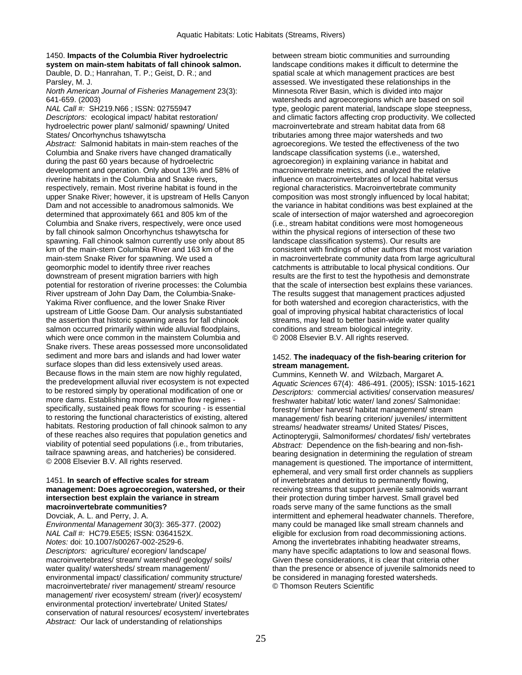## 1450. **Impacts of the Columbia River hydroelectric** between stream biotic communities and surrounding **system on main-stem habitats of fall chinook salmon.** landscape conditions makes it difficult to determine the

*North American Journal of Fisheries Management* 23(3):

hydroelectric power plant/ salmonid/ spawning/ United States/ Oncorhynchus tshawytscha tributaries among three major watersheds and two

Abstract: Salmonid habitats in main-stem reaches of the agroecoregions. We tested the effectiveness of the two Columbia and Snake rivers have changed dramatically landscape classification systems (i.e., watershed, during the past 60 years because of hydroelectric and agroecoregion) in explaining variance in habitat and development and operation. Only about 13% and 58% of macroinvertebrate metrics, and analyzed the relative riverine habitats in the Columbia and Snake rivers, influence on macroinvertebrates of local habitat versus respectively, remain. Most riverine habitat is found in the regional characteristics. Macroinvertebrate community upper Snake River; however, it is upstream of Hells Canyon composition was most strongly influenced by local habitat;<br>Dam and not accessible to anadromous salmonids. We the variance in habitat conditions was best explained Dam and not accessible to anadromous salmonids. We determined that approximately 661 and 805 km of the scale of intersection of major watershed and agroecoregion Columbia and Snake rivers, respectively, were once used (i.e., stream habitat conditions were most homogeneous by fall chinook salmon Oncorhynchus tshawytscha for within the physical regions of intersection of these two spawning. Fall chinook salmon currently use only about 85 landscape classification systems). Our results are km of the main-stem Columbia River and 163 km of the consistent with findings of other authors that most variation main-stem Snake River for spawning. We used a in macroinvertebrate community data from large agricultural geomorphic model to identify three river reaches catchments is attributable to local physical conditions. Our downstream of present migration barriers with high results are the first to test the hypothesis and demonstrate potential for restoration of riverine processes: the Columbia that the scale of intersection best explains these variances. River upstream of John Day Dam, the Columbia-Snake- The results suggest that management practices adjusted Yakima River confluence, and the lower Snake River for both watershed and ecoregion characteristics, with the upstream of Little Goose Dam. Our analysis substantiated goal of improving physical habitat characteristics of local the assertion that historic spawning areas for fall chinook streams, may lead to better basin-wide water quality salmon occurred primarily within wide alluvial floodplains, conditions and stream biological integrity.<br>which were once common in the mainstem Columbia and C2008 Elsevier B.V. All rights reserved. which were once common in the mainstem Columbia and Snake rivers. These areas possessed more unconsolidated sediment and more bars and islands and had lower water 1452. The inadequacy of the fish-bearing criterion for surface slopes than did less extensively used areas. **stream management.**<br>
Because flows in the main stem are now highly regulated, Cummins, Kenneth W. Because flows in the main stem are now highly regulated, Cummins, Kenneth W. and Wilzbach, Margaret A.<br>
the predevelopment alluvial river ecosystem is not expected *Aquatic Sciences 67(4)*: 486-491, (2005): ISSN: 10 the predevelopment alluvial river ecosystem is not expected *Aquatic Sciences* 67(4): 486-491. (2005); ISSN: 1015-1621 to be restored simply by operational modification of one or *Descriptors:* commercial activities/ conservation measures/ specifically, sustained peak flows for scouring - is essential forestry/ timber harvest/ habitat management/ stream to restoring the functional characteristics of existing, altered management/ fish bearing criterion/ juveniles/ intermittent habitats. Restoring production of fall chinook salmon to any streams/ headwater streams/ United States/ Pisces,<br>of these reaches also requires that population genetics and Actinoptervali. Salmoniformes/ chordates/ fish/ ve of these reaches also requires that population genetics and Actinopterygii, Salmoniformes/ chordates/ fish/ vertebrates<br>viability of potential seed populations (i.e., from tributaries, and postract: Dependence on the fishviability of potential seed populations (i.e., from tributaries, *Abstract:* Dependence on the fish-bearing and non-fishtailrace spawning areas, and hatcheries) be considered. bearing designation in determining the regulation of stream<br>© 2008 Elsevier B.V. All rights reserved. https://www.management.is.questioned. The importance of intermit

## 1451. **In search of effective scales for stream** of invertebrates and detritus to permanently flowing, management: Does agroecoregion, watershed, or their **intersection best explain the variance in stream** their protection during timber harvest. Small gravel bed **macroinvertebrate communities?** roads serve many of the same functions as the small

*Environmental Management* 30(3): 365-377. (2002) many could be managed like small stream channels and *Notes:* doi: 10.1007/s00267-002-2529-6. All the invertebrates inhabiting headwater streams, *Descriptors:* agriculture/ ecoregion/ landscape/ many have specific adaptations to low and seasonal flows. macroinvertebrates/ stream/ watershed/ geology/ soils/ Given these considerations, it is clear that criteria other environmental impact/ classification/ community structure/ be considered in managing forested watersheds.<br>macroinvertebrate/ river management/ stream/ resource © Thomson Reuters Scientific macroinvertebrate/ river management/ stream/ resource management/ river ecosystem/ stream (river)/ ecosystem/ environmental protection/ invertebrate/ United States/ conservation of natural resources/ ecosystem/ invertebrates *Abstract:* Our lack of understanding of relationships

Dauble, D. D.; Hanrahan, T. P.; Geist, D. R.; and spatial scale at which management practices are best Parsley, M. J. **J.** assessed. We investigated these relationships in the relationships in the relationships in the North American Journal of Fisheries Management 23(3): Minnesota River Basin, which is divided into major 641-659. (2003)<br>
MAL Call #: SH219.N66 ; ISSN: 02755947 external of type, geologic parent material, landscape slope steepnes *NAL Call #:* SH219.N66 ; ISSN: 02755947 type, geologic parent material, landscape slope steepness, <br>Descriptors: ecological impact/ habitat restoration/ and climatic factors affecting crop productivity. We collected and climatic factors affecting crop productivity. We collected macroinvertebrate and stream habitat data from 68

freshwater habitat/ lotic water/ land zones/ Salmonidae: management is questioned. The importance of intermittent, ephemeral, and very small first order channels as suppliers Dovciak, A. L. and Perry, J. A. intermittent and ephemeral headwater channels. Therefore,<br>
Environmental Management 30(3): 365-377. (2002) many could be managed like small stream channels and  $e$ ligible for exclusion from road decommissioning actions. water quality/ watersheds/ stream management/ than the presence or absence of juvenile salmonids need to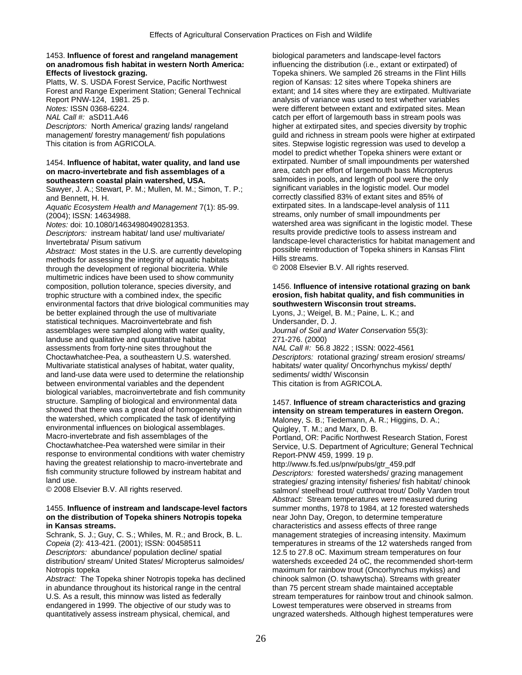## 1453. **Influence of forest and rangeland management** biological parameters and landscape-level factors **on anadromous fish habitat in western North America:** influencing the distribution (i.e., extant or extirpated) of

Platts, W. S. USDA Forest Service, Pacific Northwest Report PNW-124, 1981. 25 p.  $\blacksquare$  analysis of variance was used to test whether variables *Notes:* ISSN 0368-6224. <br>*NAL Call #:* aSD11.A46 **were different between extant and extirpated sites. Mean nools was** *Descriptors:* North America/ grazing lands/ rangeland

# **on macro-invertebrate and fish assemblages of a** area, catch per effort of largemouth bass Micropterus

Sawyer, J. A.; Stewart, P. M.; Mullen, M. M.; Simon, T. P.;

*Aquatic Ecosystem Health and Management* 7(1): 85-99. (2004); ISSN: 14634988. streams, only number of small impoundments per

*Descriptors:* instream habitat/ land use/ multivariate/

*Abstract:* Most states in the U.S. are currently developing possible reintroduction of Topeka shine integrity of aquatic habitats **Flunt** Fills streams. methods for assessing the integrity of aquatic habitats Hills streams.<br>
through the development of regional biocriteria. While  $\degree$  2008 Elsevier B.V. All rights reserved. through the development of regional biocriteria. While multimetric indices have been used to show community composition, pollution tolerance, species diversity, and 1456. **Influence of intensive rotational grazing on bank**  environmental factors that drive biological communities may **southwestern Wisconsin trout streams.**<br>
be better explained through the use of multivariate Lyons, J.; Weigel, B. M.; Paine, L. K.; and be better explained through the use of multivariate statistical techniques. Macroinvertebrate and fish Theorem Undersander, D. J. assemblages were sampled along with water quality, *Journal of Soil and Water Conservation* 55(3): landuse and qualitative and quantitative habitat 271-276. (2000) assessments from forty-nine sites throughout the *NAL Call #:* 56.8 J822 ; ISSN: 0022-4561 Choctawhatchee-Pea, a southeastern U.S. watershed. *Descriptors:* rotational grazing/ stream erosion/ streams/<br>Multivariate statistical analyses of habitat, water quality, habitats/ water quality/ Oncorhynchus mykiss/ dept Multivariate statistical analyses of habitat, water quality, habitats/ water quality/ Oncor<br>and land-use data were used to determine the relationship sediments/ width/ Wisconsin and land-use data were used to determine the relationship between environmental variables and the dependent This citation is from AGRICOLA. biological variables, macroinvertebrate and fish community<br>structure. Sampling of biological and environmental data structure. Sampling of biological and environmental data 1457. **Influence of stream characteristics and grazing**  showed that there was a great deal of homogeneity within **intensity on stream temperatures in eastern Oregon.**<br>
the watershed, which complicated the task of identifying **in the Maloney S. B. Tiedemann, A. R. Higgins, D. A.** environmental influences on biological assemblages. <br>
Macro-invertebrate and fish assemblages of the Portland, OR: Pacific Northwes Macro-invertebrate and fish assemblages of the Portland, OR: Pacific Northwest Research Station, Forest Choctawhatchee-Pea watershed were similar in their<br>Choctawhatchee-Pea watershed were similar in their Service, U.S. De response to environmental conditions with water chemistry<br>having the greatest relationship to macro-invertebrate and<br>http://www.fs.fed.us/pnw/pubs/qtr 459.pdf having the greatest relationship to macro-invertebrate and fish community structure followed by instream habitat and fish community structure followed by instream habitat and *Descriptors:* forested watersheds/ grazing management

## 1455. **Influence of instream and landscape-level factors** summer months, 1978 to 1984, at 12 forested watersheds **on the distribution of Topeka shiners Notropis topeka** near John Day, Oregon, to determine temperature **in Kansas streams.** characteristics and assess effects of three range

Schrank, S. J.; Guy, C. S.; Whiles, M. R.; and Brock, B. L. management strategies of increasing intensity. Maximum *Descriptors:* abundance/ population decline/ spatial 12.5 to 27.8 oC. Maximum stream temperatures on four

*Abstract:* The Topeka shiner Notropis topeka has declined chinook salmon (O. tshawytscha). Streams with greater in abundance throughout its historical range in the central than 75 percent stream shade maintained acceptable endangered in 1999. The objective of our study was to Lowest temperatures were observed in streams from

**Effects of livestock grazing. The Streams in the Flint Hills Platts, W. S. USDA Forest Service, Pacific Northwest The Platts** region of Kansas: 12 sites where Topeka shiners are Forest and Range Experiment Station; General Technical extant; and 14 sites where they are extirpated. Multivariate ratch per effort of largemouth bass in stream pools was<br>higher at extirpated sites, and species diversity by trophic management/ forestry management/ fish populations guild and richness in stream pools were higher at extirpated This citation is from AGRICOLA. Sites. Stepwise logistic regression was used to develop a model to predict whether Topeka shiners were extant or 1454. **Influence of habitat, water quality, and land use** extirpated. Number of small impoundments per watershed **southeastern coastal plain watershed, USA.** Salmoides in pools, and length of pool were the only<br>Sawyer, J. A.: Stewart, P. M.: Mullen, M. M.: Simon, T. P.: significant variables in the logistic model. Our model and Bennett, H. H.<br>
and Bennett, H. H.<br>
Aquatic Ecosystem Health and Management 7(1): 85-99. extirpated sites. In a landscape-level analysis of 111 *Notes:* doi: 10.1080/14634980490281353. watershed area was significant in the logistic model. These<br>Descriptors: instream babitat/ land use/ multivariate/ **results provide predictive tools to assess** instream and Invertebrata/ Pisum sativum<br>Abstract: Most states in the U.S. are currently developing possible reintroduction of Topeka shiners in Kansas Flint

# erosion, fish habitat quality, and fish communities in<br>southwestern Wisconsin trout streams,

# Maloney, S. B.; Tiedemann, A. R.; Higgins, D. A.;

Service, U.S. Department of Agriculture; General Technical Report-PNW 459, 1999. 19 p.

land use.<br>© 2008 Elsevier B.V. All rights reserved. The strategies/ grazing intensity/ fisheries/ fish habitat/ chinook<br>Salmon/ steelhead trout/ cutthroat trout/ Dolly Varden trout salmon/ steelhead trout/ cutthroat trout/ Dolly Varden trout *Abstract:* Stream temperatures were measured during Copeia (2): 413-421. (2001); ISSN: 00458511 temperatures in streams of the 12 watersheds ranged from distribution/ stream/ United States/ Micropterus salmoides/ watersheds exceeded 24 oC, the recommended short-term Notropis topeka maximum for rainbow trout (Oncorhynchus mykiss) and U.S. As a result, this minnow was listed as federally stream temperatures for rainbow trout and chinook salmon. quantitatively assess instream physical, chemical, and ungrazed watersheds. Although highest temperatures were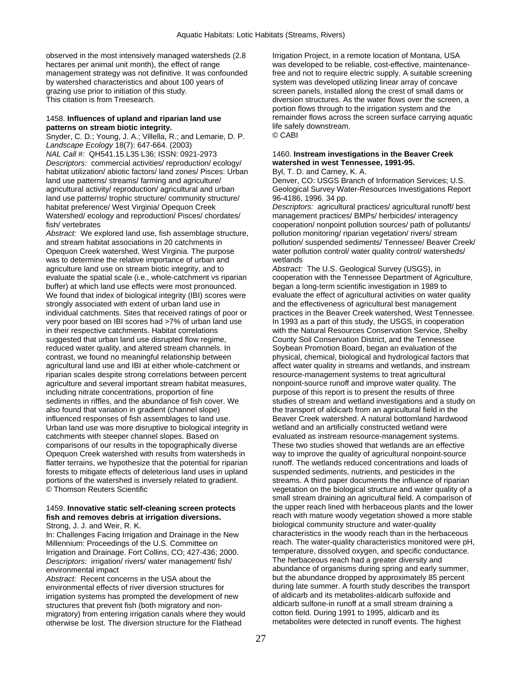observed in the most intensively managed watersheds (2.8 Irrigation Project, in a remote location of Montana, USA hectares per animal unit month), the effect of range was developed to be reliable, cost-effective, maintenancemanagement strategy was not definitive. It was confounded free and not to require electric supply. A suitable screening by watershed characteristics and about 100 years of system was developed utilizing linear array of concave grazing use prior to initiation of this study. Screen panels, installed along the crest of small dams or This citation is from Treesearch. This citation is from Treesearch. As the water flows over the screen, a

## **patterns on stream biotic integrity.** life safely downstream.

Snyder, C. D.; Young, J. A.; Villella, R.; and Lemarie, D. P. *Landscape Ecology* 18(7): 647-664. (2003) *NAL Call #:* QH541.15.L35 L36; ISSN: 0921-2973 1460. **Instream investigations in the Beaver Creek**  *Descriptors:* commercial activities/ reproduction/ ecology/ **watershed in west Tennessee, 1991-95.**  habitat utilization/ abiotic factors/ land zones/ Pisces: Urban Byl, T. D. and Carney, K. A. land use patterns/ streams/ farming and agriculture/ Denver, CO: USGS Branch of Information Services; U.S. agricultural activity/ reproduction/ agricultural and urban Geological Survey Water-Resources Investigations Report land use patterns/ trophic structure/ community structure/ 96-4186, 1996. 34 pp. habitat preference/ West Virginia/ Opequon Creek *Descriptors:* agricultural practices/ agricultural runoff/ best Watershed/ ecology and reproduction/ Pisces/ chordates/ management practices/ BMPs/ herbicides/ interagency fish/ vertebrates cooperation/ nonpoint pollution sources/ path of pollutants/

and stream habitat associations in 20 catchments in pollution/ suspended sediments/ Tennessee/ Beaver Creek/ Opequon Creek watershed, West Virginia. The purpose water pollution control/ water quality control/ watersheds/ was to determine the relative importance of urban and wetlands agriculture land use on stream biotic integrity, and to *Abstract:* The U.S. Geological Survey (USGS), in evaluate the spatial scale (i.e., whole-catchment vs riparian cooperation with the Tennessee Department of Agriculture, buffer) at which land use effects were most pronounced. began a long-term scientific investigation in 1989 to We found that index of biological integrity (IBI) scores were evaluate the effect of agricultural activities on water quality strongly associated with extent of urban land use in and the effectiveness of agricultural best management individual catchments. Sites that received ratings of poor or practices in the Beaver Creek watershed, West Tennessee. very poor based on IBI scores had >7% of urban land use In 1993 as a part of this study, the USGS, in cooperation in their respective catchments. Habitat correlations with the Natural Resources Conservation Service, Shelby suggested that urban land use disrupted flow regime, County Soil Conservation District, and the Tennessee reduced water quality, and altered stream channels. In Soybean Promotion Board, began an evaluation of the contrast, we found no meaningful relationship between physical, chemical, biological and hydrological factors that agricultural land use and IBI at either whole-catchment or affect water quality in streams and wetlands, and instream riparian scales despite strong correlations between percent resource-management systems to treat agricultural<br>agriculture and several important stream habitat measures, nonpoint-source runoff and improve water quality. The agriculture and several important stream habitat measures, including nitrate concentrations, proportion of fine purpose of this report is to present the results of three sediments in riffles, and the abundance of fish cover. We studies of stream and wetland investigations and a study on also found that variation in gradient (channel slope) the transport of aldicarb from an agricultural field in the influenced responses of fish assemblages to land use. Beaver Creek watershed. A natural bottomland hardwood Urban land use was more disruptive to biological integrity in wetland and an artificially constructed wetland were catchments with steeper channel slopes. Based on evaluated as instream resource-management systems. comparisons of our results in the topographically diverse These two studies showed that wetlands are an effective Opequon Creek watershed with results from watersheds in way to improve the quality of agricultural nonpoint-source flatter terrains, we hypothesize that the potential for riparian runoff. The wetlands reduced concentrations and loads of forests to mitigate effects of deleterious land uses in upland suspended sediments, nutrients, and pesticides in the portions of the watershed is inversely related to gradient. streams. A third paper documents the influence of riparian<br>© Thomson Reuters Scientific<br>of a

In: Challenges Facing Irrigation and Drainage in the New Irrigation and Drainage. Fort Collins, CO; 427-436; 2000. temperature, dissolved oxygen, and specific condu<br>Descriptors: irrigation/ rivers/ water management/ fish/ The herbaceous reach had a greater diversity and *Descriptors:* irrigation/ rivers/ water management/ fish/

environmental effects of river diversion structures for during late summer. A fourth study describes the transport irrigation systems has prompted the development of new of aldicarb and its metabolites-aldicarb sulfoxide a irrigation systems has prompted the development of new of aldicarb and its metabolites-aldicarb sulfoxide and<br>structures that prevent fish (both migratory and non-<br>aldicarb sulfone-in runoff at a small stream draining a structures that prevent fish (both migratory and non-<br>migratory) from entering irrigation canals where they would cotton field. During 1991 to 1995, aldicarb and its migratory) from entering irrigation canals where they would cotton field. During 1991 to 1995, aldicarb and its<br>otherwise be lost. The diversion structure for the Flathead metabolites were detected in runoff events. The hi otherwise be lost. The diversion structure for the Flathead

portion flows through to the irrigation system and the 1458. **Influences of upland and riparian land use** remainder flows across the screen surface carrying aquatic

Abstract: We explored land use, fish assemblage structure, pollution monitoring/ riparian vegetation/ rivers/ stream

vegetation on the biological structure and water quality of a small stream draining an agricultural field. A comparison of 1459. **Innovative static self-cleaning screen protects** the upper reach lined with herbaceous plants and the lower fish and removes debris at irrigation diversions. The stable vegetation showed a more stable vegetation showed a more stable Strong, J. J. and Weir, R. K.<br>In: Challenges Facing Irrigation and Drainage in the New characteristics in the woody reach than in the herbaceous Millennium: Proceedings of the U.S. Committee on reach. The water-quality characteristics monitored were pH, Irrigation and Drainage Fort Collins CO: 427-436: 2000 temperature, dissolved oxygen, and specific conductance. environmental impact abundance of organisms during spring and early summer, Abstract: Recent concerns in the USA about the **but the abundance dropped by approximately 85 percent**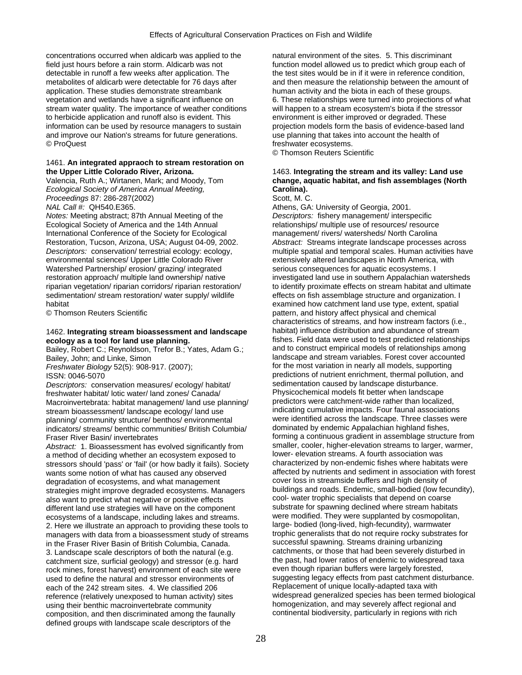concentrations occurred when aldicarb was applied to the natural environment of the sites. 5. This discriminant field just hours before a rain storm. Aldicarb was not function model allowed us to predict which group each of detectable in runoff a few weeks after application. The test sites would be in if it were in reference condition, metabolites of aldicarb were detectable for 76 days after and then measure the relationship between the amou application. These studies demonstrate streambank human activity and the biota in each of these groups. vegetation and wetlands have a significant influence on 6. These relationships were turned into projections of what stream water quality. The importance of weather conditions will happen to a stream ecosystem's biota if the stressor<br>to herbicide application and runoff also is evident. This environment is either improved or degraded. The to herbicide application and runoff also is evident. This environment is either improved or degraded. These<br>
information can be used by resource managers to sustain projection models form the basis of evidence-based land information can be used by resource managers to sustain and improve our Nation's streams for future generations. use planning that takes into account the health of © ProQuest freshwater ecosystems.

## 1461. **An integrated appraoch to stream restoration on the Upper Little Colorado River, Arizona.** 1463. **Integrating the stream and its valley: Land use**

*Ecological Society of America Annual Meeting,* **Carolina**). **Proceedings 87: 286-287(2002)** Scott, M. C. *NAL Call #:* QH540.E365. Athens, GA: University of Georgia, 2001.

Ecological Society of America and the 14th Annual relationships/ multiple use of resources/ resource International Conference of the Society for Ecological management/ rivers/ watersheds/ North Carolina environmental sciences/ Upper Little Colorado River extensively altered landscapes in North America, with Watershed Partnership/ erosion/ grazing/ integrated serious consequences for aquatic ecosystems. I sedimentation/ stream restoration/ water supply/ wildlife effects on fish assemblage structure and organization. I

## 1462. **Integrating stream bioassessment and landscape** habitat) influence distribution and abundance of stream

Bailey, Robert C.; Reynoldson, Trefor B.; Yates, Adam G.;

*Freshwater Biology* 52(5): 908-917. (2007);

*Descriptors:* conservation measures/ ecology/ habitat/ sedimentation caused by landscape disturbance. freshwater habitat/ lotic water/ land zones/ Canada/ Physicochemical models fit better when landscape Macroinvertebrata: habitat management/ land use planning/ predictors were catchment-wide rather than localized,<br>stream bioassessment/ landscane ecology/ land use indicating cumulative impacts. Four faunal associations stream bioassessment/ landscape ecology/ land use planning/ community structure/ benthos/ environmental were identified across the landscape. Three classes were<br>
indicators/ streams/ benthic communities/ British Columbia/ dominated by endemic Appalachian highland fishes, indicators/ streams/ benthic communities/ British Columbia/<br>Fraser River Basin/ invertebrates

*Abstract:* 1. Bioassessment has evolved significantly from smaller, cooler, higher-elevation streams to larger, a method of deciding whether an ecosystem exposed to sum a lower- elevation streams. A fourth association was a method of deciding whether an ecosystem exposed to lower- elevation streams. A fourth association was<br>stressors should 'pass' or 'fail' (or how badly it fails). Society characterized by non-endemic fishes where habitats stressors should 'pass' or 'fail' (or how badly it fails). Society degradation of ecosystems, and what management strategies might improve degraded ecosystems. Managers buildings and roads. Endemic, small-bodied (low fecundity),<br>also want to predict what negative or positive effects cool- water trophic specialists that depend on coars also want to predict what negative or positive effects entity cool- water trophic specialists that depend on coarse<br>different land use strategies will have on the component substrate for spawning declined where stream habi different land use strategies will have on the component substrate for spawning declined where stream habitats<br>ecosystems of a landscape, including lakes and streams were modified. They were supplanted by cosmopolitan, ecosystems of a landscape, including lakes and streams. were modified. They were supplanted by cosmopolita<br>2. Here we illustrate an approach to providing these tools to a large- bodied (long-lived, high-fecundity), warmwat 2. Here we illustrate an approach to providing these tools to large- bodied (long-lived, high-fecundity), warmwater<br>managers with data from a bioassessment study of streams trophic generalists that do not require rocky sub managers with data from a bioassessment study of streams trophic generalists that do not require rocky substra<br>in the Fraser River Basin of British Columbia, Canada successful spawning. Streams draining urbanizing in the Fraser River Basin of British Columbia, Canada. Successful spawning. Streams draining urbanizing<br>3. Landscape scale descriptors of both the natural (e.g. streams) catchments, or those that had been severely disturbe 3. Landscape scale descriptors of both the natural (e.g. catchments, or those that had been severely disturbed in catchment size surficial geology) and stressor (e.g. had to the past, had lower ratios of endemic to widespr catchment size, surficial geology) and stressor (e.g. hard the past, had lower ratios of endemic to widespread<br>the past, had lower ratios of endemic to the pack site were the very though riparian buffers were largely fores rock mines, forest harvest) environment of each site were used to define the natural and stressor environments of suggesting legacy effects from past catchment disturbance.<br>
each of the 242 stream sites. 4. We classified 206 Replacement of unique locally-adapted taxa with each of the 242 stream sites. 4. We classified 206 using their benthic macroinvertebrate community benthic macroinvertebrate community bomogenization, and may severely affect regional and composition, and then discriminated among the faunally continental biodiversity, part composition, and then discriminated among the faunally defined groups with landscape scale descriptors of the

and then measure the relationship between the amount of

© Thomson Reuters Scientific

# Valencia, Ruth A.; Wirtanen, Mark; and Moody, Tom **change, aquatic habitat, and fish assemblages (North**

*Notes:* Meeting abstract; 87th Annual Meeting of the *Descriptors:* fishery management/ interspecific Restoration, Tucson, Arizona, USA; August 04-09, 2002. *Abstract:* Streams integrate landscape processes across *Descriptors:* conservation/ terrestrial ecology: ecology, multiple spatial and temporal scales. Human activities have restoration approach/ multiple land ownership/ native investigated land use in southern Appalachian watersheds riparian vegetation/ riparian corridors/ riparian restoration/ to identify proximate effects on stream habitat and ultimate habitat examined how catchment land use type, extent, spatial<br> **examined how catchment land use type, extent, spatial examined how catchment land use type, extent, spatial examined how catchment land use type, extent** pattern, and history affect physical and chemical characteristics of streams, and how instream factors (i.e., **ecology as a tool for land use planning. fishes. Field data were used to test predicted relationships**<br>Bailey, Robert C.: Reynoldson, Trefor B.: Yates, Adam G.: and to construct empirical models of relationships among Bailey, John; and Linke, Simon landscape and stream variables. Forest cover accounted<br>Freshwater Biology 52(5): 908-917. (2007):<br>for the most variation in nearly all models, supporting ISSN: 0046-5070<br>
ISSN: 0046-5070<br>
Descriptors: conservation measures/ecology/habitat/<br>
Descriptors: conservation measures/ecology/habitat/<br>
Sedimentation caused by landscape disturbance. forming a continuous gradient in assemblage structure from<br>smaller, cooler, higher-elevation streams to larger, warmer, wants some notion of what has caused any observed affected by nutrients and sediment in association with forest<br>degradation of ecosystems, and what management cover loss in streamside buffers and high density of reference (relatively unexposed to human activity) sites widespread generalized species has been termed biological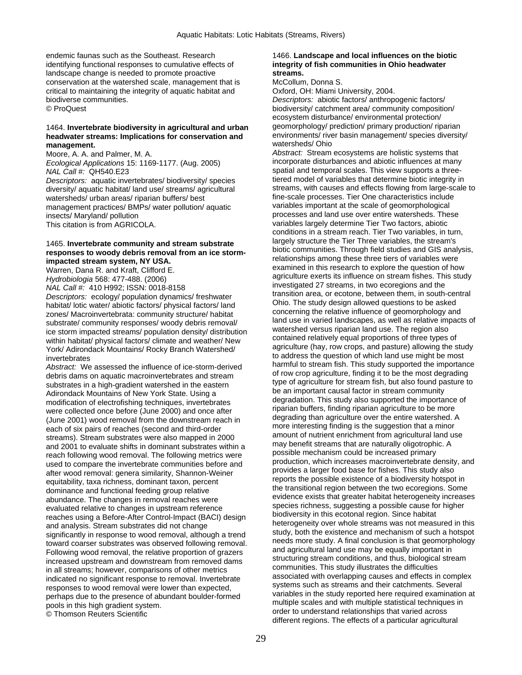endemic faunas such as the Southeast. Research 1466. **Landscape and local influences on the biotic**  identifying functional responses to cumulative effects of **integrity of fish communities in Ohio headwater**  landscape change is needed to promote proactive **streams.**  conservation at the watershed scale, management that is McCollum, Donna S. critical to maintaining the integrity of aquatic habitat and Oxford, OH: Miami University, 2004. biodiverse communities. *Descriptors:* abiotic factors/ anthropogenic factors/

## 1464. **Invertebrate biodiversity in agricultural and urban** geomorphology/ prediction/ primary production/ riparian headwater streams: Implications for conservation and **management.** watersheds/ Ohio

*Ecological Applications* 15: 1169-1177. (Aug. 2005) *NAL Call #:* QH540.E23 **spatial and temporal scales. This view supports a three**diversity/ aquatic habitat/ land use/ streams/ agricultural watersheds/ urban areas/ riparian buffers/ best fine-scale processes. Tier One characteristics include<br>management practices/ BMPs/ water pollution/ aguatic variables important at the scale of geomorphological management practices/ BMPs/ water pollution/ aquatic insects/ Maryland/ pollution **processes and land use over entire watersheds**. These

harmful to stream fish. This study supported the importance *Abstract:* We assessed the influence of ice-storm-derived debris dams on aquatic macroinvertebrates and stream modification of electrofishing techniques, invertebrates degradation. This study also supported the importance<br>were collected once before (June 2000) and once after riparian buffers, finding riparian agriculture to be more were collected once before (June 2000) and once after<br>
(June 2001) wood removal from the downstream reach in<br>
each of six pairs of reaches (second and third-order<br>
streams). Stream substrates were also mapped in 2000<br>
and pools in this high gradient system.<br>
© Thomson Reuters Scientific **order to understand relationships that varied across** 

© ProQuest biodiversity/ catchment area/ community composition/ ecosystem disturbance/ environmental protection/<br>geomorphology/ prediction/ primary production/ riparian

Abstract: Stream ecosystems are holistic systems that incorporate disturbances and abiotic influences at many *Descriptors:* aquatic invertebrates/ biodiversity/ species tiered model of variables that determine biotic integrity in diversity/ aquatic habitat/ land use/ streams/ agricultural streams, with causes and effects flowing This citation is from AGRICOLA. variables largely determine Tier Two factors, abiotic conditions in a stream reach. Tier Two variables, in turn, 1465. Invertebrate community and stream substrate largely structure the Tier Three variables, the stream's<br>
responses to woody debris removal from an ice storm-<br>
impacted stream system, NY USA.<br>
Felationships among these t Warren, Dana R. and Kraft, Clifford E. examined in this research to explore the question of how<br>Hydrobiologia 568: 477-488 (2006) Aydrobiologia 568: 477-488. (2006)<br>
MAL Call #: 410 H992; ISSN: 0018-8158<br>
Descriptors: ecology/ population dynamics/ freshwater<br>
habitat/ lotic water/ abiotic factors/ physical factors/ land<br>
zones/ Macroinvertebrata: com within habitat/ physical factors/ climate and weather/ New contained relatively equal proportions of three types of<br>York/ Adirondack Mountains/ Rocky Branch Watershed/ to address the question of which land use might be mos type of agriculture for stream fish, but also found pasture to<br>substrates in a high-gradient watershed in the eastern be an important causal factor in stream community<br>Adirondack Mountains of New York State. Using a<br>modifi meach following wood removel. The following metrics were<br>
used to compare the invertebrate communities before and<br>
used to compare the invertebrate communities before and<br>
after wood removal: genera similarity, Shannon-Wei different regions. The effects of a particular agricultural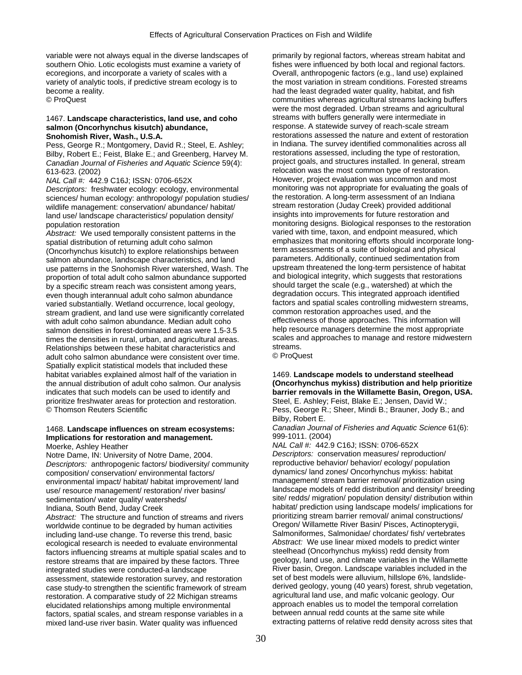variable were not always equal in the diverse landscapes of primarily by regional factors, whereas stream habitat and southern Ohio. Lotic ecologists must examine a variety of fishes were influenced by both local and regional factors. ecoregions, and incorporate a variety of scales with a Overall, anthropogenic factors (e.g., land use) explained variety of analytic tools, if predictive stream ecology is to the most variation in stream conditions. Forested streams become a reality. had the least degraded water quality, habitat, and fish had the least degraded water quality, habitat, and fish

## 1467. **Landscape characteristics, land use, and coho** streams with buffers generally were intermediate in salmon (Oncorhynchus kisutch) abundance. salmon (Oncorhynchus kisutch) abundance,

Pess, George R.; Montgomery, David R.; Steel, E. Ashley; in Indiana. The survey identified commonalities across a<br>Bilby, Robert F.: Feist, Blake F.: and Greenberg, Harvey M. and restorations assessed, including the type of Bilby, Robert E.; Feist, Blake E.; and Greenberg, Harvey M. restorations assessed, including the type of restoration,<br>Canadian Journal of Fisheries and Aguatic Science 59(4): project goals, and structures installed. In gen *Canadian Journal of Fisheries and Aquatic Science* 59(4): 613-623. (2002) relocation was the most common type of restoration.

*Descriptors:* freshwater ecology: ecology, environmental monitoring was not appropriate for evaluating the goals sciences/ human ecology: anthropology/ population studies/ the restoration. A long-term assessment of an Ind sciences/ human ecology: anthropology/ population studies/ the restoration. A long-term assessment of an Indiana<br>wildlife management: conservation/ abundance/ habitat/ stream restoration (Juday Creek) provided additional wildlife management: conservation/ abundance/ habitat/ stream restoration (Juday Creek) provided additional<br>land use/ landscape characteristics/ population density/ insights into improvements for future restoration and land use/ landscape characteristics/ population density/

*Abstract:* We used temporally consistent patterns in the spatial distribution of returning adult coho salmon emphasizes that monitoring efforts should incorporate long-<br>(Oncorhynchus kisutch) to explore relationships between term assessments of a suite of biological and physical (Oncorhynchus kisutch) to explore relationships between salmon abundance, landscape characteristics, and land parameters. Additionally, continued sedimentation from<br>use patterns in the Snohomish River watershed. Wash. The upstream threatened the long-term persistence of habitat use patterns in the Snohomish River watershed, Wash. The upstream threatened the long-term persistence of habitat<br>proportion of total adult coho salmon abundance supported and biological integrity, which suggests that rest proportion of total adult coho salmon abundance supported and biological integrity, which suggests that restoratio<br>by a specific stream reach was consistent among years. Should target the scale (e.g., watershed) at which t by a specific stream reach was consistent among years, should target the scale (e.g., watershed) at which the<br>even though interannual adult coho salmon abundance degradation occurs. This integrated approach identified even though interannual adult coho salmon abundance degradation occurs. This integrated approach identified<br>varied substantially. Wetland occurrence, local geology. This integration occurs and spatial scales controlling mi varied substantially. Wetland occurrence, local geology, factors and spatial scales controlling midwestern stream gradient, and land use were significantly correlated common restoration approaches used, and the stream gradient, and land use were significantly correlated common restoration approaches used, and the<br>with adult coho salmon abundance. Median adult coho effectiveness of those approaches. This information will with adult coho salmon abundance. Median adult coho salmon densities in forest-dominated areas were 1.5-3.5 help resource managers determine the most appropriate times the densities in rural, urban, and agricultural areas. scales and approaches to manage and restore midwestern<br>Relationships between these habitat characteristics and streams. Relationships between these habitat characteristics and streams.<br>adult coho salmon abundance were consistent over time  $\bigcirc$  ProQuest adult coho salmon abundance were consistent over time. Spatially explicit statistical models that included these habitat variables explained almost half of the variation in 1469. **Landscape models to understand steelhead**  the annual distribution of adult coho salmon. Our analysis **(Oncorhynchus mykiss) distribution and help prioritize**  indicates that such models can be used to identify and **barrier removals in the Willamette Basin, Oregon, USA.**  prioritize freshwater areas for protection and restoration. Steel, E. Ashley; Feist, Blake E.; Jensen, David W.; © Thomson Reuters Scientific **Pess, George R.; Sheer, Mindi B.; Brauner**, Jody B.; and

## **Implications for restoration and management.**

Notre Dame, IN: University of Notre Dame, 2004. *Descriptors:* conservation measures/ reproduction/ *Descriptors:* anthropogenic factors/ biodiversity/ community reproductive behavior/ behavior/ ecology/ population composition/ conservation/ environmental factors/ dynamics/ land zones/ Oncorhynchus mykiss: habitat environmental impact/ habitat/ habitat improvement/ land use/ resource management/ restoration/ river basins/ landscape models of redd distribution and density/ breeding sedimentation/ water quality/ watersheds/ sette/ redds/ migration/ population density/ distribution within

Abstract: The structure and function of streams and rivers prioritizing stream barrier removal/ animal constructions<br>Worldwide continue to be degraded by human activities **Dregon**/ Willamette River Basin/ Pisces, Actinopte worldwide continue to be degraded by human activities Coregon/ Willamette River Basin/ Pisces, Actinopterygii,<br>including land-use change. To reverse this trend, basic Salmoniformes, Salmonidae/ chordates/ fish/ vertebrates including land-use change. To reverse this trend, basic Salmoniformes, Salmonidae/ chordates/ fish/ vertebrate<br>Salmonical research is needed to evaluate environmental Abstract: We use linear mixed models to predict winter ecological research is needed to evaluate environmental *Abstract:* We use linear mixed models to predict winter<br>factors influencing streams at multiple spatial scales and to steelhead (Oncorhynchus mykiss) redd density fr factors influencing streams at multiple spatial scales and to steelhead (Oncorhynchus mykiss) redd density from<br>restore streams that are impaired by these factors. Three geology, land use, and climate variables in the Will restore streams that are impaired by these factors. Three integrated studies were conducted-a landscape **River basin, Oregon.** Landscape variables included in the<br>Assessment, statewide restoration survey, and restoration set of best models were alluvium, hillslope 6%, landslideassessment, statewide restoration survey, and restoration case study-to strengthen the scientific framework of stream derived geology, young (40 years) forest, shrub vegetation,<br>restoration. A comparative study of 22 Michigan streams agricultural land use, and mafic volcanic geol restoration. A comparative study of 22 Michigan streams agricultural land use, and mafic volcanic geology. Our<br>elucidated relationships among multiple environmental approach enables us to model the temporal correlation elucidated relationships among multiple environmental approach enables us to model the temporal correla<br>factors, spatial scales, and stream response variables in a strategie of the seme site while factors, spatial scales, and stream response variables in a between annual redd counts at the same site while<br>mixed land-use river basin. Water quality was influenced extracting patterns of relative redd density across sit mixed land-use river basin. Water quality was influenced

© ProQuest communities whereas agricultural streams lacking buffers were the most degraded. Urban streams and agricultural **Snohomish River, Wash., U.S.A. restorations assessed the nature and extent of restoration**<br>Pess George R Montgomery David R Steel F Ashley in Indiana. The survey identified commonalities across all *NAL Call #:* 442.9 C16J; ISSN: 0706-652X However, project evaluation was uncommon and most<br>Descriptors: freshwater ecology: ecology. environmental monitoring was not appropriate for evaluating the goals of population restoration<br>Abstract: We used temporally consistent patterns in the varied with time, taxon, and endpoint measured, which

# Bilby, Robert E.

1468. **Landscape influences on stream ecosystems:** *Canadian Journal of Fisheries and Aquatic Science* 61(6):

Moerke, Ashley Heather **NAL Call #: 442.9 C16J; ISSN: 0706-652X**<br>Notre Dame IN: University of Notre Dame 2004 *Descriptors: conservation measures/ reproduction/* Indiana, South Bend, Juday Creek habitat/ prediction using landscape models/ implications for<br>Abstract: The structure and function of streams and rivers prioritizing stream barrier removal/ animal constructions/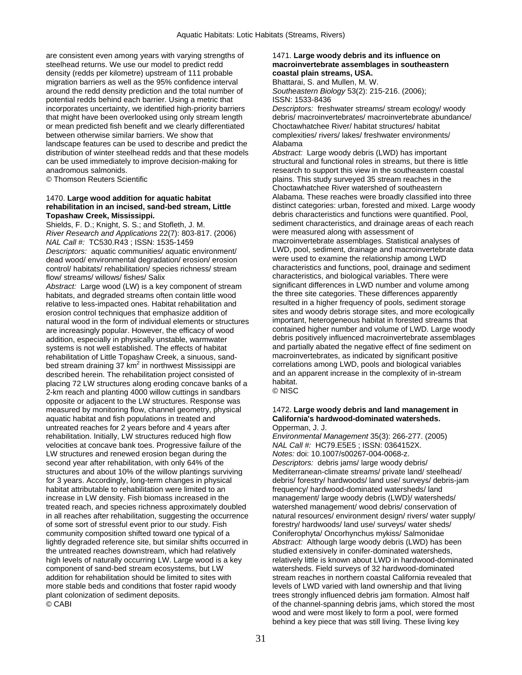are consistent even among years with varying strengths of 1471. **Large woody debris and its influence on**  steelhead returns. We use our model to predict redd **macroinvertebrate assemblages in southeastern**  density (redds per kilometre) upstream of 111 probable **coastal plain streams, USA.**  migration barriers as well as the 95% confidence interval Bhattarai, S. and Mullen, M. W. around the redd density prediction and the total number of *Southeastern Biology* 53(2): 215-216. (2006); potential redds behind each barrier. Using a metric that ISSN: 1533-8436 incorporates uncertainty, we identified high-priority barriers *Descriptors:* freshwater streams/ stream ecology/ woody that might have been overlooked using only stream length debris/ macroinvertebrates/ macroinvertebrate abundance/<br>or mean predicted fish benefit and we clearly differentiated Choctawhatchee River/ habitat structures/ habit or mean predicted fish benefit and we clearly differentiated between otherwise similar barriers. We show that complexities/ rivers/ lakes/ freshwater environments/ landscape features can be used to describe and predict the Alabama distribution of winter steelhead redds and that these models *Abstract:* Large woody debris (LWD) has important can be used immediately to improve decision-making for structural and functional roles in streams, but there is little

*River Research and Applications* 22(7): 803-817. (2006) *NAL Call #:* TC530.R43 ; ISSN: 1535-1459 macroinvertebrate assemblages. Statistical analyses of control/ habitats/ rehabilitation/ species richness/ stream

*Abstract:* Large wood (LW) is a key component of stream significant differences in LWD number and volume among habitats.<br>habitats, and degraded streams often contain little wood the three site categories. These difference habitats, and degraded streams often contain little wood the three site categories. These differences apparently<br>relative to less-impacted ones. Habitat rehabilitation and resulted in a higher frequency of pools, sediment relative to less-impacted ones. Habitat rehabilitation and erosion control techniques that emphasize addition of sites and woody debris storage sites, and more ecologically<br>
natural wood in the form of individual elements or structures important, heterogeneous habitat in forested natural wood in the form of individual elements or structures are increasingly popular. However, the efficacy of wood contained higher number and volume of LWD. Large woody addition, especially in physically unstable, warmwater debris positively influenced macroinvertebrate assemblages<br>systems is not well established. The effects of habitat and partially abated the negative effect of fine sed systems is not well established. The effects of habitat and partially abated the negative effect of fine sediment<br>rehabilitation of Little Topashaw Creek a sinuous sand- macroinvertebrates, as indicated by significant posi rehabilitation of Little Topashaw Creek, a sinuous, sandbed stream draining 37  $km^2$  in northwest Mississippi are described herein. The rehabilitation project consisted of an and an appropriate increase in the complexity of a<br>placing 72.1 W structures along eroding concave banks of a habitat. placing 72 LW structures along eroding concave banks of a habitat.<br>2-km reach and planting 4000 willow cuttings in sandbars © NISC 2-km reach and planting 4000 willow cuttings in sandbars opposite or adjacent to the LW structures. Response was measured by monitoring flow, channel geometry, physical 1472. Large woody debris and land management in aquatic habitat and fish populations in treated and **California's hardwood-dominated watersheds.**  untreated reaches for 2 years before and 4 years after **Opperman, J. J.** rehabilitation. Initially, LW structures reduced high flow *Environmental Management* 35(3): 266-277. (2005) velocities at concave bank toes. Progressive failure of the *NAL Call #:* HC79.E5E5 ; ISSN: 0364152X. LW structures and renewed erosion began during the *Notes:* doi: 10.1007/s00267-004-0068-z. second year after rehabilitation, with only 64% of the *Descriptors:* debris jams/ large woody debris/ structures and about 10% of the willow plantings surviving Mediterranean-climate streams/ private land/ steelhead/ for 3 years. Accordingly, long-term changes in physical debris/ forestry/ hardwoods/ land use/ surveys/ debris-jam habitat attributable to rehabilitation were limited to an frequency/ hardwood-dominated watersheds/ land increase in LW density. Fish biomass increased in the management/ large woody debris (LWD)/ watersheds/ treated reach, and species richness approximately doubled watershed management/ wood debris/ conservation of in all reaches after rehabilitation, suggesting the occurrence natural resources/ environment design/ rivers/ water supply/ of some sort of stressful event prior to our study. Fish forestry/ hardwoods/ land use/ surveys/ water sheds/<br>community composition shifted toward one typical of a Coniferophyta/ Oncorhynchus mykiss/ Salmonidae community composition shifted toward one typical of a lightly degraded reference site, but similar shifts occurred in *Abstract:* Although large woody debris (LWD) has been the untreated reaches downstream, which had relatively studied extensively in conifer-dominated watersheds, high levels of naturally occurring LW. Large wood is a key relatively little is known about LWD in hardwood-dominated component of sand-bed stream ecosystems, but LW watersheds. Field surveys of 32 hardwood-dominated addition for rehabilitation should be limited to sites with stream reaches in northern coastal California revealed that more stable beds and conditions that foster rapid woody levels of LWD varied with land ownership and that living

anadromous salmonids.<br>
© Thomson Reuters Scientific **and the southeastern coastal** plains. This study surveyed 35 stream reaches in the plains. This study surveyed 35 stream reaches in the Choctawhatchee River watershed of southeastern 1470. **Large wood addition for aquatic habitat** Alabama. These reaches were broadly classified into three **rehabilitation in an incised, sand-bed stream, Little** distinct categories: urban, forested and mixed. Large woody **Topashaw Creek, Mississippi.** debris characteristics and functions were quantified. Pool, Shields, F. D.; Knight, S. S.; and Stofleth, J. M. sediment characteristics, and drainage areas of each reach caracteristics, and drainage areas of each reach reach reach reach reach reach reach reach reach reach reach rea

*Descriptors:* aquatic communities/ aquatic environment/ LWD, pool, sediment, drainage and macroinvertebrate data dead wood/ environmental degradation/ erosion/ erosion dead wood/ environmental degradation/ erosion/ erosion were used to examine the relationship among LWD<br>control/ habitats/ rehabilitation/ species richness/ stream characteristics and functions, pool, drainage and sediment flow/ streams/ willows/ fishes/ Salix characteristics, and biological variables. There were<br>Abstract: Large wood (LW) is a key component of stream significant differences in LWD number and volume among correlations among LWD, pools and biological variables<br>and an apparent increase in the complexity of in-stream

plant colonization of sediment deposits. <br>
© CABI of the channel-spanning debris jam s, which stored the mos of the channel-spanning debris jams, which stored the most wood and were most likely to form a pool, were formed behind a key piece that was still living. These living key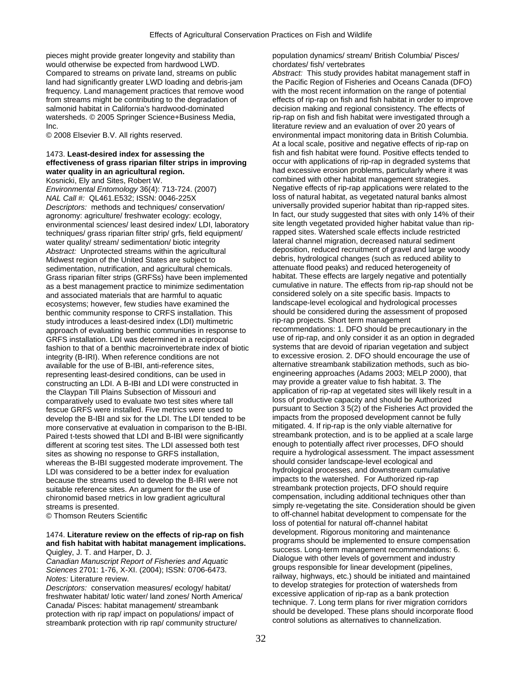pieces might provide greater longevity and stability than population dynamics/ stream/ British Columbia/ Pisces/ would otherwise be expected from hardwood LWD. chordates/ fish/ vertebrates Compared to streams on private land, streams on public *Abstract:* This study provides habitat management staff in frequency. Land management practices that remove wood with the most recent information on the range of potential salmonid habitat in California's hardwood-dominated decision making and regional consistency. The effects of watersheds. © 2005 Springer Science+Business Media,  $\frac{1}{2}$  rip-rap on fish and fish habitat were investigated Inc. literature review and an evaluation of over 20 years of

## **effectiveness of grass riparian filter strips in improving water quality in an agricultural region.** had excessive erosion problems, particularly where it was

Kosnicki, Ely and Sites, Robert W. Combined with other habitat management strategies. *Environmental Entomology* 36(4): 713-724. (2007) Negative effects of rip-rap applications were related to the *NAL Call #:* QL461.E532; ISSN: 0046-225X loss of natural habitat, as vegetated natural banks almost *Descriptors:* methods and techniques/ conservation/ universally provided superior habitat than rip-rapped sites. environmental sciences/ least desired index/ LDI, laboratory site length vegetated provided higher habitat value than<br>rechniques/ grass riparian filter strip/ grfs, field equipment/ rapped sites. Watershed scale effects in techniques/ grass riparian filter strip/ grfs, field equipment/ rapped sites. Watershed scale effects include restricte<br>water quality/ stream/ sedimentation/ biotic integrity lateral channel migration, decreased natural se water quality/ stream/ sedimentation/ biotic integrity *Abstract:* Unprotected streams within the agricultural deposition, reduced recruitment of gravel and large woody Midwest region of the United States are subject to debris, hydrological changes (such as reduced ability to debris, hydrological changes (such as reduced ability to attenuate flood peaks) and reduced heterogeneity of sedimentation, nutrification, and agricultural chemicals. attenuate flood peaks) and reduced heterogeneity of<br>Grass riparian filter strips (GRFSs) have been implemented habitat. These effects are largely negative and poten Grass riparian filter strips (GRFSs) have been implemented habitat. These effects are largely negative and potentially<br>as a best management practice to minimize sedimentation cumulative in nature. The effects from rip-rap as a best management practice to minimize sedimentation cumulative in nature. The effects from rip-rap should<br>and associated materials that are harmful to aquatic considered solely on a site specific basis. Impacts to and associated materials that are harmful to aquatic considered solely on a site specific basis. Impacts to<br>ecosystems: however, few studies have examined the landscape-level ecological and hydrological processes ecosystems; however, few studies have examined the benthic community response to CRFS installation. This should be considered during the assessment of proposed<br>study introduces a least-desired index (I DI) multimetric rip-rap projects. Short term management study introduces a least-desired index (LDI) multimetric rip-rap projects. Short term management<br>approach of evaluating benthic communities in response to recommendations: 1. DFO should be precautionary in the approach of evaluating benthic communities in response to fashion to that of a benthic macroinvertebrate index of biotic systems that are devoid of riparian vegetation and subject<br>integrity (B-IRI), When reference conditions are not to excessive erosion. 2. DFO should encourage t integrity (B-IRI). When reference conditions are not to excessive erosion. 2. DFO should encourage the use of<br>available for the use of B-IBL anti-reference sites alternative streambank stabilization methods, such as bioavailable for the use of B-IBI, anti-reference sites, alternative streambank stabilization methods, such as bio-<br>
representing least-desired conditions, can be used in engineering approaches (Adams 2003; MELP 2000), that representing least-desired conditions, can be used in engineering approaches (Adams 2003; MELP 200<br>constructing an LDL A B-IBI and LDI were constructed in engy provide a greater value to fish habitat. 3. The constructing an LDI. A B-IBI and LDI were constructed in the Claypan Till Plains Subsection of Missouri and application of rip-rap at vegetated sites will likely result in a<br>comparatively used to evaluate two test sites where tall loss of productive capacity and should be Author comparatively used to evaluate two test sites where tall loss of productive capacity and should be Authorized<br>
fescue GRFS were installed. Five metrics were used to expression to Section 3 5(2) of the Fisheries Act provide fescue GRFS were installed. Five metrics were used to pursuant to Section 3 5(2) of the Fisheries Act provided<br>develop the B-IBI and six for the LDI. The LDI tended to be impacts from the proposed development cannot be ful develop the B-IBI and six for the LDI. The LDI tended to be impacts from the proposed development cannot be full<br>more conservative at evaluation in comparison to the B-IBI. mitigated. 4. If rip-rap is the only viable alter more conservative at evaluation in comparison to the B-IBI. mitigated. 4. If rip-rap is the only viable alternative for<br>Paired t-tests showed that LDI and B-IBI were significantly streambank protection, and is to be applie Paired t-tests showed that LDI and B-IBI were significantly streambank protection, and is to be applied at a scale large reserved by the Interventially affect river processes. DFO should different at scoring test sites. The LDI assessed both test whereas the B-IBI suggested moderate improvement. The should consider landscape-level ecological and<br>I DI was considered to be a better index for evaluation by hydrological processes, and downstream cumulative LDI was considered to be a better index for evaluation hydrological processes, and downstream cumulation<br>hecause the streams used to develop the B-IRI were not here impacts to the watershed. For Authorized rip-rap because the streams used to develop the B-IRI were not impacts to the watershed. For Authorized rip-rap<br>suitable reference sites. An argument for the use of streambank protection projects, DFO should require suitable reference sites. An argument for the use of chironomid based rnetrics in low gradient agricultural compensation, including additional techniques other than

Canada/ Pisces: habitat management/ streambank<br>protection with rip rap/ impact on populations/ impact of should be developed. These plans should incorporate flood<br>streambank protection with rip rap/ community structure/ co

land had significantly greater LWD loading and debris-jam the Pacific Region of Fisheries and Oceans Canada (DFO) from streams might be contributing to the degradation of effects of rip-rap on fish and fish habitat in order to improve rip-rap on fish and fish habitat were investigated through a © 2008 Elsevier B.V. All rights reserved. environmental impact monitoring data in British Columbia. At a local scale, positive and negative effects of rip-rap on 1473. **Least-desired index for assessing the** fish and fish habitat were found. Positive effects tended to agronomy: agriculture/ freshwater ecology: ecology, In fact, our study suggested that sites with only 14% of their<br>
environmental sciences/ least desired index/ LDI, laboratory site length vegetated provided higher habitat GRFS installation. LDI was determined in a reciprocal use of rip-rap, and only consider it as an option in degraded<br>
fashion to that of a benthic macroinvertebrate index of biotic systems that are devoid of riparian vegeta sites as showing no response to GRFS installation,<br>whereas the B-IBL suggested moderate improvement. The should consider landscape-level ecological and streams is presented. The simply re-vegetating the site. Consideration should be given © Thomson Reuters Scientific to off-channel habitat development to compensate for the loss of potential for natural off-channel habitat 1474. Literature review on the effects of rip-rap on fish development. Rigorous monitoring and maintenance<br>and fish habitat with habitat management implications. programs should be implemented to ensure compensation and their tasks with the management recommendations: 6.<br>Quigley, J. T. and Harper, D. J. Success. Success. Long-term management recommendations: 6.<br>Canadian Manuscript Penort of Fisheries and Aquatic Dialogue with other le Canadian Manuscript Report of Fisheries and Aquatic Sciences 2701: 1-76, X-XI. (2004); ISSN: 0706-6473.<br>
Sciences 2701: 1-76, X-XI. (2004); ISSN: 0706-6473.<br>
Motes: Literature review.<br>
Description: Consentation measures/ec Descriptors: conservation measures/ecology/habitat/<br>freshwater habitat/lotic water/land zones/North America/<br>Canada/Pisces: habitat management/streambank<br>Canada/Pisces: habitat management/streambank<br>Canada/Pisces: habitat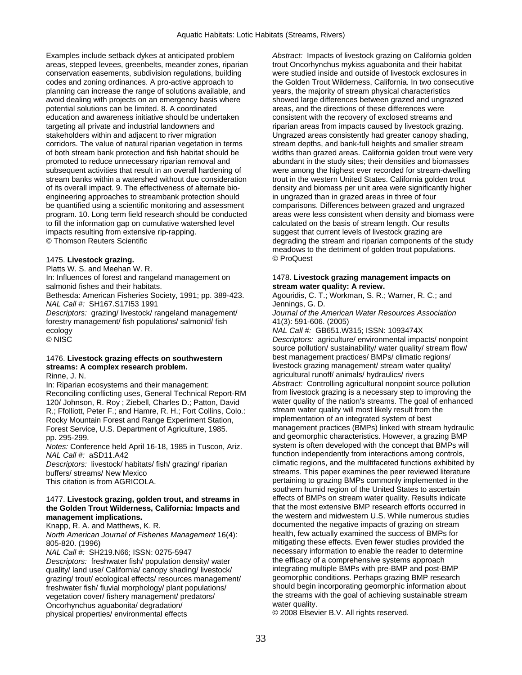Examples include setback dykes at anticipated problem *Abstract:* Impacts of livestock grazing on California golden areas, stepped levees, greenbelts, meander zones, riparian trout Oncorhynchus mykiss aguabonita and their habitat conservation easements, subdivision regulations, building were studied inside and outside of livestock exclosures in codes and zoning ordinances. A pro-active approach to the Golden Trout Wilderness, California. In two consecutive planning can increase the range of solutions available, and years, the majority of stream physical characteristics avoid dealing with projects on an emergency basis where showed large differences between grazed and ungrazed potential solutions can be limited. 8. A coordinated areas, and the directions of these differences were education and awareness initiative should be undertaken consistent with the recovery of exclosed streams and<br>
targeting all private and industrial landowners and riparian areas from impacts caused by livestock grazin stakeholders within and adjacent to river migration Ungrazed areas consistently had greater canopy shading, corridors. The value of natural riparian vegetation in terms stream depths, and bank-full heights and smaller stream of both stream bank protection and fish habitat should be widths than grazed areas. California golden trout were very promoted to reduce unnecessary riparian removal and abundant in the study sites; their densities and biomasses subsequent activities that result in an overall hardening of were among the highest ever recorded for stream-dwelling stream banks within a watershed without due consideration trout in the western United States. California golden trout of its overall impact. 9. The effectiveness of alternate bio- density and biomass per unit area were significantly higher engineering approaches to streambank protection should in ungrazed than in grazed areas in three of four<br>be quantified using a scientific monitoring and assessment comparisons. Differences between grazed and ungrazed be quantified using a scientific monitoring and assessment program. 10. Long term field research should be conducted areas were less consistent when density and biomass were to fill the information gap on cumulative watershed level calculated on the basis of stream length. Our results impacts resulting from extensive rip-rapping. Suppose that current levels of livestock grazing are © Thomson Reuters Scientific degrading the stream and riparian components of the study

## 1475. **Livestock grazing.** © ProQuest

Platts W. S. and Meehan W. R. In: Influences of forest and rangeland management on 1478. **Livestock grazing management impacts on**  salmonid fishes and their habitats.<br>
Bethesda: American Fisheries Society, 1991; pp. 389-423. Agouridis, C. T.; Workman, S. R.; Warner, R. C.; and

Bethesda: American Fisheries Society, 1991; pp. 389-423. *NAL Call #:* SH167.S17I53 1991 Jennings, G. D.

*Descriptors:* grazing/ livestock/ rangeland management/ *Journal of the American Water Resources Association* forestry management/ fish populations/ salmonid/ fish 41(3): 591-606. (2005) ecology *NAL Call #:* GB651.W315; ISSN: 1093474X

In: Riparian ecosystems and their management: *Abstract: Controlling agricultural nonpoint source pollution*<br>Reconciling conflicting uses, General Technical Report-RM from livestock grazing is a necessary step to improvi 120/ Johnson, R. Roy ; Ziebell, Charles D.; Patton, David water quality of the nation's streams. The goal of e<br>R · Ffolliott, Peter F · and Hamre, R. H · Fort Collins, Colo · stream water quality will most likely result fr R.; Ffolliott, Peter F.; and Hamre, R. H.; Fort Collins, Colo.: stream water quality will most likely result from the Rocky Mountain Forest and Range Experiment Station in the implementation of an integrated system of best Rocky Mountain Forest and Range Experiment Station,

*Notes:* Conference held April 16-18, 1985 in Tuscon, Ariz.<br>NAL Call #: aSD11.A42

*Descriptors:* livestock/ habitats/ fish/ grazing/ riparian

# the Golden Trout Wilderness, California: Impacts and

*North American Journal of Fisheries Management* 16(4):

*Descriptors:* freshwater fish/ population density/ water the efficacy of a comprehensive systems approach<br>
quality/ land use/ California/ canopy shading/ livestock/ integrating multiple BMPs with pre-BMP and post-BMP quality/ land use/ California/ canopy shading/ livestock/ integrating multiple BMPs with pre-BMP and post-BMP<br>geomorphic conditions. Perhaps grazing BMP research grazing/ trout/ ecological effects/ resources management/ Oncorhynchus aguabonita/ degradation/ physical properties/ environmental effects  $\heartsuit$  2008 Elsevier B.V. All rights reserved.

riparian areas from impacts caused by livestock grazing. meadows to the detriment of golden trout populations.

© NISC *Descriptors:* agriculture/ environmental impacts/ nonpoint source pollution/ sustainability/ water quality/ stream flow/ 1476. **Livestock grazing effects on southwestern** best management practices/ BMPs/ climatic regions/ **streams: A complex research problem.** livestock grazing management/ stream water quality/ Rinne, J. N. agricultural runoff/ animals/ hydraulics/ rivers Reconciling conflicting uses, General Technical Report-RM from livestock grazing is a necessary step to improving the<br>120/Johnson, R. Roy : Ziebell, Charles D.: Patton, David water quality of the nation's streams. The goal Forest Service, U.S. Department of Agriculture, 1985. The management practices (BMPs) linked with stream hydraulic pp. 295-299. <sup>1</sup><br>Notes: Conference held April 16-18, 1985 in Tuscon, Ariz. System is often developed with the concept that BMPs will function independently from interactions among controls, climatic regions, and the multifaceted functions exhibited by buffers/ streams/ New Mexico streams. This paper examines the peer reviewed literature This citation is from AGRICOLA. pertaining to grazing BMPs commonly implemented in the southern humid region of the United States to ascertain 1477. **Livestock grazing, golden trout, and streams in** effects of BMPs on stream water quality. Results indicate **management implications.** The management implications. The western and midwestern U.S. While numerous studies Knapp, R. A. and Matthews, K. R.  $\blacksquare$ <br>North American Journal of Fisheries Management 16(4) health, few actually examined the success of BMPs for 805-820. (1996) mitigating these effects. Even fewer studies provided the *NAL Call #:* SH219.N66; ISSN: 0275-5947 necessary information to enable the reader to determine<br>Descriptors: freshwater fish/ population density/ water the efficacy of a comprehensive systems approach freshwater fish/ fluvial morphology/ plant populations/ should begin incorporating geomorphic information about vegetation cover/ fishery management/ predators/ the streams with the goal of achieving sustainable stream<br>Oncorhynchus aquabonita/ degradation/ vater quality.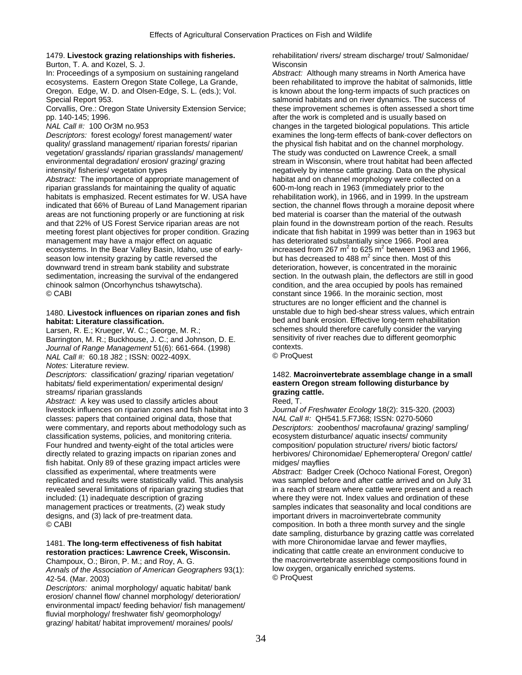## Burton, T. A. and Kozel, S. J. Wisconsin

quality/ grassland management/ riparian forests/ riparian the physical fish habitat and on the channel morphology. vegetation/ grasslands/ riparian grasslands/ management/ The study was conducted on Lawrence Creek, a small intensity/ fisheries/ vegetation types negatively by intense cattle grazing. Data on the physical

*Abstract:* The importance of appropriate management of habitat and on channel morphology were collected on a riparian grasslands for maintaining the quality of aquatic 600-m-long reach in 1963 (immediately prior to the<br>habitats is emphasized. Recent estimates for W. USA have rehabilitation work), in 1966, and in 1999. In the up habitats is emphasized. Recent estimates for W. USA have rehabilitation work), in 1966, and in 1999. In the upstream<br>indicated that 66% of Bureau of Land Management riparian section, the channel flows through a moraine dep areas are not functioning properly or are functioning at risk bed material is coarser than the material of the outwash and that 22% of US Forest Service riparian areas are not plain found in the downstream portion of the reach. Results meeting forest plant objectives for proper condition. Grazing indicate that fish habitat in 1999 was better than in 1963 but management may have a major effect on aquatic has deteriorated substantially since 1966. Pool area ecosystems. In the Bear Valley Basin, Idaho, use of earlyseason low intensity grazing by cattle reversed the downward trend in stream bank stability and substrate deterioration, however, is concentrated in the morainic sedimentation, increasing the survival of the endangered section. In the outwash plain, the deflectors are still in good chinook salmon (Oncorhynchus tshawytscha). condition, and the area occupied by pools has remained © CABI constant since 1966. In the morainic section, most

## **habitat: Literature classification.** bed and bank erosion. Effective long-term rehabilitation

Barrington, M. R.; Buckhouse, J. C.; and Johnson, D. E. sensitivity sensitivity<br>Journal of Range Management 51(6): 661-664 (1998) contexts. *Journal of Range Management* 51(6): 661-664. (1998) contexts.<br>
MAL Call #: 60.18. I82 : ISSN: 0022-409X<br>
C ProQuest *NAL Call #: 60.18 J82* ; ISSN: 0022-409X. *Notes:* Literature review.

habitats/ field experimentation/ experimental design/ **eastern Oregon stream following disturbance by**  streams/ riparian grasslands **grazing cattle.** 

Abstract: A key was used to classify articles about Reed, T. livestock influences on riparian zones and fish habitat into 3 *Journal of Freshwater Ecology* 18(2): 315-320. (2003) classes: papers that contained original data, those that *NAL Call #:* QH541.5.F7J68; ISSN: 0270-5060 were commentary, and reports about methodology such as *Descriptors:* zoobenthos/ macrofauna/ grazing/ sampling/ classification systems, policies, and monitoring criteria. ecosystem disturbance/ aquatic insects/ community Four hundred and twenty-eight of the total articles were composition/ population structure/ rivers/ biotic factors/ directly related to grazing impacts on riparian zones and herbivores/ Chironomidae/ Ephemeroptera/ Oregon/ cattle/ fish habitat. Only 89 of these grazing impact articles were midges/ mayflies classified as experimental, where treatments were *Abstract:* Badger Creek (Ochoco National Forest, Oregon) revealed several limitations of riparian grazing studies that included: (1) inadequate description of grazing where they were not. Index values and ordination of these management practices or treatments, (2) weak study samples indicates that seasonality and local conditions are designs, and (3) lack of pre-treatment data.<br>
© CABI composition. In both a three month survey and the

## restoration practices: Lawrence Creek, Wisconsin.

*Annals of the Association of American Geographers* 93(1): low oxygen,  $42-54$ . (Mar. 2003) 42-54. (Mar. 2003)

*Descriptors:* animal morphology/ aquatic habitat/ bank erosion/ channel flow/ channel morphology/ deterioration/ environmental impact/ feeding behavior/ fish management/ fluvial morphology/ freshwater fish/ geomorphology/ grazing/ habitat/ habitat improvement/ moraines/ pools/

1479. **Livestock grazing relationships with fisheries.** rehabilitation/ rivers/ stream discharge/ trout/ Salmonidae/

In: Proceedings of a symposium on sustaining rangeland *Abstract:* Although many streams in North America have ecosystems. Eastern Oregon State College, La Grande, been rehabilitated to improve the habitat of salmonids, li been rehabilitated to improve the habitat of salmonids, little Oregon. Edge, W. D. and Olsen-Edge, S. L. (eds.); Vol. is known about the long-term impacts of such practices on Special Report 953.<br>Corvallis, Ore.: Oregon State University Extension Service; these improvement schemes is often assessed a short tin Corvallis, Ore.: Oregon State University Extension Service; these improvement schemes is often assessed a short time<br>
after the work is completed and is usually based on pp. 140-145; 1996. after the work is completed and is usually based on<br>
MAL Call #: 100 Or3M no.953 external only in the targeted biological populations. This changes in the targeted biological populations. This article *Descriptors:* forest ecology/ forest management/ water examines the long-term effects of bank-cover deflectors on environmental degradation/ erosion/ grazing/ grazing stream in Wisconsin, where trout habitat had been affected section, the channel flows through a moraine deposit where to  $625 \text{ m}^2$  between 1963 and 1966, but has decreased to 488  $m<sup>2</sup>$  since then. Most of this structures are no longer efficient and the channel is 1480. **Livestock influences on riparian zones and fish** unstable due to high bed-shear stress values, which entrain Larsen, R. E.; Krueger, W. C.; George, M. R.; schemes should therefore carefully consider the varying<br>Barrington, M. R.: Buckhouse, J. C.; and Johnson, D. F. sensitivity of river reaches due to different geomorphic

# *Descriptors:* classification/ grazing/ riparian vegetation/ 1482. **Macroinvertebrate assemblage change in a small**

replicated and results were statistically valid. This analysis was sampled before and after cattle arrived and on July 31<br>revealed several limitations of riparian grazing studies that in a reach of stream where cattle were composition. In both a three month survey and the single date sampling, disturbance by grazing cattle was correlated 1481. **The long-term effectiveness of fish habitat** with more Chironomidae larvae and fewer mayflies, Champoux, O.; Biron, P. M.; and Roy, A. G. the macroinvertebrate assemblage compositions found in<br>Annals of the Association of American Geographers 93(1): low oxygen, organically enriched systems.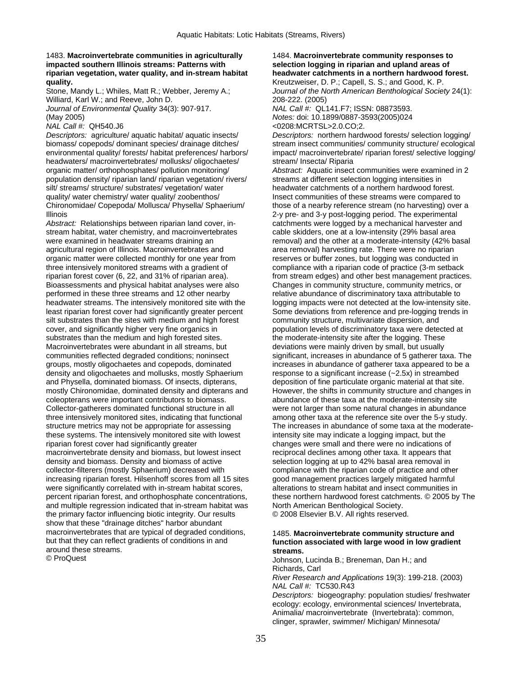## 1483. **Macroinvertebrate communities in agriculturally** 1484. **Macroinvertebrate community responses to impacted southern Illinois streams: Patterns with selection logging in riparian and upland areas of riparian vegetation, water quality, and in-stream habitat headwater catchments in a northern hardwood forest. quality.** Kreutzweiser, D. P.; Capell, S. S.; and Good, K. P.

Williard, Karl W.; and Reeve, John D. 208-222. (2005) *Journal of Environmental Quality* 34(3): 907-917. *NAL Call #:* QL141.F7; ISSN: 08873593.

headwaters/ macroinvertebrates/ mollusks/ oligochaetes/ stream/ Insecta/ Riparia organic matter/ orthophosphates/ pollution monitoring/ *Abstract:* Aquatic insect communities were examined in 2 population density/ riparian land/ riparian vegetation/ rivers/ streams at different selection logging intensities in silt/ streams/ structure/ substrates/ vegetation/ water headwater catchments of a northern hardwood forest.<br>quality/ water chemistry/ water quality/ zoobenthos/ headwater communities of these streams were compared to quality/ water chemistry/ water quality/ zoobenthos/<br>Chironomidae/ Copepoda/ Mollusca/ Physella/ Sphaerium/ those of a nearby reference stream (no harvesting) over Illinois 2-y pre- and 3-y post-logging period. The experimental

*Abstract:* Relationships between riparian land cover, in- catchments were logged by a mechanical harvester and stream habitat. water chemistry, and macroinvertebrates cable skidders, one at a low-intensity (29% basal area were examined in headwater streams draining an removal) and the other at a moderate-intensity (42% basal agricultural region of Illinois. Macroinvertebrates and area removal) harvesting rate. There were no riparian organic matter were collected monthly for one year from reserves or buffer zones, but logging was conducted in three intensively monitored streams with a gradient of compliance with a riparian code of practice (3-m setback riparian forest cover (6, 22, and 31% of riparian area). From stream edges) and other best management practices. Bioassessments and physical habitat analyses were also Changes in community structure, community metrics, or performed in these three streams and 12 other nearby relative abundance of discriminatory taxa attributable to headwater streams. The intensively monitored site with the logging impacts were not detected at the low-intensity site. least riparian forest cover had significantly greater percent Some deviations from reference and pre-logging trends in silt substrates than the sites with medium and high forest community structure, multivariate dispersion, and cover, and significantly higher very fine organics in population levels of discriminatory taxa were detected at substrates than the medium and high forested sites. <br>Macroinvertebrates were abundant in all streams, but deviations were mainly driven by small, but usually Macroinvertebrates were abundant in all streams, but communities reflected degraded conditions; noninsect significant, increases in abundance of 5 gatherer taxa. The groups, mostly oligochaetes and copepods, dominated increases in abundance of gatherer taxa appeared to be a density and oligochaetes and mollusks, mostly Sphaerium response to a significant increase (~2.5x) in streambed and Physella, dominated biomass. Of insects, dipterans, deposition of fine particulate organic material at that site. mostly Chironomidae, dominated density and dipterans and However, the shifts in community structure and changes in coleopterans were important contributors to biomass. abundance of these taxa at the moderate-intensity site Collector-gatherers dominated functional structure in all were not larger than some natural changes in abundance three intensively monitored sites, indicating that functional among other taxa at the reference site over the 5-y study. structure metrics may not be appropriate for assessing The increases in abundance of some taxa at the moderate-<br>these systems. The intensively monitored site with lowest intensity site may indicate a logging impact, but th these systems. The intensively monitored site with lowest riparian forest cover had significantly greater changes were small and there were no indications of macroinvertebrate density and biomass, but lowest insect reciprocal declines among other taxa. It appears that density and biomass. Density and biomass of active selection logging at up to 42% basal area removal in collector-filterers (mostly Sphaerium) decreased with compliance with the riparian code of practice and other increasing riparian forest. Hilsenhoff scores from all 15 sites good management practices largely mitigated harmful were significantly correlated with in-stream habitat scores, alterations to stream habitat and insect communities in and multiple regression indicated that in-stream habitat was North American Benthological Society. the primary factor influencing biotic integrity. Our results © 2008 Elsevier B.V. All rights reserved. show that these "drainage ditches" harbor abundant macroinvertebrates that are typical of degraded conditions, 1485. Macroinvertebrate community structure and but that they can reflect gradients of conditions in and **function associated with large wood in low gradien** around these streams.<br>
© ProQuest **bushess C** ProQuest **bushess c** ProQuest **bushess c** ProQuest **bushess c** ProQuest **bushess c** ProQuest **c** ProQuest **c** ProQuest **c** ProQuest **c** ProQuest **c** ProQuest **c** ProQ

Stone, Mandy L.; Whiles, Matt R.; Webber, Jeremy A.; *Journal of the North American Benthological Society* 24(1):

(May 2005) *Notes:* doi: 10.1899/0887-3593(2005)024 *NAL Call #:* QH540.J6 <0208:MCRTSL>2.0.CO;2.

*Descriptors:* agriculture/ aquatic habitat/ aquatic insects/ *Descriptors:* northern hardwood forests/ selection logging/ biomass/ copepods/ dominant species/ drainage ditches/ stream insect communities/ community structure/ ecological environmental quality/ forests/ habitat preferences/ harbors/ impact/ macroinvertebrate/ riparian forest/ selective logging/

those of a nearby reference stream (no harvesting) over a percent riparian forest, and orthophosphate concentrations, these northern hardwood forest catchments. © 2005 by The

# function associated with large wood in low gradient

Johnson, Lucinda B.; Breneman, Dan H.; and Richards, Carl

*River Research and Applications* 19(3): 199-218. (2003) *NAL Call #:* TC530.R43 *Descriptors:* biogeography: population studies/ freshwater

ecology: ecology, environmental sciences/ Invertebrata, Animalia/ macroinvertebrate (Invertebrata): common, clinger, sprawler, swimmer/ Michigan/ Minnesota/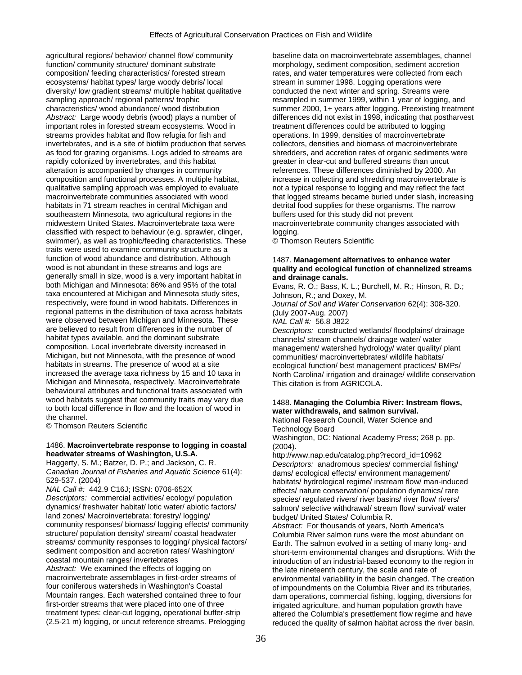agricultural regions/ behavior/ channel flow/ community baseline data on macroinvertebrate assemblages, channel function/ community structure/ dominant substrate morphology, sediment composition, sediment accretion composition/ feeding characteristics/ forested stream rates, and water temperatures were collected from each ecosystems/ habitat types/ large woody debris/ local stream in summer 1998. Logging operations were diversity/ low gradient streams/ multiple habitat qualitative conducted the next winter and spring. Streams were sampling approach/ regional patterns/ trophic resampled in summer 1999, within 1 year of logging, and characteristics/ wood abundance/ wood distribution summer 2000, 1+ years after logging. Preexisting treatment Abstract: Large woody debris (wood) plays a number of differences did not exist in 1998, indicating that postharvest important roles in forested stream ecosystems. Wood in treatment differences could be attributed to logging streams provides habitat and flow refugia for fish and operations. In 1999, densities of macroinvertebrate invertebrates, and is a site of biofilm production that serves collectors, densities and biomass of macroinvertebrate as food for grazing organisms. Logs added to streams are shredders, and accretion rates of organic sediments were rapidly colonized by invertebrates, and this habitat greater in clear-cut and buffered streams than uncut alteration is accompanied by changes in community references. These differences diminished by 2000. An composition and functional processes. A multiple habitat, increase in collecting and shredding macroinvertebrate is qualitative sampling approach was employed to evaluate not a typical response to logging and may reflect the fact macroinvertebrate communities associated with wood that logged streams became buried under slash, increasing habitats in 71 stream reaches in central Michigan and detrital food supplies for these organisms. The narrow southeastern Minnesota, two agricultural regions in the buffers used for this study did not prevent southeastern Minnesota, two agricultural regions in the midwestern United States. Macroinvertebrate taxa were macroinvertebrate community changes associated with classified with respect to behaviour (e.g. sprawler, clinger, logging. swimmer), as well as trophic/feeding characteristics. These  $\qquad \qquad \textcircled{Thomson Reuters Scientific}$ traits were used to examine community structure as a function of wood abundance and distribution. Although 1487. **Management alternatives to enhance water**  generally small in size, wood is a very important habitat in **and drainage canals.**<br>both Michigan and Minnesota: 86% and 95% of the total **Figure 18** Figure 3. A C i Bass K taxa encountered at Michigan and Minnesota study sites, Johnson, R.; and Doxey, M.<br>
respectively, were found in wood habitats. Differences in Journal of Soil and Water Co regional patterns in the distribution of taxa across habitats (July 2007-Aug. 2007) were observed between Michigan and Minnesota. These  $\overline{NAL}$  Call #:  $\overline{56.8}$  J822<br>are believed to result from differences in the number of *Descriptors: constructe* habitat types available, and the dominant substrate channels/ stream channels/ drainage water/ water<br>
composition. Local invertebrate diversity increased in management/ watershed hydrology/ water quality/ composition. Local invertebrate diversity increased in management/ watershed hydrology/ water quality/ plant<br>Michigan, but not Minnesota, with the presence of wood<br>communities/ macroinvertebrates/ wildlife habitats/ Michigan, but not Minnesota, with the presence of wood communities/ macroinvertebrates/ wildlife habitats/<br>habitats in streams. The presence of wood at a site entity recological function/ best management practices/ Bl habitats in streams. The presence of wood at a site example ecological function/ best management practices/ BMPs/<br>increased the average taxa richness by 15 and 10 taxa in North Carolina/ irrigation and drainage/ wildlife c Michigan and Minnesota, respectively. Macroinvertebrate This citation is from AGRICOLA. behavioural attributes and functional traits associated with wood habitats suggest that community traits may vary due to both local difference in flow and the location of wood in the channel.<br>the channel.<br>
Thomson Reuters Scientific **the channel** and salmon survival.<br>
Thomson Reuter

## 1486. **Macroinvertebrate response to logging in coastal** (2004).

Haggerty, S. M.; Batzer, D. P.; and Jackson, C. R. *Descriptors:* anadromous species/ commercial fishing/ *Canadian Journal of Fisheries and Aquatic Science* 61(4): dams/ ecological effects/ environment management/

*NAL Call #:* 442.9 C16J; ISSN: 0706-652X effects/ nature conservation/ population dynamics/ rare dynamics/ freshwater habitat/ lotic water/ abiotic factors/ salmon/ selective withdrawal/ stream flow/ survival/ water land zones/ Macroinvertebrata: forestry/ logging/ budget/ United States/ Columbia R. community responses/ biomass/ logging effects/ community *Abstract:* For thousands of years, North America's structure/ population density/ stream/ coastal headwater Columbia River salmon runs were the most abundant on<br>Streams/ community responses to logging/ physical factors/<br>Farth The salmon evolved in a setting of many long-an streams/ community responses to logging/ physical factors/ Earth. The salmon evolved in a setting of many long- and<br>sediment composition and accretion rates/ Washington/ short-term environmental changes and disruptions. Wi

first-order streams that were placed into one of three interesting interpretational provint have treatment fow requine and have<br>treatment types: clear-cut logging, operational buffer-strip altered the Columbia's presettlem

# quality and ecological function of channelized streams

Evans, R. O.; Bass, K. L.; Burchell, M. R.; Hinson, R. D.;

Journal of Soil and Water Conservation 62(4): 308-320.

Descriptors: constructed wetlands/ floodplains/ drainage North Carolina/ irrigation and drainage/ wildlife conservation

Washington, DC: National Academy Press; 268 p. pp.

**headwater streams of Washington, U.S.A.** http://www.nap.edu/catalog.php?record\_id=10962<br>Haggerty, S. M.; Batzer, D. P.; and Jackson, C. R. *Descriptors: anadromous species/ commercial fisl* 529-537. (2004)<br>
MAL Call #: 442.9 C16J; ISSN: 0706-652X<br>
effects/ nature conservation/ population dynamics/ rare species/ regulated rivers/ river basins/ river flow/ rivers/

sediment composition and accretion rates/ Washington/ short-term environmental changes and disruptions. With the<br>coastal mountain ranges/ invertebrates in the short-term environmental changes and disruptions. With the coastal mountain ranges/ invertebrates introduction of an industrial-based economy to the region in<br> *Abstract:* We examined the effects of logging on in the late nineteenth century, the scale and rate of Abstract: We examined the effects of logging on the late nineteenth century, the scale and rate of macroinvertebrate assemblages in first-order streams of environmental variability in the basin changed. The macroinvertebrate assemblages in first-order streams of environmental variability in the basin changed. The creation<br>four coniferous watersheds in Washington's Coastal of impoundments on the Columbia River and its tributar four coniferous watersheds in Washington's Coastal of impoundments on the Columbia River and its tributaries,<br>Mountain ranges. Each watershed contained three to four dam operations, commercial fishing, logging, diversions Mountain ranges. Each watershed contained three to four<br>first-order streams that were placed into one of three interestional interactions, commercial fishing, logging, diversions for treatment types: clear-cut logging, operational buffer-strip altered the Columbia's presettlement flow regime and have<br>(2.5-21 m) logging, or uncut reference streams. Prelogging reduced the quality of salmon habitat across reduced the quality of salmon habitat across the river basin.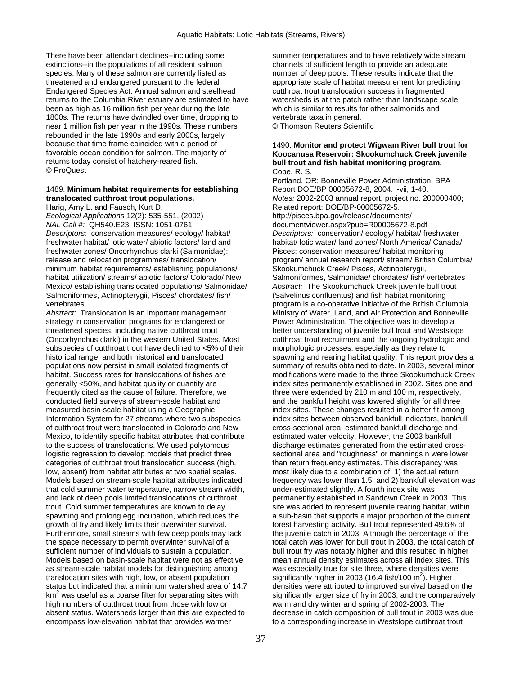There have been attendant declines--including some summer temperatures and to have relatively wide stream extinctions--in the populations of all resident salmon channels of sufficient length to provide an adequate species. Many of these salmon are currently listed as number of deep pools. These results indicate that the threatened and endangered pursuant to the federal appropriate scale of habitat measurement for predicting Endangered Species Act. Annual salmon and steelhead cutthroat trout translocation success in fragmented returns to the Columbia River estuary are estimated to have watersheds is at the patch rather than landscape scale, been as high as 16 million fish per year during the late which is similar to results for other salmonids and 1800s. The returns have dwindled over time, dropping to vertebrate taxa in general.<br>
near 1 million fish per year in the 1990s. These numbers © Thomson Reuters Scientific near 1 million fish per year in the 1990s. These numbers rebounded in the late 1990s and early 2000s, largely because that time frame coincided with a period of 1490. Monitor and protect Wigwam River bull trout for behind the majority of the majority of **Koocanusa Reservoir: Skookumchuck Creek juvenile** favorable ocean condition for salmon. The majority of **Koocanusa Reservoir: Skookumchuck Creek juvenile**  returns today consist of hatchery-reared fish.<br>
© ProQuest Cone R S

## 1489. Minimum habitat requirements for establishing **translocated cutthroat trout populations.** *Notes:* 2002-2003 annual report, project no. 200000400;

Harig, Amy L. and Fausch, Kurt D. **Related report: DOE/BP-00005672-5.** *Ecological Applications* 12(2): 535-551. (2002) http://pisces.bpa.gov/release/documents/ *NAL Call #:* QH540.E23; ISSN: 1051-0761 documentviewer.aspx?pub=R00005672-8.pdf *Descriptors:* conservation measures/ ecology/ habitat/ *Descriptors:* conservation/ ecology/ habitat/ freshwater freshwater habitat/ lotic water/ abiotic factors/ land and habitat/ lotic water/ land zones/ North America/ Canada/ freshwater zones/ Oncorhynchus clarki (Salmonidae): Pisces: conservation measures/ habitat monitoring minimum habitat requirements/ establishing populations/ Skookumchuck Creek/ Pisces, Actinopterygii, habitat utilization/ streams/ abiotic factors/ Colorado/ New Salmoniformes, Salmonidae/ chordates/ fish/ vertebrates Mexico/ establishing translocated populations/ Salmonidae/ *Abstract:* The Skookumchuck Creek juvenile bull trout Salmoniformes, Actinopterygii, Pisces/ chordates/ fish/ (Salvelinus confluentus) and fish habitat monitoring

strategy in conservation programs for endangered or Power Administration. The objective was to develop a threatened species, including native cutthroat trout better understanding of juvenile bull trout and Westslope (Oncorhynchus clarki) in the western United States. Most cutthroat trout recruitment and the ongoing hydrologic and subspecies of cutthroat trout have declined to <5% of their morphologic processes, especially as they relate to generally <50%, and habitat quality or quantity are index sites permanently established in 2002. Sites one and frequently cited as the cause of failure. Therefore, we three were extended by 210 m and 100 m, respectively, conducted field surveys of stream-scale habitat and and the bankfull height was lowered slightly for all three measured basin-scale habitat using a Geographic index sites. These changes resulted in a better fit among Information System for 27 streams where two subspecies index sites between observed bankfull indicators, bankfull of cutthroat trout were translocated in Colorado and New cross-sectional area, estimated bankfull discharge and Mexico, to identify specific habitat attributes that contribute estimated water velocity. However, the 2003 bankfull to the success of translocations. We used polytomous discharge estimates generated from the estimated crosslogistic regression to develop models that predict three sectional area and "roughness" or mannings n were lower categories of cutthroat trout translocation success (high, than return frequency estimates. This discrepancy was low, absent) from habitat attributes at two spatial scales. The most likely due to a combination of; 1) the actual return that cold summer water temperature, narrow stream width, under-estimated slightly. A fourth index site was and lack of deep pools limited translocations of cutthroat permanently established in Sandown Creek in 2003. This trout. Cold summer temperatures are known to delay site was added to represent juvenile rearing habitat, within spawning and prolong egg incubation, which reduces the a sub-basin that supports a major proportion of the current growth of fry and likely limits their overwinter survival. **Forest harvesting activity. Bull trout represented 49.6% of**<br>Furthermore, small streams with few deep pools may lack the juvenile catch in 2003. Although the perc sufficient number of individuals to sustain a population. bull trout fry was notably higher and this resulted in higher Models based on basin-scale habitat were not as effective mean annual density estimates across all index sites. This as stream-scale habitat models for distinguishing among was especially true for site three, where densities were translocation sites with high, low, or absent population status but indicated that a minimum watershed area of 14.7 densities were attributed to improved survival based on the  $km<sup>2</sup>$  was useful as a coarse filter for separating sites with high numbers of cutthroat trout from those with low or encompass low-elevation habitat that provides warmer to a corresponding increase in Westslope cutthroat trout

# Cope, R. S.

Portland, OR: Bonneville Power Administration; BPA<br>Report DOE/BP 00005672-8, 2004. i-vii, 1-40. release and relocation programmes/ translocation/ program/ annual research report/ stream/ British Columbia/ vertebrates<br> *Abstract:* Translocation is an important management Ministry of Water, Land, and Air Protection and Bonneville *Ministry of Water, Land, and Air Protection and Bonneville* historical range, and both historical and translocated spawning and rearing habitat quality. This report provides a populations now persist in small isolated fragments of summary of results obtained to date. In 2003, several minor habitat. Success rates for translocations of fishes are modifications were made to the three Skookumchuck Creek Models based on stream-scale habitat attributes indicated frequency was lower than 1.5, and 2) bankfull elevation was the juvenile catch in 2003. Although the percentage of the the space necessary to permit overwinter survival of a total catch was lower for bull trout in 2003, the total catch of significantly higher in 2003 (16.4 fish/100  $m<sup>2</sup>$ ). Higher significantly larger size of fry in 2003, and the comparatively warm and dry winter and spring of 2002-2003. The absent status. Watersheds larger than this are expected to decrease in catch composition of bull trout in 2003 was due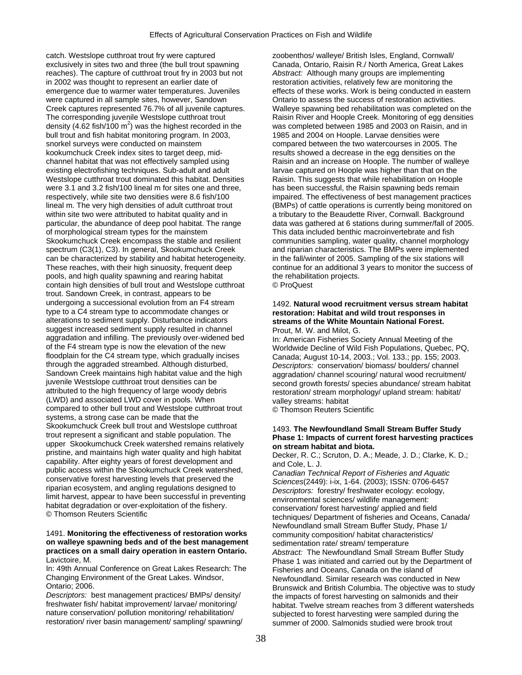catch. Westslope cutthroat trout fry were captured zoobenthos/ walleye/ British Isles, England, Cornwall/ exclusively in sites two and three (the bull trout spawning Canada, Ontario, Raisin R./ North America, Great Lakes reaches). The capture of cutthroat trout fry in 2003 but not *Abstract:* Although many groups are implementing in 2002 was thought to represent an earlier date of restoration activities, relatively few are monitoring the emergence due to warmer water temperatures. Juveniles effects of these works. Work is being conducted in eastern were captured in all sample sites, however, Sandown Ontario to assess the success of restoration activities. Creek captures represented 76.7% of all juvenile captures. Walleye spawning bed rehabilitation was completed on the The corresponding juvenile Westslope cutthroat trout Raisin River and Hoople Creek. Monitoring of egg densities density (4.62 fish/100  $m<sup>2</sup>$ ) was the highest recorded in the bull trout and fish habitat monitoring program. In 2003, 1985 and 2004 on Hoople. Larvae densities were snorkel surveys were conducted on mainstem compared between the two watercourses in 2005. The kookumchuck Creek index sites to target deep, mid- results showed a decrease in the egg densities on the channel habitat that was not effectively sampled using Raisin and an increase on Hoople. The number of walleye existing electrofishing techniques. Sub-adult and adult larvae captured on Hoople was higher than that on the Westslope cutthroat trout dominated this habitat. Densities Raisin. This suggests that while rehabilitation on Hoople were 3.1 and 3.2 fish/100 lineal m for sites one and three, has been successful, the Raisin spawning beds remain respectively, while site two densities were 8.6 fish/100 impaired. The effectiveness of best management practices lineal m. The very high densities of adult cutthroat trout (BMPs) of cattle operations is currently being monitored on within site two were attributed to habitat quality and in a tributary to the Beaudette River, Cornwall. Background particular, the abundance of deep pool habitat. The range data was gathered at 6 stations during summer/fall of 2005. of morphological stream types for the mainstem This data included benthic macroinvertebrate and fish Skookumchuck Creek encompass the stable and resilient communities sampling, water quality, channel morphology spectrum (C3(1), C3). In general, Skookumchuck Creek and riparian characteristics. The BMPs were implemented can be characterized by stability and habitat heterogeneity. in the fall/winter of 2005. Sampling of the six stations will These reaches, with their high sinuosity, frequent deep continue for an additional 3 years to monitor the success of pools, and high quality spawning and rearing habitat the rehabilitation projects. contain high densities of bull trout and Westslope cutthroat © ProQuest trout. Sandown Creek, in contrast, appears to be undergoing a successional evolution from an F4 stream 1492. **Natural wood recruitment versus stream habitat**  type to a C4 stream type to accommodate changes or **restoration: Habitat and wild trout responses in**  alterations to sediment supply. Disturbance indicators **streams of the White Mountain National Forest.** suggest increased sediment supply resulted in channel Prout, M. W. and Milot, G.<br>aggradation and infilling. The previously over-widened bed In: American Fisheries Soc aggradation and infilling. The previously over-widened bed In: American Fisheries Society Annual Meeting of the<br>19 Morldwide Decline of Wild Fish Populations, Quebec, of the F4 stream type is now the elevation of the new Worldwide Decline of Wild Fish Populations, Quebec, PQ,<br>floodplain for the C4 stream type, which gradually incises Canada: August 10-14, 2003.: Vol. 133.: pp. 155: 2003 floodplain for the C4 stream type, which gradually incises Canada; August 10-14, 2003.; Vol. 133.; pp. 155; 2003.<br>through the aggraded streambed. Although disturbed, Descriptors: conservation/ biomass/ boulders/ channel through the aggraded streambed. Although disturbed, *Descriptors:* conservation/ biomass/ boulders/ channel Sandown Creek maintains high habitat value and the high aggradation/ channel scouring/ natural wood recruitment/<br>invenile Westslope cutthroat trout densities can be second growth forests/ species abundance/ stream habita juvenile Westslope cutthroat trout densities can be second growth forests/ species abundance/ stream habitat attributed to the high frequency of large woody debris (LWD) and associated LWD cover in pools. When valley streams: habitat compared to other bull trout and Westslope cutthroat trout © Thomson Reuters Scientific systems, a strong case can be made that the Skookumchuck Creek bull trout and Westslope cutthroat trout represent a significant and stable population. The<br>
upper Skookumchuck Creek watershed remains relatively<br>
pristine, and maintains high water quality and high hab pristine, and maintains high water quality and high habitat conservative. Atter eighty years of forest development and<br>
public access within the Skookumchuck Creek watershed,<br>
conservative forest harvesting levels that pre

## 1491. Monitoring the effectiveness of restoration works community composition/ habitat characteristics/ **on walleye spawning beds and of the best management** sedimentation rate/ stream/ temperature **practices on a small dairy operation in eastern Ontario.** Abstract: The Newfoundland Small Stream **practices on a small dairy operation in eastern Ontario.** *Abstract:* The Newfoundland Small Stream Buffer Study<br>Lavictoire, M. **Phase 1 was initiated and carried out by the Department**

In: 49th Annual Conference on Great Lakes Research: The Fisheries and Oceans, Canada on the island of Changing Environment of the Great Lakes. Windsor, Newfoundland. Similar research was conducted in New<br>Prunswick and British Columbia. The objective was to st

*Descriptors:* best management practices/ BMPs/ density/ the impacts of forest harvesting on salmonids and their<br>freshwater fish/ habitat improvement/ larvae/ monitoring/ habitat. Twelve stream reaches from 3 different wat restoration/ river basin management/ sampling/ spawning/ summer of 2000. Salmonids studied were brook trout

was completed between 1985 and 2003 on Raisin, and in

restoration/ stream morphology/ upland stream: habitat/

Newfoundland small Stream Buffer Study, Phase 1/ Phase 1 was initiated and carried out by the Department of Ontario; 2006.<br>Descriptors: best management practices/ BMPs/ density/ entity and British Columbia. The objective was to study freshwater fish/ habitat improvement/ larvae/ monitoring/ habitat. Twelve stream reaches from 3 different watersheds<br>
nature conservation/ pollution monitoring/ rehabilitation/ subjected to forest harvesting were sampled d subjected to forest harvesting were sampled during the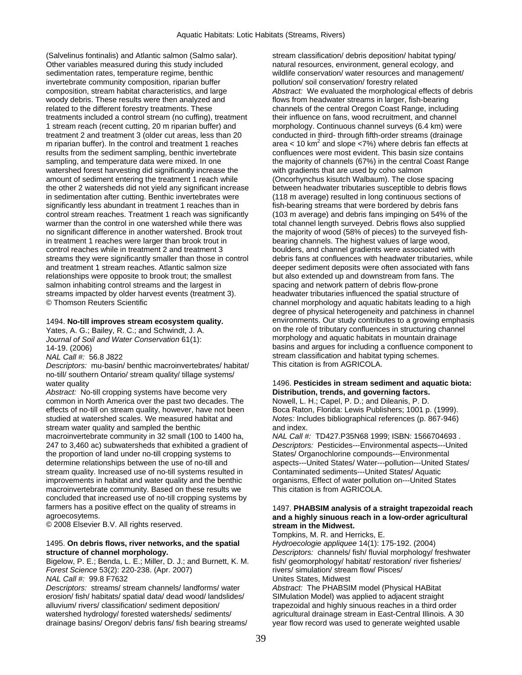(Salvelinus fontinalis) and Atlantic salmon (Salmo salar). stream classification/ debris deposition/ habitat typing/ Other variables measured during this study included natural resources, environment, general ecology, and sedimentation rates, temperature regime, benthic wildlife conservation/ water resources and management/ invertebrate community composition, riparian buffer pollution/ soil conservation/ forestry related composition, stream habitat characteristics, and large *Abstract:* We evaluated the morphological effects of debris woody debris. These results were then analyzed and flows from headwater streams in larger, fish-bearing related to the different forestry treatments. These channels of the central Oregon Coast Range, including<br>treatments included a control stream (no cuffing), treatment their influence on fans, wood recruitment, and channel 1 stream reach (recent cutting, 20 m riparian buffer) and treatment 2 and treatment 3 (older cut areas, less than 20 conducted in third- through fifth-order streams (drainage m riparian buffer). In the control and treatment 1 reaches results from the sediment sampling, benthic invertebrate confluences were most evident. This basin size contains sampling, and temperature data were mixed. In one the majority of channels (67%) in the central Coast Range watershed forest harvesting did significantly increase the vith gradients that are used by coho salmon watershed forest harvesting did significantly increase the amount of sediment entering the treatment 1 reach while (Oncorhynchus kisutch Walbaum). The close spacing the other 2 watersheds did not yield any significant increase between headwater tributaries susceptible to debris flows in sedimentation after cutting. Benthic invertebrates were (118 m average) resulted in long continuous sections of significantly less abundant in treatment 1 reaches than in (fish-bearing streams that were bordered by debr control stream reaches. Treatment 1 reach was significantly (103 m average) and debris fans impinging on 54% of the warmer than the control in one watershed while there was total channel length surveyed. Debris flows also supplied no significant difference in another watershed. Brook trout the majority of wood (58% of pieces) to the surveyed fishin treatment 1 reaches were larger than brook trout in bearing channels. The highest values of large wood, control reaches while in treatment 2 and treatment 3 boulders, and channel gradients were associated with streams they were significantly smaller than those in control debris fans at confluences with headwater tributaries, while and treatment 1 stream reaches. Atlantic salmon size deeper sediment deposits were often associated with fans relationships were opposite to brook trout; the smallest but also extended up and downstream from fans. The salmon inhabiting control streams and the largest in spacing and network pattern of debris flow-prone streams impacted by older harvest events (treatment 3). headwater tributaries influenced the spatial structure of © Thomson Reuters Scientific channel morphology and aquatic habitats leading to a high

*Descriptors:* mu-basin/ benthic macroinvertebrates/ habitat/ no-till/ southern Ontario/ stream quality/ tillage systems/

*Abstract:* No-till cropping systems have become very **Distribution, trends, and governing factors.**  common in North America over the past two decades. The Nowell, L. H.; Capel, P. D.; and Dileanis, P. D. effects of no-till on stream quality, however, have not been Boca Raton, Florida: Lewis Publishers; 1001 p. (1999). studied at watershed scales. We measured habitat and *Notes:* Includes bibliographical references (p. 867-946) stream water quality and sampled the benthic and index. macroinvertebrate community in 32 small (100 to 1400 ha, *NAL Call #:* TD427.P35N68 1999; ISBN: 1566704693 . 247 to 3,460 ac) subwatersheds that exhibited a gradient of *Descriptors:* Pesticides---Environmental aspects---United the proportion of land under no-till cropping systems to States/ Organochlorine compounds---Environmental determine relationships between the use of no-till and aspects---United States/ Water---pollution---United States/ stream quality. Increased use of no-till systems resulted in Contaminated sediments---United States/ Aquatic improvements in habitat and water quality and the benthic organisms, Effect of water pollution on---United States macroinvertebrate community. Based on these results we This citation is from AGRICOLA. concluded that increased use of no-till cropping systems by farmers has a positive effect on the quality of streams in 1497. **PHABSIM analysis of a straight trapezoidal reach** 

© 2008 Elsevier B.V. All rights reserved. **stream in the Midwest.** 

## 1495. On debris flows, river networks, and the spatial

Bigelow, P. E.; Benda, L. E.; Miller, D. J.; and Burnett, K. M. *Forest Science* 53(2): 220-238. (Apr. 2007) rivers/ simulation/ stream flow/ Pisces/ *NAL Call #:* 99.8 F7632 Unites States, Midwest

erosion/ fish/ habitats/ spatial data/ dead wood/ landslides/ SIMulation Model) was applied to adjacent straight alluvium/ rivers/ classification/ sediment deposition/ trapezoidal and highly sinuous reaches in a third order watershed hydrology/ forested watersheds/ sediments/ agricultural drainage stream in East-Central Illinois. A 30 drainage basins/ Oregon/ debris fans/ fish bearing streams/ year flow record was used to generate weighted usable

their influence on fans, wood recruitment, and channel<br>morphology, Continuous channel surveys (6.4 km) were area < 10 km<sup>2</sup> and slope <7%) where debris fan effects at fish-bearing streams that were bordered by debris fans degree of physical heterogeneity and patchiness in channel 1494. **No-till improves stream ecosystem quality.** environments. Our study contributes to a growing emphasis Yates, A. G.; Bailey, R. C.; and Schwindt, J. A. **on the role of tributary confluences in structuring channel** *Journal of Soil and Water Conservation* 61(1): morphology and aquatic habitats in mountain drainage 14-19. (2006) basins and argues for including a confluence component to *NAL Call #:* 56.8 J822 stream classification and habitat typing schemes.<br>Descriptors: mu-basin/ benthic macroinvertebrates/ babitat/ This citation is from AGRICOLA.

## 1496. Pesticides in stream sediment and aquatic biota:

# and a highly sinuous reach in a low-order agricultural

Tompkins, M. R. and Herricks, E.<br>Hydroecologie appliquee 14(1): 175-192. (2004) **structure of channel morphology.** *Descriptors:* channels/ fish/ fluvial morphology/ freshwater

*Descriptors:* streams/ stream channels/ landforms/ water *Abstract:* The PHABSIM model (Physical HABitat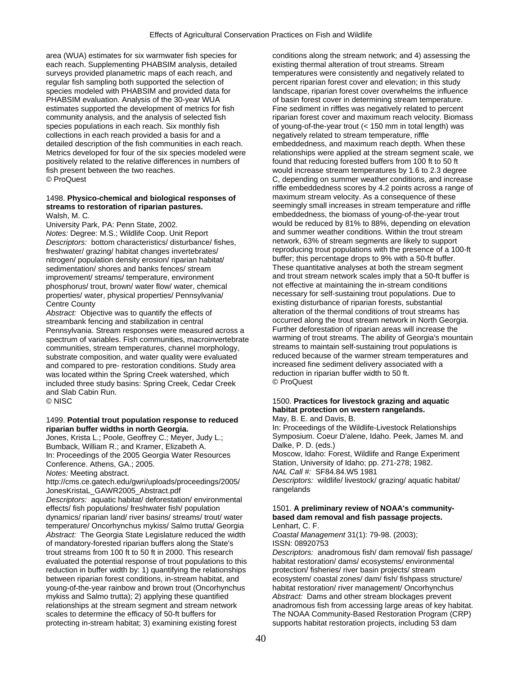area (WUA) estimates for six warmwater fish species for conditions along the stream network; and 4) assessing the each reach. Supplementing PHABSIM analysis, detailed existing thermal alteration of trout streams. Stream surveys provided planametric maps of each reach, and temperatures were consistently and negatively related to<br>
regular fish sampling both supported the selection of percent riparian forest cover and elevation; in this stud species modeled with PHABSIM and provided data for landscape, riparian forest cover overwhelms the influence PHABSIM evaluation. Analysis of the 30-year WUA of basin forest cover in determining stream temperature. estimates supported the development of metrics for fish Fine sediment in riffles was negatively related to percent collections in each reach provided a basis for and a negatively related to stream temperature, riffle detailed description of the fish communities in each reach. embeddedness, and maximum reach depth. When these positively related to the relative differences in numbers of found that reducing forested buffers from 100 ft to 50 ft fish present between the two reaches. would increase stream temperatures by 1.6 to 2.3 degree

*Notes:* Degree: M.S.; Wildlife Coop. Unit Report and summer weather conditions. Within the trout stream<br>Descriptors: bottom characteristics/ disturbance/ fishes and provide 63% of stream segments are likely to support *Descriptors:* bottom characteristics/ disturbance/ fishes, nitrogen/ population density erosion/ riparian habitat/ buffer; this percentage drops to 9% with a 50-ft buffer. phosphorus/ trout, brown/ water flow/ water, chemical not effective at maintaining the in-stream conditions<br>properties/ water, physical properties/ Pennsylvania/ notingly necessary for self-sustaining trout populations. Du properties/ water, physical properties/ Pennsylvania/

streambank fencing and stabilization in central occurred along the trout stream network in North Georgia.<br>
Pennsylvania Stream responses were measured across a Further deforestation of riparian areas will increase the Pennsylvania. Stream responses were measured across a Further deforestation of riparian areas will increase the<br>spectrum of variables. Fish communities, macroinvertebrate warming of trout streams. The ability of Georgia's spectrum of variables. Fish communities, macroinvertebrate warming of trout streams. The ability of Georgia's mour<br>communities, stream temperatures, channel morphology, streams to maintain self-sustaining trout populations communities, stream temperatures, channel morphology, streams to maintain self-sustaining trout populations is<br>substrate composition, and water quality were evaluated streams to the warmer stream temperatures and substrate composition, and water quality were evaluated reduced because of the warmer stream temperatures and compared to pre- restoration conditions. Study area and compared to pre- restoration conditions. Study area increased fine sediment delivery associa<br>was located within the Spring Creek watershed which reduction in riparian buffer width to 50 ft. was located within the Spring Creek watershed, which reduction in reduction in reduction in included three study basins: Spring Creek Cedar Creek included three study basins: Spring Creek, Cedar Creek and Slab Cabin Run.

## 1499. **Potential trout population response to reduced** May, B. E. and Davis, B.

Jones, Krista L.; Poole, Geoffrey C.; Meyer, Judy L.; Symposium. Coeur Bumback. William R.: and Kramer. Flizabeth A. In: Proceedings of the 2005 Georgia Water Resources Conference. Athens, GA.; 2005. Station, University of Idaho; pp. 271-278; 1982.

http://cms.ce.gatech.edu/gwri/uploads/proceedings/2005/ *Descriptors*<br>| lonesKristal GAWR2005 Abstract.pdf

JonesKristaL\_GAWR2005\_Abstract.pdf

*Descriptors:* aquatic habitat/ deforestation/ environmental effects/ fish populations/ freshwater fish/ population 1501. **A preliminary review of NOAA's community**dynamics/ riparian land/ river basins/ streams/ trout/ water **based dam removal and fish passage projects.**  temperature/ Oncorhynchus mykiss/ Salmo trutta/ Georgia Lenhart, C. F. *Abstract:* The Georgia State Legislature reduced the width *Coastal Management* 31(1): 79-98. (2003); of mandatory-forested riparian buffers along the State's ISSN: 08920753 trout streams from 100 ft to 50 ft in 2000. This research *Descriptors:* anadromous fish/ dam removal/ fish passage/ evaluated the potential response of trout populations to this habitat restoration/ dams/ ecosystems/ environmental reduction in buffer width by: 1) quantifying the relationships protection/ fisheries/ river basin projects/ stream between riparian forest conditions, in-stream habitat, and ecosystem/ coastal zones/ dam/ fish/ fishpass structure/ young-of-the-year rainbow and brown trout (Oncorhynchus habitat restoration/ river management/ Oncorhynchus mykiss and Salmo trutta); 2) applying these quantified *Abstract:* Dams and other stream blockages prevent relationships at the stream segment and stream network anadromous fish from accessing large areas of key habitat. scales to determine the efficacy of 50-ft buffers for The NOAA Community-Based Restoration Program (CRP) protecting in-stream habitat; 3) examining existing forest supports habitat restoration projects, including 53 dam

percent riparian forest cover and elevation; in this study community analysis, and the analysis of selected fish riparian forest cover and maximum reach velocity. Biomass<br>species populations in each reach. Six monthly fish of young-of-the-year trout (< 150 mm in total length) was of young-of-the-year trout (< 150 mm in total length) was Metrics developed for four of the six species modeled were relationships were applied at the stream segment scale, we © ProQuest C, depending on summer weather conditions, and increase riffle embeddedness scores by 4.2 points across a range of 1498. **Physico-chemical and biological responses of** maximum stream velocity. As a consequence of these **streams to restoration of riparian pastures.** seemingly small increases in stream temperature and riffle Walsh, M. C. embeddedness, the biomass of young-of-the-year trout University Park, PA: Penn State, 2002.<br>
Motes: Degree: M.S.: Wildlife Coop, Unit Report and summer weather conditions. Within the trout stream freshwater/ grazing/ habitat changes invertebrates/ reproducing trout populations with the presence of a 100-ft sedimentation/ shores and banks fences/ stream These quantitative analyses at both the stream segment improvement/ streams/ temperature, environment and trout stream network scales imply that a 50-ft buffer is<br>
phosphorus/ trout, brown/ water flow/ water, chemical not effective at maintaining the in-stream conditions Centre County<br>
Centre County<br>
Abstract: Objective was to quantify the effects of existing disturbance of riparian forests, substantial<br>
alteration of the thermal conditions of trout streams alteration of the thermal conditions of trout streams has

## © NISC 1500. **Practices for livestock grazing and aquatic habitat protection on western rangelands.**

**riparian buffer widths in north Georgia.** In: Proceedings of the Wildlife-Livestock Relationships<br>Jones, Krista L.: Poole, Geoffrey C.: Meyer, Judy L.: Symposium, Coeur D'alene, Idaho, Peek, James M. and Bumback, William R.; and Kramer, Elizabeth A. **Dalke, P. D. (eds.)**<br>In: Proceedings of the 2005 Georgia Water Resources Moscow, Idaho: Forest, Wildlife and Range Experiment *Notes:* Meeting abstract.<br>http://cms.ce.gatech.edu/gwri/uploads/proceedings/2005/ *NAL Call #:* SF84.84.W5 1981<br>Descriptors: wildlife/ livestock/ grazing/ aquatic habitat/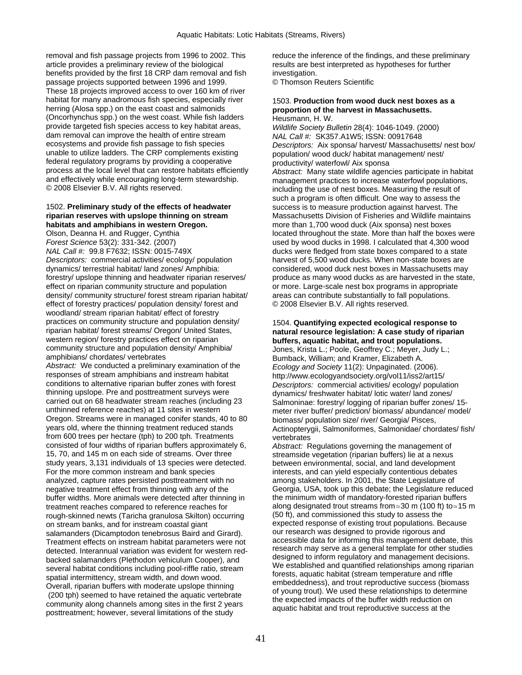removal and fish passage projects from 1996 to 2002. This reduce the inference of the findings, and these preliminary article provides a preliminary review of the biological results are best interpreted as hypotheses for further benefits provided by the first 18 CRP dam removal and fish investigation.<br>
passage projects supported between 1996 and 1999. **C** Thomson Reuters Scientific passage projects supported between 1996 and 1999. These 18 projects improved access to over 160 km of river habitat for many anadromous fish species, especially river 1503. **Production from wood duck nest boxes as a** herring (Alosa spp.) on the east coast and salmonids **proportion of the harvest in Massachusetts.** (Oncorhynchus spp.) on the west coast. While fish ladders Heusmann, H. W.<br>provide targeted fish species access to key habitat areas, Wildlife Society Br provide targeted fish species access to key habitat areas, *Wildlife Society Bulletin* 28(4): 1046-1049. (2000) dam removal can improve the health of entire stream *NAL Call #:* SK357.A1W5; ISSN: 00917648<br>
ecosystems and provide fish passage to fish species *Descriptors:* Aix sponsa/ harvest/ Massachu federal regulatory programs by providing a cooperative productivity/ waterfowl/ Aix sponsa<br>process at the local level that can restore habitats efficiently a abstract: Many state wildlife agence and effectively while encouraging long-term stewardship. management practices to increase waterfowl populations,<br>© 2008 Elsevier B.V. All rights reserved. exercise including the use of nest boxes. Measuring the result of

# habitats and amphibians in western Oregon. **habitats and amphibians in western Oregon. more than 1,700 wood duck (Aix sponsa) nest boxes**

*Forest Science* 53(2): 331-342. (2007) used by wood ducks in 1998. I calculated that 4,300 wood *NAL Call #:* 99.8 F7632; ISSN: 0015-749X ducks were fledged from state boxes compared to a state *Descriptors:* commercial activities/ ecology/ population harvest of 5,500 wood ducks. When non-state boxes are dynamics/ terrestrial habitat/ land zones/ Amphibia: considered, wood duck nest boxes in Massachusetts may effect on riparian community structure and population or more. Large-scale nest box programs in appropriate<br>density/community structure/forest stream riparian habitat/ areas can contribute substantially to fall populations density/ community structure/ forest stream riparian habitat/ areas can contribute substantially to fall effect of forestry practices/ population density/ forest and  $\odot$  2008 Elsevier B.V. All rights reserved. effect of forestry practices/ population density/ forest and woodland/ stream riparian habitat/ effect of forestry practices on community structure and population density/ 1504. **Quantifying expected ecological response to riparia** response to *riparia* in the *study of riparia* response to *riparia natural resource legislation:* riparian habitat/ forest streams/ Oregon/ United States, **natural resource legislation: A case study of riparian**<br>
western region/ forestry practices effect on riparian **butters, aquatic habitat, and trout populations**. western region/ forestry practices effect on riparian **buffers, aquatic habitat, and trout populations.**<br>community structure and population density/ Amphibia/ Jones, Krista L.: Poole, Geoffrey C.: Meyer, Judy I community structure and population density/ Amphibia/ Jones, Krista L.; Poole, Geoffrey C.; Meyer, Judy L.; comphibians/ chordates/ vertebrates<br>Bumback, William: and Kramer, Flizabeth A.

*Abstract:* We conducted a preliminary examination of the *Ecology and Society* 11(2): Unpaginated. (2006).<br>
responses of stream amphibians and instream habitat http://www.ecology.andSociety.org/vol11/iss2/art1 responses of stream amphibians and instream habitat http://www.ecologyandsociety.org/vol11/iss2/art15/<br>conditions to alternative riparian buffer zones with forest Descriptors: commercial activities/ecology/popula conditions to alternative riparian buffer zones with forest *Descriptors:* commercial activities/ ecology/ population thinning upslope. Pre and posttreatment surveys were dynamics/ freshwater habitat/ lotic water/ land zones/<br>Carried out on 68 headwater stream reaches (including 23 Salmoninae: forestry/ logging of riparian buffer zones carried out on 68 headwater stream reaches (including 23 Salmoninae: forestry/ logging of riparian buffer zones/ 15-<br>unthinned reference reaches) at 11 sites in western weter higher inver buffer/ prediction/ biomass/ abund Oregon. Streams were in managed conifer stands, 40 to 80 biomass/ population size/ river/ Georgia/ Pisces, vears old, where the thinning treatment reduced stands<br>
Actinoptervali Salmoniformes Salmonidae/ chor from 600 trees per hectare (tph) to 200 tph. Treatments<br>
consisted of four widths of riparian buffers approximately 6, *Abstract:* Regulations governing the management of consisted of four widths of riparian buffers approximately 6, 15, 70, and 145 m on each side of streams. Over three 15, 70, and 145 m on each side of streams. Over three streamside vegetation (riparian buffers) lie at a nexus<br>study years, 3,131 individuals of 13 species were detected. Such between environmental, social, and land develop For the more common instream and bank species interests, and can yield especially contentious debates analyzed, capture rates persisted posttreatment with no among stakeholders. In 2001, the State Legislature of negative treatment effect from thinning with any of the Georgia, USA, took up this debate; the Legislature reduced<br>buffer widths. More animals were detected after thinning in the minimum width of mandatory-forested riparia buffer widths. More animals were detected after thinning in treatment reaches compared to reference reaches for along designated trout streams from≃30 m (100 ft) to≃15 m<br>rough-skinned newts (Taricha granulosa Skilton) occurring (50 ft), and commissioned this study to assess the rough-skinned newts (Taricha granulosa Skilton) occurring on stream banks, and for instream coastal giant salamanders (Dicamptodon tenebrosus Baird and Girard). our research was designed to provide rigorous and<br>Treatment effects on instream habitat parameters were not accessible data for informing this management debate, this Treatment effects on instream habitat parameters were not detected. Interannual variation was evident for western red-<br>hacked salamanders (Plethodon vehiculum Cooper) and designed to inform regulatory and management decisions. backed salamanders (Plethodon vehiculum Cooper), and<br>several habitat conditions including pool-riffle ratio, stream<br>spatial intermittency, stream width, and down wood.<br>Overall, riparian buffers with moderate upslope thinni

ecosystems and provide fish passage to fish species *Descriptors:* Aix sponsa/ harvest/ Massachusetts/ nest box/ population/ wood duck/ habitat management/ nest/ process at the local level that can restore habitats efficiently *Abstract:* Many state wildlife agencies participate in habitat including the use of nest boxes. Measuring the result of such a program is often difficult. One way to assess the 1502. **Preliminary study of the effects of headwater** success is to measure production against harvest. The **riparian reserves with upslope thinning on stream** Massachusetts Division of Fisheries and Wildlife maintains Olson, Deanna H. and Rugger, Cynthia located throughout the state. More than half the boxes were forestry/ upslope thinning and headwater riparian reserves/ produce as many wood ducks as are harvested in the state,

Bumback, William; and Kramer, Elizabeth A. meter river buffer/ prediction/ biomass/ abundance/ model/ Actinopterygii, Salmoniformes, Salmonidae/ chordates/ fish/<br>vertebrates

between environmental, social, and land development expected response of existing trout populations. Because<br>our research was designed to provide rigorous and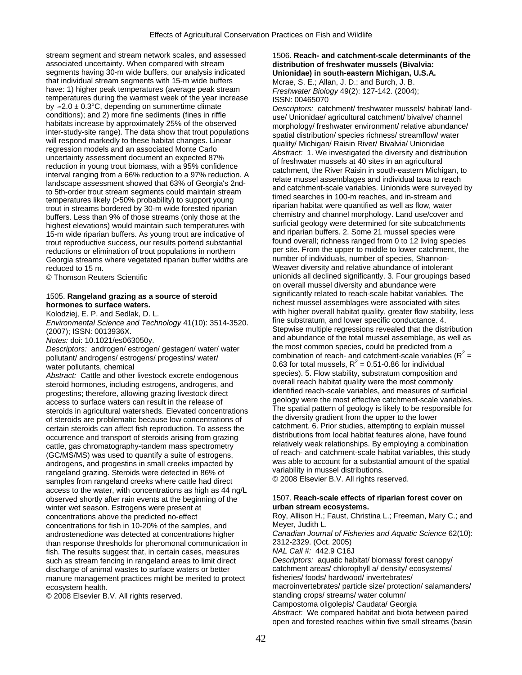associated uncertainty. When compared with stream **distribution of freshwater mussels (Bivalvia:**  segments having 30-m wide buffers, our analysis indicated **Unionidae) in south-eastern Michigan, U.S.A.**  that individual stream segments with 15-m wide buffers Mcrae, S. E.; Allan, J. D.; and Burch, J. B.<br>have: 1) higher peak temperatures (average peak stream Freshwater Biology 49(2): 127-142. (2004) have: 1) higher peak temperatures (average peak stream *Freshwater Biology* 49(2): 127-142. (2004);<br>temperatures during the warmest week of the year increase ISSN: 00465070<br>by  $\simeq$  2.0 ± 0.3°C, depending on summertime cli by ≃2.0 ± 0.3°C, depending on summertime climate *Descriptors:* catchment/ freshwater mussels/ habitat/ land-<br>conditions); and 2) more fine sediments (fines in riffle **interpretational properties** (thiopidae/ agricultural conditions); and 2) more fine sediments (fines in riffle<br>
habitats increase by approximately 25% of the observed<br>
inter-study-site range). The data show that trout populations<br>
will respond markedly to these habitat change buffers. Less than 9% of those streams (only those at the content of the content of the highest elevations) would maintain such temperatures with highest elevations) would maintain such temperatures with surficial geology 15-m wide riparian buffers. As young trout are indicative of and riparian buffers. 2. Some 21 mussel species were<br>trout reproductive success, our results portend substantial found overall; richness ranged from 0 to 12 livi trout reproductive success, our results portend substantial found overall; richness ranged from 0 to 12 living species<br>reductions or elimination of trout populations in porthern per site. From the upper to middle to lower reductions or elimination of trout populations in northern per site. From the upper to middle to lower catchmen<br>Georgia streams where vegetated riparian buffer widths are number of individuals, number of species, Shannon-Georgia streams where vegetated riparian buffer widths are reduced to 15 m.

*Environmental Science and Technology* 41(10): 3514-3520. (2007); ISSN: 0013936X. Stepwise multiple regressions revealed that the distribution

*Descriptors:* androgen/ estrogen/ gestagen/ water/ water pollutants, chemical pollutants, chemical  $0.63$  for total mussels,  $R^2 = 0.51$ -0.86 for individual water pollutants, chemical

steroid hormones, including estrogens, androgens, and overall reach habitat quality were the most commonly<br>progestins: therefore, allowing grazing livestock direct in identified reach-scale variables, and measures of surfi progestins; therefore, allowing grazing livestock direct access to surface waters can result in the release of geology were the most effective catchment-scale variables. steroids in agricultural watersheds. Elevated concentrations The spatial pattern of geology is likely to be responsible for the diversity gradient from the upper to the lower of steroids are problematic because low concent of steroids are problematic because low concentrations of certain steroids can affect fish reproduction. To assess the catchment. 6. Prior studies, attempting to explain mussel<br>
contrance and transport of steroids arising from grazing<br>
contrance and transport of steroids arising occurrence and transport of steroids arising from grazing distributions from local habitat features alone, have found<br>
relatively weak relationships. By employing a combination cattle, gas chromatography-tandem mass spectrometry relatively weak relationships. By employing a combination<br>CCC/MS/MS) was used to quantify a suite of estronens of reach- and catchment-scale habitat variables, this study (GC/MS/MS) was used to quantify a suite of estrogens, of reach- and catchment-scale habitat variables, this study<br>as able to account for a substantial amount of the spatial<br>(expansion of the spatial) was able to account fo androgens, and progestins in small creeks impacted by was able to account for a substantial and progestins in small creeks impacted by variability in mussel distributions. rangeland grazing. Steroids were detected in 86% of variability in mussel distributions.<br>samples from rangeland creeks where cattle had direct © 2008 Elsevier B.V. All rights reserved. samples from rangeland creeks where cattle had direct access to the water, with concentrations as high as 44 ng/L observed shortly after rain events at the beginning of the 1507. **Reach-scale effects of riparian forest cover on**  winter wet season. Estrogens were present at concentrations above the predicted no-effect Roy, Allison H.; Faust, Christina L.; Freeman, Mary C.; and<br>
concentrations for fish in 10-20% of the samples, and Meyer, Judith L. concentrations for fish in 10-20% of the samples, and androstenedione was detected at concentrations higher *Canadian Journal of Fisheries and Aquatic Science* 62(10): than response thresholds for pheromonal communication in 2312-2329. (Oct. 2005)<br>fish. The results suggest that, in certain cases, measures MAL Call #: 442.9 C16J fish. The results suggest that, in certain cases, measures *NAL Call #:* 442.9 C16J such as stream fencing in rangeland areas to limit direct discharge of animal wastes to surface waters or better catchment areas/ chlorophyll a/ density/ ecosystems/<br>manure management practices might be merited to protect fisheries/ foods/ hardwood/ invertebrates/ manure management practices might be merited to protect

© 2008 Elsevier B.V. All rights reserved.

# stream segment and stream network scales, and assessed 1506. **Reach- and catchment-scale determinants of the**

Weaver diversity and relative abundance of intolerant © Thomson Reuters Scientific unionids all declined significantly. 3. Four groupings based on overall mussel diversity and abundance were 1505. **Rangeland grazing as a source of steroid** significantly related to reach-scale habitat variables. The **hormones to surface waters. hormones to surface waters. richest mussel assemblages were associated with sites**  $K$ olodziej, E. P. and Sedlak, D. L.<br>Kolodziej, E. P. and Sedlak, D. L.<br>Environmental Science and Technology 41(10): 3514-3520 fine substratum, and lower specific conductance. 4. Notes: doi: 10.1021/es063050y.<br> *Notes:* doi: 10.1021/es063050y.<br> *Descriptors:* androgen/estrogen/gestagen/water/water the most common species, could be predicted from a  $p$ ollutant/ androgens/ estrogens/ progestins/ water/  $p$  combination of reach- and catchment-scale variables ( $R^2$  = water pollutants, chemical<br> *Abstract:* Cattle and other livestock excrete endogenous species). 5. Flow stability, substratum composition and<br>
species). 5. Flow stability, substratum composition and<br>
staroid hormones, incl

ecosystem health.<br>
© 2008 Elsevier B.V. All rights reserved.<br>
© 2008 Elsevier B.V. All rights reserved.<br>
Macroinvertebrates/ particle size/ protection/ salamanders/ Campostoma oligolepis/ Caudata/ Georgia

*Abstract:* We compared habitat and biota between paired open and forested reaches within five small streams (basin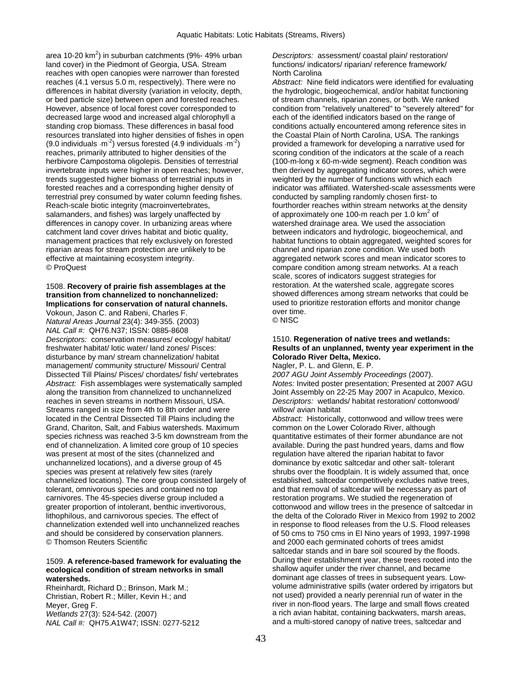area 10-20 km $^2$ ) in suburban catchments (9%- 49% urban land cover) in the Piedmont of Georgia, USA. Stream functions/ indicators/ riparian/ reference framework/ reaches with open canopies were narrower than forested North Carolina differences in habitat diversity (variation in velocity, depth, the hydrologic, biogeochemical, and/or habitat functioning or bed particle size) between open and forested reaches.  $\qquad \qquad$  of stream channels, riparian zones, or both. We ranked decreased large wood and increased algal chlorophyll a standing crop biomass. These differences in basal food resources translated into higher densities of fishes in open the Coastal Plain of North Carolina, USA. The rankings (9.0 individuals  $\cdot$ m<sup>-2</sup>) versus forested (4.9 individuals  $\cdot$ m<sup>-2</sup>) provided a framework for developing a narrative used for reaches, primarily attributed to higher densities of the scoring condition of the indicators at the scale of a reach herbivore Campostoma oligolepis. Densities of terrestrial (100-m-long x 60-m-wide segment). Reach condition was invertebrate inputs were higher in open reaches; however, then derived by aggregating indicator scores, which were trends suggested higher biomass of terrestrial inputs in weighted by the number of functions with which each terrestrial prey consumed by water column feeding fishes. conducted by sampling randomly chosen first- to<br>Reach-scale biotic integrity (macroinvertebrates, fourthorder reaches within stream networks at the salamanders, and fishes) was largely unaffected by differences in canopy cover. In urbanizing areas where watershed drainage area. We used the association catchment land cover drives habitat and biotic quality, between indicators and hydrologic, biogeochemical, and riparian areas for stream protection are unlikely to be channel and riparian zone condition. We used both effective at maintaining ecosystem integrity.<br>
© ProQuest compare condition among stream networks. At a reach compare condition among stream networks. At a reach

# **Implications for conservation of natural channels. used to prioritize restoration of natural channels. used to prioritize response restoration efforts and monoton efforts and monoton efforts and monoton efforts and mo**

Vokoun, Jason C. and Rabeni, Charles F.<br>
Natural Areas Journal 23(4): 349-355 (2003) © NISC *Natural Areas Journal* 23(4): 349-355. (2003) *NAL Call #:* QH76.N37; ISSN: 0885-8608 *Descriptors:* conservation measures/ ecology/ habitat/ 1510. **Regeneration of native trees and wetlands:**  freshwater habitat/ lotic water/ land zones/ Pisces: **Results of an unplanned, twenty year experiment in the**  disturbance by man/ stream channelization/ habitat **Colorado River Delta, Mexico.**  management/ community structure/ Missouri/ Central Nagler, P. L. and Glenn, E. P.<br>Dissected Till Plains/ Pisces/ chordates/ fish/ vertebrates 2007 AGU Joint Assembly Proceedings (2007). Dissected Till Plains/ Pisces/ chordates/ fish/ vertebrates *Abstract:* Fish assemblages were systematically sampled *Notes:* Invited poster presentation; Presented at 2007 AGU along the transition from channelized to unchannelized Joint Assembly on 22-25 May 2007 in Acapulco, Mexico. reaches in seven streams in northern Missouri, USA. *Descriptors:* wetlands/ habitat restoration/ cottonwood/ Streams ranged in size from 4th to 8th order and were willow/ avian habitat located in the Central Dissected Till Plains including the *Abstract:* Historically, cottonwood and willow trees were Grand, Chariton, Salt, and Fabius watersheds. Maximum common on the Lower Colorado River, although species richness was reached 3-5 km downstream from the quantitative estimates of their former abundance are not end of channelization. A limited core group of 10 species available. During the past hundred years, dams and flow was present at most of the sites (channelized and regulation have altered the riparian habitat to favor unchannelized locations), and a diverse group of 45 dominance by exotic saltcedar and other salt-tolerant species was present at relatively few sites (rarely shrubs over the floodplain. It is widely assumed that, once channelized locations). The core group consisted largely of established, saltcedar competitively excludes native trees, tolerant, omnivorous species and contained no top and that removal of saltcedar will be necessary as part of carnivores. The 45-species diverse group included a restoration programs. We studied the regeneration of greater proportion of intolerant, benthic invertivorous, cottonwood and willow trees in the presence of saltcedar in channelization extended well into unchannelized reaches in response to flood releases from the U.S. Flood releases and should be considered by conservation planners. <br>of 50 cms to 750 cms in El Nino years of 1993, 1997-199 © Thomson Reuters Scientific and 2000 each germinated cohorts of trees amidst

## **ecological condition of stream networks in small watersheds.** dominant age classes of trees in subsequent years. Low-

Descriptors: assessment/ coastal plain/ restoration/

reaches (4.1 versus 5.0 m, respectively). There were no *Abstract:* Nine field indicators were identified for evaluating However, absence of local forest cover corresponded to condition from "relatively unaltered" to "severely altered" for decreased large of decreased and increased algal chlorophyll a each of the identified indicators based conditions actually encountered among reference sites in forested reaches and a corresponding higher density of indicator was affiliated. Watershed-scale assessments were fourthorder reaches within stream networks at the density of approximately one 100-m reach per 1.0 km<sup>2</sup> of management practices that rely exclusively on forested habitat functions to obtain aggregated, weighted scores for compare condition among stream networks. At a reach scale, scores of indicators suggest strategies for 1508. **Recovery of prairie fish assemblages at the** restoration. At the watershed scale, aggregate scores **transition from channelized to nonchannelized:** showed differences among stream networks that could be<br>**Implications for conservation of natural channels.** used to prioritize restoration efforts and monitor change

lithophilous, and carnivorous species. The effect of the delta of the Colorado River in Mexico from 1992 to 2002<br>
channelization extended well into unchannelized reaches in response to flood releases from the U.S. Flood re of 50 cms to 750 cms in El Nino years of 1993, 1997-1998 saltcedar stands and in bare soil scoured by the floods. 1509. **A reference-based framework for evaluating the During their establishment year, these trees rooted into the <b>ecological condition of stream networks in small** shallow aquifer under the river channel, and became Rheinhardt, Richard D.; Brinson, Mark M.; volume administrative spills (water ordered by irrigators but Christian, Robert R.; Miller, Kevin H.; and not mean not used) provided a nearly perennial run of water in the Meyer, Greg F. Greg F. The Large F. River in non-flood years. The large and small flows created *Wetlands* 27(3): 524-542. (2007) a rich avian habitat, containing backwaters, marsh areas, *NAL Call #:* QH75.A1W47; ISSN: 0277-5212 and a multi-stored canopy of native trees, saltcedar and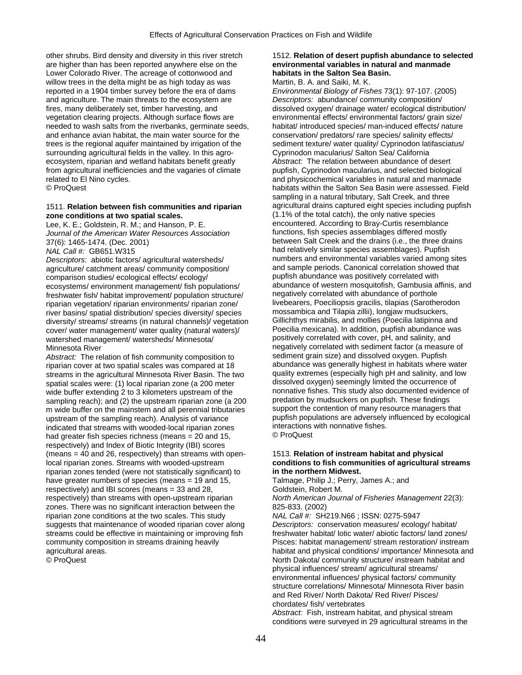other shrubs. Bird density and diversity in this river stretch 1512. **Relation of desert pupfish abundance to selected**  are higher than has been reported anywhere else on the **environmental variables in natural and manmade**  Lower Colorado River. The acreage of cottonwood and **habitats in the Salton Sea Basin.**  willow trees in the delta might be as high today as was Martin, B. A. and Saiki, M. K. reported in a 1904 timber survey before the era of dams *Environmental Biology of Fishes* 73(1): 97-107. (2005) and agriculture. The main threats to the ecosystem are *Descriptors:* abundance/ community composition/ fires, many deliberately set, timber harvesting, and dissolved oxygen/ drainage water/ ecological distribution/<br>vegetation clearing projects. Although surface flows are environmental effects/ environmental factors/ grain s vegetation clearing projects. Although surface flows are environmental effects/ environmental factors/ grain size/<br>needed to wash salts from the riverbanks, germinate seeds, habitat/ introduced species/ man-induced effects needed to wash salts from the riverbanks, germinate seeds, and enhance avian habitat, the main water source for the conservation/ predators/ rare species/ salinity effects/ trees is the regional aquifer maintained by irrigation of the sediment texture/ water quality/ Cyprinodon latifasciatus/ surrounding agricultural fields in the valley. In this agro- Cyprinodon macularius/ Salton Sea/ California ecosystem, riparian and wetland habitats benefit greatly *Abstract:* The relation between abundance of desert from agricultural inefficiencies and the vagaries of climate pupfish, Cyprinodon macularius, and selected biological

Lee, K. E.; Goldstein, R. M.; and Hanson, P. E. encountered. According to Bray-Curtis resemblance<br>Lournal of the American Water Resources Association functions, fish species assemblages differed mostly *Journal of the American Water Resources Association*<br>37(6): 1465-1474. (Dec. 2001)

agriculture/ catchment areas/ community composition/ and sample periods. Canonical correlation showe<br>comparison studies/ ecological effects/ ecology/ publish abundance was positively correlated with comparison studies/ ecological effects/ ecology/ pupfish abundance was positively correlated with<br>ecosystems/ environment management/ fish populations/ abundance of western mosquitofish, Gambusia affinis, and ecosystems/ environment management/ fish populations/ abundance of western mosquitofish, Gambusia a<br>freshwater fish/ habitat improvement/ population structure/ a regatively correlated with abundance of porthole freshwater fish/ habitat improvement/ population structure/ megatively correlated with abundance of porthole<br>
riparian vegetation/ riparian environments/ riparian zone/ livebearers, Poeciliopsis gracilis, tilapias (Sarothe riparian vegetation/ riparian environments/ riparian zone/ livebearers, Poeciliopsis gracilis, tilapias (Sarotherodonic river basins/ spacial distribution/ species diversity/ species mossambica and Tilapia zillii), longjaw river basins/ spatial distribution/ species diversity/ species mossambica and Tilapia zillii), longjaw mudsuckers,<br>diversity/ streams/ streams (in natural channels)/ vegetation Gillichthys mirabilis, and mollies (Poecilia diversity/ streams/ streams (in natural channels)/ vegetation Gillichthys mirabilis, and mollies (Poecilia latipinna and cover/ water management/ water quality (natural waters)/ watershed management/ watersheds/ Minnesota/ positively correlated with cover, pH, and salinity, and vatersheds/ Minnesota/

riparian cover at two spatial scales was compared at 18 abundance was generally highest in habitats where water<br>streams in the agricultural Minnesota River Basin. The two quality extremes (especially high pH and salinity, streams in the agricultural Minnesota River Basin. The two quality extremes (especially high pH and salinity, and low quality extremes (especially high pH and salinity, and low quality extremes of salinity, and low quality spatial scales were: (1) local riparian zone (a 200 meter dissolved oxygen) seemingly limited the occurrence of<br>wide buffer extending 2 to 3 kilometers upstream of the nonnative fishes. This study also documented evidence wide buffer extending 2 to 3 kilometers upstream of the nonnative fishes. This study also documented eviden<br>sampling reach): and (2) the upstream riparian zone (a 200 predation by mudsuckers on pupfish. These findings sampling reach); and (2) the upstream riparian zone (a 200 predation by mudsuckers on pupfish. These findings<br>m wide buffer on the mainstem and all perennial tributaries support the contention of many resource managers tha m wide buffer on the mainstem and all perennial tributaries upstream of the sampling reach). Analysis of variance pupfish populations are adversely influenced by ecological<br>
indicated that streams with wooded-local riparian zones interactions with nonnative fishes. indicated that streams with wooded-local riparian zones interactions interactions had greater fish species richness (means  $-$  20 and 15  $\degree$  ProQuest had greater fish species richness (means =  $20$  and 15, respectively) and Index of Biotic Integrity (IBI) scores (means = 40 and 26, respectively) than streams with open- 1513. **Relation of instream habitat and physical**  local riparian zones. Streams with wooded-upstream **conditions to fish communities of agricultural streams**  riparian zones tended (were not statistically significant) to **in the northern Midwest.**  have greater numbers of species (means  $= 19$  and 15, respectively) and IBI scores (means = 33 and 28, Goldstein, Robert M. respectively) than streams with open-upstream riparian *North American Journal of Fisheries Management* 22(3): zones. There was no significant interaction between the  $\begin{array}{r} 825-833. \text{ (2002)} \\ \text{invariant zone conditions at the two scales. This study} \end{array}$  NAL Call #: SH219.N66; ISSN: 0275-5947 riparian zone conditions at the two scales. This study suggests that maintenance of wooded riparian cover along *Descriptors:* conservation measures/ ecology/ habitat/<br>streams could be effective in maintaining or improving fish freshwater habitat/ lotic water/ abiotic factors/ community composition in streams draining heavily Pisces: habitat management/ stream restoration/ instream

related to El Nino cycles.<br>
© ProQuest Constants in natural and manmade<br>
and physicochemical variables in natural and manmade<br>
habitats within the Salton Sea Basin were assessed. Fie habitats within the Salton Sea Basin were assessed. Field sampling in a natural tributary, Salt Creek, and three 1511. **Relation between fish communities and riparian** agricultural drains captured eight species including pupfish **zone conditions at two spatial scales.**  $\begin{array}{ccc} \cdot & \cdot & \cdot \\ \cdot & \cdot & \cdot \\ \cdot & \cdot & \cdot \\ \cdot & \cdot & \cdot \\ \cdot & \cdot & \cdot \\ \cdot & \cdot & \cdot \\ \cdot & \cdot & \cdot \\ \cdot & \cdot & \cdot \\ \cdot & \cdot & \cdot \\ \cdot & \cdot & \cdot \\ \cdot & \cdot & \cdot \\ \cdot & \cdot & \cdot \\ \cdot & \cdot & \cdot \\ \cdot & \cdot & \cdot \\ \cdot & \cdot & \cdot \\ \cdot & \cdot & \cdot \\ \cdot & \cdot & \cdot \\ \cdot & \cdot & \cdot \\ \cdot & \cdot & \cdot \\ \cdot$ between Salt Creek and the drains (i.e., the three drains *NAL Call #:* GB651.W315 had relatively similar species assemblages). Pupfish *Descriptors:* abiotic factors/ agricultural watersheds/ numbers and environmental variables varied among sites<br>
numbers and sample periods. Canonical correlation showed that<br>
and sample periods. Canonical correlation show Minnesota River<br>
Minnesota River<br>
Abstract: The relation of fish community composition to<br>
Abstract: The relation of fish community composition to<br>
Sediment grain size) and dissolved oxygen. Pupfish Abstract: The relation of fish community composition to sediment grain size) and dissolved oxygen. Pupfish<br>Triparian cover at two spatial scales was compared at 18 abundance was generally highest in habitats where water

freshwater habitat/ lotic water/ abiotic factors/ land zones/ agricultural areas. habitat and physical conditions/ importance/ Minnesota and © ProQuest North Dakota/ community structure/ instream habitat and physical influences/ stream/ agricultural streams/ environmental influences/ physical factors/ community structure correlations/ Minnesota/ Minnesota River basin and Red River/ North Dakota/ Red River/ Pisces/ chordates/ fish/ vertebrates

*Abstract:* Fish, instream habitat, and physical stream conditions were surveyed in 29 agricultural streams in the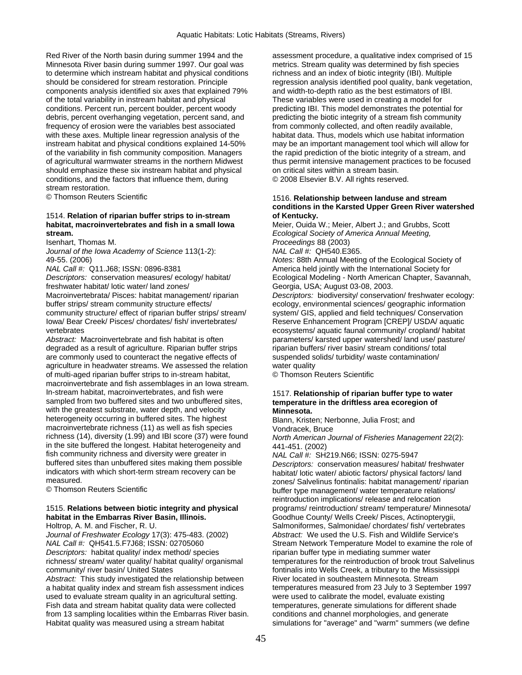Red River of the North basin during summer 1994 and the assessment procedure, a qualitative index comprised of 15 Minnesota River basin during summer 1997. Our goal was metrics. Stream quality was determined by fish species to determine which instream habitat and physical conditions richness and an index of biotic integrity (IBI). Multiple should be considered for stream restoration. Principle regression analysis identified pool quality, bank vegetation, components analysis identified six axes that explained 79% and width-to-depth ratio as the best estimators of IBI. of the total variability in instream habitat and physical These variables were used in creating a model for conditions. Percent run, percent boulder, percent woody predicting IBI. This model demonstrates the potential for debris, percent overhanging vegetation, percent sand, and predicting the biotic integrity of a stream fish community frequency of erosion were the variables best associated from commonly collected, and often readily availa frequency of erosion were the variables best associated with these axes. Multiple linear regression analysis of the habitat data. Thus, models which use habitat information instream habitat and physical conditions explained 14-50% may be an important management tool which will allow for of the variability in fish community composition. Managers the rapid prediction of the biotic integrity of a stream, and of agricultural warmwater streams in the northern Midwest thus permit intensive management practices to be focused should emphasize these six instream habitat and physical on critical sites within a stream basin. conditions, and the factors that influence them, during © 2008 Elsevier B.V. All rights reserved. stream restoration.<br>© Thomson Reuters Scientific

## 1514. **Relation of riparian buffer strips to in-stream of Kentucky. habitat, macroinvertebrates and fish in a small Iowa** Meier, Ouida W.; Meier, Albert J.; and Grubbs, Scott **stream.** *Ecological Society of America Annual Meeting,*

Isenhart, Thomas M. *Proceedings* 88 (2003) *Journal of the Iowa Academy of Science* 113(1-2):

*NAL Call #:* Q11.J68; ISSN: 0896-8381 America held jointly with the International Society for *Descriptors:* conservation measures/ ecology/ habitat/ Ecological Modeling - North American Chapter, Savannah, freshwater habitat/ lotic water/ land zones/ Georgia, USA; August 03-08, 2003. Macroinvertebrata/ Pisces: habitat management/ riparian *Descriptors:* biodiversity/ conservation/ freshwater ecology: buffer strips/ stream community structure effects/ ecology, environmental sciences/ geographic information community structure/ effect of riparian buffer strips/ stream/ system/ GIS, applied and field techniques/ Conservation Iowa/ Bear Creek/ Pisces/ chordates/ fish/ invertebrates/ Reserve Enhancement Program [CREP]/ USDA/ aquatic vertebrates ecosystems/ aquatic faunal community/ cropland/ habitat

*Abstract:* Macroinvertebrate and fish habitat is often parameters/ karsted upper watershed/ land use/ pasture/ degraded as a result of agriculture. Riparian buffer strips riparian buffers/ river basin/ stream conditions/ total are commonly used to counteract the negative effects of suspended solids/ turbidity/ waste contamination/ agriculture in headwater streams. We assessed the relation water quality<br>of multi-aged riparian buffer strips to in-stream habitat. <br>© Thomson Reuters Scientific of multi-aged riparian buffer strips to in-stream habitat, macroinvertebrate and fish assemblages in an Iowa stream. In-stream habitat, macroinvertebrates, and fish were 1517. **Relationship of riparian buffer type to water** sampled from two buffered sites and two unbuffered sites. with the greatest substrate, water depth, and velocity **Minnesota.** heterogeneity occurring in buffered sites. The highest Blann, Kristen; Nerbonne, Julia Frost; and macroinvertebrate richness (11) as well as fish species Vondracek, Bruce<br>richness (14), diversity (1.99) and IBI score (37) were found North American Jo in the site buffered the longest. Habitat heterogeneity and  $441-451$ . (2002)<br>
fish community richness and diversity were greater in NAL Call #: SH219.N66; ISSN: 0275-5947 fish community richness and diversity were greater in<br>buffered sites than unbuffered sites making them possible buffered sites than unbuffered sites making them possible *Descriptors:* conservation measures/ habitat/ freshwater indicators with which short-term stream recovery can be habitat/ lotic water/ abiotic factors/ physical factors/ land<br>Tones/ Salvelinus fontinalis: babitat management/ rinaria

## **habitat in the Embarras River Basin, Illinois.** Goodhue County/ Wells Creek/ Pisces, Actinopterygii,

*Journal of Freshwater Ecology* 17(3): 475-483. (2002) *Abstract:* We used the U.S. Fish and Wildlife Service's Descriptors: habitat quality/ index method/ species riparian buffer type in mediating summer water community/ river basin/ United States for the Mississippi fontinalis into Wells Creek, a tributary to the Mississippi

Abstract: This study investigated the relationship between River located in southeastern Minnesota. Stream a habitat quality index and stream fish assessment indices temperatures measured from 23 July to 3 September 1997 used to evaluate stream quality in an agricultural setting. were used to calibrate the model, evaluate existing Fish data and stream habitat quality data were collected temperatures, generate simulations for different shade from 13 sampling localities within the Embarras River basin. conditions and channel morphologies, and generate Habitat quality was measured using a stream habitat simulations for "average" and "warm" summers (we define

## **1516. Relationship between landuse and stream conditions in the Karsted Upper Green River watershed**

49-55. (2006) *Notes:* 88th Annual Meeting of the Ecological Society of

# temperature in the driftless area ecoregion of

**North American Journal of Fisheries Management 22(2):** 

measured.<br> **Example 2018** Thomson Reuters Scientific<br> **Example 2019** Thomson Reuters Scientific<br> **Example 2019** Thomson Reuters Scientific buffer type management/ water temperature relations/ reintroduction implications/ release and relocation 1515. **Relations between biotic integrity and physical** programs/ reintroduction/ stream/ temperature/ Minnesota/ Holtrop, A. M. and Fischer, R. U. Salmoniformes, Salmonidae/ chordates/ fish/ vertebrates Stream Network Temperature Model to examine the role of richness/ stream/ water quality/ habitat quality/ organismal temperatures for the reintroduction of brook trout Salvelinus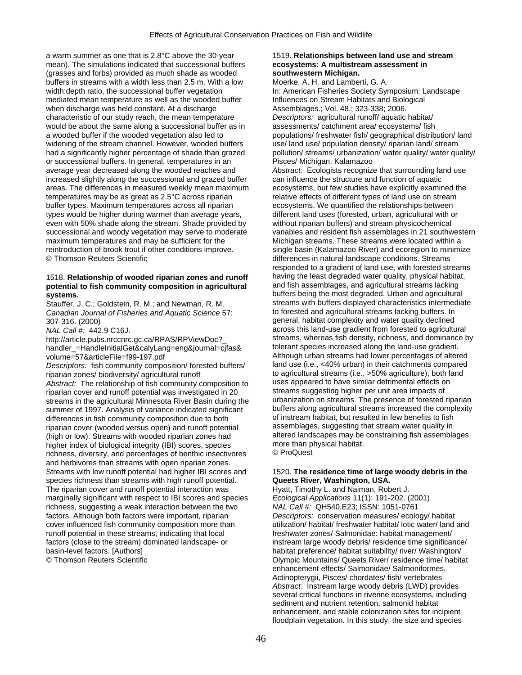a warm summer as one that is 2.8°C above the 30-year 1519. **Relationships between land use and stream**  mean). The simulations indicated that successional buffers **ecosystems: A multistream assessment in**  (grasses and forbs) provided as much shade as wooded **southwestern Michigan.** buffers in streams with a width less than 2.5 m. With a low Moerke, A. H. and Lamberti, G. A. width:depth ratio, the successional buffer vegetation In: American Fisheries Society Symposium: Landscape mediated mean temperature as well as the wooded buffer Influences on Stream Habitats and Biological<br>when discharge was held constant. At a discharge Assemblages.; Vol. 48.; 323-338; 2006. when discharge was held constant. At a discharge Assemblages.; Vol. 48.; 323-338; 2006.<br>
characteristic of our study reach, the mean temperature *Descriptors:* agricultural runoff/aquatic habitat/ characteristic of our study reach, the mean temperature *Descriptors:* agricultural runoff/ aquatic habitat/ would be about the same along a successional buffer as in a wooded buffer if the wooded vegetation also led to populations/ freshwater fish/ geographical distribution/ land widening of the stream channel. However, wooded buffers use/ land use/ population density/ riparian land/ stream or successional buffers. In general, temperatures in an Pisces/ Michigan, Kalamazoo average year decreased along the wooded reaches and *Abstract:* Ecologists recognize that surrounding land use increased slightly along the successional and grazed buffer can influence the structure and function of aquatic areas. The differences in measured weekly mean maximum ecosystems, but few studies have explicitly examined the temperatures may be as great as 2.5°C across riparian relative effects of different types of land use on stream<br>buffer types. Maximum temperatures across all riparian ecosystems. We quantified the relationships between buffer types. Maximum temperatures across all riparian ecosystems. We quantified the relationships between<br>types would be higher during warmer than average years, different land uses (forested, urban, agricultural with or types would be higher during warmer than average years, even with 50% shade along the stream. Shade provided by without riparian buffers) and stream physicochemical successional and woody vegetation may serve to moderate variables and resident fish assemblages in 21 southwestern maximum temperatures and may be sufficient for the Michigan streams. These streams were located within a reintroduction of brook trout if other conditions improve. single basin (Kalamazoo River) and ecoregion to minimize © Thomson Reuters Scientific differences in natural landscape conditions. Streams

## potential to fish community composition in agricultural **systems. buffers being the most degraded. Urban and agricultural**

*Canadian Journal of Fisheries and Aquatic Science* 57: 307-316. (2000) general, habitat complexity and water quality declined

handler\_=HandleInitialGet&calyLang=eng&journal=cjfas&

*Descriptors:* fish community composition/ forested buffers/ land use (i.e., <40% urban) in their catchments compared riparian zones/ biodiversity/ agricultural runoff to agricultural streams (i.e., >50% agriculture), both land<br>Abstract: The relationship of fish community composition to uses appeared to have similar detrimental effects on *Abstract:* The relationship of fish community composition to uses appeared to have similar detrimental effects on<br>
riparian cover and runoff potential was investigated in 20 streams suggesting higher per unit area impacts riparian cover and runoff potential was investigated in 20 streams in the agricultural Minnesota River Basin during the urbanization on streams. The presence of forested riparian<br>summer of 1997. Analysis of variance indicated significant buffers along agricultural streams increase summer of 1997. Analysis of variance indicated significant differences in fish community composition due to both of instream habitat, but resulted in few benefits to fish<br>
riparian cover (wooded versus open) and runoff potential assemblages, suggesting that stream water quality in riparian cover (wooded versus open) and runoff potential assemblages, suggesting that stream water quality in<br>(high or low). Streams with wooded riparian zones had altered landscapes may be constraining fish assemblages (high or low). Streams with wooded riparian zones had altered landscapes may be constrained by a later assembla<br>higher index of biological integrity (IBI) scores species more than physical habitat. higher index of biological integrity (IBI) scores, species more than physical integrity (IBI) scores, species more than physical method. richness, diversity, and percentages of benthic insectivores and herbivores than streams with open riparian zones. Streams with low runoff potential had higher IBI scores and 1520. **The residence time of large woody debris in the**  species richness than streams with high runoff potential. **Queets River, Washington, USA.** The riparian cover and runoff potential interaction was Hyatt, Timothy L. and Naiman, Robert J. marginally significant with respect to IBI scores and species *Ecological Applications* 11(1): 191-202. (2001) richness, suggesting a weak interaction between the two *NAL Call #:* QH540.E23; ISSN: 1051-0761 factors. Although both factors were important, riparian *Descriptors:* conservation measures/ ecology/ habitat cover influenced fish community composition more than runoff potential in these streams, indicating that local factors (close to the stream) dominated landscape- or instream large woody debris/ residence time significance/ basin-level factors. [Authors] habitat preference/ habitat suitability/ river/ Washington/

had a significantly higher percentage of shade than grazed pollution/ streams/ urbanization/ water quality/ water quality/

responded to a gradient of land use, with forested streams 1518. **Relationship of wooded riparian zones and runoff** having the least degraded water quality, physical habitat, Stauffer, J. C.; Goldstein, R. M.; and Newman, R. M. streams with buffers displayed characteristics intermediate<br>Canadian Journal of Fisheries and Aquatic Science 57: stratup to forested and agricultural streams lacking bu *NAL Call #:* 442.9 C16J. **Across this land-use gradient from forested to agricultural** http://article.pubs.nrccnrc.gc.ca/RPAS/RPViewDoc?\_ streams, whereas fish density, richness, and dominance by<br>handler =HandleInitialGet&calvLang=eng&iournal=cifas& tolerant species increased along the land-use gradient. volume=57&articleFile=f99-197.pdf<br>Descriptors: fish community composition/ forested buffers/ and use (i.e., <40% urban) in their catchments compared

freshwater zones/ Salmonidae: habitat management/ © Thomson Reuters Scientific Olympic Mountains/ Queets River/ residence time/ habitat enhancement effects/ Salmonidae/ Salmoniformes, Actinopterygii, Pisces/ chordates/ fish/ vertebrates *Abstract:* Instream large woody debris (LWD) provides several critical functions in riverine ecosystems, including sediment and nutrient retention, salmonid habitat enhancement, and stable colonization sites for incipient floodplain vegetation. In this study, the size and species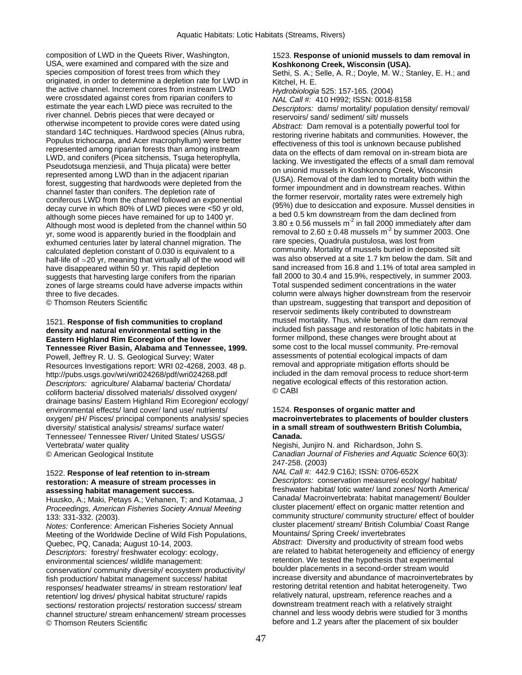composition of LWD in the Queets River, Washington, 1523. **Response of unionid mussels to dam removal in**  USA, were examined and compared with the size and **Koshkonong Creek, Wisconsin (USA).**<br>
species composition of forest trees from which they **Selfong Sethi, S. A.: Selle, A. R.: Dovle, M. W.: St** originated, in order to determine a depletion rate for LWD in Kitchel, H. E.<br>the active channel. Increment cores from instream LWD Hydrobiologia the active channel. Increment cores from instream LWD<br>were crossdated against cores from riparian conifers to *NAL Call #: 410 H992; ISSN: 0018-8158*<br>estimate the year each LWD piece was recruited to the *Descriptors: dams* estimate the year each LWD piece was recruited to the *Descriptors:* dams/ mortality/ population density/ removal/<br>
river channel. Debris pieces that were decayed or<br>
otherwise incompetent to provide cores were dated using although some pieces have remained for up to 1400 yr.<br>Although most wood is depleted from the channel within 50  $\mu$  3.80 ± 0.56 mussels m<sup>2</sup> in fall 2000 immediately after dam yr, some wood is apparently buried in the floodplain and removal to  $2.60 \pm 0.48$  mussels m<sup>-2</sup> by summer 2003. One explored in the floodplain and removal to  $2.60 \pm 0.48$  mussels m<sup>-2</sup> by summer 2003. One explored in the exhumed centuries later by lateral channel migration. The rare species, Quadrula pustulosa, was lost from<br>calculated depletion constant of 0.030 is equivalent to a community. Mortality of mussels buried in deposited silt calculated depletion constant of 0.030 is equivalent to a community. Mortality of mussels buried in deposited silt<br>half-life of ≈20 yr, meaning that virtually all of the wood will was also observed at a site 1.7 km below half-life of  $\simeq$ 20 yr, meaning that virtually all of the wood will have disappeared within 50 yr. This rapid depletion suggests that harvesting large conifers from the riparian fall 2000 to 30.4 and 15.9%, respectively, in summer 2<br>zones of large streams could have adverse impacts within Total suspended sediment concentrations in the water zones of large streams could have adverse impacts within three to five decades. column were always higher downstream from the reservoir

Powell, Jeffrey R. U. S. Geological Survey; Water and assessments of potential ecological impacts of dam<br>Resources Investigations report: WRI 02-4268, 2003, 48 p. [[Empact] and appropriate mitigation efforts should be Resources Investigations report: WRI 02-4268, 2003. 48 p. The removal and appropriate mitigation efforts should be<br>http://pubs.usgs.gov/wri/wri024268/pdf/wri024268 pdf states included in the dam removal process to reduce s http://pubs.usgs.gov/wri/wri024268/pdf/wri024268.pdf included in the dam removal process to reduce shor<br>Descriptors: agriculture/ Alabama/ bacteria/ Chordata/ included in the dam removal process to reduce short-ter *Descriptors: agriculture/ Alabama/ bacteria/ Chordata/* negative experience effects of the effects of the color<br>coliform bacteria/ dissolved materials/ dissolved oxygen/  $\bullet$  CABI coliform bacteria/ dissolved materials/ dissolved oxygen/ drainage basins/ Eastern Highland Rim Ecoregion/ ecology/ environmental effects/ land cover/ land use/ nutrients/ 1524. **Responses of organic matter and**<br>
oxygen/ pH/ Pisces/ principal components analysis/ species **macroinvertebrates to placements of boulder clusters** oxygen/ pH/ Pisces/ principal components analysis/ species diversity/ statistical analysis/ streams/ surface water/ **in a small stream of southwestern British Columbia,**  Tennessee/ Tennessee River/ United States/ USGS/ **Canada.**  Vertebrata/ water quality Negishi, Junjiro N. and Richardson, John S.

## 1522. **Response of leaf retention to in-stream** *NAL Call #:* 442.9 C16J; ISSN: 0706-652X restoration: A measure of stream processes in

Huusko, A.; Maki, Petays A.; Vehanen, T; and Kotamaa, J Canada/ Macroinvertebrata: habitat management/ Boulde<br>Proceedings, American Fisheries Society Annual Meeting cluster placement/ effect on organic matter retention and *Proceedings, American Fisheries Society Annual Meeting* 

Meeting of the Worldwide Decline of Wild Fish Populations,

*Descriptors: forestry/ freshwater ecology: ecology,* environmental sciences/ wildlife management:<br>
conservation/ community diversity/ ecosystem productivity/ boulder placements in a second-order stream would fish production/ habitat management success/ habitat increase diversity and abundance of macroinvertebrates b<br>responses/ headwater streams/ in stream restoration/ leaf restoring detrital retention and habitat heterogeneity responses/ headwater streams/ in stream restoration/ leaf retention/ log drives/ physical habitat structure/ rapids relatively natural, upstream, reference reaches and a<br>sections/ restoration projects/ restoration success/ stream downstream treatment reach with a relatively strai sections/ restoration projects/ restoration success/ stream downstream treatment reach with a relatively straight<br>channel structure/ stream enhancement/ stream processes channel and less woody debris were studied for 3 mon channel structure/ stream enhancement/ stream processes © Thomson Reuters Scientific before and 1.2 years after the placement of six boulder

Sethi, S. A.; Selle, A. R.; Doyle, M. W.; Stanley, E. H.; and

otherwise incompetent to provide cores were dated using<br>
standard 14C techniques. Hardwood species (Alnus rubra,<br>
Fropulls trichcorpa, and Acer macrophyllum) were better<br>
represented among riparian forests than among inst sand increased from 16.8 and 1.1% of total area sampled in fall 2000 to 30.4 and 15.9%, respectively, in summer 2003. © Thomson Reuters Scientific than upstream, suggesting that transport and deposition of reservoir sediments likely contributed to downstream 1521. **Response of fish communities to cropland** mussel mortality. Thus, while benefits of the dam removal **density and natural environmental setting in the** included fish passage and restoration of lotic habitats in the **Eastern Highland Rim Ecoregion of the lower former millpond, these changes were brought about at**<br>**Tennessee River Basin, Alahama and Tennessee, 1999** some cost to the local mussel community. Pre-removal **Tennessee River Basin, Alabama and Tennessee, 1999.** Some cost to the local mussel community. Pre-removal Leffrey R LL S. Geological Survey: Water and Sussessments of potential ecological impacts of dam

© American Geological Institute *Canadian Journal of Fisheries and Aquatic Science* 60(3): 247-258. (2003)

**assessing habitat management success. freshwater habitat/ lotic water/ land zones/ North America/**<br>Huusko A Maki Petays A : Vehanen T: and Kotamaa J. Canada/ Macroinvertebrata: habitat management/ Boulder 133: 331-332. (2003). community structure/ community structure/ effect of boulder *Notes:* Conference: American Fisheries Society Annual cluster placement/ stream/ British Columbia/ Coast Range<br>Meeting of the Worldwide Decline of Wild Fish Populations Mountains/ Spring Creek/ invertebrates

Quebec, PQ, Canada; August 10-14, 2003. *Abstract:* Diversity and productivity of stream food webs conservation/ community diversity/ ecosystem productivity/ boulder placements in a second-order stream would<br>
fish production/ habitat management success/ habitat increase diversity and abundance of macroinvertebrates by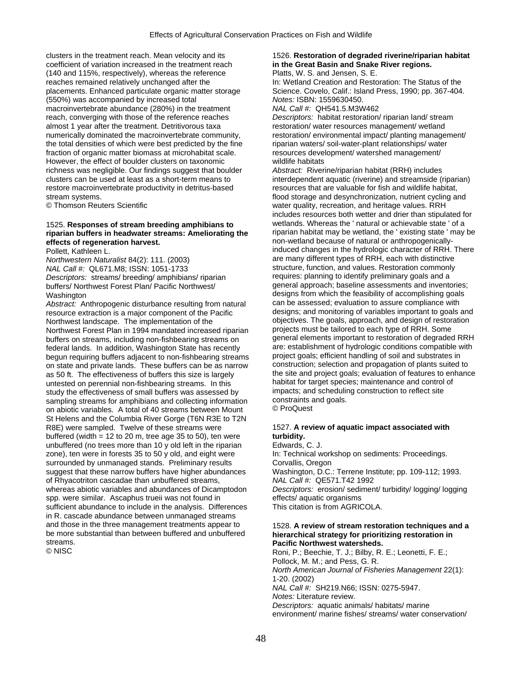coefficient of variation increased in the treatment reach (140 and 115%, respectively), whereas the reference Platts, W. S. and Jensen, S. E.<br>
reaches remained relatively unchanged after the Platts, W. S. and Jensen, S. E. placements. Enhanced particulate organic matter storage Science. Covelo, Calif.: Island Press, 1990; pp. 367-404. (550%) was accompanied by increased total *Notes:* ISBN: 1559630450.<br>macroinvertebrate abundance (280%) in the treatment *NAL Call #:* QH541.5.M3W462 macroinvertebrate abundance (280%) in the treatment *NAL Call #:* QH541.5.M3W462<br>
reach. converging with those of the reference reaches *Descriptors:* habitat restoration/ riparian land/ stream reach, converging with those of the reference reaches *Descriptors:* habitat restoration/ riparian land/ streat<br>almost 1 year after the treatment. Detritivorous taxa restoration/ water resources management/ wetland almost 1 year after the treatment. Detritivorous taxa numerically dominated the macroinvertebrate community, expressionation/ environmental impact/ planting management/ the total densities of which were best predicted by the fine riparian waters/ soil-water-plant relationships/ water fraction of organic matter biomass at microhabitat scale. The resources development/ watershed management/ However, the effect of boulder clusters on taxonomic wildlife habitats richness was negligible. Our findings suggest that boulder *Abstract:* Riverine/riparian habitat (RRH) includes restore macroinvertebrate productivity in detritus-based

## riparian buffers in headwater streams: Ameliorating the **effects of regeneration harvest.** non-wetland because of natural or anthropogenically-

buffers/ Northwest Forest Plan/ Pacific Northwest/

*Abstract:* Anthropogenic disturbance resulting from natural resource extraction is a major component of the Pacific Northwest landscape. The implementation of the objectives. The goals, approach, and design of restoration<br>Northwest Forest Plan in 1994 mandated increased riparian projects must be tailored to each type of RRH. Some Northwest Forest Plan in 1994 mandated increased riparian federal lands. In addition, Washington State has recently are: establishment of hydrologic conditions compatible w<br>hequin requiring buffers adjacent to non-fishbearing streams project goals; efficient handling of soil and begun requiring buffers adjacent to non-fishbearing streams project goals; efficient handling of soil and substrates in<br>on state and private lands. These buffers can be as narrow construction; selection and propagation of as 50 ft. The effectiveness of buffers this size is largely the site and project goals; evaluation of features to en<br>untested on perennial non-fishbearing streams. In this habitat for target species; maintenance and contro untested on perennial non-fishbearing streams. In this habitat for target species; maintenance and control of<br>study the effectiveness of small buffers was assessed by impacts; and scheduling construction to reflect site study the effectiveness of small buffers was assessed by impacts; and scheduling sampling streams for amphibians and collecting information constraints and goals. sampling streams for amphibians and collecting information constraints and government constraints and goals. Constraints and goals. A total of 40 streams between Mount on abiotic variables. A total of 40 streams between Mount St Helens and the Columbia River Gorge (T6N R3E to T2N R8E) were sampled. Twelve of these streams were 1527. **A review of aquatic impact associated with**  buffered (width = 12 to 20 m, tree age 35 to 50), ten were **turbidity.**<br>unbuffered (no trees more than 10 y old left in the riparian Edwards, C. J. unbuffered (no trees more than 10 y old left in the riparian zone), ten were in forests 35 to 50 y old, and eight were In: Technical workshop on sediments: Proceedings. surrounded by unmanaged stands. Preliminary results Corvallis, Oregon<br>suggest that these narrow buffers have higher abundances Washington, D.C.: Terrene Institute; pp. 109-112; 1993. suggest that these narrow buffers have higher abundances of Rhyacotriton cascadae than unbuffered streams, *NAL Call #:* QE571.T42 1992 spp. were similar. Ascaphus trueii was not found in effects/ aquatic organisms<br>sufficient abundance to include in the analysis. Differences This citation is from AGRICOLA. sufficient abundance to include in the analysis. Differences in R. cascade abundance between unmanaged streams<br>and those in the three management treatments appear to and those in the three management treatments appear to 1528. A review of stream restoration techniques and a **beach in the more substantial than between** buffered and unbuffered **by propertieal strategy for prioritizing re** be more substantial than between buffered and unbuffered **hierarchical strategy for prioritizing restoration in**  streams. **Pacific Northwest watersheds.**<br> **C** NISC **P** Republic Root **P** Republic Republic Republic Republic Republic Republic Republic Republic Republic Republic Republic Republic Republic Republic Republic Republic Repub

# clusters in the treatment reach. Mean velocity and its 1526. **Restoration of degraded riverine/riparian habitat**

In: Wetland Creation and Restoration: The Status of the

clusters can be used at least as a short-term means to interdependent aquatic (riverine) and streamside (riparian)<br>restore macroinvertebrate productivity in detritus-based resources that are valuable for fish and wildlife stream systems.<br> **Example 3** Constant of the storage and desynchronization, nutrient cycling and<br> **Example 2** Constant of the manufacture of the storage values. RRH<br>
Water quality, recreation, and heritage values. RRH water quality, recreation, and heritage values. RRH includes resources both wetter and drier than stipulated for 1525. **Responses of stream breeding amphibians to** wetlands. Whereas the ' natural or achievable state ' of a Pollett. Kathleen L. induced changes in the hydrologic character of RRH. There *Northwestern Naturalist* 84(2): 111. (2003) **are many different types of RRH, each with distinctive**<br> *NAL Call #:* QL671.M8; ISSN: 1051-1733 **being a structure, function, and values. Restoration commonly** structure, function, and values. Restoration commonly requires: planning to identify preliminary goals and a *Descriptors:* streams/ breeding/ amphibians/ riparian requires: planning to identify preliminary goals and a<br>buffers/ Northwest Forest Plan/ Pacific Northwest/ general approach; baseline assessments and inventories; Washington<br>Abstract: Anthropogenic disturbance resulting from natural can be assessed; evaluation to assure compliance with designs; and monitoring of variables important to goals and buffers on streams, including non-fishbearing streams on general elements important to restoration of degraded RRH<br>
federal lands In addition Washington State has recently are: establishment of hydrologic conditions compat on state and private lands. These buffers can be as narrow construction; selection and propagation of plants suited to<br>as 50 ft. The effectiveness of buffers this size is largely the site and project goals; evaluation of f

Descriptors: erosion/ sediment/ turbidity/ logging/ logging

Roni, P.; Beechie, T. J.; Bilby, R. E.; Leonetti, F. E.; Pollock, M. M.; and Pess, G. R. *North American Journal of Fisheries Management* 22(1): 1-20. (2002) *NAL Call #:* SH219.N66; ISSN: 0275-5947. *Notes:* Literature review. *Descriptors:* aquatic animals/ habitats/ marine environment/ marine fishes/ streams/ water conservation/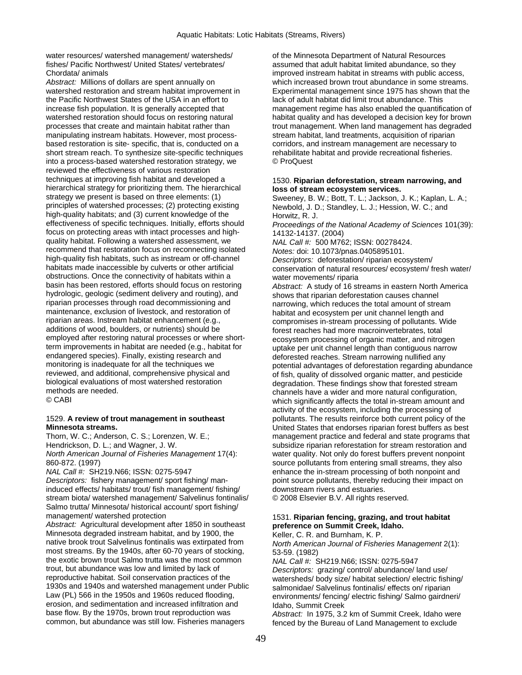water resources/ watershed management/ watersheds/ of the Minnesota Department of Natural Resources fishes/ Pacific Northwest/ United States/ vertebrates/ assumed that adult habitat limited abundance, so they

watershed restoration and stream habitat improvement in Experimental management since 1975 has shown that the the Pacific Northwest States of the USA in an effort to lack of adult habitat did limit trout abundance. This increase fish population. It is generally accepted that management regime has also enabled the quantification of watershed restoration should focus on restoring natural habitat quality and has developed a decision key for processes that create and maintain habitat rather than manipulating instream habitats. However, most process- stream habitat, land treatments, acquisition of riparian based restoration is site- specific, that is, conducted on a corridors, and instream management are necessary to short stream reach. To synthesize site-specific techniques rehabilitate habitat and provide recreational fisheries. into a process-based watershed restoration strategy, we © ProQuest reviewed the effectiveness of various restoration techniques at improving fish habitat and developed a 1530. **Riparian deforestation, stream narrowing, and** hierarchical strategy for prioritizing them. The hierarchical loss of stream ecosystem services. hierarchical strategy for prioritizing them. The hierarchical strategy we present is based on three elements: (1) principles of watershed processes; (2) protecting existing Newbold, J. D.; Standley, L. J.; Hession, W. C.; and high-quality habitats; and (3) current knowledge of the Horwitz, R. J.<br>effectiveness of specific techniques. Initially, efforts should *Proceedings* focus on protecting areas with intact processes and high-<br>quality habitat. Following a watershed assessment, we <br>NAL Call #: 500 M762; ISSN: 00278424. quality habitat. Following a watershed assessment, we recommend that restoration focus on reconnecting isolated *Notes:* doi: 10.1073/pnas.0405895101. high-quality fish habitats, such as instream or off-channel *Descriptors:* deforestation/ riparian ecosystem/ obstructions. Once the connectivity of habitats within a water movements/ riparia<br>basin has been restored, efforts should focus on restoring *Abstract:* A study of 16 st hydrologic, geologic (sediment delivery and routing), and shows that riparian deforestation causes channel<br>
riparian processes through road decommissioning and rarrowing, which reduces the total amount of stre maintenance, exclusion of livestock, and restoration of habitat and ecosystem per unit channel length and<br>
riparian areas. Instream habitat enhancement (e.g., compromises in-stream processing of pollutants W riparian areas. Instream habitat enhancement (e.g., compromises in-stream processing of pollutants. Wide additions of wood, boulders, or nutrients) should be forest reaches had more macroinvertebrates total employed after restoring natural processes or where short- ecosystem processing of organic matter, and nitrogen term improvements in habitat are needed (e.g., habitat for uptake per unit channel length than contiguous narrow<br>endangered species). Finally, existing research and deforested reaches. Stream narrowing nullified any endangered species). Finally, existing research and deforested reaches. Stream narrowing nullified any<br>monitoring is inadequate for all the techniques we subsequently potential advantages of deforestation regarding reviewed, and additional, comprehensive physical and of fish, quality of dissolved organic matter, and pesticide<br>biological evaluations of most watershed restoration<br>degradation. These findings show that forested stream biological evaluations of most watershed restoration<br>methods are needed. These findings show that forested stream<br>channels have a wider and more natural configuration methods are needed.<br>
© CABI<br>
© CABI

*Descriptors:* fishery management/ sport fishing/ man- point source pollutants, thereby reducing their impact on induced effects/ habitats/ trout/ fish management/ fishing/ downstream rivers and estuaries. stream biota/ watershed management/ Salvelinus fontinalis/ © 2008 Elsevier B.V. All rights reserved. Salmo trutta/ Minnesota/ historical account/ sport fishing/ management/ watershed protection 1531. **Riparian fencing, grazing, and trout habitat** 

*Abstract:* Agricultural development after 1850 in southeast **preference on Summit Creek, Idaho.**  Minnesota degraded instream habitat, and by 1900, the Keller, C. R. and Burnham, K. P.<br>
native brook trout Salvelinus fontinalis was extirpated from North American Journal of Fisher most streams. By the 1940s, after 60-70 years of stocking, 53-59. (1982) the exotic brown trout Salmo trutta was the most common *NAL Call #:* SH219.N66; ISSN: 0275-5947<br>trout, but abundance was low and limited by lack of *Descriptors: grazing/control/abundance/la* trout, but abundance was low and limited by lack of *Descriptors:* grazing/ control/ abundance/ land use/<br>
reproductive habitat. Soil conservation practices of the *vatersheds/ body size/ habitat selection/ electric fish* 1930s and 1940s and watershed management under Public salmonidae/ Salvelinus fontinalis/ effects on/ riparian<br>Law (PL) 566 in the 1950s and 1960s reduced flooding, environments/ fencing/ electric fishing/ Salmo gairdne erosion, and sedimentation and increased infiltration and Idaho, Summit Creek base flow. By the 1970s, brown trout reproduction was Abstract: In 1975, 3.2 base flow. By the 1970s, brown trout reproduction was *Abstract:* In 1975, 3.2 km of Summit Creek, Idaho were

Chordata/ animals Chordata/ animals improved instream habitat in streams with public access,<br>Abstract: Millions of dollars are spent annually on which increased brown trout abundance in some streams which increased brown trout abundance in some streams. habitat quality and has developed a decision key for brown<br>trout management. When land management has degraded

Sweeney, B. W.; Bott, T. L.; Jackson, J. K.; Kaplan, L. A.;

Proceedings of the National Academy of Sciences 101(39):

conservation of natural resources/ ecosystem/ fresh water/

Abstract: A study of 16 streams in eastern North America narrowing, which reduces the total amount of stream forest reaches had more macroinvertebrates, total monitoring is inadequate for all the techniques we potential advantages of deforestation regarding abundance<br>reviewed, and additional, comprehensive physical and entity of dissolved organic matter, and pesticide which significantly affects the total in-stream amount and activity of the ecosystem, including the processing of 1529. **A review of trout management in southeast** pollutants. The results reinforce both current policy of the **Minnesota streams.** United States that endorses riparian forest buffers as best Thorn, W. C.; Anderson, C. S.; Lorenzen, W. E.; management practice and federal and state programs that Hendrickson, D. L.; and Wagner, J. W. Subsidize riparian reforestation for stream restoration and *North American Journal of Fisheries Management* 17(4): water quality. Not only do forest buffers prevent nonpoint 860-872. (1997) source pollutants from entering small streams, they also *NAL Call #:* SH219.N66; ISSN: 0275-5947 enhance the in-stream processing of both nonpoint and

North American Journal of Fisheries Management 2(1):

watersheds/ body size/ habitat selection/ electric fishing/ environments/ fencing/ electric fishing/ Salmo gairdneri/

fenced by the Bureau of Land Management to exclude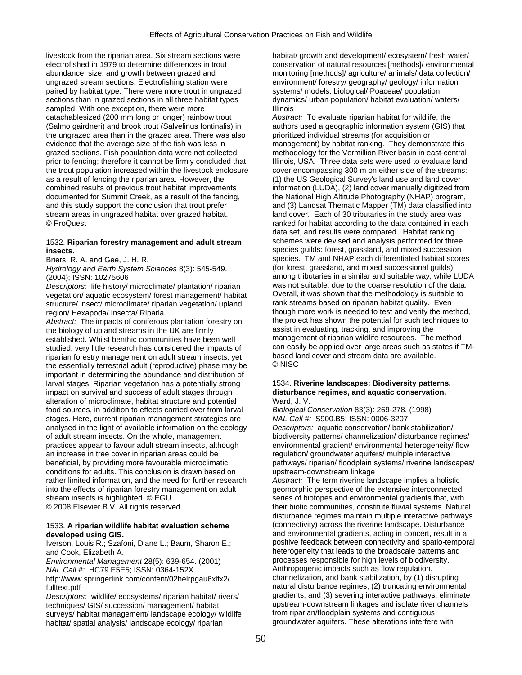livestock from the riparian area. Six stream sections were habitat/ growth and development/ ecosystem/ fresh water/ electrofished in 1979 to determine differences in trout conservation of natural resources [methods]/ environmental abundance, size, and growth between grazed and monitoring [methods]/ agriculture/ animals/ data collection/ ungrazed stream sections. Electrofishing station were environment/ forestry/ geography/ geology/ information paired by habitat type. There were more trout in ungrazed systems/ models, biological/ Poaceae/ population paired by habitat type. There were more trout in ungrazed sections than in grazed sections in all three habitat types dynamics/ urban population/ habitat evaluation/ waters/ sampled. With one exception, there were more<br>
catachablesized (200 mm long or longer) rainbow trout *Abstract:* To evaluate riparian habitat for wildlife, the catachablesized (200 mm long or longer) rainbow trout *Abstract:* To evaluate riparian habitat for wildlife, the (Salmo gairdneri) and brook trout (Salvelinus fontinalis) in the ungrazed area than in the grazed area. There was also prioritized individual streams (for acquisition or evidence that the average size of the fish was less in management) by habitat ranking. They demonstrate this grazed sections. Fish population data were not collected methodology for the Vermillion River basin in east-central prior to fencing; therefore it cannot be firmly concluded that Illinois, USA. Three data sets were used to evaluate land the trout population increased within the livestock enclosure cover encompassing 300 m on either side of the streams: as a result of fencing the riparian area. However, the (1) the US Geological Survey's land use and land cover combined results of previous trout habitat improvements information (LUDA), (2) land cover manually digitized from documented for Summit Creek, as a result of the fencing, the National High Altitude Photography (NHAP) program, and this study support the conclusion that trout prefer and (3) Landsat Thematic Mapper (TM) data classified into stream areas in ungrazed habitat over grazed habitat. land cover. Each of 30 tributaries in the study area was © ProQuest ranked for habitat according to the data contained in each

## **insects. insects insects insects insects insects insects insects insects insects insects insects insects insects insects insects insects insects insects insects insects insects**

*Hydrology and Earth System Sciences* 8(3): 545-549.

*Descriptors:* life history/ microclimate/ plantation/ riparian was not suitable, due to the coarse resolution of the data.<br>
yegetation/ aquatic ecosystem/ forest management/ habitat Overall, it was shown that the methodol vegetation/ aquatic ecosystem/ forest management/ habitat Overall, it was shown that the methodology is suitable<br>structure/ insect/ microclimate/ riparian yegetation/ upland rank streams based on riparian habitat quality. structure/ insect/ microclimate/ riparian vegetation/ upland

*Abstract:* The impacts of coniferous plantation forestry on the project has shown the potential for such techniques to the biology of upland streams in the UK are firmly assist in evaluating, tracking, and improving the the biology of upland streams in the UK are firmly established. Whilst benthic communities have been well management of riparian wildlife resources. The method<br>studied very little research has considered the impacts of can easily be applied over large areas such as states studied, very little research has considered the impacts of can easily be applied over large areas such as sta<br>tiparian forestry management on adult stream insects vet based land cover and stream data are available. riparian forestry management on adult stream insects, yet based land cover and cover and stream data are are a<br>the essentially terrestrial adult (reproductive) phase may be. CONSC the essentially terrestrial adult (reproductive) phase may be important in determining the abundance and distribution of larval stages. Riparian vegetation has a potentially strong 1534. **Riverine landscapes: Biodiversity patterns,**  impact on survival and success of adult stages through **disturbance regimes, and aquatic conservation.**  alteration of microclimate, habitat structure and potential Ward, J.V. food sources, in addition to effects carried over from larval *Biological Conservation* 83(3): 269-278. (1998) stages. Here, current riparian management strategies are *NAL Call #:* S900.B5; ISSN: 0006-3207 analysed in the light of available information on the ecology *Descriptors:* aquatic conservation/ bank stabilization/ of adult stream insects. On the whole, management biodiversity patterns/ channelization/ disturbance regimes/ practices appear to favour adult stream insects, although environmental gradient/ environmental heterogeneity/ flow an increase in tree cover in riparian areas could be regulation/ groundwater aquifers/ multiple interactive beneficial, by providing more favourable microclimatic pathways/ riparian/ floodplain systems/ riverine landscapes/ conditions for adults. This conclusion is drawn based on upstream-downstream linkage rather limited information, and the need for further research *Abstract:* The term riverine landscape implies a holistic into the effects of riparian forestry management on adult geomorphic perspective of the extensive interconnected stream insects is highlighted. © EGU. series of biotopes and environmental gradients that, with

Iverson, Louis R.; Szafoni, Diane L.; Baum, Sharon E.;

*Environmental Management* 28(5): 639-654. (2001) processes responsible for high levels of biodive<br>
MAL Call #: HC79 F5F5: ISSN: 0364-152X.<br>
Anthropogenic impacts such as flow regulation, http://www.springerlink.com/content/02helrpgau6xlfx2/

*Descriptors: wildlife/ ecosystems/ riparian habitat/ rivers/* techniques/ GIS/ succession/ management/ habitat upstream-downstream linkages and isolate river channels<br>surveys/ habitat management/ landscape ecology/ wildlife from riparian/floodplain systems and contiguous surveys/ habitat management/ landscape ecology/ wildlife from riparian/floodplain systems and contiguous<br>habitat/ spatial analysis/ landscape ecology/ riparian<br>groundwater aquifers. These alterations interfere with habitat/ spatial analysis/ landscape ecology/ riparian

data set, and results were compared. Habitat ranking 1532. **Riparian forestry management and adult stream** schemes were devised and analysis performed for three Briers, R. A. and Gee, J. H. R. species. TM and NHAP each differentiated habitat scores<br>Hydrology and Earth System Sciences 8(3): 545-549. (for forest, grassland, and mixed successional guilds) (2004); ISSN: 10275606 <br>
Descriptors: life history/ microclimate/ plantation/ riparian was not suitable, due to the coarse resolution of the data. region/ Hexapoda/ Insecta/ Riparia though more work is needed to test and verify the method,<br>Abstract: The impacts of coniferous plantation forestry on the project has shown the potential for such techniques to

© 2008 Elsevier B.V. All rights reserved. their biotic communities, constitute fluvial systems. Natural disturbance regimes maintain multiple interactive pathways 1533. **A riparian wildlife habitat evaluation scheme** (connectivity) across the riverine landscape. Disturbance **developed using GIS.**<br> **and environmental gradients, acting in concert, result in a**<br> **lyerson Louis R: Szafoni Diane L: Baum Sharon F:** positive feedback between connectivity and spatio-temporal and Cook, Elizabeth A.<br>
For the broadscale patterns and the broadscale patterns and processes responsible for high levels of biodiversity. *NAL Call #:* HC79.E5E5; ISSN: 0364-152X.<br>http://www.springerlink.com/content/02helrpgau6xlfx2/ channelization, and bank stabilization, by (1) disrupting fulltext.pdf<br>
Descriptors: wildlife/ecosystems/ riparian habitat/ rivers/ matural disturbance regimes, (2) truncating environmental<br>
gradients, and (3) severing interactive pathways, eliminate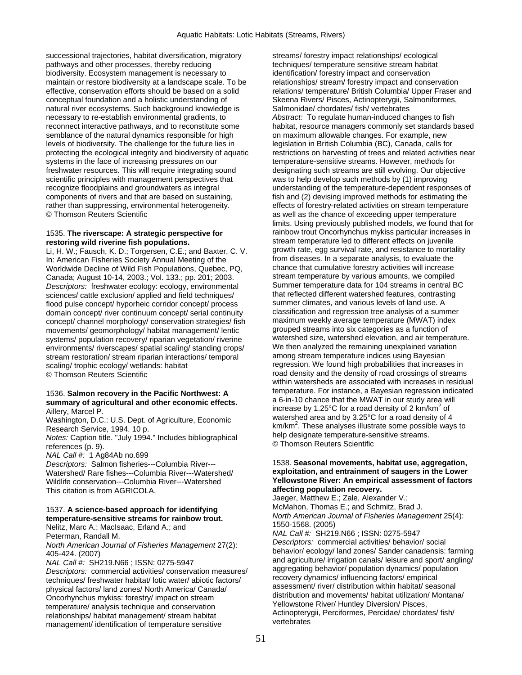successional trajectories, habitat diversification, migratory streams/ forestry impact relationships/ ecological pathways and other processes, thereby reducing the chniques/ temperature sensitive stream habitat biodiversity. Ecosystem management is necessary to identification/ forestry impact and conservation maintain or restore biodiversity at a landscape scale. To be relationships/ stream/ forestry impact and conservation<br>effective, conservation efforts should be based on a solid relations/ temperature/ British Columbia/ Uppe conceptual foundation and a holistic understanding of Skeena Rivers/ Pisces, Actinopterygii, Salmoniformes, natural river ecosystems. Such background knowledge is Salmonidae/ chordates/ fish/ vertebrates<br>necessary to re-establish environmental gradients, to *Abstract:* To regulate human-induced ch reconnect interactive pathways, and to reconstitute some habitat, resource managers commonly set standards based semblance of the natural dynamics responsible for high on maximum allowable changes. For example, new levels of biodiversity. The challenge for the future lies in legislation in British Columbia (BC), Canada, calls for protecting the ecological integrity and biodiversity of aquatic restrictions on harvesting of trees and related activities near systems in the face of increasing pressures on our temperature-sensitive streams. However, methods for freshwater resources. This will require integrating sound designating such streams are still evolving. Our objective scientific principles with management perspectives that was to help develop such methods by (1) improving recognize floodplains and groundwaters as integral understanding of the temperature-dependent responses of components of rivers and that are based on sustaining, fish and (2) devising improved methods for estimating the components of rivers and that are based on sustaining, fish and (2) devising improved methods for estimating the rather than suppressing, environmental heterogeneity. The effects of forestry-related activities on stream te rather than suppressing, environmental heterogeneity. effects of forestry-related activities on stream temperature<br>
© Thomson Reuters Scientific

Li, H. W.; Fausch, K. D.; Torgersen, C.E.; and Baxter, C. V. growth rate, egg survival rate, and resistance to morta<br>In: American Fisheries Society Annual Meeting of the from diseases. In a separate analysis, to evaluate t In: American Fisheries Society Annual Meeting of the from diseases. In a separate analysis, to evaluate the interease<br>Worldwide Decline of Wild Fish Populations, Quebec, PQ. chance that cumulative forestry activities will Worldwide Decline of Wild Fish Populations, Quebec, PQ, chance that cumulative forestry activities will increase<br>Canada: August 10-14, 2003.: Vol. 133.: pp. 201: 2003. Stream temperature by various amounts, we compiled Canada; August 10-14, 2003.; Vol. 133.; pp. 201; 2003. stream temperature by various amounts, we compiled<br>Descriptors: freshwater ecology: ecology, environmental Summer temperature data for 104 streams in central BC *Descriptors:* freshwater ecology: ecology, environmental Summer temperature data for 104 streams in central B<br>Sciences/ cattle exclusion/ applied and field techniques/ that reflected different watershed features, contrast sciences/ cattle exclusion/ applied and field techniques/ that reflected different watershed features, contrasti<br>flood pulse concept/ hyporheic corridor concept/ process summer climates, and various levels of land use. A flood pulse concept/ hyporheic corridor concept/ process summer climates, and various levels of land use. A<br>domain concept/ river continuum concept/ serial continuity classification and regression tree analysis of a summer domain concept/ river continuum concept/ serial continuity classification and regression tree analysis of a summer<br>concept/ channel morphology/ conservation strategies/ fish maximum weekly average temperature (MWAT) index concept/ channel morphology/ conservation strategies/ fish maximum weekly average temperature (MWAT) inde<br>movements/ geomorphology/ babitat management/ lentic grouped streams into six categories as a function of movements/ geomorphology/ habitat management/ lentic grouped streams into six categories as a function of<br>systems/ population recovery/ riparian vegetation/ riverine watershed size, watershed elevation, and air temperature systems/ population recovery/ riparian vegetation/ riverine watershed size, watershed elevation, and air temperatu<br>environments/ riverscapes/ spatial scaling/ standing crops/ We then analyzed the remaining unexplained vari environments/ riverscapes/ spatial scaling/ standing crops/ We then analyzed the remaining unexplained variation and stream restoration/ stream riparian interactions/ temporal among stream temperature indices using Bayesia stream restoration/ stream riparian interactions/ temporal scaling/ trophic ecology/ wetlands: habitat regression. We found high probabilities that increases in<br>
© Thomson Reuters Scientific<br>
© Thomson Reuters Scientific

Research Service, 1994. 10 p.<br>
Notes: Caption title. "July 1994." Includes bibliographical help designate temperature-se<br>
references (p. 9).

*NAL Call #:* 1 Ag84Ab no.699

Watershed/ Rare fishes---Columbia River---Watershed/ This citation is from AGRICOLA. **affecting population recovery.** 

recovery dynamics/ population dynamics/ population<br>techniques/ freshwater habitat/ lotic water/ abiotic factors/ abiotic factors/ recovery dynamics/ influencing factors/ empirical<br>physical factors/ land zones/ North Americ Oncorhynchus mykiss: forestry/ impact on stream distribution and movements/ habitat utilization<br>Yellowstone River/ Huntley Diversion/ Pisces, temperature/ analysis technique and conservation relationships/ habitat management/ stream habitat analysis technique and conservation and relationships/ habitat management/ stream habitat and actinopterygii, Perciformes, management/ identification of temperature sensitive

relations/ temperature/ British Columbia/ Upper Fraser and Abstract: To regulate human-induced changes to fish as well as the chance of exceeding upper temperature limits. Using previously published models, we found that for 1535. **The riverscape: A strategic perspective for** rainbow trout Oncorhynchus mykiss particular increases in **restoring wild riverine fish populations.** stream temperature led to different effects on juvenile<br>Li. H. W.: Fausch, K. D.: Torgersen, C. F.: and Baxter, C. V. growth rate, egg survival rate, and resistance to mortality road density and the density of road crossings of streams within watersheds are associated with increases in residual 1536. Salmon recovery in the Pacific Northwest: A<br>
summary of agricultural and other economic effects.<br>
Aillery, Marcel P.<br>
Aillery, Marcel P. Aillery, Marcel P.<br>Washington, D.C.: U.S. Dept. of Agriculture, Economic watershed area and by 3.25°C for a road density of 4  $km/km<sup>2</sup>$ . These analyses illustrate some possible ways to help designate temperature-sensitive streams.

## *Descriptors:* Salmon fisheries---Columbia River--- 1538. **Seasonal movements, habitat use, aggregation,**  Wildlife conservation---Columbia River---Watershed **Yellowstone River: An empirical assessment of factors**

Jaeger, Matthew E.; Zale, Alexander V.;

1537. A science-based approach for identifying McMahon, Thomas E.; and Schmitz, Brad J.<br>
temperature-sensitive streams for rainbow trout. North American Journal of Fisheries Management 25(4):<br>
Nelitz, Marc A.; MacIsaac, Er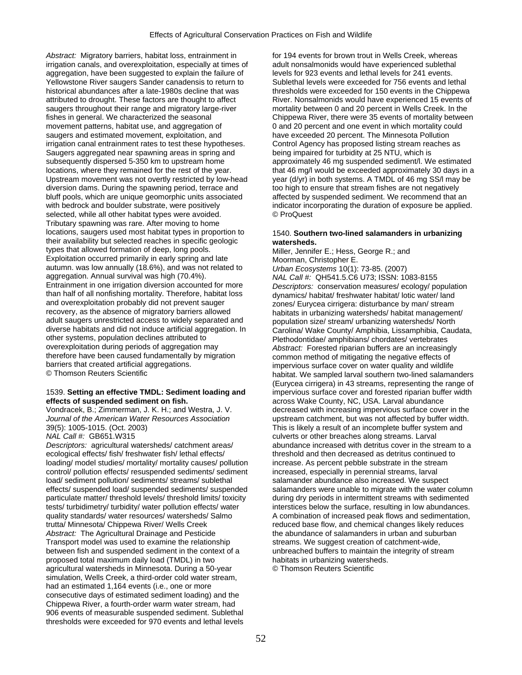Abstract: Migratory barriers, habitat loss, entrainment in for 194 events for brown trout in Wells Creek, whereas irrigation canals, and overexploitation, especially at times of adult nonsalmonids would have experienced sublethal aggregation, have been suggested to explain the failure of levels for 923 events and lethal levels for 241 events.<br>Tellowstone River saugers Sander canadensis to return to Sublethal levels were exceeded for 756 events and Yellowstone River saugers Sander canadensis to return to historical abundances after a late-1980s decline that was thresholds were exceeded for 150 events in the Chippewa attributed to drought. These factors are thought to affect River. Nonsalmonids would have experienced 15 events of saugers throughout their range and migratory large-river mortality between 0 and 20 percent in Wells Creek. In the<br>
fishes in general. We characterized the seasonal Chippewa River, there were 35 events of mortality betwee fishes in general. We characterized the seasonal Chippewa River, there were 35 events of mortality between<br>movement patterns, habitat use, and aggregation of 0 and 20 percent and one event in which mortality could saugers and estimated movement, exploitation, and have exceeded 20 percent. The Minnesota Pollution irrigation canal entrainment rates to test these hypotheses. Control Agency has proposed listing stream reaches as Saugers aggregated near spawning areas in spring and being impaired for turbidity at 25 NTU, which is subsequently dispersed 5-350 km to upstream home approximately 46 mg suspended sediment/l. We estimated locations, where they remained for the rest of the year. that 46 mg/l would be exceeded approximately 30 days in a Upstream movement was not overtly restricted by low-head year (d/yr) in both systems. A TMDL of 46 mg SS/l may be diversion dams. During the spawning period, terrace and too high to ensure that stream fishes are not negatively<br>bluff pools, which are unique geomorphic units associated affected by suspended sediment. We recommend that a bluff pools, which are unique geomorphic units associated with bedrock and boulder substrate, were positively selected, while all other habitat types were avoided.  $\circ$  ProQuest Tributary spawning was rare. After moving to home locations, saugers used most habitat types in proportion to 1540. **Southern two-lined salamanders in urbanizing**  their availability but selected reaches in specific geologic **watersheds.**  types that allowed formation of deep, long pools. Miller, Jennifer E.; Hess, George R.; and Exploitation occurred primarily in early spring and late Moorman, Christopher E.<br>
autumn. was low annually (18.6%), and was not related to Urban Ecosystems 10(1): 73-85. (2007) autumn. was low annually (18.6%), and was not related to *aggregation*. Annual survival was high (70.4%). aggregation. Annual survival was high (70.4%). *NAL Call #:* QH541.5.C6 U73; ISSN: 1083-8155<br>
Entrainment in one irrigation diversion accounted for more *Descriptors: conservation measures/ecology/ po* Entrainment in one irrigation diversion accounted for more *Descriptors:* conservation measures/ ecology/ population than half of all nonfishing mortality. Therefore, habitat loss dynamics/ habitat/ freshwater habitat/ lotic water/ land<br>and overexploitation probably did not prevent sauger and propes/ Furycea cirrigera: disturbance by man and overexploitation probably did not prevent sauger zones/ Eurycea cirrigera: disturbance by man/ stream<br>
recovery, as the absence of migratory barriers allowed<br>
habitats in urbanizing watersheds/ habitat management adult saugers unrestricted access to widely separated and population size/ stream/ urbanizing watersheds/ North<br>diverse habitats and did not induce artificial aggregation. In Carolina/ Wake County/ Amphibia Lissamphibia, C diverse habitats and did not induce artificial aggregation. In Carolina/ Wake County/ Amphibia, Lissamphibia, Caudata, other systems, population declines attributed to Plethodontidae/ amphibians/ chordates/ vertebrates<br>
overexploitation during periods of aggregation may and a *Abstract:* Forested riparian buffers are an increasing overexploitation during periods of aggregation may *Abstract:* Forested riparian buffers are an increasingly therefore have been caused fundamentally by migration common method of mitigating the negative effects of<br>barriers that created artificial aggregations. barriers that created artificial aggregations. in the same impervious surface cover on water quality and wildlife<br>© Thomson Reuters Scientific

## **effects of suspended sediment on fish.** across Wake County, NC, USA. Larval abundance

*Descriptors:* agricultural watersheds/ catchment areas/ abundance increased with detritus cover in the stream to a ecological effects/ fish/ freshwater fish/ lethal effects/ threshold and then decreased as detritus continued to loading/ model studies/ mortality/ mortality causes/ pollution increase. As percent pebble substrate in the stream control/ pollution effects/ resuspended sediments/ sediment increased, especially in perennial streams, larval load/ sediment pollution/ sediments/ streams/ sublethal salamander abundance also increased. We suspect<br>effects/ suspended load/ suspended sediments/ suspended salamanders were unable to migrate with the water column effects/ suspended load/ suspended sediments/ suspended particulate matter/ threshold levels/ threshold limits/ toxicity during dry periods in intermittent streams with sedimented tests/ turbidimetry/ turbidity/ water pollution effects/ water interstices below the surface, resulting in low abundances.<br>quality standards/ water resources/ watersheds/ Salmo A combination of increased peak flows and sed quality standards/ water resources/ watersheds/ Salmo A combination of increased peak flows and sedimentation,<br>
trutta/ Minnesota/ Chippewa River/ Wells Creek<br>
reduced base flow, and chemical changes likely reduces trutta/ Minnesota/ Chippewa River/ Wells Creek reduced base flow, and chemical changes likely reduces<br>
Abstract: The Agricultural Drainage and Pesticide the abundance of salamanders in urban and suburban Transport model was used to examine the relationship streams. We suggest creation of catchment-wide, between fish and suspended sediment in the context of a unbreached buffers to maintain the integrity of stream proposed total maximum daily load (TMDL) in two habitats in urbanizing watersheds. agricultural watersheds in Minnesota. During a 50-year © Thomson Reuters Scientific simulation, Wells Creek, a third-order cold water stream, had an estimated 1,164 events (i.e., one or more consecutive days of estimated sediment loading) and the Chippewa River, a fourth-order warm water stream, had 906 events of measurable suspended sediment. Sublethal thresholds were exceeded for 970 events and lethal levels

0 and 20 percent and one event in which mortality could indicator incorporating the duration of exposure be applied.

habitats in urbanizing watersheds/ habitat management/ habitat. We sampled larval southern two-lined salamanders (Eurycea cirrigera) in 43 streams, representing the range of 1539. **Setting an effective TMDL: Sediment loading and** impervious surface cover and forested riparian buffer width Vondracek, B.; Zimmerman, J. K. H.; and Westra, J. V. decreased with increasing impervious surface cover in the *Journal of the American Water Resources Association* upstream catchment, but was not affected by buffer width. 39(5): 1005-1015. (Oct. 2003) This is likely a result of an incomplete buffer system and *NAL Call #:* GB651.W315 culverts or other breaches along streams. Larval the abundance of salamanders in urban and suburban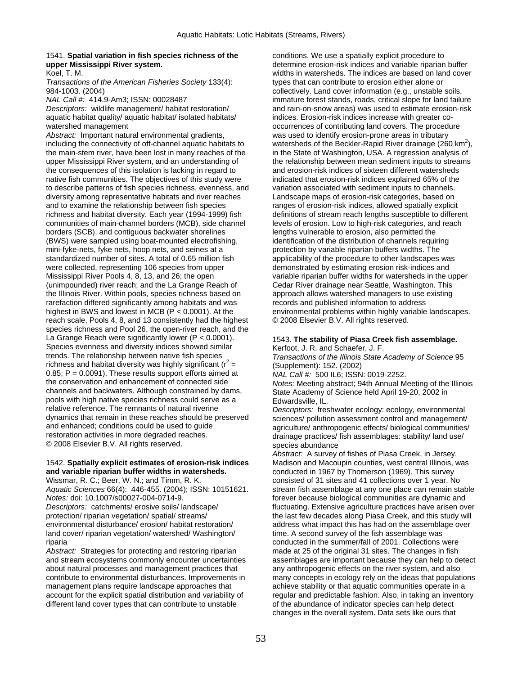## 1541. **Spatial variation in fish species richness of the** conditions. We use a spatially explicit procedure to

*Transactions of the American Fisheries Society* 133(4): types that can contribute to erosion either alone or

aquatic habitat quality/ aquatic habitat/ isolated habitats/ watershed management

*Abstract:* Important natural environmental gradients, was used to identify erosion-prone areas in tributary including the connectivity of off-channel aquatic habitats to the main-stem river, have been lost in many reaches of the in the State of Washington, USA. A regression analysis of upper Mississippi River system, and an understanding of the relationship between mean sediment inputs to streams the consequences of this isolation is lacking in regard to and erosion-risk indices of sixteen different watersheds native fish communities. The objectives of this study were indicated that erosion-risk indices explained 65% of the to describe patterns of fish species richness, evenness, and variation associated with sediment inputs to channels.<br>
diversity among representative habitats and river reaches Landscape maps of erosion-risk categories, base diversity among representative habitats and river reaches and to examine the relationship between fish species richness and habitat diversity. Each year (1994-1999) fish definitions of stream reach lengths susceptible to different communities of main-channel borders (MCB), side channel levels of erosion. Low to high-risk categories, and reach borders (SCB), and contiguous backwater shorelines lengths vulnerable to erosion, also permitted the (BWS) were sampled using boat-mounted electrofishing, intertification of the distribution of channels requiring mini-fyke-nets, fyke nets, hoop nets, and seines at a protection by variable riparian buffers widths. The standardized number of sites. A total of 0.65 million fish applicability of the procedure to other landscapes was were collected, representing 106 species from upper demonstrated by estimating erosion risk-indices and Mississippi River Pools 4, 8, 13, and 26; the open variable riparian buffer widths for watersheds in the upper (unimpounded) river reach; and the La Grange Reach of Cedar River drainage near Seattle, Washington. This the Illinois River. Within pools, species richness based on approach allows watershed managers to use existing rarefaction differed significantly among habitats and was records and published information to address highest in BWS and lowest in MCB ( $P < 0.0001$ ). At the environmental problems within highly variable landscapes. reach scale, Pools 4, 8, and 13 consistently had the highest © 2008 Elsevier B.V. All rights reserved. species richness and Pool 26, the open-river reach, and the La Grange Reach were significantly lower ( $P < 0.0001$ ). Species evenness and diversity indices showed similar Kerfoot, J. R. and Schaefer, J. F.<br>trends. The relationship between native fish species Transactions of the Illinois State richness and habitat diversity was highly significant ( $r^2$  = 0.85; P = 0.0091). These results support efforts aimed at the conservation and enhancement of connected side channels and backwaters. Although constrained by dams, State Academy of Science held April 19-20, 2002 in pools with high native species richness could serve as a Edwardsville, IL.<br>
relative reference. The remnants of natural riverine *Descriptors:* free dynamics that remain in these reaches should be preserved<br>and enhanced; conditions could be used to quide<br>anticulture/ anthropogenic effects/ biological communities/ and enhanced; conditions could be used to guide and equivalency anthropogenic effects/ biological communities/<br>
restoration activities in more degraded reaches.<br>
drainage practices/ fish assemblages: stability/ land use/ © 2008 Elsevier B.V. All rights reserved. species abundance

## 1542. **Spatially explicit estimates of erosion-risk indices** Madison and Macoupin counties, west central Illinois, was **and variable riparian buffer widths in watersheds.** conducted in 1967 by Thomerson (1969). This survey

Wissmar, R. C.; Beer, W. N.; and Timm, R. K. consisted of 31 sites and 41 collections over 1 year. No *Notes:* doi: 10.1007/s00027-004-0714-9. forever because biological communities are dynamic and protection/ riparian vegetation/ spatial/ streams/ the last few decades along Piasa Creek, and this study will<br>
environmental disturbance/ erosion/ habitat restoration/ address what impact this has had on the assemblage ov land cover/ riparian vegetation/ watershed/ Washington/ riparia conducted in the summer/fall of 2001. Collections were

*Abstract:* Strategies for protecting and restoring riparian made at 25 of the original 31 sites. The changes in fish about natural processes and management practices that any anthropogenic effects on the river system, and also management plans require landscape approaches that achieve stability or that aquatic communities operate in a<br>account for the explicit spatial distribution and variability of regular and predictable fashion. Also, in takin

**upper Mississippi River system. determine erosion-risk indices and variable riparian buffer** Koel, T. M. W. W. Widths in watersheds. The indices are based on land cover 984-1003. (2004) collectively. Land cover information (e.g., unstable soils, *NAL Call #:* 414.9-Am3; ISSN: 00028487 immature forest stands, roads, critical slope for land failure<br>Descriptors: wildlife management/ habitat restoration/ and rain-on-snow areas) was used to estimate erosion-risk and rain-on-snow areas) was used to estimate erosion-risk<br>indices. Erosion-risk indices increase with greater cooccurrences of contributing land covers. The procedure watersheds of the Beckler-Rapid River drainage (260 km<sup>2</sup>). ranges of erosion-risk indices, allowed spatially explicit

## 1543. The stability of Piasa Creek fish assemblage.

Transactions of the Illinois State Academy of Science 95 (Supplement): 152. (2002)<br>NAL Call #: 500 IL6; ISSN: 0019-2252.

Notes: Meeting abstract; 94th Annual Meeting of the Illinois

Descriptors: freshwater ecology: ecology, environmental drainage practices/ fish assemblages: stability/ land use/

*Abstract:* A survey of fishes of Piasa Creek, in Jersey, *Aquatic Sciences* 66(4): 446-455. (2004); ISSN: 10151621. stream fish assemblage at any one place can remain stable *Descriptors:* catchments/ erosive soils/ landscape/ fluctuating. Extensive agriculture practices have arisen over address what impact this has had on the assemblage over time. A second survey of the fish assemblage was and stream ecosystems commonly encounter uncertainties assemblages are important because they can help to detect contribute to environmental disturbances. Improvements in many concepts in ecology rely on the ideas that populations account for the explicit spatial distribution and variability of regular and predictable fashion. Also, in taking an inventory different land cover types that can contribute to unstable of the abundance of indicator specie of the abundance of indicator species can help detect changes in the overall system. Data sets like ours that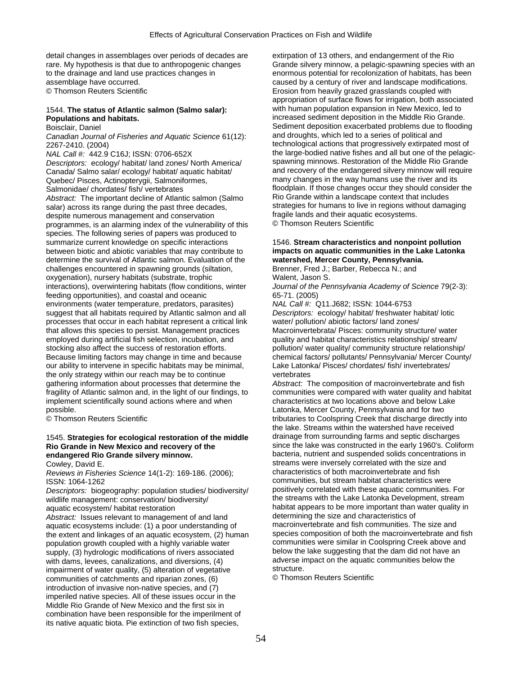detail changes in assemblages over periods of decades are extirpation of 13 others, and endangerment of the Rio to the drainage and land use practices changes in enormous potential for recolonization of habitats, has been<br>assemblage have occurred. enormous potential for recolonization of habitats, has been<br>caused by a century of riv assemblage have occurred.<br>
© Thomson Reuters Scientific 
and the caused by a century of river and landscape modifications.<br>
Erosion from heavily grazed grasslands coupled with

*Canadian Journal of Fisheries and Aquatic Science* 61(12):

Canada/ Salmo salar/ ecology/ habitat/ aquatic habitat/ and recovery of the endangered silvery minnow will req<br>Cuebec/ Pisces Actinopterygii, Salmoniformes many changes in the way humans use the river and its Quebec/ Pisces, Actinopterygii, Salmoniformes,

*Abstract:* The important decline of Atlantic salmon (Salmo Rio Grande within a landscape context that includes salar) across its range during the past three decades.<br>Salar) across its range during the past three decades.<br> salar) across its range during the past three decades, strategies for humans to live in regions with despite in regions with despite numerous management and conservation despite numerous management and conservation fragile lands and their aquatic express or the vulnerability of this  $\bullet$  Thomson Reuters Scientific programmes, is an alarming index of the vulnerability of this species. The following series of papers was produced to summarize current knowledge on specific interactions 1546. **Stream characteristics and nonpoint pollution**  between biotic and abiotic variables that may contribute to **impacts on aquatic communities in the Lake Latonka**  determine the survival of Atlantic salmon. Evaluation of the **watershed, Mercer County, Pennsylvania.**<br>
challenges encountered in spawning grounds (siltation, Brenner, Fred J.; Barber, Rebecca N.; and challenges encountered in spawning grounds (siltation, oxygenation), nursery habitats (substrate, trophic Walent, Jason S.<br>
interactions), overwintering habitats (flow conditions, winter Journal of the Pe feeding opportunities), and coastal and oceanic 65-71. (2005)<br>
environments (water temperature, predators, parasites) MAL Call #: Q11.J682: ISSN: 1044-6753 environments (water temperature, predators, parasites) suggest that all habitats required by Atlantic salmon and all processes that occur in each habitat represent a critical link water/ pollution/ abiotic factors/ land zones/ that allows this species to persist. Management practices Macroinvertebrata/ Pisces: community structure/ water employed during artificial fish selection, incubation, and quality and habitat characteristics relationship/ stream/ stocking also affect the success of restoration efforts. pollution/ water quality/ community structure relationship/ Because limiting factors may change in time and because chemical factors/ pollutants/ Pennsylvania/ Mercer County/ our ability to intervene in specific habitats may be minimal, Lake Latonka/ Pisces/ chordates/ fish/ invert our ability to intervene in specific habitats may be minimal, the only strategy within our reach may be to continue vertebrates gathering information about processes that determine the *Abstract:* The composition of macroinvertebrate and fish fragility of Atlantic salmon and, in the light of our findings, to communities were compared with water quality and habitat implement scientifically sound actions where and when characteristics at two locations above and below Lake possible. Latonka, Mercer County, Pennsylvania and for two

## 1545. **Strategies for ecological restoration of the middle** drainage from surrounding farms and septic discharges **Rio Grande in New Mexico and recovery of the activation in the lake was constructed in the early 1960's. Coliform endangered Rio Grande silvery minnow.<br>
<b>Example 1960**'s parameters in the bacteria, nutrient and suspended

*Reviews in Fisheries Science* 14(1-2): 169-186. (2006);

*Descriptors:* biogeography: population studies/ biodiversity/ wildlife management: conservation/ biodiversity/ the streams with the Lake Latonka Development, stream

Abstract: Issues relevant to management of and land<br>aquatic ecosystems include: (1) a poor understanding of **haracteristic and fish communities.** The size and aquatic ecosystems include: (1) a poor understanding of macroinvertebrate and fish communities. The size and<br>the extent and linkages of an aquatic ecosystem (2) human species composition of both the macroinvertebrate and f the extent and linkages of an aquatic ecosystem, (2) human species composition of both the macroinvertebrate and fis<br>Communities were similar in Coolspring Creek above and communities were similar in Coolspring Creek above population growth coupled with a highly variable water communities were similar in Coolspring Creek above and<br>supply (3) hydrologic modifications of rivers associated below the lake suggesting that the dam did not have an supply, (3) hydrologic modifications of rivers associated below the lake suggesting that the dam did not have an<br>with dams, levees, canalizations, and diversions, (4) adverse impact on the aquatic communities below the with dams, levees, canalizations, and diversions,  $(4)$  adverse in the adverse in the aquatic communities below the aquatic communities below the aquatic communities below the aquatic communities below the aquatic communi impairment of water quality, (5) alteration of vegetative structure.<br>
communities of catchments and rinarian zones (6) <br>
© Thomson Reuters Scientific communities of catchments and riparian zones, (6) introduction of invasive non-native species, and (7) imperiled native species. All of these issues occur in the Middle Rio Grande of New Mexico and the first six in combination have been responsible for the imperilment of its native aquatic biota. Pie extinction of two fish species,

rare. My hypothesis is that due to anthropogenic changes Grande silvery minnow, a pelagic-spawning species with an Erosion from heavily grazed grasslands coupled with appropriation of surface flows for irrigation, both associated 1544. **The status of Atlantic salmon (Salmo salar):** with human population expansion in New Mexico, led to **Populations and habitats. increased sediment deposition in the Middle Rio Grande.** Boisclair, Daniel<br>
Canadian Journal of Fisheries and Aquatic Science 61(12) Sediment deposition exacerbated problems due to flooding<br>
Canadian Journal of Fisheries and Aquatic Science 61(12) and droughts, which led to a se 2267-2410. (2004)<br>
MAL Call #: 442.9 C16J; ISSN: 0706-652X<br>
the large-bodied native fishes and all but one of the pelagic the large-bodied native fishes and all but one of the pelagic-<br>spawning minnows. Restoration of the Middle Rio Grande *Descriptors:* ecology/ habitat/ land zones/ North America/ spawning minnows. Restoration of the Middle Rio Grande Salmonidae/ chordates/ fish/ vertebrates floodplain. If those changes occur they should consider the<br>Abstract: The important decline of Atlantic salmon (Salmo Rio Grande within a landscape context that includes

Journal of the Pennsylvania Academy of Science 79(2-3):

Descriptors: ecology/ habitat/ freshwater habitat/ lotic

© Thomson Reuters Scientific tributaries to Coolspring Creek that discharge directly into the lake. Streams within the watershed have received bacteria, nutrient and suspended solids concentrations in Cowley, David E.<br>Reviews in Fisheries Science 14(1-2): 169-186 (2006): Streams were inversely correlated with the size and fish ISSN: 1064-1262<br>Descriptors: biogeography: population studies/ biodiversity/ positively correlated with these aquatic communities. For aquatic ecosystem/ habitat restoration example is a habitat appears to be more important than water quality in<br>Abstract: Issues relevant to management of and land<br>determining the size and characteristics of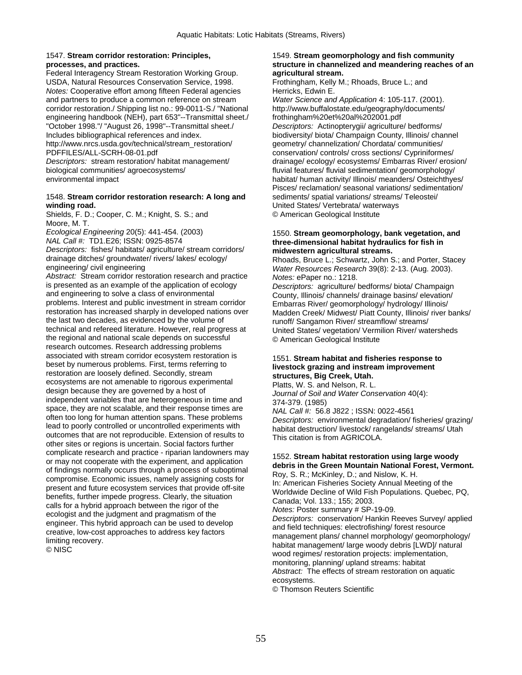Federal Interagency Stream Restoration Working Group. **agricultural stream.**<br>
USDA, Natural Resources Conservation Service, 1998. **Frothingham, Kelly M.; Rhoads, Bruce L.**; and USDA, Natural Resources Conservation Service, 1998. *Notes:* Cooperative effort among fifteen Federal agencies **Herricks, Edwin E.** and partners to produce a common reference on stream *Water Science and Application* 4: 105-117. (2001). corridor restoration./ Shipping list no.: 99-0011-S./ "National http://www.buffalostate.edu/geography<br>engineering handbook (NEH), part 653"--Transmittal sheet./ frothingham%20et%20al%202001.pdf engineering handbook (NEH), part 653"--Transmittal sheet./ frothingham%20et%20al%202001.pdf<br>"October 1998."/ "August 26, 1998"--Transmittal sheet./ Descriptors: Actinopterygii/ agriculture/ bedforms/ "October 1998."/ "August 26, 1998"--Transmittal sheet./ Includes bibliographical references and index. biodiversity/ biota/ Champaign County, Illinois/ channel http://www.nrcs.usda.gov/technical/stream\_restoration/ geometry/ channelization/ Chordata/ communities/ PDFFILES/ALL-SCRH-08-01.pdf conservation/ controls/ cross sections/ Cypriniformes/ *Descriptors:* stream restoration/ habitat management/ drainage/ ecology/ ecosystems/ Embarras River/ erosion/ biological communities/ agroecosystems/ fluvial features/ fluvial sedimentation/ geomorphology/

## 1548. Stream corridor restoration research: A long and **winding road.** United States/ Vertebrata/ waterways

Shields, F. D.; Cooper, C. M.; Knight, S. S.; and  $\bullet$  American Geological Institute Moore, M. T.

*Descriptors:* fishes/ habitats/ agriculture/ stream corridors/ **midwestern agricultural streams.** 

*Abstract:* Stream corridor restoration research and practice *Notes:* ePaper no.: 1218.<br>is presented as an example of the application of ecology *Descriptors:* agriculture/ is presented as an example of the application of ecology *Descriptors:* agriculture/ bedforms/ biota/ Champaign and engineering to solve a class of environmental County, Illinois/ channels/ drainage basins/ elevation/<br>
problems. Interest and public investment in stream corridor Fmbarras River/ geomorphology/ hydrology/ Illinois/ restoration has increased sharply in developed nations over Madden Creek/ Midwest/ Piatt County, Illinois/ river banks/ the last two decades, as evidenced by the volume of runoff/ Sangamon River/ streamflow/ streams/ technical and refereed literature. However, real progress at United States/ vegetation/ Vermilion River/ watersheds the regional and national scale depends on successful © American Geological Institute research outcomes. Research addressing problems associated with stream corridor ecosystem restoration is<br>beset by numerous problems. First, terms referring to<br>restoration are loosely defined. Secondly, stream<br>ecosystems are not amenable to rigorous experimental<br>ecosyste other sites or regions is uncertain. Social factors further complicate research and practice - riparian landowners may<br>or may not cooperate with the experiment, and application<br>or may not cooperate with the experiment, and application<br>compromise. Economic issues, namely assigning c

## 1547. **Stream corridor restoration: Principles,** 1549. **Stream geomorphology and fish community processes, and practices. structure in channelized and meandering reaches of an**

environmental impact and the state of the habitat/ human activity/ Illinois/ meanders/ Osteichthyes/ Pisces/ reclamation/ seasonal variations/ sedimentation/<br>sediments/ spatial variations/ streams/ Teleostei/

## *Ecological Engineering* 20(5): 441-454. (2003) 1550. **Stream geomorphology, bank vegetation, and**   *habitat hydraulics for fish in*

drainage ditches/ groundwater/ rivers/ lakes/ ecology/ Rhoads, Bruce L.; Schwartz, John S.; and Porter, Stacey<br>
Water Resources Research 39(8): 2-13 (Aug. 2003) Water Resources Research 39(8): 2-13. (Aug. 2003).

Embarras River/ geomorphology/ hydrology/ Illinois/

monitoring, planning/ upland streams: habitat *Abstract:* The effects of stream restoration on aquatic ecosystems.

© Thomson Reuters Scientific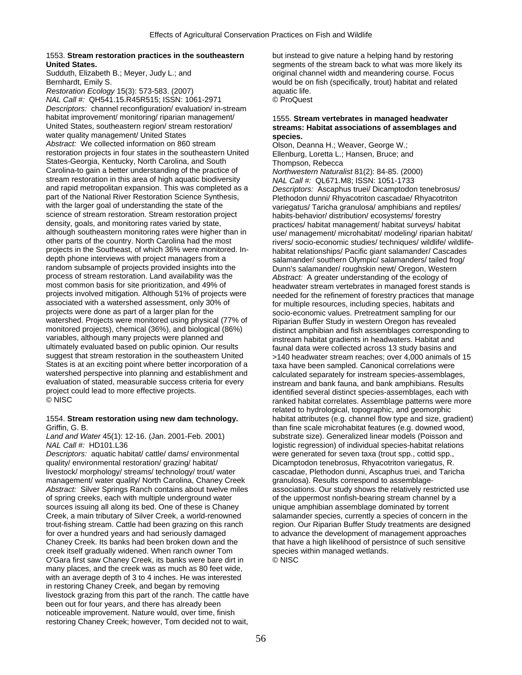## 1553. **Stream restoration practices in the southeastern** but instead to give nature a helping hand by restoring **United States.** segments of the stream back to what was more likely its

*Restoration Ecology* 15(3): 573-583. (2007)<br> *NAL Call #:* QH541.15.R45R515: ISSN: 1061-2971 © ProQuest *NAL Call #: QH541.15.R45R515; ISSN: 1061-2971 Descriptors:* channel reconfiguration/ evaluation/ in-stream habitat improvement/ monitoring/ riparian management/ 1555. **Stream vertebrates in managed headwater**<br>
United States, southeastern region/ stream restoration/ **1555. Streams: Habitat associations of assemblages and** water quality management/ United States **species. species.** Abstract: We collected information on 860 stream Olson, Deanna H.; Weaver, George W.;<br>
restoration projects in four states in the southeastern United Ellenburg, Loretta L.; Hansen, Bruce; and restoration projects in four states in the southeastern United States-Georgia, Kentucky, North Carolina, and South Thompson, Rebecca Carolina-to gain a better understanding of the practice of *Northwestern Naturalist* 81(2): 84-85. (2000) stream restoration in this area of high aquatic biodiversity *NAL Call #:* QL671.M8; ISSN: 1051-1733 and rapid metropolitan expansion. This was completed as a *Descriptors:* Ascaphus truei/ Dicamptodon tenebrosus/ part of the National River Restoration Science Synthesis,<br>with the larger goal of understanding the state of the variegatus/ Taricha granulosa/ amphibians and reptiles with the larger goal of understanding the state of the variegatus/ Taricha granulosa/ amphibians and reptiles/<br>science of stream restoration. Stream restoration project<br>habits-behavior/ distribution/ ecosystems/ forestry science of stream restoration. Stream restoration project habits-behavior/ distribution/ ecosystems/ forestry<br>density, goals, and monitoring rates varied by state, hexagging practices/ habitat management/ habitat surveys/ density, goals, and monitoring rates varied by state, entity practices/ habitat management/ habitat surveys/ habitat<br>although southeastern monitoring rates were higher than in entity reaganement/ microbabitat/ modeling/ ri although southeastern monitoring rates were higher than in use/ management/ microhabitat/ modeling/ riparian habitat/<br>other parts of the country. North Carolina had the most rivers/ socio-economic studies/ techniques/ wild other parts of the country. North Carolina had the most rivers/ socio-economic studies/ techniques/ wildlife-<br>projects in the Southeast, of which 36% were monitored. In-<br>habitat relationships/ Pacific giant salamander/ Cas projects in the Southeast, of which 36% were monitored. In-<br>depth phone interviews with project managers from a salamander/ southern Olympic/ salamanders/ tailed frog/ depth phone interviews with project managers from a salamander/ southern Olympic/ salamanders/ tailed frog/<br>
random subsample of projects provided insights into the Dunn's salamander/ roughskin newt/ Oregon, Western random subsample of projects provided insights into the Dunn's salamander/ roughskin newt/ Oregon, Western<br>process of stream restoration. Land availability was the *Abstract:* A greater understanding of the ecology of process of stream restoration. Land availability was the *Abstract:* A greater understanding of the ecology of most common basis for site prioritization, and 49% of headwater stream vertebrates in managed forest state most common basis for site prioritization, and 49% of headwater stream vertebrates in managed forest stands is<br>projects involved mitigation. Although 51% of projects were needed for the refinement of forestry practices tha projects involved mitigation. Although 51% of projects were needed for the refinement of forestry practices that manage associated with a watershed assessment, only 30% of formultiple resources, including species, habitats associated with a watershed assessment, only 30% of for multiple resources, including species, habitats and<br>projects were done as part of a larger plan for the socio-economic values. Pretreatment sampling for our watershed. Projects were monitored using physical (77% of Riparian Buffer Study in western Oregon has revealed<br>monitored projects), chemical (36%), and biological (86%) distinct amphibian and fish assemblages corresponding monitored projects), chemical (36%), and biological (86%) distinct amphibian and fish assemblages corresponding to<br>variables, although many projects were planned and instream habitat gradients in headwaters. Habitat and variables, although many projects were planned and instream habitat gradients in headwaters. Habitat and ultimately evaluated based on public opinion. Our results facinal data were collected across 13 study basins and ultimately evaluated based on public opinion. Our results faunal data were collected across 13 study basins and<br>suggest that stream restoration in the southeastern United sales and beadwater stream reaches: over 4,000 anim suggest that stream restoration in the southeastern United >140 headwater stream reaches; over 4,000 animals of 15<br>States is at an exciting point where better incorporation of a taxa have been sampled. Canonical correlatio States is at an exciting point where better incorporation of a taxa have been sampled. Canonical correlations were watershed perspective into planning and establishment and calculated separately for instream species-assemb watershed perspective into planning and establishment and calculated separately for instream species-assemblages,<br>evaluation of stated, measurable success criteria for every instream and bank fauna, and bank amphibians. Re evaluation of stated, measurable success criteria for every instream and bank fauna, and bank amphibians. Results<br>interval distinct species-assemblages, each with project could lead to more effective projects. in the match of identified several distinct species-assemblages, each with projects.<br>In the more more more more more more and the more more more more more were more more with

*Descriptors:* aquatic habitat/ cattle/ dams/ environmental were generated for seven taxa (trout spp., cottid spp., quality/ environmental restoration/ grazing/ habitat/ Dicamptodon tenebrosus, Rhyacotriton variegatus, R. livestock/ morphology/ streams/ technology/ trout/ water cascadae, Plethodon dunni, Ascaphus truei, and Taricha management/ water quality/ North Carolina, Chaney Creek granulosa). Results correspond to assemblage-*Abstract:* Silver Springs Ranch contains about twelve miles associations. Our study shows the relatively restricted use of spring creeks, each with multiple underground water of the uppermost nonfish-bearing stream channel by a sources issuing all along its bed. One of these is Chaney anique amphibian assemblage dominated by torrent<br>Creek, a main tributary of Silver Creek, a world-renowned salamander species, currently a species of concern i Creek, a main tributary of Silver Creek, a world-renowned salamander species, currently a species of concern in the trout-fishing stream. Cattle had been grazing on this ranch region. Our Riparian Buffer Study treatments a trout-fishing stream. Cattle had been grazing on this ranch region. Our Riparian Buffer Study treatments are designed<br>for over a hundred years and had seriously damaged to advance the development of management approaches Chaney Creek. Its banks had been broken down and the that have a high likelihood of persistnce of such sensitive creek itself gradually widened. When ranch owner Tom species within managed wetlands. O'Gara first saw Chaney Creek, its banks were bare dirt in © NISC many places, and the creek was as much as 80 feet wide, with an average depth of 3 to 4 inches. He was interested in restoring Chaney Creek, and began by removing livestock grazing from this part of the ranch. The cattle have been out for four years, and there has already been noticeable improvement. Nature would, over time, finish restoring Chaney Creek; however, Tom decided not to wait,

Sudduth, Elizabeth B.; Meyer, Judy L.; and original channel width and meandering course. Focus<br>Bernhardt, Emily S. original channel would be on fish (specifically, trout) habitat and related would be on fish (specifically, trout) habitat and related

# streams: Habitat associations of assemblages and

socio-economic values. Pretreatment sampling for our ranked habitat correlates. Assemblage patterns were more related to hydrological, topographic, and geomorphic 1554. **Stream restoration using new dam technology.** habitat attributes (e.g. channel flow type and size, gradient) Griffin, G. B. than fine scale microhabitat features (e.g. downed wood, *Land and Water* 45(1): 12-16. (Jan. 2001-Feb. 2001) substrate size). Generalized linear models (Poisson and *NAL Call #:* HD101.L36 *NAL Call #:* HD101.L36 *NAL Call #:* HD101.L36 *NAL Call #:* HD101.L36 *N* to advance the development of management approaches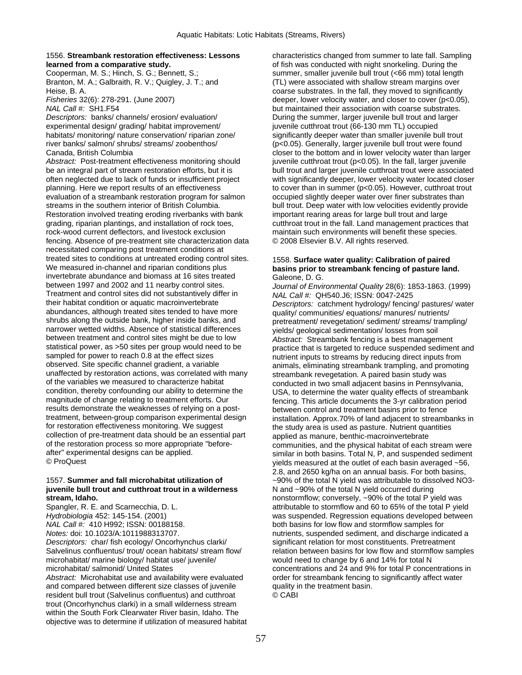## 1556. **Streambank restoration effectiveness: Lessons** characteristics changed from summer to late fall. Sampling **learned from a comparative study.** *our manumeral states of fish was conducted with night snorkeling. During the*

experimental design/ grading/ habitat improvement/

evaluation of a streambank restoration program for salmon occupied slightly deeper water over finer substrates than<br>streams in the southern interior of British Columbia. bull trout. Deep water with low velocities evidently Restoration involved treating eroding riverbanks with bank important rearing areas for large bull trout and large grading, riparian plantings, and installation of rock toes, cutthroat trout in the fall. Land management practices that rock-wood current deflectors, and livestock exclusion maintain such environments will benefit these species. fencing. Absence of pre-treatment site characterization data © 2008 Elsevier B.V. All rights reserved. necessitated comparing post treatment conditions at treated sites to conditions at untreated eroding control sites. 1558. **Surface water quality: Calibration of paired**<br>We measured in-channel and riparian conditions plus **basins prior to streambank fencing of pasture lan** invertebrate abundance and biomass at 16 sites treated Galeone, D. G.<br>between 1997 and 2002 and 11 nearby control sites. Journal of Environ Treatment and control sites did not substantively differ in their habitat condition or aquatic macroinvertebrate abundances, although treated sites tended to have more quality/ communities/ equations/ manures/ nutrients/<br>shrubs along the outside bank, higher inside banks, and pretreatment/ revenetation/ sediment/ streams/ tramr narrower wetted widths. Absence of statistical differences yields/ geological sedimentation/ losses from soil<br>between treatment and control sites might be due to low abstract: Streambank fencing is a best manager between treatment and control sites might be due to low *Abstract:* Streambank fencing is a best management sampled for power to reach 0.8 at the effect sizes nutrient inputs to streams by reducing direct inputs from<br>observed. Site specific channel gradient, a variable and promotic and promotic observed. Site specific channel gradient, a variable animals, eliminating streambank trampling, and promoting<br>unaffected by restoration actions, was correlated with many streambank revegetation. A paired basin study was unaffected by restoration actions, was correlated with many streambank revegetation. A paired basin study was<br>of the variables we measured to characterize habitat conducted in two small adjacent basins in Pennsylv. of the variables we measured to characterize habitat conducted in two small adjacent basins in Pennsylvania, condition, thereby confounding our ability to determine the USA, to determine the water quality effects of stream condition, thereby confounding our ability to determine the USA, to determine the water quality effects of streambank<br>magnitude of change relating to treatment efforts. Our fencing This article documents the 3-yr calibrati results demonstrate the weaknesses of relying on a post- between control and treatment basins prior to fence collection of pre-treatment data should be an essential part applied as manure, benthic-macroinvertebrate<br>of the restoration process so more appropriate "before-<br>communities and the physical habitat of each of the restoration process so more appropriate "before-<br>after" experimental designs can be applied.<br>similar in both basins. Total N. P. and suspended sediment after" experimental designs can be applied.<br>
© ProQuest similar in both basins. Total N, P, and suspended sediment of pach basin averaged  $\sim$  56

# juvenile bull trout and cutthroat trout in a wilderness

*NAL Call #:* 410 H992; ISSN: 00188158. both basins for low flow and stormflow samples for *Descriptors:* char/ fish ecology/ Oncorhynchus clarki/ significant relation for most constituents. Pretreatment microhabitat/ marine biology/ habitat use/ juvenile/ would need to change by 6 and 14% for total N Abstract: Microhabitat use and availability were evaluated order for streambank fencing to significantly affect water and compared between different size classes of juvenile quality in the treatment basin.<br>
resident bull trout (Salvelinus confluentus) and cutthroat © CABI resident bull trout (Salvelinus confluentus) and cutthroat

trout (Oncorhynchus clarki) in a small wilderness stream within the South Fork Clearwater River basin, Idaho. The objective was to determine if utilization of measured habitat

Cooperman, M. S.; Hinch, S. G.; Bennett, S.; summer, smaller juvenile bull trout (<66 mm) total length<br>Branton, M. A.; Galbraith, R. V.; Quigley, J. T.; and (TL) were associated with shallow stream margins over (TL) were associated with shallow stream margins over Heise, B. A. coarse substrates. In the fall, they moved to significantly *Fisheries* 32(6): 278-291. (June 2007) deeper, lower velocity water, and closer to cover (p<0.05), <br>
MAL Call #: SH1.F54 **and Call 2008** but maintained their association with coarse substrates. but maintained their association with coarse substrates. *Descriptors:* banks/ channels/ erosion/ evaluation/ During the summer, larger juvenile bull trout and larger experimental design/ grading/ habitat improvement/ interactive provenile cutthroat trout (66-130 mm TL) occupied habitats/ monitoring/ nature conservation/ riparian zone/ significantly deeper water than smaller juvenile bull trout river banks/ salmon/ shrubs/ streams/ zoobenthos/ (p<0.05). Generally, larger juvenile bull trout were found Canada, British Columbia closer to the bottom and in lower velocity water than larger *Abstract:* Post-treatment effectiveness monitoring should juvenile cutthroat trout (p<0.05). In the fall, larger juvenile be an integral part of stream restoration efforts, but it is bull trout and larger juvenile cutthroat trout were associated often neglected due to lack of funds or insufficient project with significantly deeper, lower velocity water located closer planning. Here we report results of an effectiveness to cover than in summer (p<0.05). However, cutthroat trout evaluation of a streambank restoration program for salmon occupied slightly deeper water over finer substrates bull trout. Deep water with low velocities evidently provide

# basins prior to streambank fencing of pasture land.

Journal of Environmental Quality 28(6): 1853-1863. (1999)<br>NAL Call #: QH540.J6: ISSN: 0047-2425 Descriptors: catchment hydrology/ fencing/ pastures/ water pretreatment/ revegetation/ sediment/ streams/ trampling/ statistical power, as >50 sites per group would need to be practice that is targeted to reduce suspended sediment and<br>sampled for power to reach 0.8 at the effect sizes providence in putrient inputs to streams by reducing fencing. This article documents the 3-yr calibration period. treatment, between-group comparison experimental design installation. Approx.70% of land adjacent to streambanks in<br>for restoration effectiveness monitoring. We suggest the study area is used as pasture. Nutrient quantitie the study area is used as pasture. Nutrient quantities yields measured at the outlet of each basin averaged  $~56$ , 2.8, and 2650 kg/ha on an annual basis. For both basins, 1557. **Summer and fall microhabitat utilization of**  $\sim$ 90% of the total N yield was attributable to dissolved NO3-<br>**juvenile bull trout and cutthroat trout in a wilderness** N and ~90% of the total N yield occurred during **stream, Idaho. hotal P yield was** nonstormflow; conversely, ~90% of the total P yield was Spangler, R. E. and Scarnecchia, D. L. attributable to stormflow and 60 to 65% of the total P yield<br>
Hydrobiologia 452: 145-154. (2001) <br>
was suspended. Regression equations developed betweer *Hydrobiologia* 452: 145-154. (2001) was suspended. Regression equations developed between nutrients, suspended sediment, and discharge indicated a Salvelinus confluentus/ trout/ ocean habitats/ stream flow/ relation between basins for low flow and stormflow samples microhabitat/ salmonid/ United States concentrations and 24 and 9% for total P concentrations in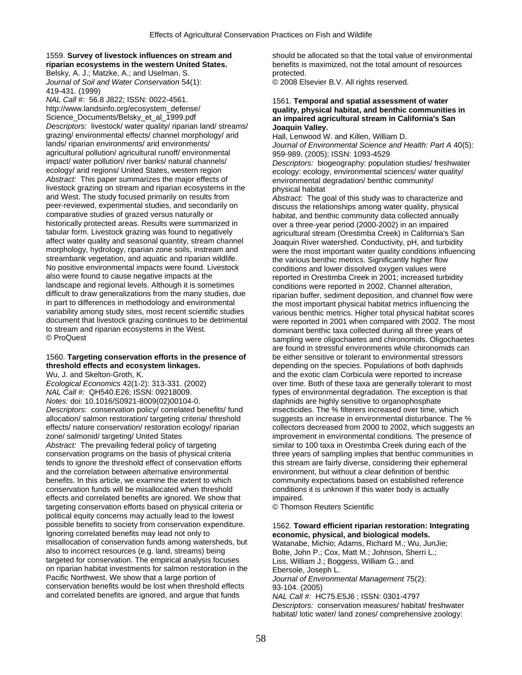Belsky, A. J.; Matzke, A.; and Uselman, S. protected.<br>
Journal of Soil and Water Conservation 54(1): Dournal COSES Elsevier B.V. All rights reserved. *Journal of Soil and Water Conservation* 54(1): 419-431. (1999)

*NAL Call #:* 56.8 J822; ISSN: 0022-4561.<br>http://www.landsinfo.org/ecosystem\_defense/ **1990 and anality, physical habitat, and benthic communitiently** http://www.landsinfo.org/ecosystem\_defense/ **quality, physical habitat, and benthic communities in**  *Descriptors:* livestock/ water quality/ riparian land/ streams/ **Joaquin Valley.**  grazing/ environmental effects/ channel morphology/ arid Hall, Lenwood W. and Killen, William D.<br>Hall, Lenwood W. and Killen, William D. Hall, Lenwood W. and Killen, William D. agricultural pollution/ agricultural runoff/ environmental impact/ water pollution/ river banks/ natural channels/ impact/ water pollution/ river banks/ natural channels/ *Descriptors:* biogeography: population studies/ freshwater Abstract: This paper summarizes the major effects of environmental degradation/ benthic community/ livestock grazing on stream and riparian ecosystems in the physical habitat arid West. The study focused primarily on results from *Abstract:* The a arid West. The study focused primarily on results from *Abstract:* The goal of this study was to characterize and peer-reviewed, experimental studies, and secondarily on discuss the relationships among water quality, physical<br>comparative studies of grazed versus naturally or discuss habitat, and benthic community data collected annual comparative studies of grazed versus naturally or habitat, and benthic community data collected annually<br>historically protected areas. Results were summarized in here over a three-year period (2000-2002) in an impaired historically protected areas. Results were summarized in over a three-year period (2000-2002) in an impaired<br>tabular form. Livestock grazing was found to negatively anticultural stream (Orestimba Creek) in California's tabular form. Livestock grazing was found to negatively agricultural stream (Orestimba Creek) in California's San<br>affect water quality and seasonal quantity, stream channel and paquin River watershed. Conductivity, pH, and affect water quality and seasonal quantity, stream channel Joaquin River watershed. Conductivity, pH, and turbidity<br>morphology, hydrology, riparian zone soils, instream and were the most important water quality conditions No positive environmental impacts were found. Livestock conditions and lower dissolved oxygen values were<br>also were found to cause negative impacts at the reported in Orestimba Creek in 2001: increased turb landscape and regional levels. Although it is sometimes conditions were reported in 2002. Channel alteration,<br>difficult to draw generalizations from the many studies, due riparian buffer, sediment deposition, and channel f difficult to draw generalizations from the many studies, due riparian buffer, sediment deposition, and channel flow were<br>in part to differences in methodology and environmental really the most important physical habitat me in part to differences in methodology and environmental the most important physical habitat metrics influencing the<br>variability among study sites, most recent scientific studies various benthic metrics. Higher total physic variability among study sites, most recent scientific studies various benthic metrics. Higher total physical habitat scores<br>document that livestock grazing continues to be detrimental were reported in 2001 when compared wi to stream and riparian ecosystems in the West.<br>© ProQuest sampling were oligochaetes and chironomids. Oligochae

## 1560. **Targeting conservation efforts in the presence of** be either sensitive or tolerant to environmental stressors

*NAL Call #:* QH540.E26; ISSN: 09218009. types of environmental degradation. The exception is that *Notes:* doi: 10.1016/S0921-8009(02)00104-0. daphnids are highly sensitive to organophosphate *Descriptors:* conservation policy/ correlated benefits/ fund insecticides. The % filterers increased over time, which allocation/ salmon restoration/ targeting criteria/ threshold suggests an increase in environmental disturbance. The % zone/ salmonid/ targeting/ United States improvement in environmental conditions. The presence of Abstract: The prevailing federal policy of targeting similar to 100 taxa in Orestimba Creek during each of the tends to ignore the threshold effect of conservation efforts this stream are fairly diverse, considering their ephemeral and the correlation between alternative environmental environment, but without a clear definition of benthic benefits. In this article, we examine the extent to which community expectations based on established reference<br>conservation funds will be misallocated when threshold conditions it is unknown if this water body is actually effects and correlated benefits are ignored. We show that impaired. targeting conservation efforts based on physical criteria or © Thomson Reuters Scientific political equity concerns may actually lead to the lowest<br>possible benefits to society from conservation expenditure. possible benefits to society from conservation expenditure. 1562. **Toward efficient riparian restoration: Integrating**  Ignoring correlated benefits may lead not only to **economic, physical, and biological models.**  misallocation of conservation funds among watersheds, but Watanabe, Michio; Adams, Richard M.; Wu, JunJie; also to incorrect resources (e.g. land, streams) being Bolte John P Cox Matt M Johnson Sherri L targeted for conservation. The empirical analysis focuses Liss, William J.; Bog<br>on riparian habitat investments for salmon restoration in the Ebersole, Joseph L. on riparian habitat investments for salmon restoration in the Pacific Northwest. We show that a large portion of *Journal of Environmental Management* 75(2): conservation benefits would be lost when threshold effects 93-104. (2005) and correlated benefits are ignored, and argue that funds *NAL Call #:* HC75.E5J6 ; ISSN: 0301-4797

1559. **Survey of livestock influences on stream and** should be allocated so that the total value of environmental **riparian ecosystems in the western United States. benefits is maximized, not the total amount of resources** 

# an impaired agricultural stream in California's San

Journal of Environmental Science and Health: Part A 40(5):<br>959-989. (2005); ISSN: 1093-4529

ecology: ecology, environmental sciences/ water quality/

morphology, hydrology, riparian zone soils, instream and were the most important water quality conditions influencing<br>streambank vegetation, and aquatic and riparian wildlife.<br>the various benthic metrics. Significantly hig the various benthic metrics. Significantly higher flow reported in Orestimba Creek in 2001; increased turbidity document that livestock grazing continues to be detrimental were reported in 2001 when compared with 2002. The most<br>to stream and riparian ecosystems in the West.<br>dominant benthic taxa collected during all three years of sampling were oligochaetes and chironomids. Oligochaetes are found in stressful environments while chironomids can depending on the species. Populations of both daphnids Wu, J. and Skelton-Groth, K. **and Skelton-Groth, K.** and the exotic clam Corbicula were reported to increase corported to increase corported to increase corported to increase corported to increase corported to the Ecologic over time. Both of these taxa are generally tolerant to most effects/ nature conservation/ restoration ecology/ riparian collectors decreased from 2000 to 2002, which suggests an conservation programs on the basis of physical criteria three years of sampling implies that benthic communities in conditions it is unknown if this water body is actually

Bolte, John P.; Cox, Matt M.; Johnson, Sherri L.;<br>Liss, William J.; Boggess, William G.; and

*Descriptors:* conservation measures/ habitat/ freshwater habitat/ lotic water/ land zones/ comprehensive zoology: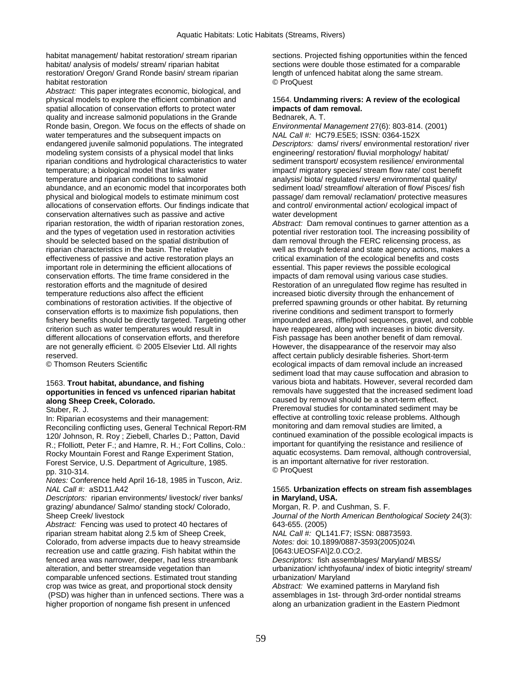habitat management/ habitat restoration/ stream riparian sections. Projected fishing opportunities within the fenced habitat/ analysis of models/ stream/ riparian habitat sections were double those estimated for a comparable restoration/ Oregon/ Grand Ronde basin/ stream riparian length of unfenced habitat along the same stream.<br> **C** ProQuest habitat restoration

*Abstract:* This paper integrates economic, biological, and physical models to explore the efficient combination and 1564. **Undamming rivers: A review of the ecological**  spatial allocation of conservation efforts to protect water **impacts of dam removal.**<br>
quality and increase salmonid populations in the Grande Bednarek, A. T. quality and increase salmonid populations in the Grande Bednarek, A. T.<br>Ronde basin, Oregon. We focus on the effects of shade on *Environmental Management* 27(6): 803-814. (2001) Ronde basin, Oregon. We focus on the effects of shade on water temperatures and the subsequent impacts on *NAL Call #:* HC79.E5E5; ISSN: 0364-152X endangered juvenile salmonid populations. The integrated *Descriptors:* dams/ rivers/ environmental restoration/ river modeling system consists of a physical model that links engineering/ restoration/ fluvial morphology/ habitat/ riparian conditions and hydrological characteristics to water sediment transport/ ecosystem resilience/ environmental temperature; a biological model that links water impact/ migratory species/ stream flow rate/ cost benefit temperature and riparian conditions to salmonid analysis/ biota/ regulated rivers/ environmental quality/ abundance, and an economic model that incorporates both sediment load/ streamflow/ alteration of flow/ Pisces/ fish<br>physical and biological models to estimate minimum cost passage/ dam removal/ reclamation/ protective meas allocations of conservation efforts. Our findings indicate that conservation alternatives such as passive and active water development riparian restoration, the width of riparian restoration zones, *Abstract:* Dam removal continues to garner attention as a and the types of vegetation used in restoration activities potential river restoration tool. The increasing possibility of should be selected based on the spatial distribution of dam removal through the FERC relicensing process, as riparian characteristics in the basin. The relative well as through federal and state agency actions, makes a effectiveness of passive and active restoration plays an critical examination of the ecological benefits and costs important role in determining the efficient allocations of essential. This paper reviews the possible ecological conservation efforts. The time frame considered in the impacts of dam removal using various case studies. restoration efforts and the magnitude of desired Restoration of an unregulated flow regime has resulted in temperature reductions also affect the efficient increased biotic diversity through the enhancement of combinations of restoration activities. If the objective of preferred spawning grounds or other habitat. By returning conservation efforts is to maximize fish populations, then riverine conditions and sediment transport to formerly fishery benefits should be directly targeted. Targeting other impounded areas, riffle/pool sequences, gravel, and cobble criterion such as water temperatures would result in have reappeared, along with increases in biotic diversity.<br>
different allocations of conservation efforts, and therefore Fish passage has been another benefit of dam rem different allocations of conservation efforts, and therefore Fish passage has been another benefit of dam removal are not generally efficient. © 2005 Elsevier Ltd. All rights However, the disappearance of the reservoir may are not generally efficient. © 2005 Elsevier Ltd. All rights reserved. affect certain publicly desirable fisheries. Short-term

## opportunities in fenced vs unfenced riparian habitat **along Sheep Creek, Colorado. caused by removal should be a short-term effect.**

120/ Johnson, R. Roy ; Ziebell, Charles D.; Patton, David continued examination of the possible ecological impacts in the possible ecological impacts in Reference of interestion of the possible ecological impacts in Refere R.; Ffolliott, Peter F.; and Hamre, R. H.; Fort Collins, Colo.: important for quantifying the resistance and resilience of Rocky Mountain Forest and Range Experiment Station aguatic ecosystems. Dam removal, although contro Rocky Mountain Forest and Range Experiment Station, and aquatic ecosystems. Dam removal, although c<br>Forest Service, U.S. Department of Agriculture, 1985 Forest Service, U.S. Department of Agriculture, 1985. is an important alternation.<br>
© ProQuest pp. 310-314.

*Notes: Conference held April 16-18, 1985 in Tuscon, Ariz. NAL Call #: aSD11.A42* 

*Descriptors:* riparian environments/ livestock/ river banks/ **in Maryland, USA.**  grazing/ abundance/ Salmo/ standing stock/ Colorado, Sheep Creek/ livestock *Journal of the North American Benthological Society* 24(3):

Abstract: Fencing was used to protect 40 hectares of 643-655. (2005)<br>
riparian stream habitat along 2.5 km of Sheep Creek, MAL Call #: QL141.F7; ISSN: 08873593. riparian stream habitat along 2.5 km of Sheep Creek, Colorado, from adverse impacts due to heavy streamside *Notes:* doi: 10.1899/0887-3593(2005)024\ recreation use and cattle grazing. Fish habitat within the [0643:UEOSFA\]2.0.CO;2. fenced area was narrower, deeper, had less streambank *Descriptors:* fish assemblages/ Maryland/ MBSS/ alteration, and better streamside vegetation than urbanization/ ichthyofauna/ index of biotic integrity/ stream/ comparable unfenced sections. Estimated trout standing urbanization/ Maryland crop was twice as great, and proportional stock density *Abstract:* We examined patterns in Maryland fish (PSD) was higher than in unfenced sections. There was a higher proportion of nongame fish present in unfenced

passage/ dam removal/ reclamation/ protective measures<br>and control/ environmental action/ ecological impact of

© Thomson Reuters Scientific ecological impacts of dam removal include an increased sediment load that may cause suffocation and abrasion to 1563. **Trout habitat, abundance, and fishing** various biota and habitats. However, several recorded dam Stuber, R. J. Preremoval studies for contaminated sediment may be not applied by Preremoval studies for contaminated sediment may be In: Riparian ecosystems and their management: effective at controlling toxic release problems. Although<br>Reconciling conflicting uses. General Technical Report-RM monitoring and dam removal studies are limited, a Reconciling conflicting uses, General Technical Report-RM monitoring and dam removal studies are limited, a<br>120/Johnson, R. Roy : Ziebell, Charles D.: Patton, David continued examination of the possible ecological impacts

## 1565. Urbanization effects on stream fish assemblages

along an urbanization gradient in the Eastern Piedmont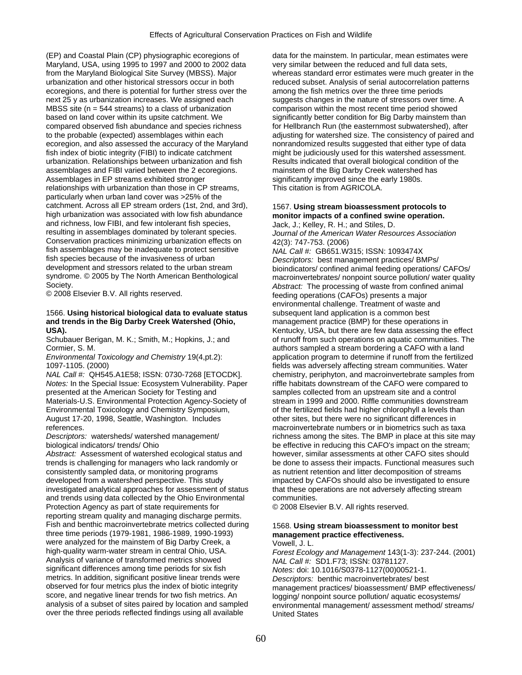(EP) and Coastal Plain (CP) physiographic ecoregions of data for the mainstem. In particular, mean estimates were Maryland, USA, using 1995 to 1997 and 2000 to 2002 data very similar between the reduced and full data sets, from the Maryland Biological Site Survey (MBSS). Major whereas standard error estimates were much greater in the urbanization and other historical stressors occur in both reduced subset. Analysis of serial autocorrelation patterns ecoregions, and there is potential for further stress over the among the fish metrics over the three time periods next 25 y as urbanization increases. We assigned each suggests changes in the nature of stressors over time. A MBSS site (n = 544 streams) to a class of urbanization comparison within the most recent time period showed<br>based on land cover within its upsite catchment. We significantly better condition for Big Darby mainstem that compared observed fish abundance and species richness for Hellbranch Run (the easternmost subwatershed), after to the probable (expected) assemblages within each adjusting for watershed size. The consistency of paired and ecoregion, and also assessed the accuracy of the Maryland nonrandomized results suggested that either type of data fish index of biotic integrity (FIBI) to indicate catchment might be judiciously used for this watershed assessment. urbanization. Relationships between urbanization and fish Results indicated that overall biological condition of the assemblages and FIBI varied between the 2 ecoregions. mainstem of the Big Darby Creek watershed has Assemblages in EP streams exhibited stronger strategy significantly improved since the early 1980s. relationships with urbanization than those in CP streams, This citation is from AGRICOLA. particularly when urban land cover was >25% of the catchment. Across all EP stream orders (1st, 2nd, and 3rd), 1567. **Using stream bioassessment protocols to**  high urbanization was associated with low fish abundance **monitor impacts of a confined swine operation.**  and richness, low FIBI, and few intolerant fish species, Jack, J.; Kelley, R. H.; and Stiles, D.<br>
resulting in assemblages dominated by tolerant species.<br>
Journal of the American Water Resc Conservation practices minimizing urbanization effects on 42(3): 747-753. (2006) fish assemblages may be inadequate to protect sensitive *NAL Call #: GB651.W315; ISSN: 1093474X*<br>fish species because of the invasiveness of urban *Descriptors:* best management practices/ BN fish species because of the invasiveness of urban *Descriptors:* best management practices/ BMPs/ development and stressors related to the urban stream bioindicators/ confined animal feeding operations/ CAFOs/<br>syndrome. © 2005 by The North American Benthological macroinvertebrates/ nonpoint source pollution/ water qual syndrome. © 2005 by The North American Benthological macroinvertebrates/ nonpoint source pollution/ water quality<br>Society. Mastract: The processing of waste from confined animal

## 1566. **Using historical biological data to evaluate status** subsequent land application is a common best **and trends in the Big Darby Creek Watershed (Ohio,** management practice (BMP) for these operations in

*Notes:* In the Special Issue: Ecosystem Vulnerability. Paper riffle habitats downstream of the CAFO were compared to presented at the American Society for Testing and samples collected from an upstream site and a control<br>Materials-U.S. Environmental Protection Agency-Society of stream in 1999 and 2000. Riffle communities downstream Materials-U.S. Environmental Protection Agency-Society of Environmental Toxicology and Chemistry Symposium, only of the fertilized fields had higher chlorophyll a levels than August 17-20, 1998, Seattle, Washington. Includes other sites, but there were no significant differences in references. macroinvertebrate numbers or in biometrics such as taxa

*Abstract:* Assessment of watershed ecological status and however, similar assessments at other CAFO sites should trends is challenging for managers who lack randomly or be done to assess their impacts. Functional measures such consistently sampled data, or monitoring programs as nutrient retention and litter decomposition of streams developed from a watershed perspective. This study impacted by CAFOs should also be investigated to ensure investigated analytical approaches for assessment of status that these operations are not adversely affecting stream and trends using data collected by the Ohio Environmental communities. Protection Agency as part of state requirements for  $\heartsuit$  2008 Elsevier B.V. All rights reserved. reporting stream quality and managing discharge permits.<br>Fish and benthic macroinvertebrate metrics collected during three time periods (1979-1981, 1986-1989, 1990-1993) **management practice effectiveness.**  were analyzed for the mainstem of Big Darby Creek, a Vowell, J. L.<br>high-quality warm-water stream in central Ohio, USA. Forest Fcold Analysis of variance of transformed metrics showed *NAL Call #:* SD1.F73; ISSN: 03781127. significant differences among time periods for six fish *Notes:* doi: 10.1016/S0378-1127(00)00521-1. metrics. In addition, significant positive linear trends were *Descriptors:* benthic macroinvertebrates/ best observed for four metrics plus the index of biotic integrity management practices/ bioassessment/ BMP e observed for four metrics plus the index of biotic integrity management practices/ bioassessment/ BMP effectiveness/<br>score, and negative linear trends for two fish metrics. An logging/ nonpoint source pollution/ aquatic ec score, and negative linear trends for two fish metrics. An logging/ nonpoint source pollution/ aquatic ecosystems/<br>analysis of a subset of sites paired by location and sampled environmental management/ assessment method/ s over the three periods reflected findings using all available United States

significantly better condition for Big Darby mainstem than

Journal of the American Water Resources Association

Society.<br>
© 2008 Elsevier B.V. All rights reserved.<br>
© 2008 Elsevier B.V. All rights reserved.<br>
Society. The processing of waste from confined animal reading operations (CAFOs) presents a major feeding operations (CAFOs) presents a major environmental challenge. Treatment of waste and USA). **USA** USA, but there are few data assessing the effect in the effect of the effect of the effect of the effect of the effect of the effect of the effect of the effect of the effect of the effect of the effect of the Schubauer Berigan, M. K.; Smith, M.; Hopkins, J.; and of runoff from such operations on aquatic communities. The Cormier, S. M. **Cormier, S. M.** authors sampled a stream bordering a CAFO with a land *Environmental Toxicology and Chemistry* 19(4,pt.2): application program to determine if runoff from the fertilized 1097-1105. (2000)<br>
MAL Call #: QH545.A1E58; ISSN: 0730-7268 [ETOCDK]. chemistry, periphyton, and macroinvertebrate samples from chemistry, periphyton, and macroinvertebrate samples from *Descriptors:* watersheds/ watershed management/ richness among the sites. The BMP in place at this site may biological indicators/ trends/ Ohio be effective in reducing this CAFO's impact on the stream;

## 1568. Using stream bioassessment to monitor best

Forest Ecology and Management 143(1-3): 237-244. (2001) environmental management/ assessment method/ streams/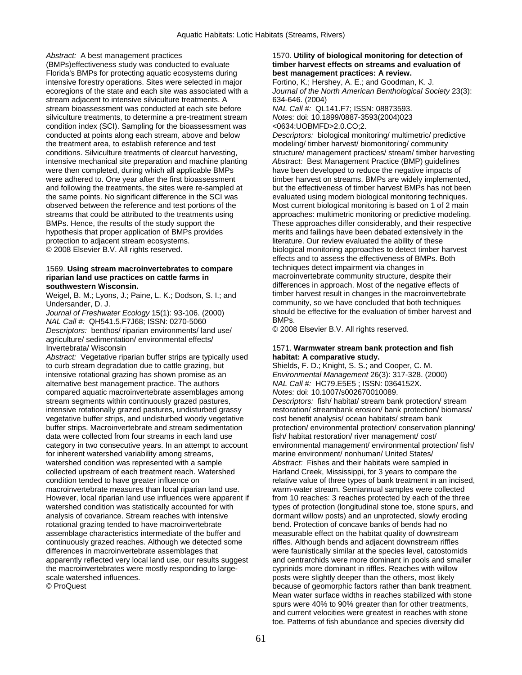Florida's BMPs for protecting aquatic ecosystems during **best management practices: A review.**<br>
intensive forestry operations. Sites were selected in major Fortino, K.; Hershey, A. E.; and Goodman, K. J. intensive forestry operations. Sites were selected in major ecoregions of the state and each site was associated with a *Journal of the North American Benthological Society* 23(3): stream adjacent to intensive silviculture treatments. A 634-646. (2004) stream bioassessment was conducted at each site before *NAL Call #:* QL141.F7; ISSN: 08873593. silviculture treatments, to determine a pre-treatment stream *Notes:* doi: 10.1899/0887-3593(2004)023 condition index (SCI). Sampling for the bioassessment was <0634:UOBMFD>2.0.CO;2. conducted at points along each stream, above and below *Descriptors:* biological monitoring/ multimetric/ predictive the treatment area, to establish reference and test modeling/ timber harvest/ biomonitoring/ community conditions. Silviculture treatments of clearcut harvesting, structure/ management practices/ stream/ timber harvesting intensive mechanical site preparation and machine planting *Abstract:* Best Management Practice (BMP) guidelines were then completed, during which all applicable BMPs have been developed to reduce the negative impacts of were adhered to. One year after the first bioassessment timber harvest on streams. BMPs are widely implemented, and following the treatments, the sites were re-sampled at but the effectiveness of timber harvest BMPs has not been the same points. No significant difference in the SCI was evaluated using modern biological monitoring techniques.<br>
observed between the reference and test portions of the Most current biological monitoring is based on 1 o streams that could be attributed to the treatments using approaches: multimetric monitoring or predictive modeling. BMPs. Hence, the results of the study support the These approaches differ considerably, and their respective hypothesis that proper application of BMPs provides merits and failings have been debated extensively in the protection to adjacent stream ecosystems. The stream is elected to the ability of these protection to adjacent stream ecosystems.

# riparian land use practices on cattle farms in

Weigel, B. M.; Lyons, J.; Paine, L. K.; Dodson, S. I.; and Undersander, D. J. Community, so we have concluded that both techniques

*NAL Call #:* QH541.5.F7J68; ISSN: 0270-5060 BMPs.<br>Descriptors: benthos/ riparian environments/ land use/ © 2008 Elsevier B.V. All rights reserved. *Descriptors: benthos/ riparian environments/ land use/* agriculture/ sedimentation/ environmental effects/

Abstract: Vegetative riparian buffer strips are typically used to curb stream degradation due to cattle grazing, but<br>
intensive rotational grazing has shown promise as an *Environmental Management* 26(3): 317-328. (2000) intensive rotational grazing has shown promise as an alternative best management practice. The authors *NAL Call #:* HC79.E5E5 ; ISSN: 0364152X. compared aquatic macroinvertebrate assemblages among *Notes:* doi: 10.1007/s002670010089. stream segments within continuously grazed pastures, *Descriptors:* fish/ habitat/ stream bank protection/ stream intensive rotationally grazed pastures, undisturbed grassy restoration/ streambank erosion/ bank protection/ biomass/ vegetative buffer strips, and undisturbed woody vegetative cost benefit analysis/ ocean habitats/ stream bank buffer strips. Macroinvertebrate and stream sedimentation protection/ environmental protection/ conservation planning/ data were collected from four streams in each land use fish/ habitat restoration/ river management/ cost/ category in two consecutive years. In an attempt to account environmental management/ environmental protection/ fish/ for inherent watershed variability among streams, marine environment/ nonhuman/ United States/ watershed condition was represented with a sample *Abstract:* Fishes and their habitats were sampled in collected upstream of each treatment reach. Watershed Harland Creek, Mississippi, for 3 years to compare the condition tended to have greater influence on relative value of three types of bank treatment in an incised, macroinvertebrate measures than local riparian land use. warm-water stream. Semiannual samples were collected However, local riparian land use influences were apparent if from 10 reaches: 3 reaches protected by each of the three watershed condition was statistically accounted for with types of protection (longitudinal stone toe, stone spurs, and analysis of covariance. Stream reaches with intensive dormant willow posts) and an unprotected, slowly eroding rotational grazing tended to have macroinvertebrate bend. Protection of concave banks of bends had no<br>assemblage characteristics intermediate of the buffer and measurable effect on the habitat quality of downstream assemblage characteristics intermediate of the buffer and continuously grazed reaches. Although we detected some riffles. Although bends and adjacent downstream riffles differences in macroinvertebrate assemblages that were faunistically similar at the species level, catostomids apparently reflected very local land use, our results suggest and centrarchids were more dominant in pools and smaller the macroinvertebrates were mostly responding to large- cyprinids more dominant in riffles. Reaches with willow

## *Abstract:* A best management practices 1570. **Utility of biological monitoring for detection of**  (BMPs)effectiveness study was conducted to evaluate **timber harvest effects on streams and evaluation of**

Most current biological monitoring is based on 1 of 2 main © 2008 Elsevier B.V. All rights reserved. biological monitoring approaches to detect timber harvest effects and to assess the effectiveness of BMPs. Both 1569. **Using stream macroinvertebrates to compare** techniques detect impairment via changes in **southwestern Wisconsin.**<br>
Weigel, B. M.: I vons. J.: Paine. L. K.: Dodson, S. L.: and **timber harvest result in changes in the macroinvertebrate** *Journal of Freshwater Ecology* 15(1): 93-106. (2000) should be effective for the evaluation of timber harvest and<br>MAL Call #: OH541 5 EZ I68: ISSN: 0270-5060

## Invertebrata/ Wisconsin<br>Abstract: Vegetative riparian buffer strips are typically used **habitat: A comparative study.**

scale watershed influences.<br>
© ProQuest example than the others, most likely<br>
o ProQuest example the others, most likely<br>
because of geomorphic factors rather than bank treatn because of geomorphic factors rather than bank treatment. Mean water surface widths in reaches stabilized with stone spurs were 40% to 90% greater than for other treatments, and current velocities were greatest in reaches with stone toe. Patterns of fish abundance and species diversity did